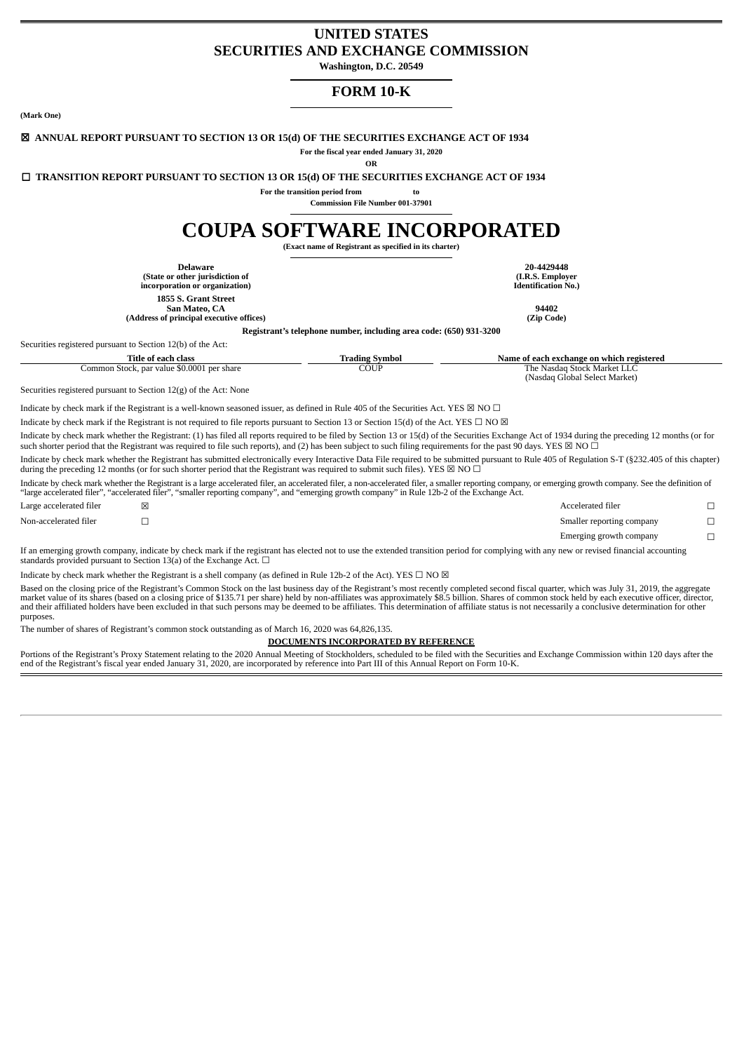# **UNITED STATES SECURITIES AND EXCHANGE COMMISSION**

**Washington, D.C. 20549**

# **FORM 10-K**

**(Mark One)**

#### ☒ **ANNUAL REPORT PURSUANT TO SECTION 13 OR 15(d) OF THE SECURITIES EXCHANGE ACT OF 1934**

**For the fiscal year ended January 31, 2020**

**OR**

☐ **TRANSITION REPORT PURSUANT TO SECTION 13 OR 15(d) OF THE SECURITIES EXCHANGE ACT OF 1934**

**For the transition period from to**

**Commission File Number 001-37901**

# **COUPA SOFTWARE INCORPORATED**

**(Exact name of Registrant as specified in its charter)**

**Registrant's telephone number, including area code: (650) 931-3200**

**Delaware 20-4429448 (State or other jurisdiction of incorporation or organization) 1855 S. Grant Street**

**San Mateo, CA 94402 (Address of principal executive offices) (Zip Code)**

**(I.R.S. Employer Identification No.)**

Securities registered pursuant to Section 12(b) of the Act:

| Fitle of<br>° each class                               | Symbol<br>radıng | Name of :<br>' each exchange on which registered |
|--------------------------------------------------------|------------------|--------------------------------------------------|
| \$0.0001<br>per share<br>ommon<br>. Stock, par value ' | COUP<br>_ _ _    | Stock Market :<br>The<br>Nasda<br>___            |
|                                                        |                  | (Nasdaq Global Select l<br>Market                |

Securities registered pursuant to Section 12(g) of the Act: None

Indicate by check mark if the Registrant is a well-known seasoned issuer, as defined in Rule 405 of the Securities Act. YES  $\boxtimes$  NO  $\Box$ 

Indicate by check mark if the Registrant is not required to file reports pursuant to Section 13 or Section 15(d) of the Act. YES  $\Box$  NO  $\boxtimes$ 

Indicate by check mark whether the Registrant: (1) has filed all reports required to be filed by Section 13 or 15(d) of the Securities Exchange Act of 1934 during the preceding 12 months (or for such shorter period that the Registrant was required to file such reports), and (2) has been subject to such filing requirements for the past 90 days. YES  $\boxtimes$  NO  $\Box$ 

Indicate by check mark whether the Registrant has submitted electronically every Interactive Data File required to be submitted pursuant to Rule 405 of Regulation S-T (§232.405 of this chapter) during the preceding 12 months (or for such shorter period that the Registrant was required to submit such files). YES  $\boxtimes$  NO  $\Box$ 

Indicate by check mark whether the Registrant is a large accelerated filer, an accelerated filer, a non-accelerated filer, a smaller reporting company, or emerging growth company. See the definition of "large accelerated filer", "accelerated filer", "smaller reporting company", and "emerging growth company" in Rule 12b-2 of the Exchange Act.

| Large accelerated filer | Accelerated filer         |  |
|-------------------------|---------------------------|--|
| Non-accelerated filer   | Smaller reporting company |  |
|                         | Emerging growth company   |  |
|                         |                           |  |

If an emerging growth company, indicate by check mark if the registrant has elected not to use the extended transition period for complying with any new or revised financial accounting standards provided pursuant to Section 13(a) of the Exchange Act.  $\Box$ 

Indicate by check mark whether the Registrant is a shell company (as defined in Rule 12b-2 of the Act). YES  $\Box$  NO  $\boxtimes$ 

Based on the closing price of the Registrant's Common Stock on the last business day of the Registrant's most recently completed second fiscal quarter, which was July 31, 2019, the aggregate market value of its shares (based on a closing price of \$135.71 per share) held by non-affiliates was approximately \$8.5 billion. Shares of common stock held by each executive officer, director,<br>and their affiliated holder purposes.

The number of shares of Registrant's common stock outstanding as of March 16, 2020 was 64,826,135.

#### **DOCUMENTS INCORPORATED BY REFERENCE**

Portions of the Registrant's Proxy Statement relating to the 2020 Annual Meeting of Stockholders, scheduled to be filed with the Securities and Exchange Commission within 120 days after the<br>end of the Registrant's fiscal y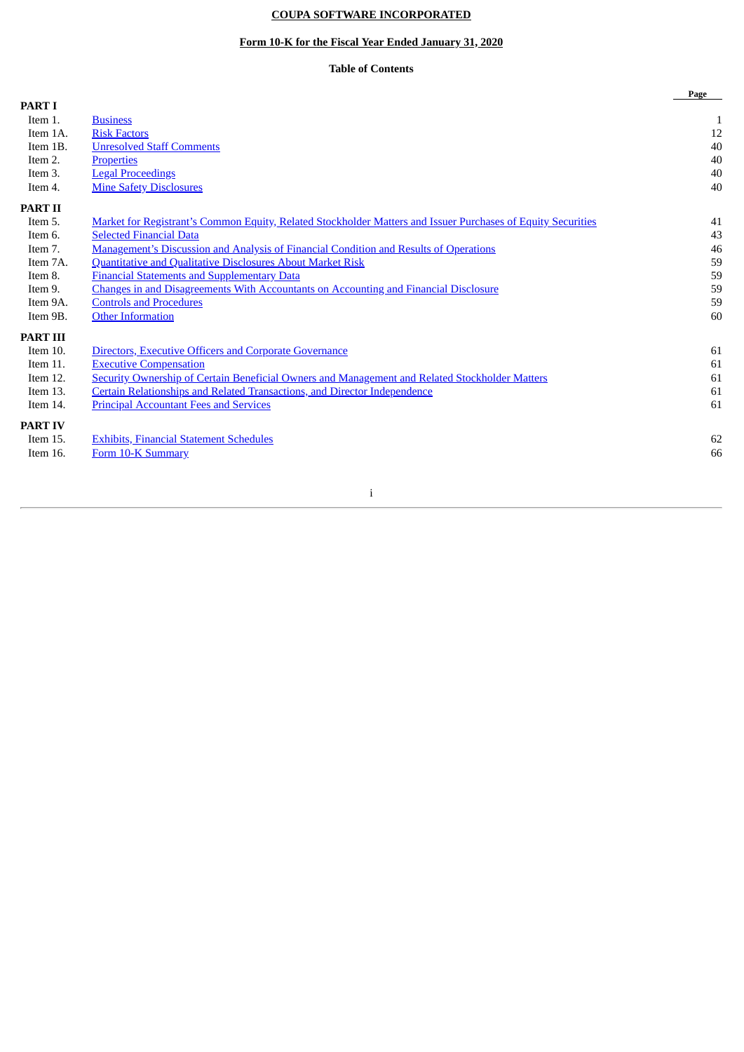# **COUPA SOFTWARE INCORPORATED**

## **Form 10-K for the Fiscal Year Ended January 31, 2020**

# **Table of Contents**

|                 |                                                                                                              | Page |
|-----------------|--------------------------------------------------------------------------------------------------------------|------|
| <b>PART I</b>   |                                                                                                              |      |
| Item 1.         | <b>Business</b>                                                                                              | 1    |
| Item 1A.        | <b>Risk Factors</b>                                                                                          | 12   |
| Item 1B.        | <b>Unresolved Staff Comments</b>                                                                             | 40   |
| Item 2.         | <b>Properties</b>                                                                                            | 40   |
| Item 3.         | <b>Legal Proceedings</b>                                                                                     | 40   |
| Item 4.         | <b>Mine Safety Disclosures</b>                                                                               | 40   |
| <b>PART II</b>  |                                                                                                              |      |
| Item 5.         | Market for Registrant's Common Equity, Related Stockholder Matters and Issuer Purchases of Equity Securities | 41   |
| Item 6.         | <b>Selected Financial Data</b>                                                                               | 43   |
| Item 7.         | <b>Management's Discussion and Analysis of Financial Condition and Results of Operations</b>                 | 46   |
| Item 7A.        | <b>Quantitative and Qualitative Disclosures About Market Risk</b>                                            | 59   |
| Item 8.         | <b>Financial Statements and Supplementary Data</b>                                                           | 59   |
| Item 9.         | <b>Changes in and Disagreements With Accountants on Accounting and Financial Disclosure</b>                  | 59   |
| Item 9A.        | <b>Controls and Procedures</b>                                                                               | 59   |
| Item 9B.        | <b>Other Information</b>                                                                                     | 60   |
| <b>PART III</b> |                                                                                                              |      |
| Item 10.        | Directors, Executive Officers and Corporate Governance                                                       | 61   |
| Item 11.        | <b>Executive Compensation</b>                                                                                | 61   |
| Item 12.        | <b>Security Ownership of Certain Beneficial Owners and Management and Related Stockholder Matters</b>        | 61   |
| Item 13.        | Certain Relationships and Related Transactions, and Director Independence                                    | 61   |
| Item 14.        | <b>Principal Accountant Fees and Services</b>                                                                | 61   |
| <b>PART IV</b>  |                                                                                                              |      |
| Item 15.        | <b>Exhibits, Financial Statement Schedules</b>                                                               | 62   |
| Item 16.        | Form 10-K Summary                                                                                            | 66   |
|                 |                                                                                                              |      |
|                 |                                                                                                              |      |

i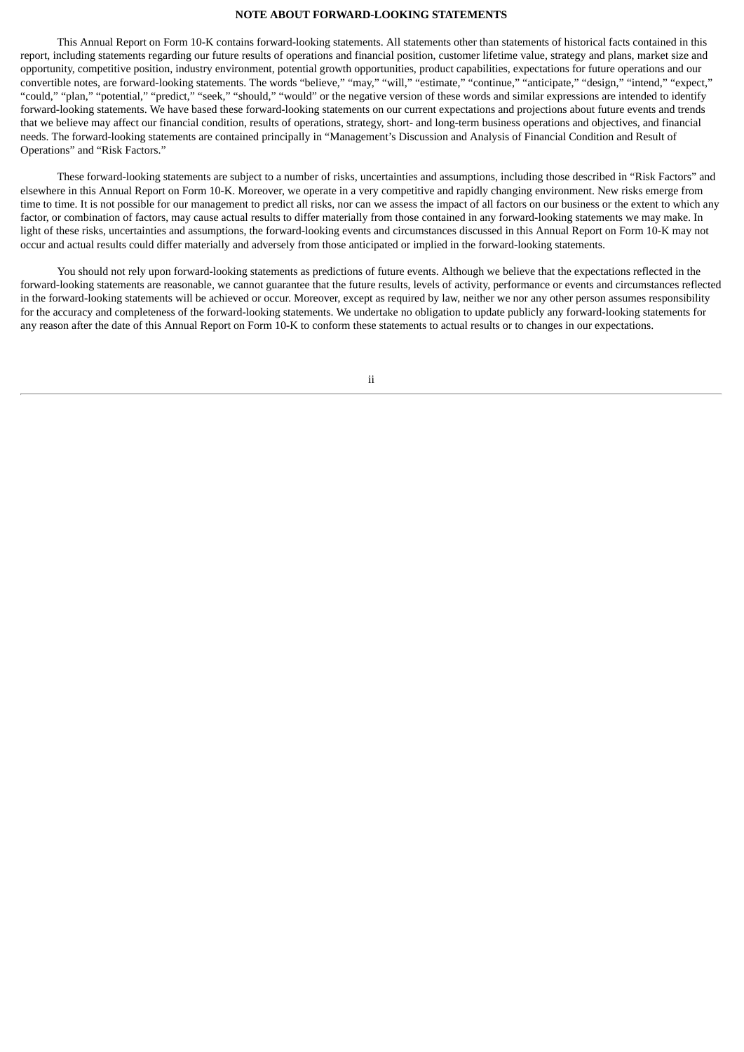#### **NOTE ABOUT FORWARD-LOOKING STATEMENTS**

This Annual Report on Form 10-K contains forward-looking statements. All statements other than statements of historical facts contained in this report, including statements regarding our future results of operations and financial position, customer lifetime value, strategy and plans, market size and opportunity, competitive position, industry environment, potential growth opportunities, product capabilities, expectations for future operations and our convertible notes, are forward-looking statements. The words "believe," "may," "will," "estimate," "continue," "anticipate," "design," "intend," "expect," "could," "plan," "potential," "predict," "seek," "should," "would" or the negative version of these words and similar expressions are intended to identify forward-looking statements. We have based these forward-looking statements on our current expectations and projections about future events and trends that we believe may affect our financial condition, results of operations, strategy, short- and long-term business operations and objectives, and financial needs. The forward-looking statements are contained principally in "Management's Discussion and Analysis of Financial Condition and Result of Operations" and "Risk Factors."

These forward-looking statements are subject to a number of risks, uncertainties and assumptions, including those described in "Risk Factors" and elsewhere in this Annual Report on Form 10-K. Moreover, we operate in a very competitive and rapidly changing environment. New risks emerge from time to time. It is not possible for our management to predict all risks, nor can we assess the impact of all factors on our business or the extent to which any factor, or combination of factors, may cause actual results to differ materially from those contained in any forward-looking statements we may make. In light of these risks, uncertainties and assumptions, the forward-looking events and circumstances discussed in this Annual Report on Form 10-K may not occur and actual results could differ materially and adversely from those anticipated or implied in the forward-looking statements.

You should not rely upon forward-looking statements as predictions of future events. Although we believe that the expectations reflected in the forward-looking statements are reasonable, we cannot guarantee that the future results, levels of activity, performance or events and circumstances reflected in the forward-looking statements will be achieved or occur. Moreover, except as required by law, neither we nor any other person assumes responsibility for the accuracy and completeness of the forward-looking statements. We undertake no obligation to update publicly any forward-looking statements for any reason after the date of this Annual Report on Form 10-K to conform these statements to actual results or to changes in our expectations.

ii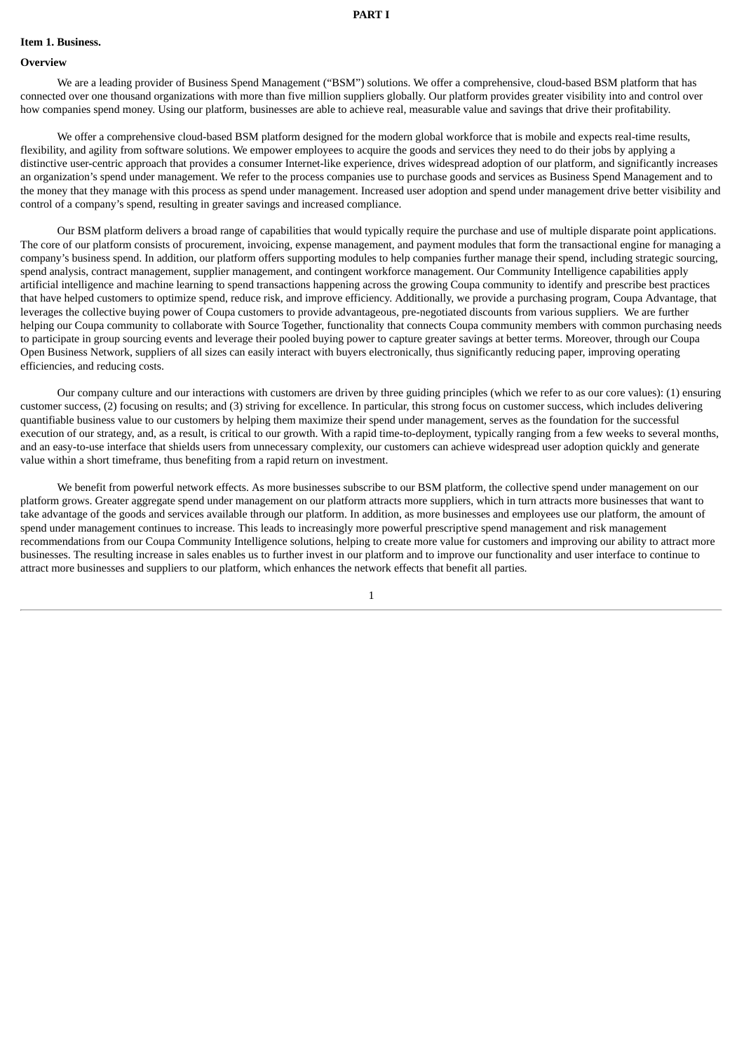#### <span id="page-3-0"></span>**Item 1. Business.**

#### **Overview**

We are a leading provider of Business Spend Management ("BSM") solutions. We offer a comprehensive, cloud-based BSM platform that has connected over one thousand organizations with more than five million suppliers globally. Our platform provides greater visibility into and control over how companies spend money. Using our platform, businesses are able to achieve real, measurable value and savings that drive their profitability.

We offer a comprehensive cloud-based BSM platform designed for the modern global workforce that is mobile and expects real-time results, flexibility, and agility from software solutions. We empower employees to acquire the goods and services they need to do their jobs by applying a distinctive user-centric approach that provides a consumer Internet-like experience, drives widespread adoption of our platform, and significantly increases an organization's spend under management. We refer to the process companies use to purchase goods and services as Business Spend Management and to the money that they manage with this process as spend under management. Increased user adoption and spend under management drive better visibility and control of a company's spend, resulting in greater savings and increased compliance.

Our BSM platform delivers a broad range of capabilities that would typically require the purchase and use of multiple disparate point applications. The core of our platform consists of procurement, invoicing, expense management, and payment modules that form the transactional engine for managing a company's business spend. In addition, our platform offers supporting modules to help companies further manage their spend, including strategic sourcing, spend analysis, contract management, supplier management, and contingent workforce management. Our Community Intelligence capabilities apply artificial intelligence and machine learning to spend transactions happening across the growing Coupa community to identify and prescribe best practices that have helped customers to optimize spend, reduce risk, and improve efficiency. Additionally, we provide a purchasing program, Coupa Advantage, that leverages the collective buying power of Coupa customers to provide advantageous, pre-negotiated discounts from various suppliers. We are further helping our Coupa community to collaborate with Source Together, functionality that connects Coupa community members with common purchasing needs to participate in group sourcing events and leverage their pooled buying power to capture greater savings at better terms. Moreover, through our Coupa Open Business Network, suppliers of all sizes can easily interact with buyers electronically, thus significantly reducing paper, improving operating efficiencies, and reducing costs.

Our company culture and our interactions with customers are driven by three guiding principles (which we refer to as our core values): (1) ensuring customer success, (2) focusing on results; and (3) striving for excellence. In particular, this strong focus on customer success, which includes delivering quantifiable business value to our customers by helping them maximize their spend under management, serves as the foundation for the successful execution of our strategy, and, as a result, is critical to our growth. With a rapid time-to-deployment, typically ranging from a few weeks to several months, and an easy-to-use interface that shields users from unnecessary complexity, our customers can achieve widespread user adoption quickly and generate value within a short timeframe, thus benefiting from a rapid return on investment.

We benefit from powerful network effects. As more businesses subscribe to our BSM platform, the collective spend under management on our platform grows. Greater aggregate spend under management on our platform attracts more suppliers, which in turn attracts more businesses that want to take advantage of the goods and services available through our platform. In addition, as more businesses and employees use our platform, the amount of spend under management continues to increase. This leads to increasingly more powerful prescriptive spend management and risk management recommendations from our Coupa Community Intelligence solutions, helping to create more value for customers and improving our ability to attract more businesses. The resulting increase in sales enables us to further invest in our platform and to improve our functionality and user interface to continue to attract more businesses and suppliers to our platform, which enhances the network effects that benefit all parties.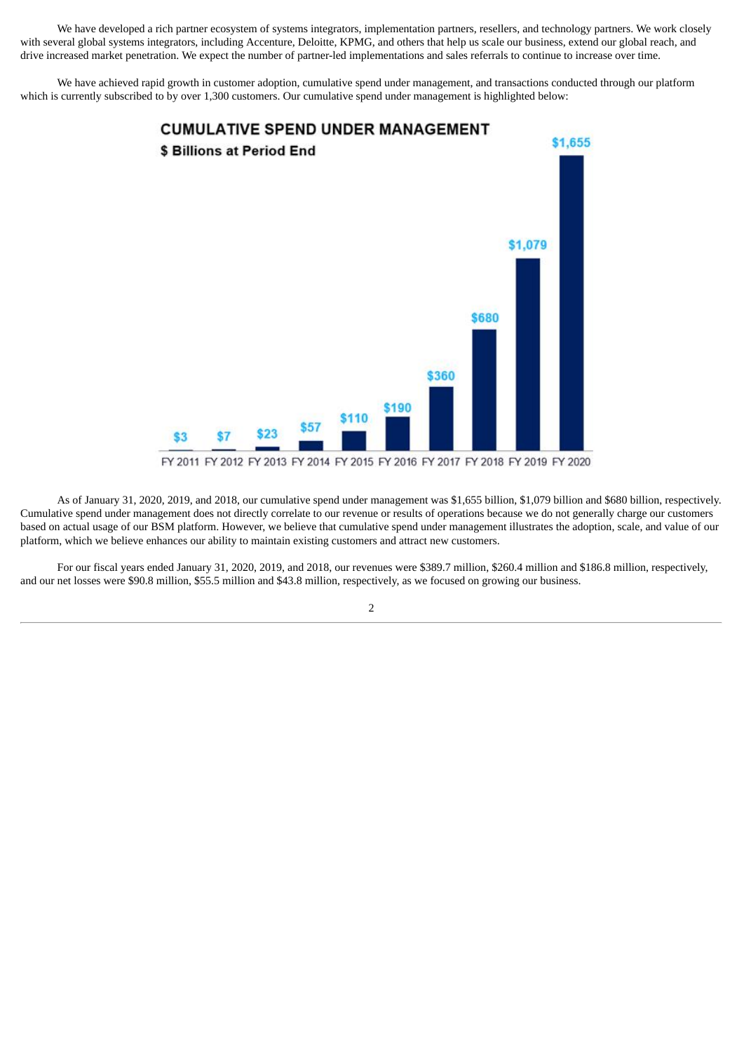We have developed a rich partner ecosystem of systems integrators, implementation partners, resellers, and technology partners. We work closely with several global systems integrators, including Accenture, Deloitte, KPMG, and others that help us scale our business, extend our global reach, and drive increased market penetration. We expect the number of partner-led implementations and sales referrals to continue to increase over time.

We have achieved rapid growth in customer adoption, cumulative spend under management, and transactions conducted through our platform which is currently subscribed to by over 1,300 customers. Our cumulative spend under management is highlighted below:



As of January 31, 2020, 2019, and 2018, our cumulative spend under management was \$1,655 billion, \$1,079 billion and \$680 billion, respectively. Cumulative spend under management does not directly correlate to our revenue or results of operations because we do not generally charge our customers based on actual usage of our BSM platform. However, we believe that cumulative spend under management illustrates the adoption, scale, and value of our platform, which we believe enhances our ability to maintain existing customers and attract new customers.

For our fiscal years ended January 31, 2020, 2019, and 2018, our revenues were \$389.7 million, \$260.4 million and \$186.8 million, respectively, and our net losses were \$90.8 million, \$55.5 million and \$43.8 million, respectively, as we focused on growing our business.

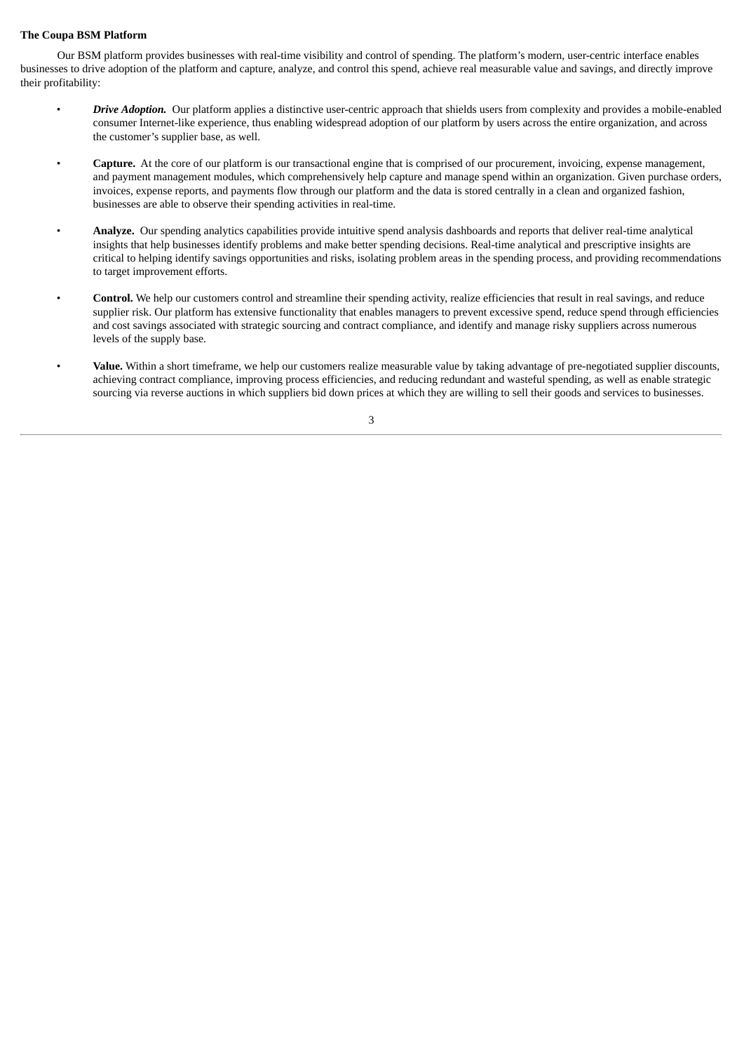## **The Coupa BSM Platform**

Our BSM platform provides businesses with real-time visibility and control of spending. The platform's modern, user-centric interface enables businesses to drive adoption of the platform and capture, analyze, and control this spend, achieve real measurable value and savings, and directly improve their profitability:

- *Drive Adoption.* Our platform applies a distinctive user-centric approach that shields users from complexity and provides a mobile-enabled consumer Internet-like experience, thus enabling widespread adoption of our platform by users across the entire organization, and across the customer's supplier base, as well.
- **Capture.** At the core of our platform is our transactional engine that is comprised of our procurement, invoicing, expense management, and payment management modules, which comprehensively help capture and manage spend within an organization. Given purchase orders, invoices, expense reports, and payments flow through our platform and the data is stored centrally in a clean and organized fashion, businesses are able to observe their spending activities in real-time.
- **Analyze.** Our spending analytics capabilities provide intuitive spend analysis dashboards and reports that deliver real-time analytical insights that help businesses identify problems and make better spending decisions. Real-time analytical and prescriptive insights are critical to helping identify savings opportunities and risks, isolating problem areas in the spending process, and providing recommendations to target improvement efforts.
- **Control.** We help our customers control and streamline their spending activity, realize efficiencies that result in real savings, and reduce supplier risk. Our platform has extensive functionality that enables managers to prevent excessive spend, reduce spend through efficiencies and cost savings associated with strategic sourcing and contract compliance, and identify and manage risky suppliers across numerous levels of the supply base.
- **Value.** Within a short timeframe, we help our customers realize measurable value by taking advantage of pre-negotiated supplier discounts, achieving contract compliance, improving process efficiencies, and reducing redundant and wasteful spending, as well as enable strategic sourcing via reverse auctions in which suppliers bid down prices at which they are willing to sell their goods and services to businesses.

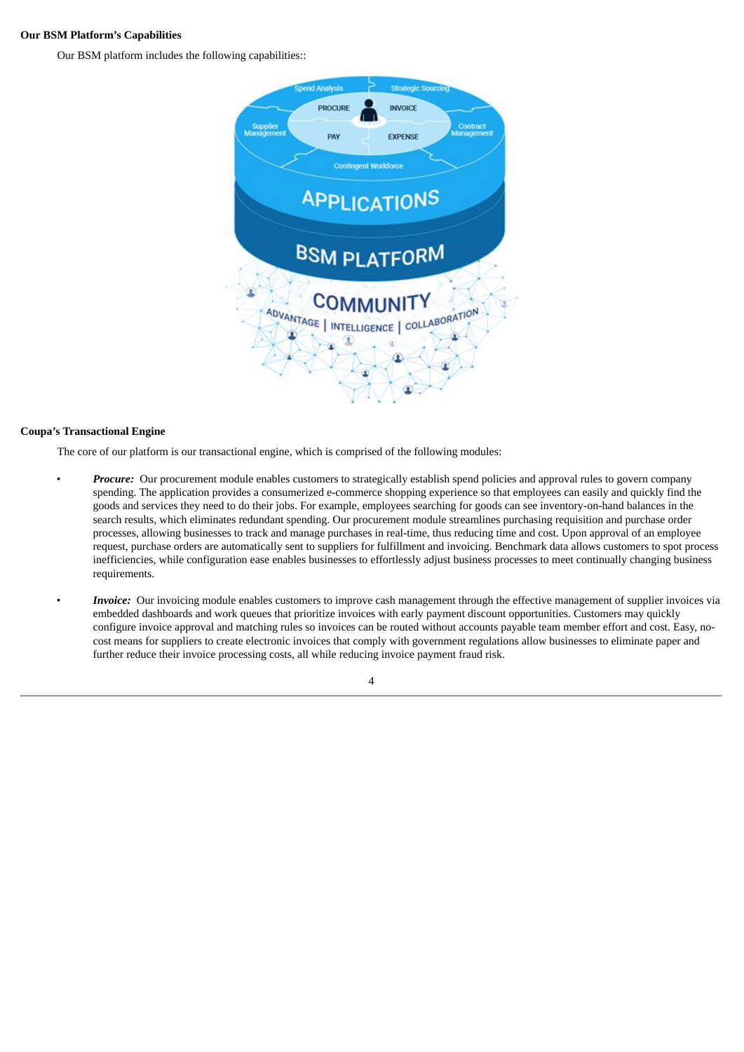## **Our BSM Platform's Capabilities**

Our BSM platform includes the following capabilities::



## **Coupa's Transactional Engine**

The core of our platform is our transactional engine, which is comprised of the following modules:

- *Procure:* Our procurement module enables customers to strategically establish spend policies and approval rules to govern company spending. The application provides a consumerized e-commerce shopping experience so that employees can easily and quickly find the goods and services they need to do their jobs. For example, employees searching for goods can see inventory-on-hand balances in the search results, which eliminates redundant spending. Our procurement module streamlines purchasing requisition and purchase order processes, allowing businesses to track and manage purchases in real-time, thus reducing time and cost. Upon approval of an employee request, purchase orders are automatically sent to suppliers for fulfillment and invoicing. Benchmark data allows customers to spot process inefficiencies, while configuration ease enables businesses to effortlessly adjust business processes to meet continually changing business requirements.
	- *Invoice:* Our invoicing module enables customers to improve cash management through the effective management of supplier invoices via embedded dashboards and work queues that prioritize invoices with early payment discount opportunities. Customers may quickly configure invoice approval and matching rules so invoices can be routed without accounts payable team member effort and cost. Easy, nocost means for suppliers to create electronic invoices that comply with government regulations allow businesses to eliminate paper and further reduce their invoice processing costs, all while reducing invoice payment fraud risk.

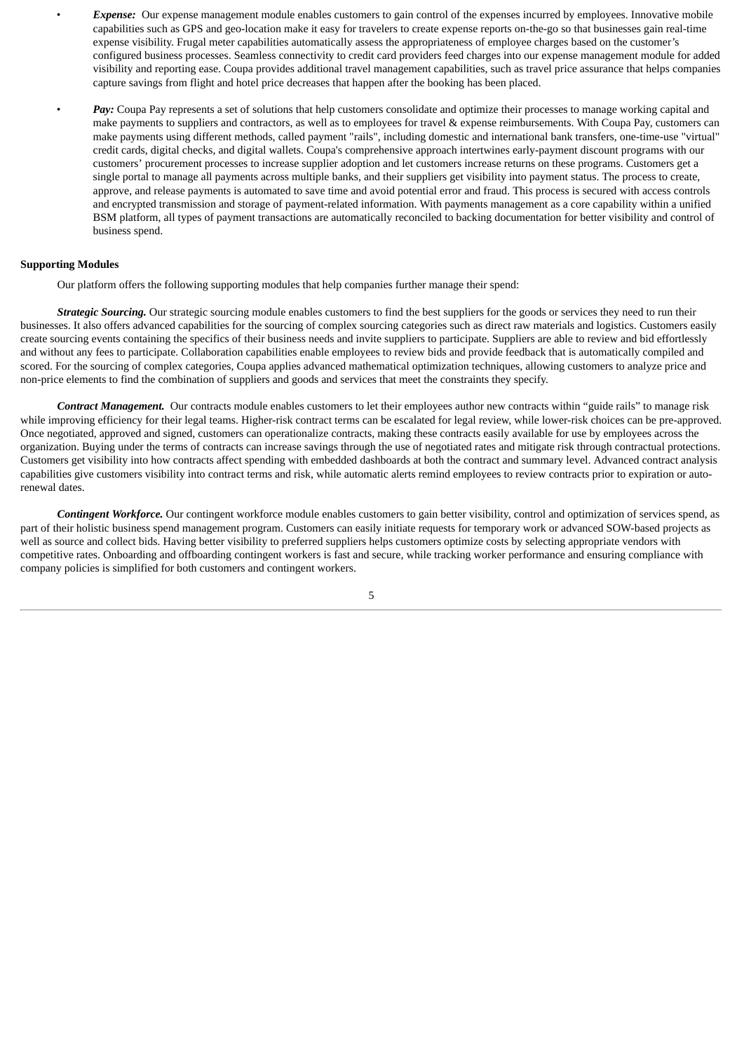• *Expense:* Our expense management module enables customers to gain control of the expenses incurred by employees. Innovative mobile capabilities such as GPS and geo-location make it easy for travelers to create expense reports on-the-go so that businesses gain real-time expense visibility. Frugal meter capabilities automatically assess the appropriateness of employee charges based on the customer's configured business processes. Seamless connectivity to credit card providers feed charges into our expense management module for added visibility and reporting ease. Coupa provides additional travel management capabilities, such as travel price assurance that helps companies capture savings from flight and hotel price decreases that happen after the booking has been placed.

Pay: Coupa Pay represents a set of solutions that help customers consolidate and optimize their processes to manage working capital and make payments to suppliers and contractors, as well as to employees for travel & expense reimbursements. With Coupa Pay, customers can make payments using different methods, called payment "rails", including domestic and international bank transfers, one-time-use "virtual" credit cards, digital checks, and digital wallets. Coupa's comprehensive approach intertwines early-payment discount programs with our customers' procurement processes to increase supplier adoption and let customers increase returns on these programs. Customers get a single portal to manage all payments across multiple banks, and their suppliers get visibility into payment status. The process to create, approve, and release payments is automated to save time and avoid potential error and fraud. This process is secured with access controls and encrypted transmission and storage of payment-related information. With payments management as a core capability within a unified BSM platform, all types of payment transactions are automatically reconciled to backing documentation for better visibility and control of business spend.

## **Supporting Modules**

Our platform offers the following supporting modules that help companies further manage their spend:

*Strategic Sourcing.* Our strategic sourcing module enables customers to find the best suppliers for the goods or services they need to run their businesses. It also offers advanced capabilities for the sourcing of complex sourcing categories such as direct raw materials and logistics. Customers easily create sourcing events containing the specifics of their business needs and invite suppliers to participate. Suppliers are able to review and bid effortlessly and without any fees to participate. Collaboration capabilities enable employees to review bids and provide feedback that is automatically compiled and scored. For the sourcing of complex categories, Coupa applies advanced mathematical optimization techniques, allowing customers to analyze price and non-price elements to find the combination of suppliers and goods and services that meet the constraints they specify.

*Contract Management.* Our contracts module enables customers to let their employees author new contracts within "guide rails" to manage risk while improving efficiency for their legal teams. Higher-risk contract terms can be escalated for legal review, while lower-risk choices can be pre-approved. Once negotiated, approved and signed, customers can operationalize contracts, making these contracts easily available for use by employees across the organization. Buying under the terms of contracts can increase savings through the use of negotiated rates and mitigate risk through contractual protections. Customers get visibility into how contracts affect spending with embedded dashboards at both the contract and summary level. Advanced contract analysis capabilities give customers visibility into contract terms and risk, while automatic alerts remind employees to review contracts prior to expiration or autorenewal dates.

*Contingent Workforce.* Our contingent workforce module enables customers to gain better visibility, control and optimization of services spend, as part of their holistic business spend management program. Customers can easily initiate requests for temporary work or advanced SOW-based projects as well as source and collect bids. Having better visibility to preferred suppliers helps customers optimize costs by selecting appropriate vendors with competitive rates. Onboarding and offboarding contingent workers is fast and secure, while tracking worker performance and ensuring compliance with company policies is simplified for both customers and contingent workers.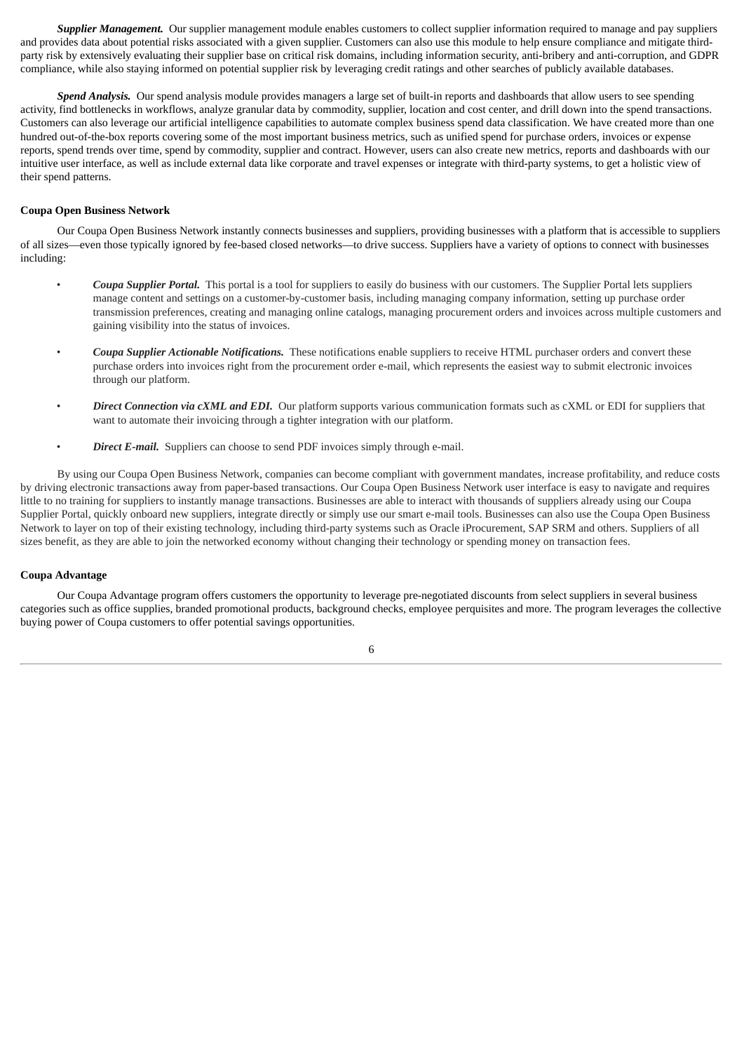*Supplier Management.* Our supplier management module enables customers to collect supplier information required to manage and pay suppliers and provides data about potential risks associated with a given supplier. Customers can also use this module to help ensure compliance and mitigate thirdparty risk by extensively evaluating their supplier base on critical risk domains, including information security, anti-bribery and anti-corruption, and GDPR compliance, while also staying informed on potential supplier risk by leveraging credit ratings and other searches of publicly available databases.

*Spend Analysis.* Our spend analysis module provides managers a large set of built-in reports and dashboards that allow users to see spending activity, find bottlenecks in workflows, analyze granular data by commodity, supplier, location and cost center, and drill down into the spend transactions. Customers can also leverage our artificial intelligence capabilities to automate complex business spend data classification. We have created more than one hundred out-of-the-box reports covering some of the most important business metrics, such as unified spend for purchase orders, invoices or expense reports, spend trends over time, spend by commodity, supplier and contract. However, users can also create new metrics, reports and dashboards with our intuitive user interface, as well as include external data like corporate and travel expenses or integrate with third-party systems, to get a holistic view of their spend patterns.

## **Coupa Open Business Network**

Our Coupa Open Business Network instantly connects businesses and suppliers, providing businesses with a platform that is accessible to suppliers of all sizes—even those typically ignored by fee-based closed networks—to drive success. Suppliers have a variety of options to connect with businesses including:

- *Coupa Supplier Portal.* This portal is a tool for suppliers to easily do business with our customers. The Supplier Portal lets suppliers manage content and settings on a customer-by-customer basis, including managing company information, setting up purchase order transmission preferences, creating and managing online catalogs, managing procurement orders and invoices across multiple customers and gaining visibility into the status of invoices.
- *Coupa Supplier Actionable Notifications.* These notifications enable suppliers to receive HTML purchaser orders and convert these purchase orders into invoices right from the procurement order e-mail, which represents the easiest way to submit electronic invoices through our platform.
- *Direct Connection via cXML and EDI.* Our platform supports various communication formats such as cXML or EDI for suppliers that want to automate their invoicing through a tighter integration with our platform.
- *Direct E-mail.* Suppliers can choose to send PDF invoices simply through e-mail.

By using our Coupa Open Business Network, companies can become compliant with government mandates, increase profitability, and reduce costs by driving electronic transactions away from paper-based transactions. Our Coupa Open Business Network user interface is easy to navigate and requires little to no training for suppliers to instantly manage transactions. Businesses are able to interact with thousands of suppliers already using our Coupa Supplier Portal, quickly onboard new suppliers, integrate directly or simply use our smart e-mail tools. Businesses can also use the Coupa Open Business Network to layer on top of their existing technology, including third-party systems such as Oracle iProcurement, SAP SRM and others. Suppliers of all sizes benefit, as they are able to join the networked economy without changing their technology or spending money on transaction fees.

## **Coupa Advantage**

Our Coupa Advantage program offers customers the opportunity to leverage pre-negotiated discounts from select suppliers in several business categories such as office supplies, branded promotional products, background checks, employee perquisites and more. The program leverages the collective buying power of Coupa customers to offer potential savings opportunities.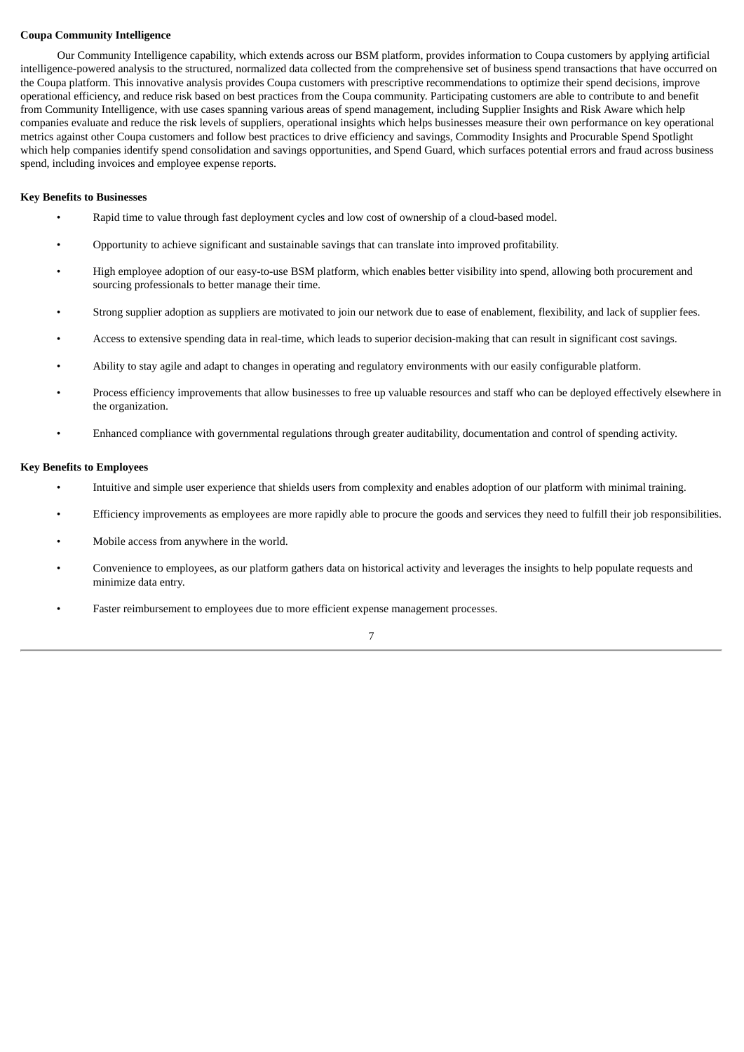## **Coupa Community Intelligence**

Our Community Intelligence capability, which extends across our BSM platform, provides information to Coupa customers by applying artificial intelligence-powered analysis to the structured, normalized data collected from the comprehensive set of business spend transactions that have occurred on the Coupa platform. This innovative analysis provides Coupa customers with prescriptive recommendations to optimize their spend decisions, improve operational efficiency, and reduce risk based on best practices from the Coupa community. Participating customers are able to contribute to and benefit from Community Intelligence, with use cases spanning various areas of spend management, including Supplier Insights and Risk Aware which help companies evaluate and reduce the risk levels of suppliers, operational insights which helps businesses measure their own performance on key operational metrics against other Coupa customers and follow best practices to drive efficiency and savings, Commodity Insights and Procurable Spend Spotlight which help companies identify spend consolidation and savings opportunities, and Spend Guard, which surfaces potential errors and fraud across business spend, including invoices and employee expense reports.

#### **Key Benefits to Businesses**

- Rapid time to value through fast deployment cycles and low cost of ownership of a cloud-based model.
- Opportunity to achieve significant and sustainable savings that can translate into improved profitability.
- High employee adoption of our easy-to-use BSM platform, which enables better visibility into spend, allowing both procurement and sourcing professionals to better manage their time.
- Strong supplier adoption as suppliers are motivated to join our network due to ease of enablement, flexibility, and lack of supplier fees.
- Access to extensive spending data in real-time, which leads to superior decision-making that can result in significant cost savings.
- Ability to stay agile and adapt to changes in operating and regulatory environments with our easily configurable platform.
- Process efficiency improvements that allow businesses to free up valuable resources and staff who can be deployed effectively elsewhere in the organization.
- Enhanced compliance with governmental regulations through greater auditability, documentation and control of spending activity.

#### **Key Benefits to Employees**

- Intuitive and simple user experience that shields users from complexity and enables adoption of our platform with minimal training.
- Efficiency improvements as employees are more rapidly able to procure the goods and services they need to fulfill their job responsibilities.
- Mobile access from anywhere in the world.
- Convenience to employees, as our platform gathers data on historical activity and leverages the insights to help populate requests and minimize data entry.
- Faster reimbursement to employees due to more efficient expense management processes.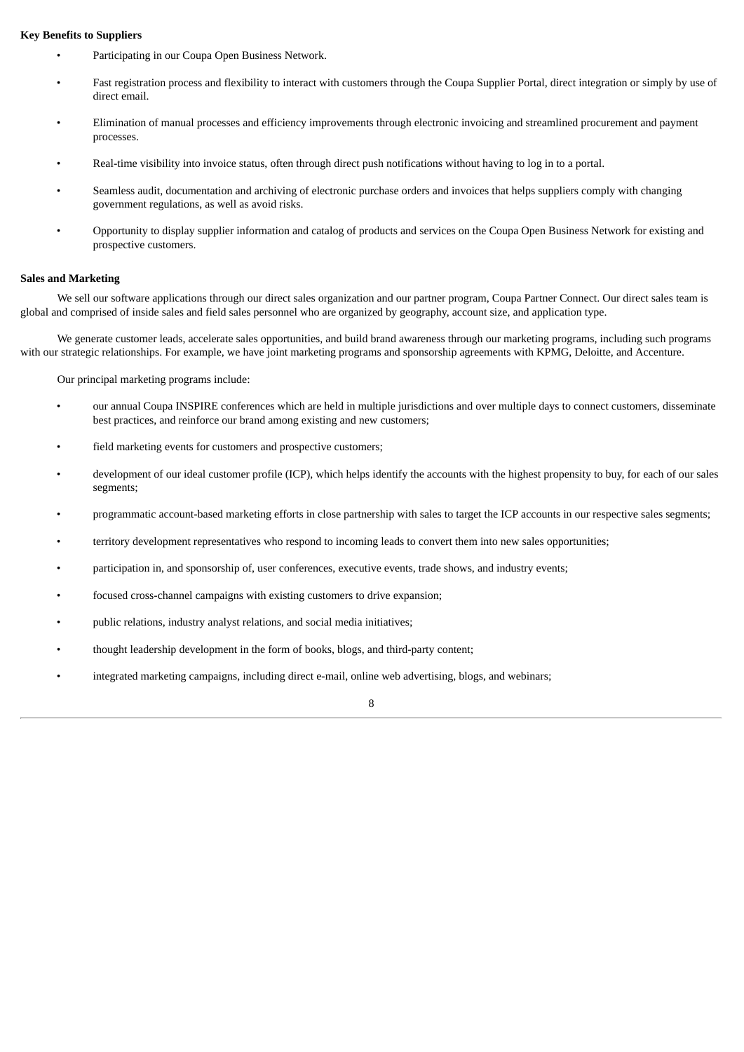## **Key Benefits to Suppliers**

- Participating in our Coupa Open Business Network.
- Fast registration process and flexibility to interact with customers through the Coupa Supplier Portal, direct integration or simply by use of direct email.
- Elimination of manual processes and efficiency improvements through electronic invoicing and streamlined procurement and payment processes.
- Real-time visibility into invoice status, often through direct push notifications without having to log in to a portal.
- Seamless audit, documentation and archiving of electronic purchase orders and invoices that helps suppliers comply with changing government regulations, as well as avoid risks.
- Opportunity to display supplier information and catalog of products and services on the Coupa Open Business Network for existing and prospective customers.

## **Sales and Marketing**

We sell our software applications through our direct sales organization and our partner program, Coupa Partner Connect. Our direct sales team is global and comprised of inside sales and field sales personnel who are organized by geography, account size, and application type.

We generate customer leads, accelerate sales opportunities, and build brand awareness through our marketing programs, including such programs with our strategic relationships. For example, we have joint marketing programs and sponsorship agreements with KPMG, Deloitte, and Accenture.

Our principal marketing programs include:

- our annual Coupa INSPIRE conferences which are held in multiple jurisdictions and over multiple days to connect customers, disseminate best practices, and reinforce our brand among existing and new customers;
- field marketing events for customers and prospective customers;
- development of our ideal customer profile (ICP), which helps identify the accounts with the highest propensity to buy, for each of our sales segments;
- programmatic account-based marketing efforts in close partnership with sales to target the ICP accounts in our respective sales segments;
- territory development representatives who respond to incoming leads to convert them into new sales opportunities;
- participation in, and sponsorship of, user conferences, executive events, trade shows, and industry events;
- focused cross-channel campaigns with existing customers to drive expansion;
- public relations, industry analyst relations, and social media initiatives;
- thought leadership development in the form of books, blogs, and third-party content;
- integrated marketing campaigns, including direct e-mail, online web advertising, blogs, and webinars;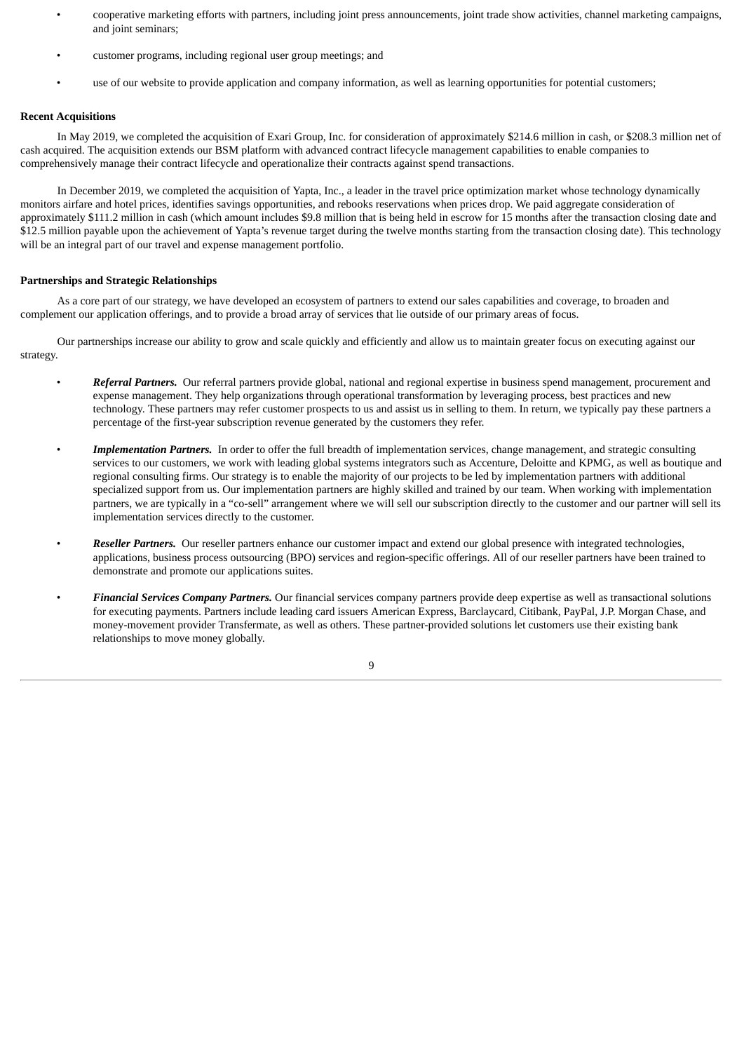- cooperative marketing efforts with partners, including joint press announcements, joint trade show activities, channel marketing campaigns, and joint seminars;
- customer programs, including regional user group meetings; and
- use of our website to provide application and company information, as well as learning opportunities for potential customers;

## **Recent Acquisitions**

In May 2019, we completed the acquisition of Exari Group, Inc. for consideration of approximately \$214.6 million in cash, or \$208.3 million net of cash acquired. The acquisition extends our BSM platform with advanced contract lifecycle management capabilities to enable companies to comprehensively manage their contract lifecycle and operationalize their contracts against spend transactions.

In December 2019, we completed the acquisition of Yapta, Inc., a leader in the travel price optimization market whose technology dynamically monitors airfare and hotel prices, identifies savings opportunities, and rebooks reservations when prices drop. We paid aggregate consideration of approximately \$111.2 million in cash (which amount includes \$9.8 million that is being held in escrow for 15 months after the transaction closing date and \$12.5 million payable upon the achievement of Yapta's revenue target during the twelve months starting from the transaction closing date). This technology will be an integral part of our travel and expense management portfolio.

## **Partnerships and Strategic Relationships**

As a core part of our strategy, we have developed an ecosystem of partners to extend our sales capabilities and coverage, to broaden and complement our application offerings, and to provide a broad array of services that lie outside of our primary areas of focus.

Our partnerships increase our ability to grow and scale quickly and efficiently and allow us to maintain greater focus on executing against our strategy.

- *Referral Partners.* Our referral partners provide global, national and regional expertise in business spend management, procurement and expense management. They help organizations through operational transformation by leveraging process, best practices and new technology. These partners may refer customer prospects to us and assist us in selling to them. In return, we typically pay these partners a percentage of the first-year subscription revenue generated by the customers they refer.
- *Implementation Partners.* In order to offer the full breadth of implementation services, change management, and strategic consulting services to our customers, we work with leading global systems integrators such as Accenture, Deloitte and KPMG, as well as boutique and regional consulting firms. Our strategy is to enable the majority of our projects to be led by implementation partners with additional specialized support from us. Our implementation partners are highly skilled and trained by our team. When working with implementation partners, we are typically in a "co-sell" arrangement where we will sell our subscription directly to the customer and our partner will sell its implementation services directly to the customer.
- *Reseller Partners.* Our reseller partners enhance our customer impact and extend our global presence with integrated technologies, applications, business process outsourcing (BPO) services and region-specific offerings. All of our reseller partners have been trained to demonstrate and promote our applications suites.
- *Financial Services Company Partners.* Our financial services company partners provide deep expertise as well as transactional solutions for executing payments. Partners include leading card issuers American Express, Barclaycard, Citibank, PayPal, J.P. Morgan Chase, and money-movement provider Transfermate, as well as others. These partner-provided solutions let customers use their existing bank relationships to move money globally.

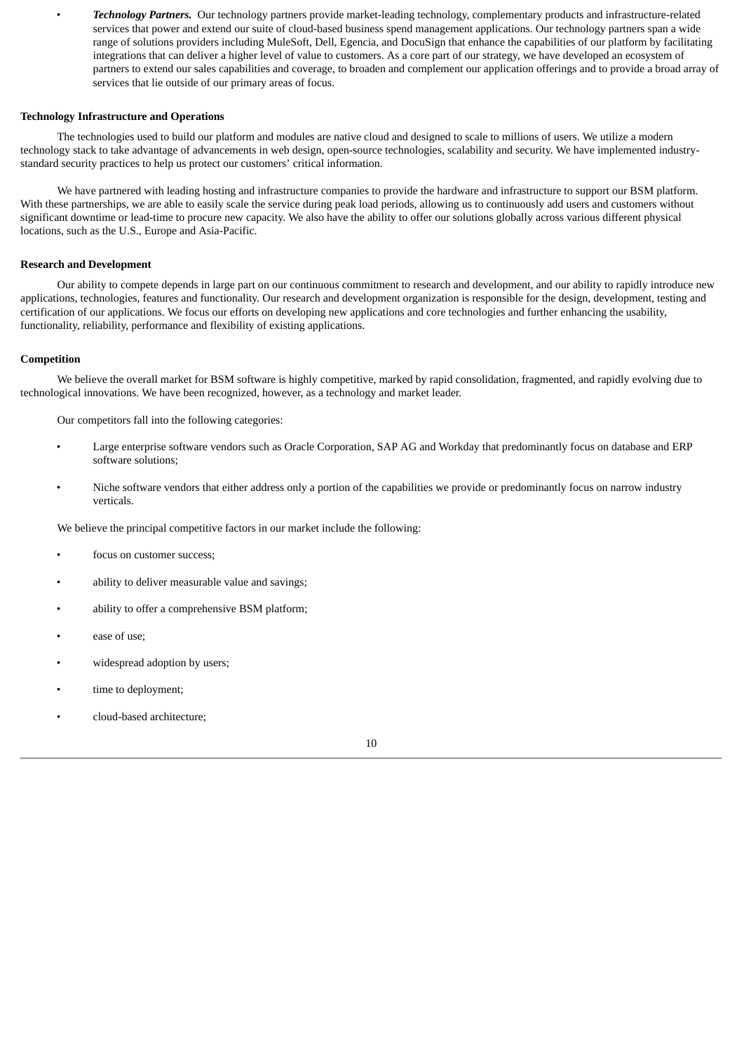• *Technology Partners.* Our technology partners provide market-leading technology, complementary products and infrastructure-related services that power and extend our suite of cloud-based business spend management applications. Our technology partners span a wide range of solutions providers including MuleSoft, Dell, Egencia, and DocuSign that enhance the capabilities of our platform by facilitating integrations that can deliver a higher level of value to customers. As a core part of our strategy, we have developed an ecosystem of partners to extend our sales capabilities and coverage, to broaden and complement our application offerings and to provide a broad array of services that lie outside of our primary areas of focus.

## **Technology Infrastructure and Operations**

The technologies used to build our platform and modules are native cloud and designed to scale to millions of users. We utilize a modern technology stack to take advantage of advancements in web design, open-source technologies, scalability and security. We have implemented industrystandard security practices to help us protect our customers' critical information.

We have partnered with leading hosting and infrastructure companies to provide the hardware and infrastructure to support our BSM platform. With these partnerships, we are able to easily scale the service during peak load periods, allowing us to continuously add users and customers without significant downtime or lead-time to procure new capacity. We also have the ability to offer our solutions globally across various different physical locations, such as the U.S., Europe and Asia-Pacific.

## **Research and Development**

Our ability to compete depends in large part on our continuous commitment to research and development, and our ability to rapidly introduce new applications, technologies, features and functionality. Our research and development organization is responsible for the design, development, testing and certification of our applications. We focus our efforts on developing new applications and core technologies and further enhancing the usability, functionality, reliability, performance and flexibility of existing applications.

## **Competition**

We believe the overall market for BSM software is highly competitive, marked by rapid consolidation, fragmented, and rapidly evolving due to technological innovations. We have been recognized, however, as a technology and market leader.

Our competitors fall into the following categories:

- Large enterprise software vendors such as Oracle Corporation, SAP AG and Workday that predominantly focus on database and ERP software solutions;
- Niche software vendors that either address only a portion of the capabilities we provide or predominantly focus on narrow industry verticals.

We believe the principal competitive factors in our market include the following:

- focus on customer success;
- ability to deliver measurable value and savings;
- ability to offer a comprehensive BSM platform;
- ease of use;
- widespread adoption by users;
- time to deployment;
- cloud-based architecture;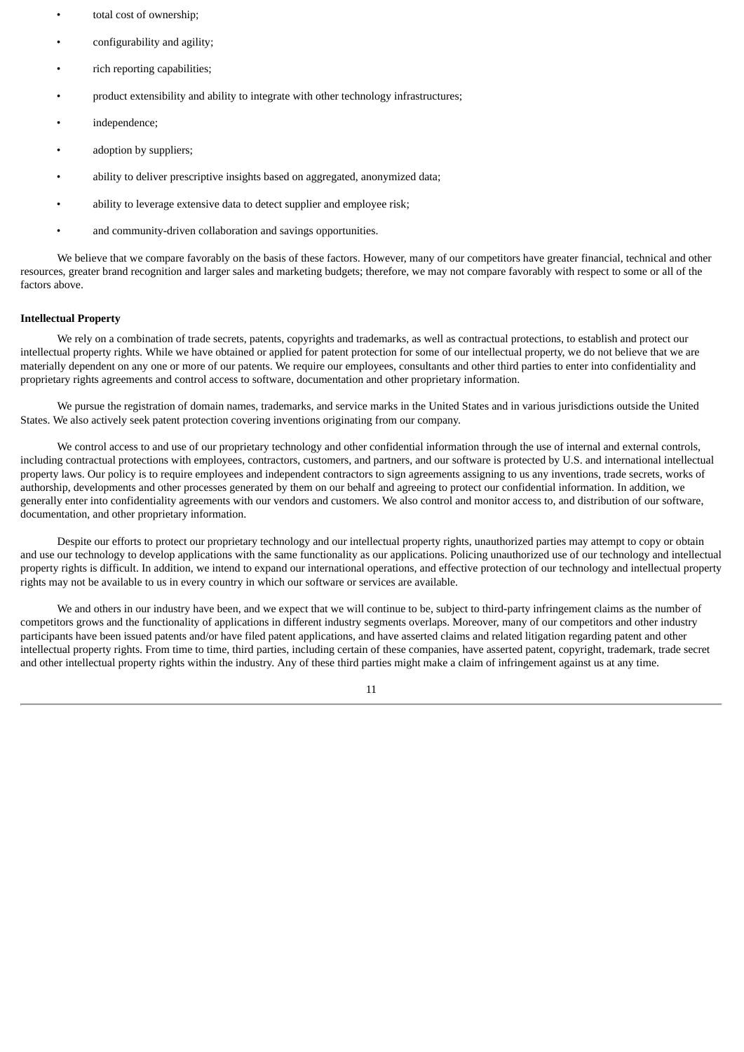- total cost of ownership;
- configurability and agility;
- rich reporting capabilities;
- product extensibility and ability to integrate with other technology infrastructures;
- independence;
- adoption by suppliers;
- ability to deliver prescriptive insights based on aggregated, anonymized data;
- ability to leverage extensive data to detect supplier and employee risk;
- and community-driven collaboration and savings opportunities.

We believe that we compare favorably on the basis of these factors. However, many of our competitors have greater financial, technical and other resources, greater brand recognition and larger sales and marketing budgets; therefore, we may not compare favorably with respect to some or all of the factors above.

#### **Intellectual Property**

We rely on a combination of trade secrets, patents, copyrights and trademarks, as well as contractual protections, to establish and protect our intellectual property rights. While we have obtained or applied for patent protection for some of our intellectual property, we do not believe that we are materially dependent on any one or more of our patents. We require our employees, consultants and other third parties to enter into confidentiality and proprietary rights agreements and control access to software, documentation and other proprietary information.

We pursue the registration of domain names, trademarks, and service marks in the United States and in various jurisdictions outside the United States. We also actively seek patent protection covering inventions originating from our company.

We control access to and use of our proprietary technology and other confidential information through the use of internal and external controls, including contractual protections with employees, contractors, customers, and partners, and our software is protected by U.S. and international intellectual property laws. Our policy is to require employees and independent contractors to sign agreements assigning to us any inventions, trade secrets, works of authorship, developments and other processes generated by them on our behalf and agreeing to protect our confidential information. In addition, we generally enter into confidentiality agreements with our vendors and customers. We also control and monitor access to, and distribution of our software, documentation, and other proprietary information.

Despite our efforts to protect our proprietary technology and our intellectual property rights, unauthorized parties may attempt to copy or obtain and use our technology to develop applications with the same functionality as our applications. Policing unauthorized use of our technology and intellectual property rights is difficult. In addition, we intend to expand our international operations, and effective protection of our technology and intellectual property rights may not be available to us in every country in which our software or services are available.

We and others in our industry have been, and we expect that we will continue to be, subject to third-party infringement claims as the number of competitors grows and the functionality of applications in different industry segments overlaps. Moreover, many of our competitors and other industry participants have been issued patents and/or have filed patent applications, and have asserted claims and related litigation regarding patent and other intellectual property rights. From time to time, third parties, including certain of these companies, have asserted patent, copyright, trademark, trade secret and other intellectual property rights within the industry. Any of these third parties might make a claim of infringement against us at any time.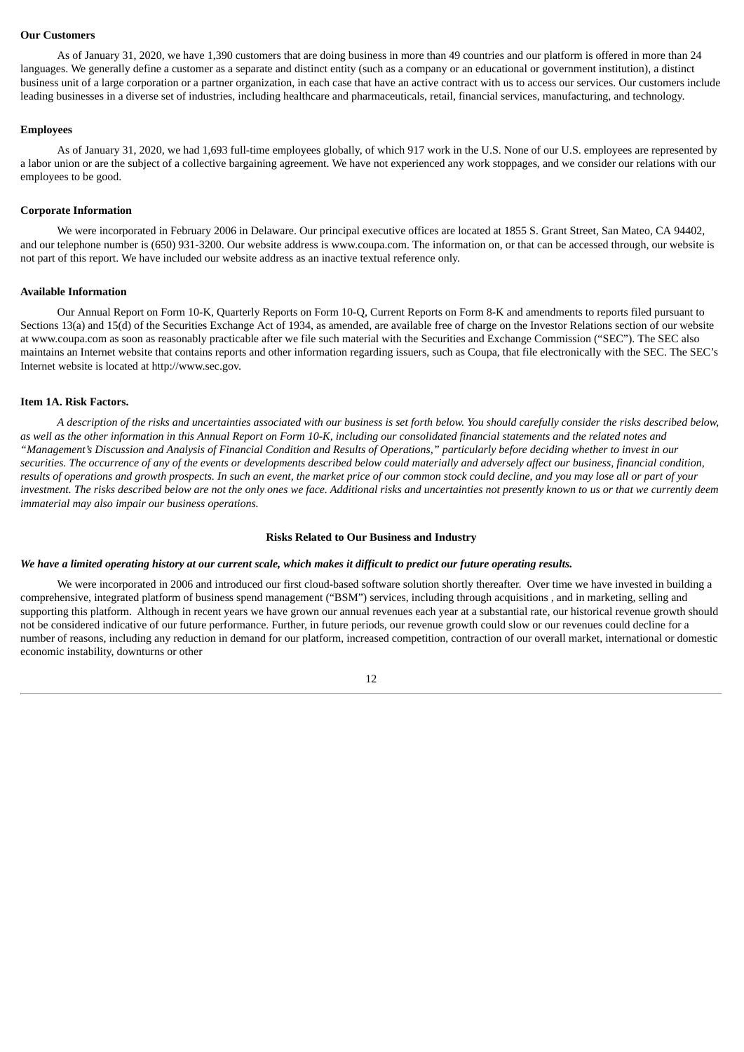#### **Our Customers**

As of January 31, 2020, we have 1,390 customers that are doing business in more than 49 countries and our platform is offered in more than 24 languages. We generally define a customer as a separate and distinct entity (such as a company or an educational or government institution), a distinct business unit of a large corporation or a partner organization, in each case that have an active contract with us to access our services. Our customers include leading businesses in a diverse set of industries, including healthcare and pharmaceuticals, retail, financial services, manufacturing, and technology.

## **Employees**

As of January 31, 2020, we had 1,693 full-time employees globally, of which 917 work in the U.S. None of our U.S. employees are represented by a labor union or are the subject of a collective bargaining agreement. We have not experienced any work stoppages, and we consider our relations with our employees to be good.

## **Corporate Information**

We were incorporated in February 2006 in Delaware. Our principal executive offices are located at 1855 S. Grant Street, San Mateo, CA 94402, and our telephone number is (650) 931-3200. Our website address is www.coupa.com. The information on, or that can be accessed through, our website is not part of this report. We have included our website address as an inactive textual reference only.

## **Available Information**

Our Annual Report on Form 10-K, Quarterly Reports on Form 10-Q, Current Reports on Form 8-K and amendments to reports filed pursuant to Sections 13(a) and 15(d) of the Securities Exchange Act of 1934, as amended, are available free of charge on the Investor Relations section of our website at www.coupa.com as soon as reasonably practicable after we file such material with the Securities and Exchange Commission ("SEC"). The SEC also maintains an Internet website that contains reports and other information regarding issuers, such as Coupa, that file electronically with the SEC. The SEC's Internet website is located at http://www.sec.gov.

## <span id="page-14-0"></span>**Item 1A. Risk Factors.**

A description of the risks and uncertainties associated with our business is set forth below. You should carefully consider the risks described below, as well as the other information in this Annual Report on Form 10-K, including our consolidated financial statements and the related notes and "Management's Discussion and Analysis of Financial Condition and Results of Operations," particularly before deciding whether to invest in our securities. The occurrence of any of the events or developments described below could materially and adversely affect our business, financial condition, results of operations and growth prospects. In such an event, the market price of our common stock could decline, and you may lose all or part of your investment. The risks described below are not the only ones we face. Additional risks and uncertainties not presently known to us or that we currently deem *immaterial may also impair our business operations.*

#### **Risks Related to Our Business and Industry**

#### We have a limited operating history at our current scale, which makes it difficult to predict our future operating results.

We were incorporated in 2006 and introduced our first cloud-based software solution shortly thereafter. Over time we have invested in building a comprehensive, integrated platform of business spend management ("BSM") services, including through acquisitions , and in marketing, selling and supporting this platform. Although in recent years we have grown our annual revenues each year at a substantial rate, our historical revenue growth should not be considered indicative of our future performance. Further, in future periods, our revenue growth could slow or our revenues could decline for a number of reasons, including any reduction in demand for our platform, increased competition, contraction of our overall market, international or domestic economic instability, downturns or other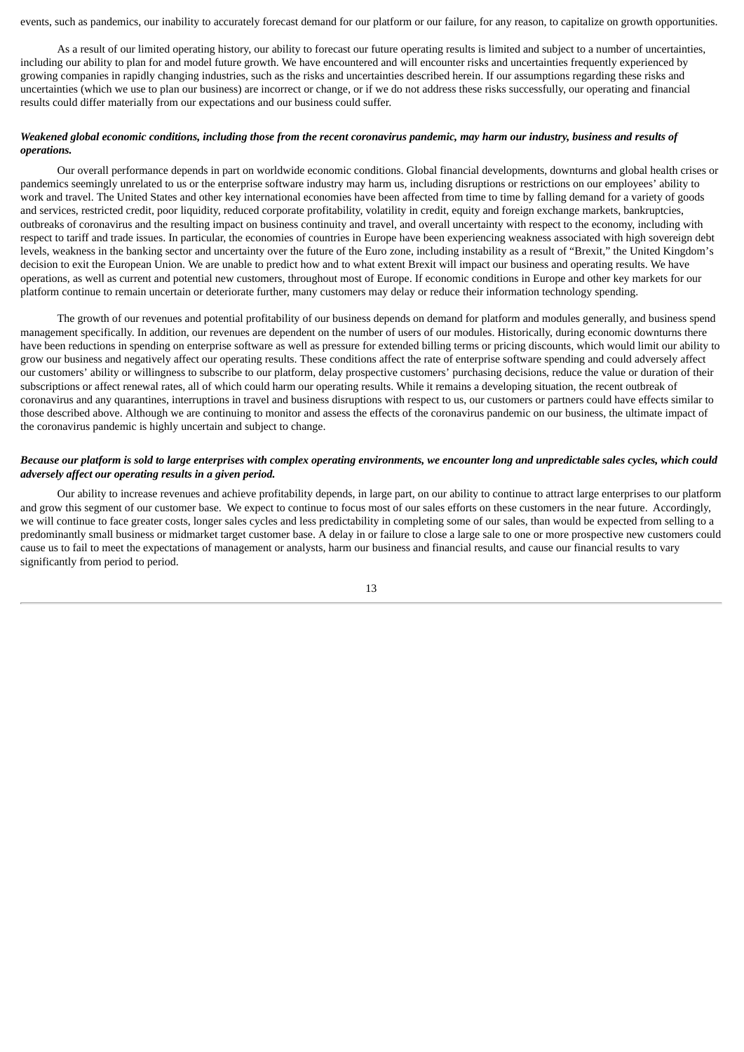events, such as pandemics, our inability to accurately forecast demand for our platform or our failure, for any reason, to capitalize on growth opportunities.

As a result of our limited operating history, our ability to forecast our future operating results is limited and subject to a number of uncertainties, including our ability to plan for and model future growth. We have encountered and will encounter risks and uncertainties frequently experienced by growing companies in rapidly changing industries, such as the risks and uncertainties described herein. If our assumptions regarding these risks and uncertainties (which we use to plan our business) are incorrect or change, or if we do not address these risks successfully, our operating and financial results could differ materially from our expectations and our business could suffer.

## Weakened global economic conditions, including those from the recent coronavirus pandemic, may harm our industry, business and results of *operations.*

Our overall performance depends in part on worldwide economic conditions. Global financial developments, downturns and global health crises or pandemics seemingly unrelated to us or the enterprise software industry may harm us, including disruptions or restrictions on our employees' ability to work and travel. The United States and other key international economies have been affected from time to time by falling demand for a variety of goods and services, restricted credit, poor liquidity, reduced corporate profitability, volatility in credit, equity and foreign exchange markets, bankruptcies, outbreaks of coronavirus and the resulting impact on business continuity and travel, and overall uncertainty with respect to the economy, including with respect to tariff and trade issues. In particular, the economies of countries in Europe have been experiencing weakness associated with high sovereign debt levels, weakness in the banking sector and uncertainty over the future of the Euro zone, including instability as a result of "Brexit," the United Kingdom's decision to exit the European Union. We are unable to predict how and to what extent Brexit will impact our business and operating results. We have operations, as well as current and potential new customers, throughout most of Europe. If economic conditions in Europe and other key markets for our platform continue to remain uncertain or deteriorate further, many customers may delay or reduce their information technology spending.

The growth of our revenues and potential profitability of our business depends on demand for platform and modules generally, and business spend management specifically. In addition, our revenues are dependent on the number of users of our modules. Historically, during economic downturns there have been reductions in spending on enterprise software as well as pressure for extended billing terms or pricing discounts, which would limit our ability to grow our business and negatively affect our operating results. These conditions affect the rate of enterprise software spending and could adversely affect our customers' ability or willingness to subscribe to our platform, delay prospective customers' purchasing decisions, reduce the value or duration of their subscriptions or affect renewal rates, all of which could harm our operating results. While it remains a developing situation, the recent outbreak of coronavirus and any quarantines, interruptions in travel and business disruptions with respect to us, our customers or partners could have effects similar to those described above. Although we are continuing to monitor and assess the effects of the coronavirus pandemic on our business, the ultimate impact of the coronavirus pandemic is highly uncertain and subject to change.

## Because our platform is sold to large enterprises with complex operating environments, we encounter long and unpredictable sales cycles, which could *adversely affect our operating results in a given period.*

Our ability to increase revenues and achieve profitability depends, in large part, on our ability to continue to attract large enterprises to our platform and grow this segment of our customer base. We expect to continue to focus most of our sales efforts on these customers in the near future. Accordingly, we will continue to face greater costs, longer sales cycles and less predictability in completing some of our sales, than would be expected from selling to a predominantly small business or midmarket target customer base. A delay in or failure to close a large sale to one or more prospective new customers could cause us to fail to meet the expectations of management or analysts, harm our business and financial results, and cause our financial results to vary significantly from period to period.

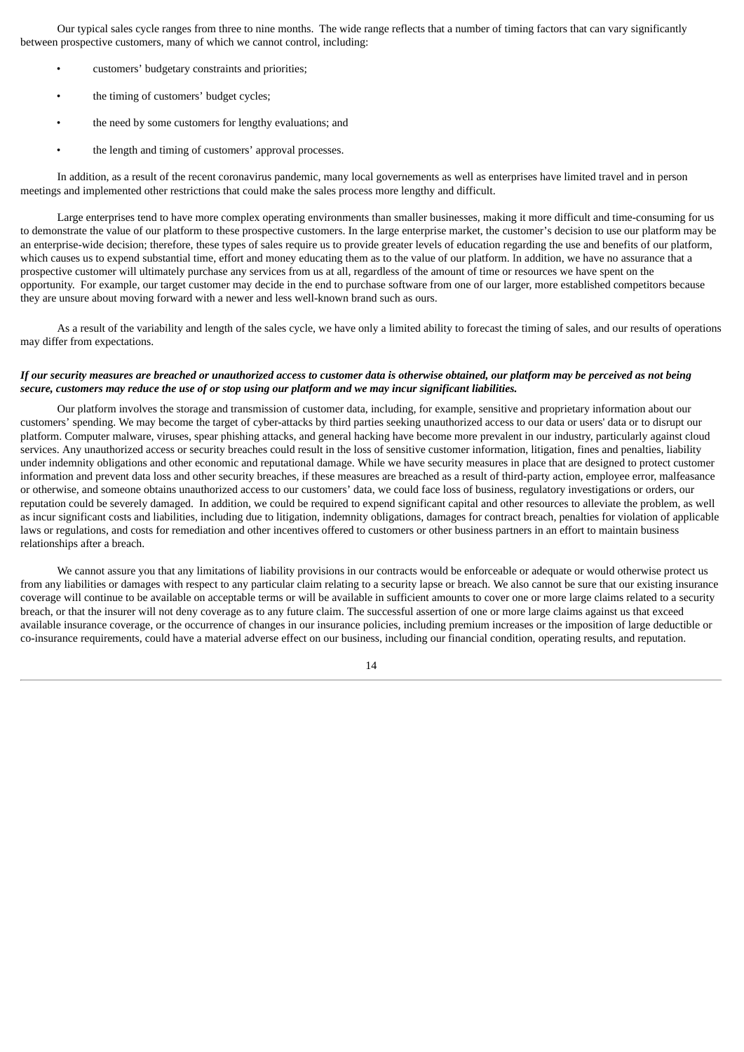Our typical sales cycle ranges from three to nine months. The wide range reflects that a number of timing factors that can vary significantly between prospective customers, many of which we cannot control, including:

- customers' budgetary constraints and priorities;
- the timing of customers' budget cycles;
- the need by some customers for lengthy evaluations; and
- the length and timing of customers' approval processes.

In addition, as a result of the recent coronavirus pandemic, many local governements as well as enterprises have limited travel and in person meetings and implemented other restrictions that could make the sales process more lengthy and difficult.

Large enterprises tend to have more complex operating environments than smaller businesses, making it more difficult and time-consuming for us to demonstrate the value of our platform to these prospective customers. In the large enterprise market, the customer's decision to use our platform may be an enterprise-wide decision; therefore, these types of sales require us to provide greater levels of education regarding the use and benefits of our platform, which causes us to expend substantial time, effort and money educating them as to the value of our platform. In addition, we have no assurance that a prospective customer will ultimately purchase any services from us at all, regardless of the amount of time or resources we have spent on the opportunity. For example, our target customer may decide in the end to purchase software from one of our larger, more established competitors because they are unsure about moving forward with a newer and less well-known brand such as ours.

As a result of the variability and length of the sales cycle, we have only a limited ability to forecast the timing of sales, and our results of operations may differ from expectations.

## If our security measures are breached or unauthorized access to customer data is otherwise obtained, our platform may be perceived as not being secure, customers may reduce the use of or stop using our platform and we may incur significant liabilities.

Our platform involves the storage and transmission of customer data, including, for example, sensitive and proprietary information about our customers' spending. We may become the target of cyber-attacks by third parties seeking unauthorized access to our data or users' data or to disrupt our platform. Computer malware, viruses, spear phishing attacks, and general hacking have become more prevalent in our industry, particularly against cloud services. Any unauthorized access or security breaches could result in the loss of sensitive customer information, litigation, fines and penalties, liability under indemnity obligations and other economic and reputational damage. While we have security measures in place that are designed to protect customer information and prevent data loss and other security breaches, if these measures are breached as a result of third-party action, employee error, malfeasance or otherwise, and someone obtains unauthorized access to our customers' data, we could face loss of business, regulatory investigations or orders, our reputation could be severely damaged. In addition, we could be required to expend significant capital and other resources to alleviate the problem, as well as incur significant costs and liabilities, including due to litigation, indemnity obligations, damages for contract breach, penalties for violation of applicable laws or regulations, and costs for remediation and other incentives offered to customers or other business partners in an effort to maintain business relationships after a breach.

We cannot assure you that any limitations of liability provisions in our contracts would be enforceable or adequate or would otherwise protect us from any liabilities or damages with respect to any particular claim relating to a security lapse or breach. We also cannot be sure that our existing insurance coverage will continue to be available on acceptable terms or will be available in sufficient amounts to cover one or more large claims related to a security breach, or that the insurer will not deny coverage as to any future claim. The successful assertion of one or more large claims against us that exceed available insurance coverage, or the occurrence of changes in our insurance policies, including premium increases or the imposition of large deductible or co-insurance requirements, could have a material adverse effect on our business, including our financial condition, operating results, and reputation.

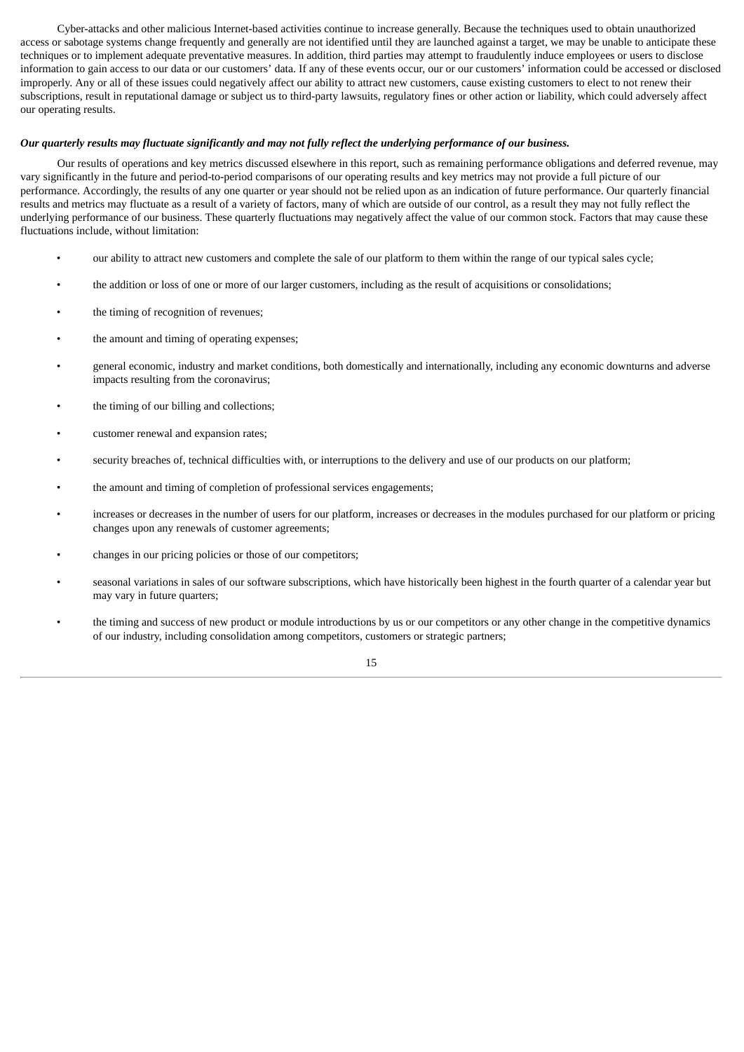Cyber-attacks and other malicious Internet-based activities continue to increase generally. Because the techniques used to obtain unauthorized access or sabotage systems change frequently and generally are not identified until they are launched against a target, we may be unable to anticipate these techniques or to implement adequate preventative measures. In addition, third parties may attempt to fraudulently induce employees or users to disclose information to gain access to our data or our customers' data. If any of these events occur, our or our customers' information could be accessed or disclosed improperly. Any or all of these issues could negatively affect our ability to attract new customers, cause existing customers to elect to not renew their subscriptions, result in reputational damage or subject us to third-party lawsuits, regulatory fines or other action or liability, which could adversely affect our operating results.

#### Our quarterly results may fluctuate significantly and may not fully reflect the underlying performance of our business.

Our results of operations and key metrics discussed elsewhere in this report, such as remaining performance obligations and deferred revenue, may vary significantly in the future and period-to-period comparisons of our operating results and key metrics may not provide a full picture of our performance. Accordingly, the results of any one quarter or year should not be relied upon as an indication of future performance. Our quarterly financial results and metrics may fluctuate as a result of a variety of factors, many of which are outside of our control, as a result they may not fully reflect the underlying performance of our business. These quarterly fluctuations may negatively affect the value of our common stock. Factors that may cause these fluctuations include, without limitation:

- our ability to attract new customers and complete the sale of our platform to them within the range of our typical sales cycle;
- the addition or loss of one or more of our larger customers, including as the result of acquisitions or consolidations;
- the timing of recognition of revenues;
- the amount and timing of operating expenses;
- general economic, industry and market conditions, both domestically and internationally, including any economic downturns and adverse impacts resulting from the coronavirus;
- the timing of our billing and collections;
- customer renewal and expansion rates;
- security breaches of, technical difficulties with, or interruptions to the delivery and use of our products on our platform;
- the amount and timing of completion of professional services engagements;
- increases or decreases in the number of users for our platform, increases or decreases in the modules purchased for our platform or pricing changes upon any renewals of customer agreements;
- changes in our pricing policies or those of our competitors;
- seasonal variations in sales of our software subscriptions, which have historically been highest in the fourth quarter of a calendar year but may vary in future quarters;
- the timing and success of new product or module introductions by us or our competitors or any other change in the competitive dynamics of our industry, including consolidation among competitors, customers or strategic partners;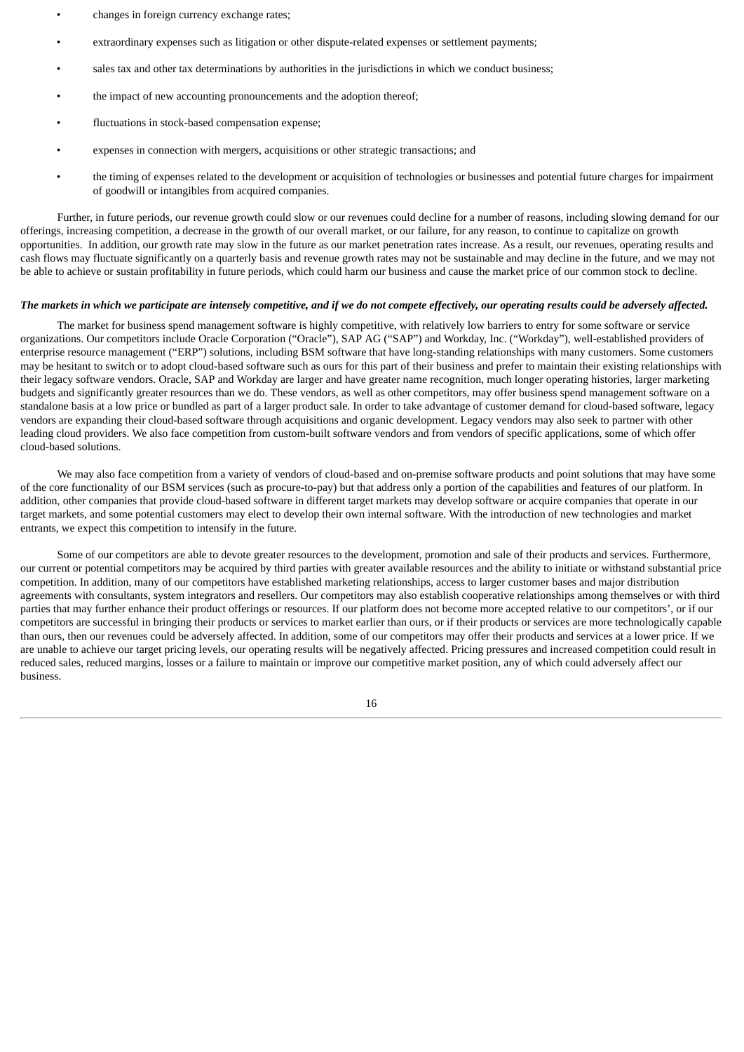- changes in foreign currency exchange rates;
- extraordinary expenses such as litigation or other dispute-related expenses or settlement payments;
- sales tax and other tax determinations by authorities in the jurisdictions in which we conduct business;
- the impact of new accounting pronouncements and the adoption thereof;
- fluctuations in stock-based compensation expense;
- expenses in connection with mergers, acquisitions or other strategic transactions; and
- the timing of expenses related to the development or acquisition of technologies or businesses and potential future charges for impairment of goodwill or intangibles from acquired companies.

Further, in future periods, our revenue growth could slow or our revenues could decline for a number of reasons, including slowing demand for our offerings, increasing competition, a decrease in the growth of our overall market, or our failure, for any reason, to continue to capitalize on growth opportunities. In addition, our growth rate may slow in the future as our market penetration rates increase. As a result, our revenues, operating results and cash flows may fluctuate significantly on a quarterly basis and revenue growth rates may not be sustainable and may decline in the future, and we may not be able to achieve or sustain profitability in future periods, which could harm our business and cause the market price of our common stock to decline.

### The markets in which we participate are intensely competitive, and if we do not compete effectively, our operating results could be adversely affected.

The market for business spend management software is highly competitive, with relatively low barriers to entry for some software or service organizations. Our competitors include Oracle Corporation ("Oracle"), SAP AG ("SAP") and Workday, Inc. ("Workday"), well-established providers of enterprise resource management ("ERP") solutions, including BSM software that have long-standing relationships with many customers. Some customers may be hesitant to switch or to adopt cloud-based software such as ours for this part of their business and prefer to maintain their existing relationships with their legacy software vendors. Oracle, SAP and Workday are larger and have greater name recognition, much longer operating histories, larger marketing budgets and significantly greater resources than we do. These vendors, as well as other competitors, may offer business spend management software on a standalone basis at a low price or bundled as part of a larger product sale. In order to take advantage of customer demand for cloud-based software, legacy vendors are expanding their cloud-based software through acquisitions and organic development. Legacy vendors may also seek to partner with other leading cloud providers. We also face competition from custom-built software vendors and from vendors of specific applications, some of which offer cloud-based solutions.

We may also face competition from a variety of vendors of cloud-based and on-premise software products and point solutions that may have some of the core functionality of our BSM services (such as procure-to-pay) but that address only a portion of the capabilities and features of our platform. In addition, other companies that provide cloud-based software in different target markets may develop software or acquire companies that operate in our target markets, and some potential customers may elect to develop their own internal software. With the introduction of new technologies and market entrants, we expect this competition to intensify in the future.

Some of our competitors are able to devote greater resources to the development, promotion and sale of their products and services. Furthermore, our current or potential competitors may be acquired by third parties with greater available resources and the ability to initiate or withstand substantial price competition. In addition, many of our competitors have established marketing relationships, access to larger customer bases and major distribution agreements with consultants, system integrators and resellers. Our competitors may also establish cooperative relationships among themselves or with third parties that may further enhance their product offerings or resources. If our platform does not become more accepted relative to our competitors', or if our competitors are successful in bringing their products or services to market earlier than ours, or if their products or services are more technologically capable than ours, then our revenues could be adversely affected. In addition, some of our competitors may offer their products and services at a lower price. If we are unable to achieve our target pricing levels, our operating results will be negatively affected. Pricing pressures and increased competition could result in reduced sales, reduced margins, losses or a failure to maintain or improve our competitive market position, any of which could adversely affect our business.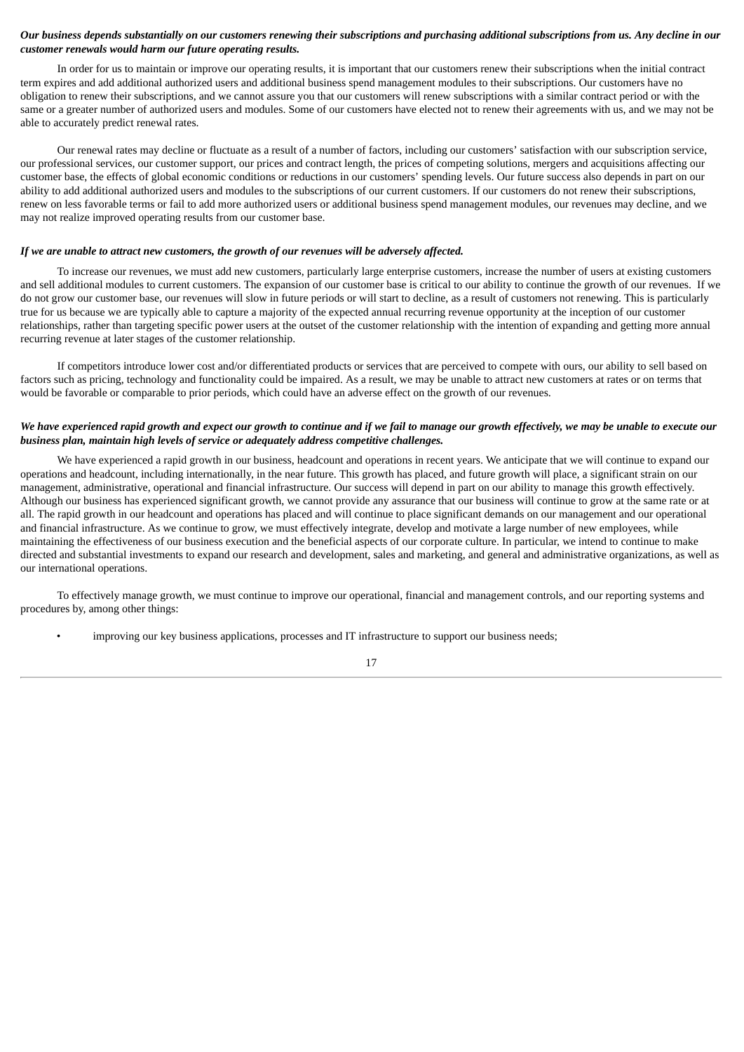## Our business depends substantially on our customers renewing their subscriptions and purchasing additional subscriptions from us. Any decline in our *customer renewals would harm our future operating results.*

In order for us to maintain or improve our operating results, it is important that our customers renew their subscriptions when the initial contract term expires and add additional authorized users and additional business spend management modules to their subscriptions. Our customers have no obligation to renew their subscriptions, and we cannot assure you that our customers will renew subscriptions with a similar contract period or with the same or a greater number of authorized users and modules. Some of our customers have elected not to renew their agreements with us, and we may not be able to accurately predict renewal rates.

Our renewal rates may decline or fluctuate as a result of a number of factors, including our customers' satisfaction with our subscription service, our professional services, our customer support, our prices and contract length, the prices of competing solutions, mergers and acquisitions affecting our customer base, the effects of global economic conditions or reductions in our customers' spending levels. Our future success also depends in part on our ability to add additional authorized users and modules to the subscriptions of our current customers. If our customers do not renew their subscriptions, renew on less favorable terms or fail to add more authorized users or additional business spend management modules, our revenues may decline, and we may not realize improved operating results from our customer base.

## *If we are unable to attract new customers, the growth of our revenues will be adversely affected.*

To increase our revenues, we must add new customers, particularly large enterprise customers, increase the number of users at existing customers and sell additional modules to current customers. The expansion of our customer base is critical to our ability to continue the growth of our revenues. If we do not grow our customer base, our revenues will slow in future periods or will start to decline, as a result of customers not renewing. This is particularly true for us because we are typically able to capture a majority of the expected annual recurring revenue opportunity at the inception of our customer relationships, rather than targeting specific power users at the outset of the customer relationship with the intention of expanding and getting more annual recurring revenue at later stages of the customer relationship.

If competitors introduce lower cost and/or differentiated products or services that are perceived to compete with ours, our ability to sell based on factors such as pricing, technology and functionality could be impaired. As a result, we may be unable to attract new customers at rates or on terms that would be favorable or comparable to prior periods, which could have an adverse effect on the growth of our revenues.

#### We have experienced rapid growth and expect our growth to continue and if we fail to manage our growth effectively, we may be unable to execute our *business plan, maintain high levels of service or adequately address competitive challenges.*

We have experienced a rapid growth in our business, headcount and operations in recent years. We anticipate that we will continue to expand our operations and headcount, including internationally, in the near future. This growth has placed, and future growth will place, a significant strain on our management, administrative, operational and financial infrastructure. Our success will depend in part on our ability to manage this growth effectively. Although our business has experienced significant growth, we cannot provide any assurance that our business will continue to grow at the same rate or at all. The rapid growth in our headcount and operations has placed and will continue to place significant demands on our management and our operational and financial infrastructure. As we continue to grow, we must effectively integrate, develop and motivate a large number of new employees, while maintaining the effectiveness of our business execution and the beneficial aspects of our corporate culture. In particular, we intend to continue to make directed and substantial investments to expand our research and development, sales and marketing, and general and administrative organizations, as well as our international operations.

To effectively manage growth, we must continue to improve our operational, financial and management controls, and our reporting systems and procedures by, among other things:

improving our key business applications, processes and IT infrastructure to support our business needs;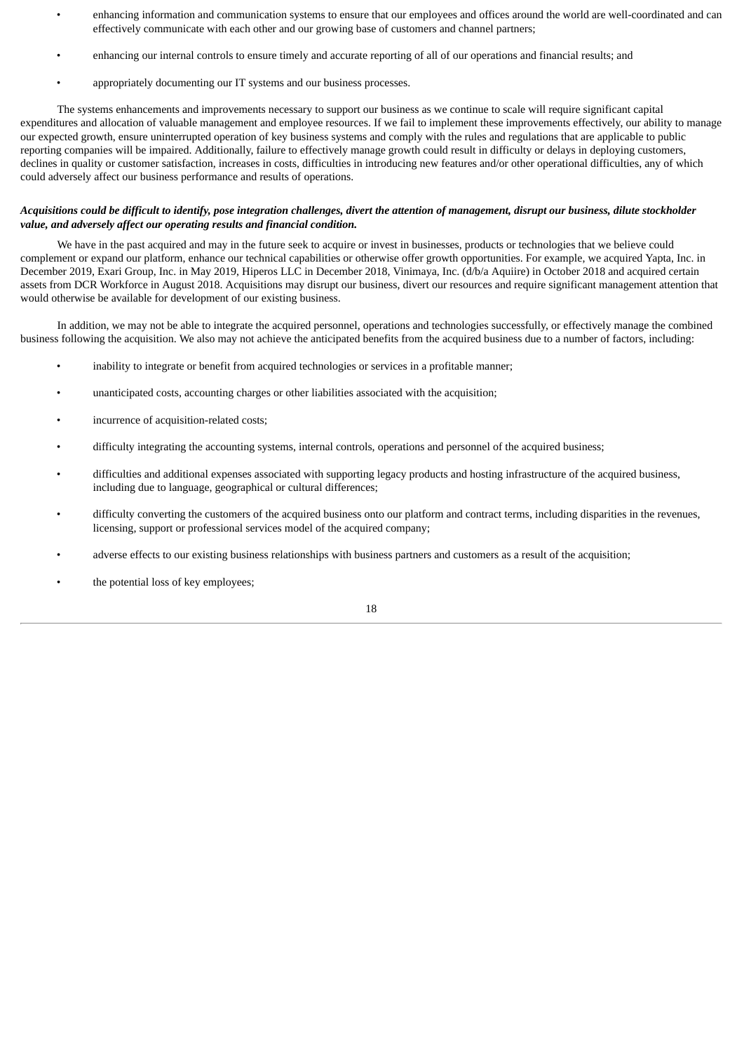- enhancing information and communication systems to ensure that our employees and offices around the world are well-coordinated and can effectively communicate with each other and our growing base of customers and channel partners;
- enhancing our internal controls to ensure timely and accurate reporting of all of our operations and financial results; and
- appropriately documenting our IT systems and our business processes.

The systems enhancements and improvements necessary to support our business as we continue to scale will require significant capital expenditures and allocation of valuable management and employee resources. If we fail to implement these improvements effectively, our ability to manage our expected growth, ensure uninterrupted operation of key business systems and comply with the rules and regulations that are applicable to public reporting companies will be impaired. Additionally, failure to effectively manage growth could result in difficulty or delays in deploying customers, declines in quality or customer satisfaction, increases in costs, difficulties in introducing new features and/or other operational difficulties, any of which could adversely affect our business performance and results of operations.

## Acquisitions could be difficult to identify, pose integration challenges, divert the attention of management, disrupt our business, dilute stockholder *value, and adversely affect our operating results and financial condition.*

We have in the past acquired and may in the future seek to acquire or invest in businesses, products or technologies that we believe could complement or expand our platform, enhance our technical capabilities or otherwise offer growth opportunities. For example, we acquired Yapta, Inc. in December 2019, Exari Group, Inc. in May 2019, Hiperos LLC in December 2018, Vinimaya, Inc. (d/b/a Aquiire) in October 2018 and acquired certain assets from DCR Workforce in August 2018. Acquisitions may disrupt our business, divert our resources and require significant management attention that would otherwise be available for development of our existing business.

In addition, we may not be able to integrate the acquired personnel, operations and technologies successfully, or effectively manage the combined business following the acquisition. We also may not achieve the anticipated benefits from the acquired business due to a number of factors, including:

- inability to integrate or benefit from acquired technologies or services in a profitable manner;
- unanticipated costs, accounting charges or other liabilities associated with the acquisition;
- incurrence of acquisition-related costs:
- difficulty integrating the accounting systems, internal controls, operations and personnel of the acquired business;
- difficulties and additional expenses associated with supporting legacy products and hosting infrastructure of the acquired business, including due to language, geographical or cultural differences;
- difficulty converting the customers of the acquired business onto our platform and contract terms, including disparities in the revenues, licensing, support or professional services model of the acquired company;
- adverse effects to our existing business relationships with business partners and customers as a result of the acquisition;
- the potential loss of key employees;

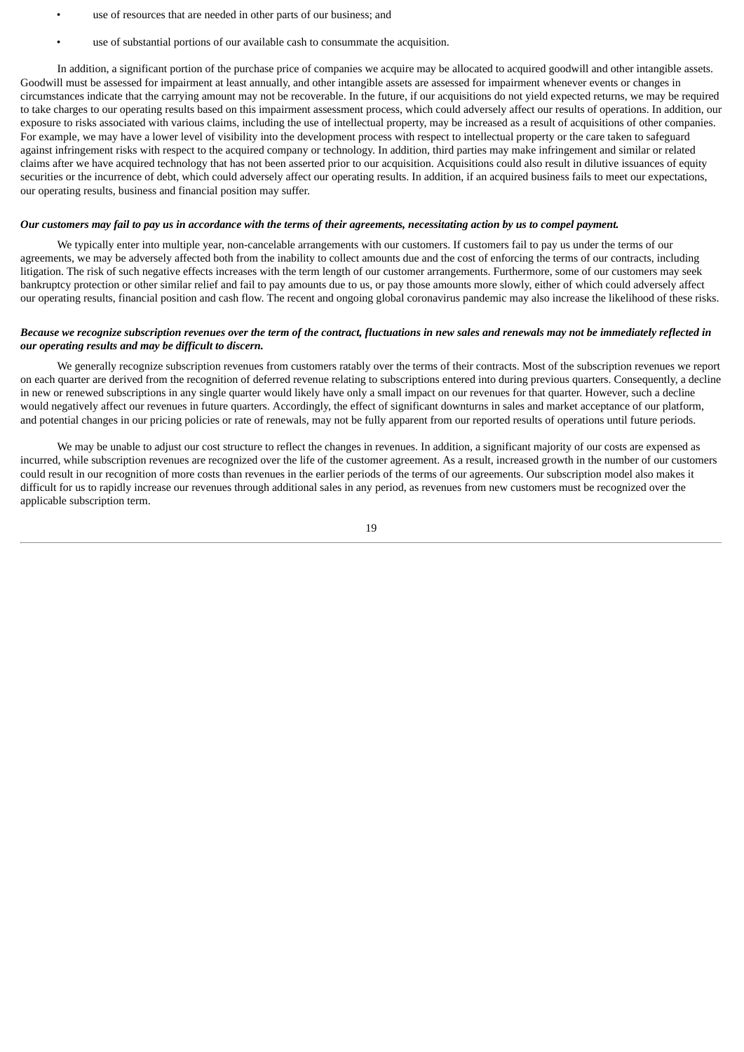- use of resources that are needed in other parts of our business; and
- use of substantial portions of our available cash to consummate the acquisition.

In addition, a significant portion of the purchase price of companies we acquire may be allocated to acquired goodwill and other intangible assets. Goodwill must be assessed for impairment at least annually, and other intangible assets are assessed for impairment whenever events or changes in circumstances indicate that the carrying amount may not be recoverable. In the future, if our acquisitions do not yield expected returns, we may be required to take charges to our operating results based on this impairment assessment process, which could adversely affect our results of operations. In addition, our exposure to risks associated with various claims, including the use of intellectual property, may be increased as a result of acquisitions of other companies. For example, we may have a lower level of visibility into the development process with respect to intellectual property or the care taken to safeguard against infringement risks with respect to the acquired company or technology. In addition, third parties may make infringement and similar or related claims after we have acquired technology that has not been asserted prior to our acquisition. Acquisitions could also result in dilutive issuances of equity securities or the incurrence of debt, which could adversely affect our operating results. In addition, if an acquired business fails to meet our expectations, our operating results, business and financial position may suffer.

#### Our customers may fail to pay us in accordance with the terms of their agreements, necessitating action by us to compel payment.

We typically enter into multiple year, non-cancelable arrangements with our customers. If customers fail to pay us under the terms of our agreements, we may be adversely affected both from the inability to collect amounts due and the cost of enforcing the terms of our contracts, including litigation. The risk of such negative effects increases with the term length of our customer arrangements. Furthermore, some of our customers may seek bankruptcy protection or other similar relief and fail to pay amounts due to us, or pay those amounts more slowly, either of which could adversely affect our operating results, financial position and cash flow. The recent and ongoing global coronavirus pandemic may also increase the likelihood of these risks.

#### Because we recognize subscription revenues over the term of the contract, fluctuations in new sales and renewals may not be immediately reflected in *our operating results and may be difficult to discern.*

We generally recognize subscription revenues from customers ratably over the terms of their contracts. Most of the subscription revenues we report on each quarter are derived from the recognition of deferred revenue relating to subscriptions entered into during previous quarters. Consequently, a decline in new or renewed subscriptions in any single quarter would likely have only a small impact on our revenues for that quarter. However, such a decline would negatively affect our revenues in future quarters. Accordingly, the effect of significant downturns in sales and market acceptance of our platform, and potential changes in our pricing policies or rate of renewals, may not be fully apparent from our reported results of operations until future periods.

We may be unable to adjust our cost structure to reflect the changes in revenues. In addition, a significant majority of our costs are expensed as incurred, while subscription revenues are recognized over the life of the customer agreement. As a result, increased growth in the number of our customers could result in our recognition of more costs than revenues in the earlier periods of the terms of our agreements. Our subscription model also makes it difficult for us to rapidly increase our revenues through additional sales in any period, as revenues from new customers must be recognized over the applicable subscription term.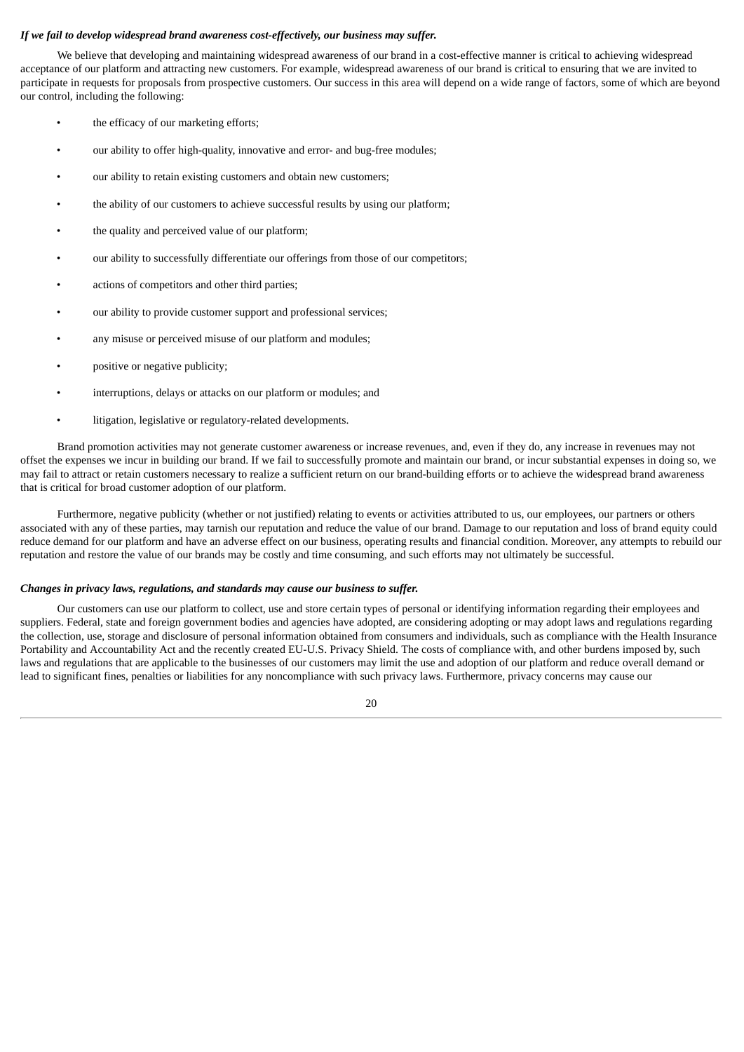#### *If we fail to develop widespread brand awareness cost-effectively, our business may suffer.*

We believe that developing and maintaining widespread awareness of our brand in a cost-effective manner is critical to achieving widespread acceptance of our platform and attracting new customers. For example, widespread awareness of our brand is critical to ensuring that we are invited to participate in requests for proposals from prospective customers. Our success in this area will depend on a wide range of factors, some of which are beyond our control, including the following:

- the efficacy of our marketing efforts:
- our ability to offer high-quality, innovative and error- and bug-free modules;
- our ability to retain existing customers and obtain new customers;
- the ability of our customers to achieve successful results by using our platform;
- the quality and perceived value of our platform;
- our ability to successfully differentiate our offerings from those of our competitors;
- actions of competitors and other third parties;
- our ability to provide customer support and professional services;
- any misuse or perceived misuse of our platform and modules;
- positive or negative publicity;
- interruptions, delays or attacks on our platform or modules; and
- litigation, legislative or regulatory-related developments.

Brand promotion activities may not generate customer awareness or increase revenues, and, even if they do, any increase in revenues may not offset the expenses we incur in building our brand. If we fail to successfully promote and maintain our brand, or incur substantial expenses in doing so, we may fail to attract or retain customers necessary to realize a sufficient return on our brand-building efforts or to achieve the widespread brand awareness that is critical for broad customer adoption of our platform.

Furthermore, negative publicity (whether or not justified) relating to events or activities attributed to us, our employees, our partners or others associated with any of these parties, may tarnish our reputation and reduce the value of our brand. Damage to our reputation and loss of brand equity could reduce demand for our platform and have an adverse effect on our business, operating results and financial condition. Moreover, any attempts to rebuild our reputation and restore the value of our brands may be costly and time consuming, and such efforts may not ultimately be successful.

#### *Changes in privacy laws, regulations, and standards may cause our business to suffer.*

Our customers can use our platform to collect, use and store certain types of personal or identifying information regarding their employees and suppliers. Federal, state and foreign government bodies and agencies have adopted, are considering adopting or may adopt laws and regulations regarding the collection, use, storage and disclosure of personal information obtained from consumers and individuals, such as compliance with the Health Insurance Portability and Accountability Act and the recently created EU-U.S. Privacy Shield. The costs of compliance with, and other burdens imposed by, such laws and regulations that are applicable to the businesses of our customers may limit the use and adoption of our platform and reduce overall demand or lead to significant fines, penalties or liabilities for any noncompliance with such privacy laws. Furthermore, privacy concerns may cause our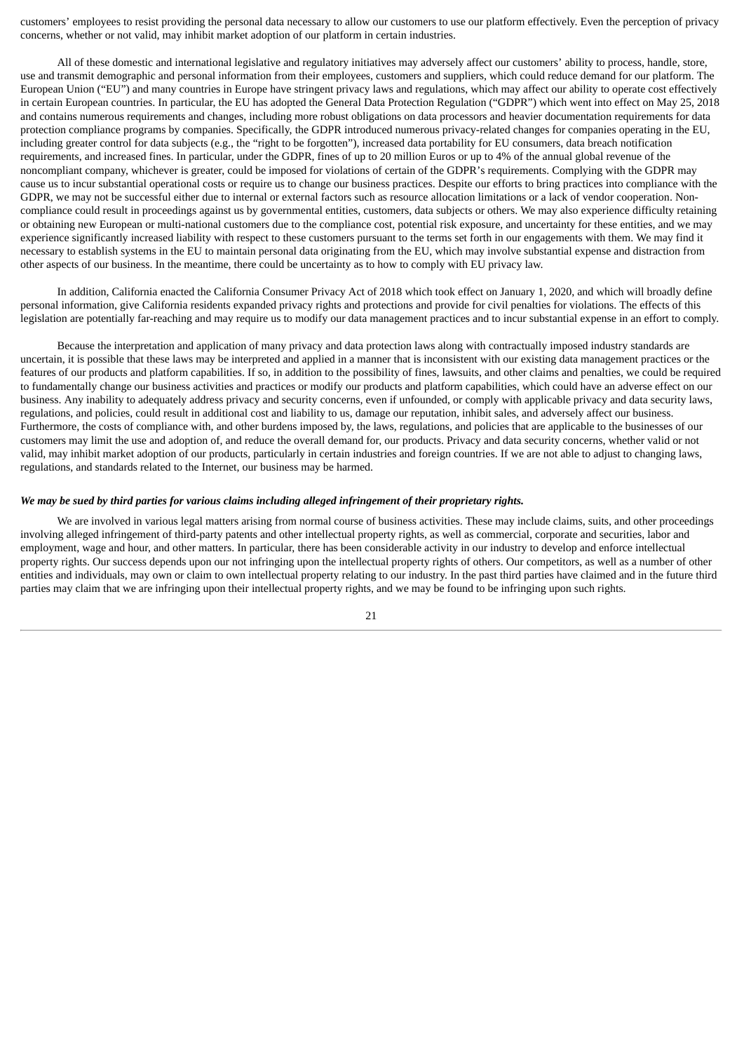customers' employees to resist providing the personal data necessary to allow our customers to use our platform effectively. Even the perception of privacy concerns, whether or not valid, may inhibit market adoption of our platform in certain industries.

All of these domestic and international legislative and regulatory initiatives may adversely affect our customers' ability to process, handle, store, use and transmit demographic and personal information from their employees, customers and suppliers, which could reduce demand for our platform. The European Union ("EU") and many countries in Europe have stringent privacy laws and regulations, which may affect our ability to operate cost effectively in certain European countries. In particular, the EU has adopted the General Data Protection Regulation ("GDPR") which went into effect on May 25, 2018 and contains numerous requirements and changes, including more robust obligations on data processors and heavier documentation requirements for data protection compliance programs by companies. Specifically, the GDPR introduced numerous privacy-related changes for companies operating in the EU, including greater control for data subjects (e.g., the "right to be forgotten"), increased data portability for EU consumers, data breach notification requirements, and increased fines. In particular, under the GDPR, fines of up to 20 million Euros or up to 4% of the annual global revenue of the noncompliant company, whichever is greater, could be imposed for violations of certain of the GDPR's requirements. Complying with the GDPR may cause us to incur substantial operational costs or require us to change our business practices. Despite our efforts to bring practices into compliance with the GDPR, we may not be successful either due to internal or external factors such as resource allocation limitations or a lack of vendor cooperation. Noncompliance could result in proceedings against us by governmental entities, customers, data subjects or others. We may also experience difficulty retaining or obtaining new European or multi-national customers due to the compliance cost, potential risk exposure, and uncertainty for these entities, and we may experience significantly increased liability with respect to these customers pursuant to the terms set forth in our engagements with them. We may find it necessary to establish systems in the EU to maintain personal data originating from the EU, which may involve substantial expense and distraction from other aspects of our business. In the meantime, there could be uncertainty as to how to comply with EU privacy law.

In addition, California enacted the California Consumer Privacy Act of 2018 which took effect on January 1, 2020, and which will broadly define personal information, give California residents expanded privacy rights and protections and provide for civil penalties for violations. The effects of this legislation are potentially far-reaching and may require us to modify our data management practices and to incur substantial expense in an effort to comply.

Because the interpretation and application of many privacy and data protection laws along with contractually imposed industry standards are uncertain, it is possible that these laws may be interpreted and applied in a manner that is inconsistent with our existing data management practices or the features of our products and platform capabilities. If so, in addition to the possibility of fines, lawsuits, and other claims and penalties, we could be required to fundamentally change our business activities and practices or modify our products and platform capabilities, which could have an adverse effect on our business. Any inability to adequately address privacy and security concerns, even if unfounded, or comply with applicable privacy and data security laws, regulations, and policies, could result in additional cost and liability to us, damage our reputation, inhibit sales, and adversely affect our business. Furthermore, the costs of compliance with, and other burdens imposed by, the laws, regulations, and policies that are applicable to the businesses of our customers may limit the use and adoption of, and reduce the overall demand for, our products. Privacy and data security concerns, whether valid or not valid, may inhibit market adoption of our products, particularly in certain industries and foreign countries. If we are not able to adjust to changing laws, regulations, and standards related to the Internet, our business may be harmed.

## We may be sued by third parties for various claims including alleged infringement of their proprietary rights.

We are involved in various legal matters arising from normal course of business activities. These may include claims, suits, and other proceedings involving alleged infringement of third-party patents and other intellectual property rights, as well as commercial, corporate and securities, labor and employment, wage and hour, and other matters. In particular, there has been considerable activity in our industry to develop and enforce intellectual property rights. Our success depends upon our not infringing upon the intellectual property rights of others. Our competitors, as well as a number of other entities and individuals, may own or claim to own intellectual property relating to our industry. In the past third parties have claimed and in the future third parties may claim that we are infringing upon their intellectual property rights, and we may be found to be infringing upon such rights.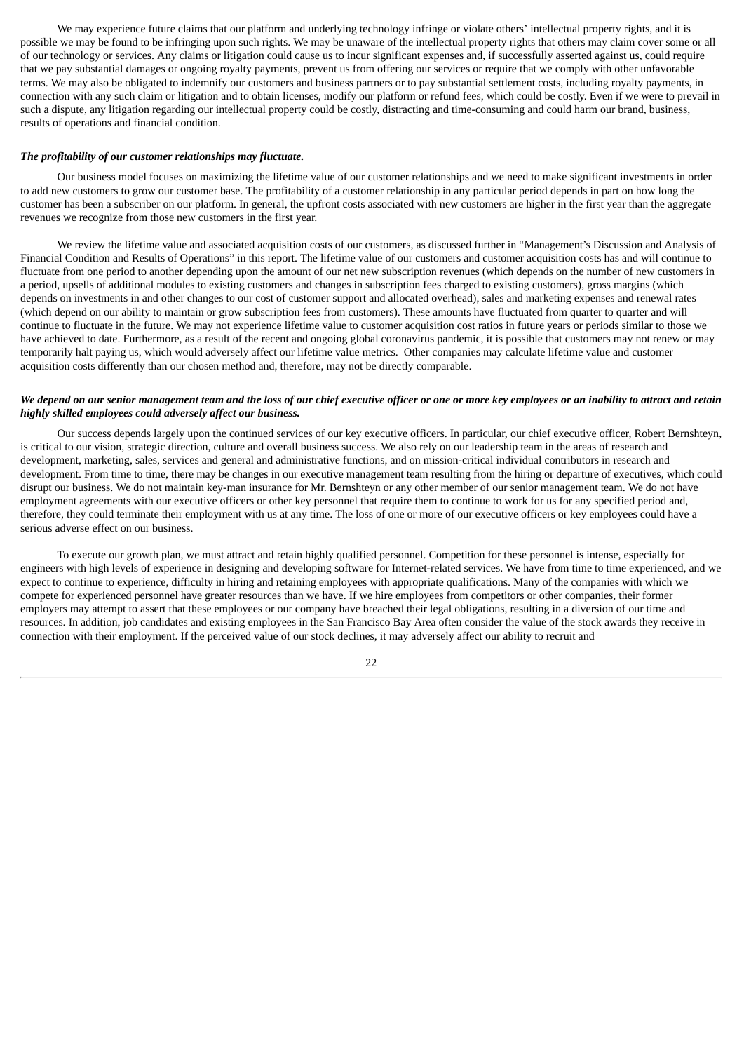We may experience future claims that our platform and underlying technology infringe or violate others' intellectual property rights, and it is possible we may be found to be infringing upon such rights. We may be unaware of the intellectual property rights that others may claim cover some or all of our technology or services. Any claims or litigation could cause us to incur significant expenses and, if successfully asserted against us, could require that we pay substantial damages or ongoing royalty payments, prevent us from offering our services or require that we comply with other unfavorable terms. We may also be obligated to indemnify our customers and business partners or to pay substantial settlement costs, including royalty payments, in connection with any such claim or litigation and to obtain licenses, modify our platform or refund fees, which could be costly. Even if we were to prevail in such a dispute, any litigation regarding our intellectual property could be costly, distracting and time-consuming and could harm our brand, business, results of operations and financial condition.

#### *The profitability of our customer relationships may fluctuate.*

Our business model focuses on maximizing the lifetime value of our customer relationships and we need to make significant investments in order to add new customers to grow our customer base. The profitability of a customer relationship in any particular period depends in part on how long the customer has been a subscriber on our platform. In general, the upfront costs associated with new customers are higher in the first year than the aggregate revenues we recognize from those new customers in the first year.

We review the lifetime value and associated acquisition costs of our customers, as discussed further in "Management's Discussion and Analysis of Financial Condition and Results of Operations" in this report. The lifetime value of our customers and customer acquisition costs has and will continue to fluctuate from one period to another depending upon the amount of our net new subscription revenues (which depends on the number of new customers in a period, upsells of additional modules to existing customers and changes in subscription fees charged to existing customers), gross margins (which depends on investments in and other changes to our cost of customer support and allocated overhead), sales and marketing expenses and renewal rates (which depend on our ability to maintain or grow subscription fees from customers). These amounts have fluctuated from quarter to quarter and will continue to fluctuate in the future. We may not experience lifetime value to customer acquisition cost ratios in future years or periods similar to those we have achieved to date. Furthermore, as a result of the recent and ongoing global coronavirus pandemic, it is possible that customers may not renew or may temporarily halt paying us, which would adversely affect our lifetime value metrics. Other companies may calculate lifetime value and customer acquisition costs differently than our chosen method and, therefore, may not be directly comparable.

## We depend on our senior management team and the loss of our chief executive officer or one or more key employees or an inability to attract and retain *highly skilled employees could adversely affect our business.*

Our success depends largely upon the continued services of our key executive officers. In particular, our chief executive officer, Robert Bernshteyn, is critical to our vision, strategic direction, culture and overall business success. We also rely on our leadership team in the areas of research and development, marketing, sales, services and general and administrative functions, and on mission-critical individual contributors in research and development. From time to time, there may be changes in our executive management team resulting from the hiring or departure of executives, which could disrupt our business. We do not maintain key-man insurance for Mr. Bernshteyn or any other member of our senior management team. We do not have employment agreements with our executive officers or other key personnel that require them to continue to work for us for any specified period and, therefore, they could terminate their employment with us at any time. The loss of one or more of our executive officers or key employees could have a serious adverse effect on our business.

To execute our growth plan, we must attract and retain highly qualified personnel. Competition for these personnel is intense, especially for engineers with high levels of experience in designing and developing software for Internet-related services. We have from time to time experienced, and we expect to continue to experience, difficulty in hiring and retaining employees with appropriate qualifications. Many of the companies with which we compete for experienced personnel have greater resources than we have. If we hire employees from competitors or other companies, their former employers may attempt to assert that these employees or our company have breached their legal obligations, resulting in a diversion of our time and resources. In addition, job candidates and existing employees in the San Francisco Bay Area often consider the value of the stock awards they receive in connection with their employment. If the perceived value of our stock declines, it may adversely affect our ability to recruit and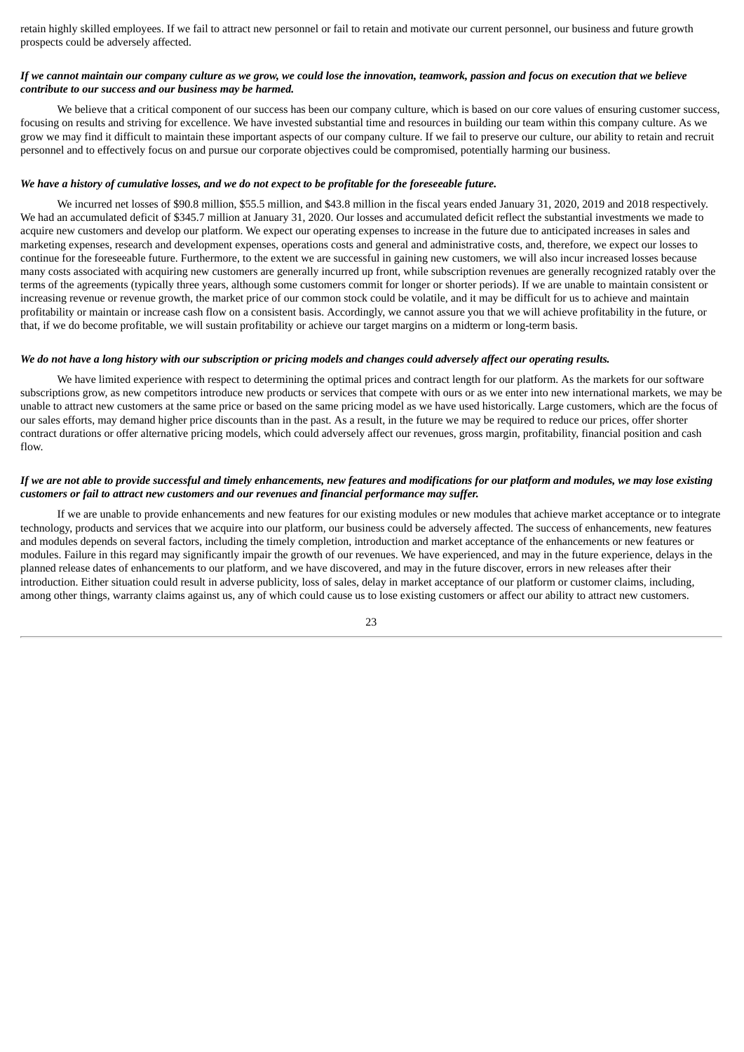retain highly skilled employees. If we fail to attract new personnel or fail to retain and motivate our current personnel, our business and future growth prospects could be adversely affected.

## If we cannot maintain our company culture as we grow, we could lose the innovation, teamwork, passion and focus on execution that we believe *contribute to our success and our business may be harmed.*

We believe that a critical component of our success has been our company culture, which is based on our core values of ensuring customer success, focusing on results and striving for excellence. We have invested substantial time and resources in building our team within this company culture. As we grow we may find it difficult to maintain these important aspects of our company culture. If we fail to preserve our culture, our ability to retain and recruit personnel and to effectively focus on and pursue our corporate objectives could be compromised, potentially harming our business.

## We have a history of cumulative losses, and we do not expect to be profitable for the foreseeable future.

We incurred net losses of \$90.8 million, \$55.5 million, and \$43.8 million in the fiscal years ended January 31, 2020, 2019 and 2018 respectively. We had an accumulated deficit of \$345.7 million at January 31, 2020. Our losses and accumulated deficit reflect the substantial investments we made to acquire new customers and develop our platform. We expect our operating expenses to increase in the future due to anticipated increases in sales and marketing expenses, research and development expenses, operations costs and general and administrative costs, and, therefore, we expect our losses to continue for the foreseeable future. Furthermore, to the extent we are successful in gaining new customers, we will also incur increased losses because many costs associated with acquiring new customers are generally incurred up front, while subscription revenues are generally recognized ratably over the terms of the agreements (typically three years, although some customers commit for longer or shorter periods). If we are unable to maintain consistent or increasing revenue or revenue growth, the market price of our common stock could be volatile, and it may be difficult for us to achieve and maintain profitability or maintain or increase cash flow on a consistent basis. Accordingly, we cannot assure you that we will achieve profitability in the future, or that, if we do become profitable, we will sustain profitability or achieve our target margins on a midterm or long-term basis.

#### We do not have a long history with our subscription or pricing models and changes could adversely affect our operating results.

We have limited experience with respect to determining the optimal prices and contract length for our platform. As the markets for our software subscriptions grow, as new competitors introduce new products or services that compete with ours or as we enter into new international markets, we may be unable to attract new customers at the same price or based on the same pricing model as we have used historically. Large customers, which are the focus of our sales efforts, may demand higher price discounts than in the past. As a result, in the future we may be required to reduce our prices, offer shorter contract durations or offer alternative pricing models, which could adversely affect our revenues, gross margin, profitability, financial position and cash flow

## If we are not able to provide successful and timely enhancements, new features and modifications for our platform and modules, we may lose existing *customers or fail to attract new customers and our revenues and financial performance may suffer.*

If we are unable to provide enhancements and new features for our existing modules or new modules that achieve market acceptance or to integrate technology, products and services that we acquire into our platform, our business could be adversely affected. The success of enhancements, new features and modules depends on several factors, including the timely completion, introduction and market acceptance of the enhancements or new features or modules. Failure in this regard may significantly impair the growth of our revenues. We have experienced, and may in the future experience, delays in the planned release dates of enhancements to our platform, and we have discovered, and may in the future discover, errors in new releases after their introduction. Either situation could result in adverse publicity, loss of sales, delay in market acceptance of our platform or customer claims, including, among other things, warranty claims against us, any of which could cause us to lose existing customers or affect our ability to attract new customers.

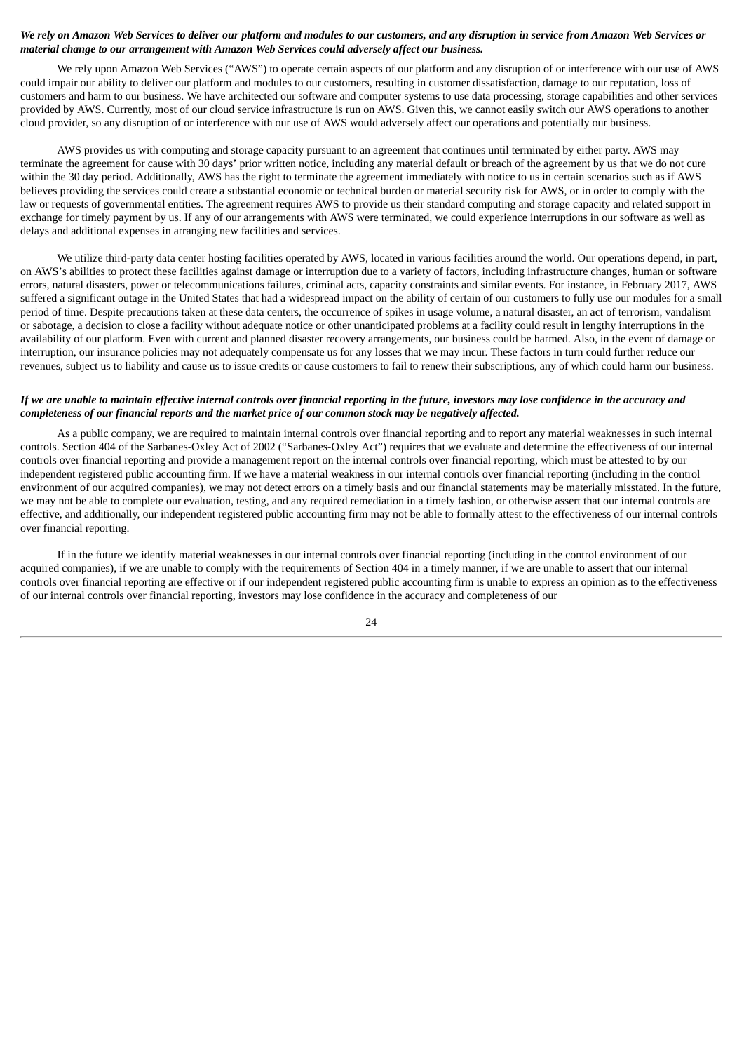## We rely on Amazon Web Services to deliver our platform and modules to our customers, and any disruption in service from Amazon Web Services or *material change to our arrangement with Amazon Web Services could adversely affect our business.*

We rely upon Amazon Web Services ("AWS") to operate certain aspects of our platform and any disruption of or interference with our use of AWS could impair our ability to deliver our platform and modules to our customers, resulting in customer dissatisfaction, damage to our reputation, loss of customers and harm to our business. We have architected our software and computer systems to use data processing, storage capabilities and other services provided by AWS. Currently, most of our cloud service infrastructure is run on AWS. Given this, we cannot easily switch our AWS operations to another cloud provider, so any disruption of or interference with our use of AWS would adversely affect our operations and potentially our business.

AWS provides us with computing and storage capacity pursuant to an agreement that continues until terminated by either party. AWS may terminate the agreement for cause with 30 days' prior written notice, including any material default or breach of the agreement by us that we do not cure within the 30 day period. Additionally, AWS has the right to terminate the agreement immediately with notice to us in certain scenarios such as if AWS believes providing the services could create a substantial economic or technical burden or material security risk for AWS, or in order to comply with the law or requests of governmental entities. The agreement requires AWS to provide us their standard computing and storage capacity and related support in exchange for timely payment by us. If any of our arrangements with AWS were terminated, we could experience interruptions in our software as well as delays and additional expenses in arranging new facilities and services.

We utilize third-party data center hosting facilities operated by AWS, located in various facilities around the world. Our operations depend, in part, on AWS's abilities to protect these facilities against damage or interruption due to a variety of factors, including infrastructure changes, human or software errors, natural disasters, power or telecommunications failures, criminal acts, capacity constraints and similar events. For instance, in February 2017, AWS suffered a significant outage in the United States that had a widespread impact on the ability of certain of our customers to fully use our modules for a small period of time. Despite precautions taken at these data centers, the occurrence of spikes in usage volume, a natural disaster, an act of terrorism, vandalism or sabotage, a decision to close a facility without adequate notice or other unanticipated problems at a facility could result in lengthy interruptions in the availability of our platform. Even with current and planned disaster recovery arrangements, our business could be harmed. Also, in the event of damage or interruption, our insurance policies may not adequately compensate us for any losses that we may incur. These factors in turn could further reduce our revenues, subject us to liability and cause us to issue credits or cause customers to fail to renew their subscriptions, any of which could harm our business.

## If we are unable to maintain effective internal controls over financial reporting in the future, investors may lose confidence in the accuracy and completeness of our financial reports and the market price of our common stock may be negatively affected.

As a public company, we are required to maintain internal controls over financial reporting and to report any material weaknesses in such internal controls. Section 404 of the Sarbanes-Oxley Act of 2002 ("Sarbanes-Oxley Act") requires that we evaluate and determine the effectiveness of our internal controls over financial reporting and provide a management report on the internal controls over financial reporting, which must be attested to by our independent registered public accounting firm. If we have a material weakness in our internal controls over financial reporting (including in the control environment of our acquired companies), we may not detect errors on a timely basis and our financial statements may be materially misstated. In the future, we may not be able to complete our evaluation, testing, and any required remediation in a timely fashion, or otherwise assert that our internal controls are effective, and additionally, our independent registered public accounting firm may not be able to formally attest to the effectiveness of our internal controls over financial reporting.

If in the future we identify material weaknesses in our internal controls over financial reporting (including in the control environment of our acquired companies), if we are unable to comply with the requirements of Section 404 in a timely manner, if we are unable to assert that our internal controls over financial reporting are effective or if our independent registered public accounting firm is unable to express an opinion as to the effectiveness of our internal controls over financial reporting, investors may lose confidence in the accuracy and completeness of our

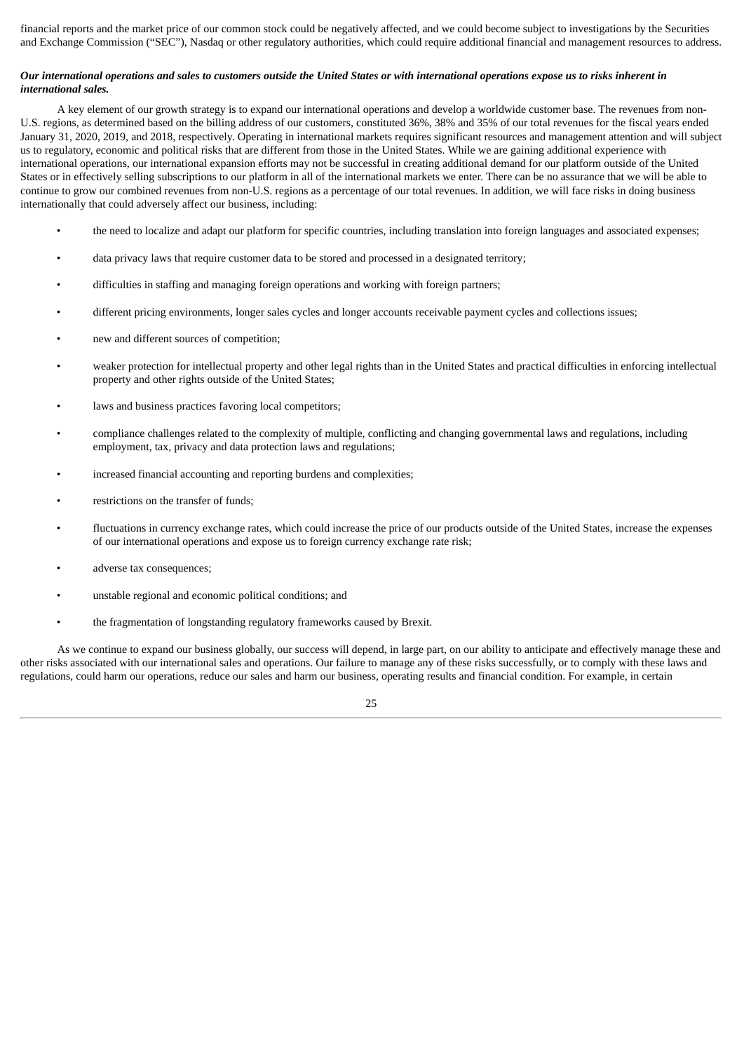financial reports and the market price of our common stock could be negatively affected, and we could become subject to investigations by the Securities and Exchange Commission ("SEC"), Nasdaq or other regulatory authorities, which could require additional financial and management resources to address.

## Our international operations and sales to customers outside the United States or with international operations expose us to risks inherent in *international sales.*

A key element of our growth strategy is to expand our international operations and develop a worldwide customer base. The revenues from non-U.S. regions, as determined based on the billing address of our customers, constituted 36%, 38% and 35% of our total revenues for the fiscal years ended January 31, 2020, 2019, and 2018, respectively. Operating in international markets requires significant resources and management attention and will subject us to regulatory, economic and political risks that are different from those in the United States. While we are gaining additional experience with international operations, our international expansion efforts may not be successful in creating additional demand for our platform outside of the United States or in effectively selling subscriptions to our platform in all of the international markets we enter. There can be no assurance that we will be able to continue to grow our combined revenues from non-U.S. regions as a percentage of our total revenues. In addition, we will face risks in doing business internationally that could adversely affect our business, including:

- the need to localize and adapt our platform for specific countries, including translation into foreign languages and associated expenses;
- data privacy laws that require customer data to be stored and processed in a designated territory;
- difficulties in staffing and managing foreign operations and working with foreign partners;
- different pricing environments, longer sales cycles and longer accounts receivable payment cycles and collections issues;
- new and different sources of competition;
- weaker protection for intellectual property and other legal rights than in the United States and practical difficulties in enforcing intellectual property and other rights outside of the United States;
- laws and business practices favoring local competitors;
- compliance challenges related to the complexity of multiple, conflicting and changing governmental laws and regulations, including employment, tax, privacy and data protection laws and regulations;
- increased financial accounting and reporting burdens and complexities;
- restrictions on the transfer of funds;
- fluctuations in currency exchange rates, which could increase the price of our products outside of the United States, increase the expenses of our international operations and expose us to foreign currency exchange rate risk;
- adverse tax consequences;
- unstable regional and economic political conditions; and
- the fragmentation of longstanding regulatory frameworks caused by Brexit.

As we continue to expand our business globally, our success will depend, in large part, on our ability to anticipate and effectively manage these and other risks associated with our international sales and operations. Our failure to manage any of these risks successfully, or to comply with these laws and regulations, could harm our operations, reduce our sales and harm our business, operating results and financial condition. For example, in certain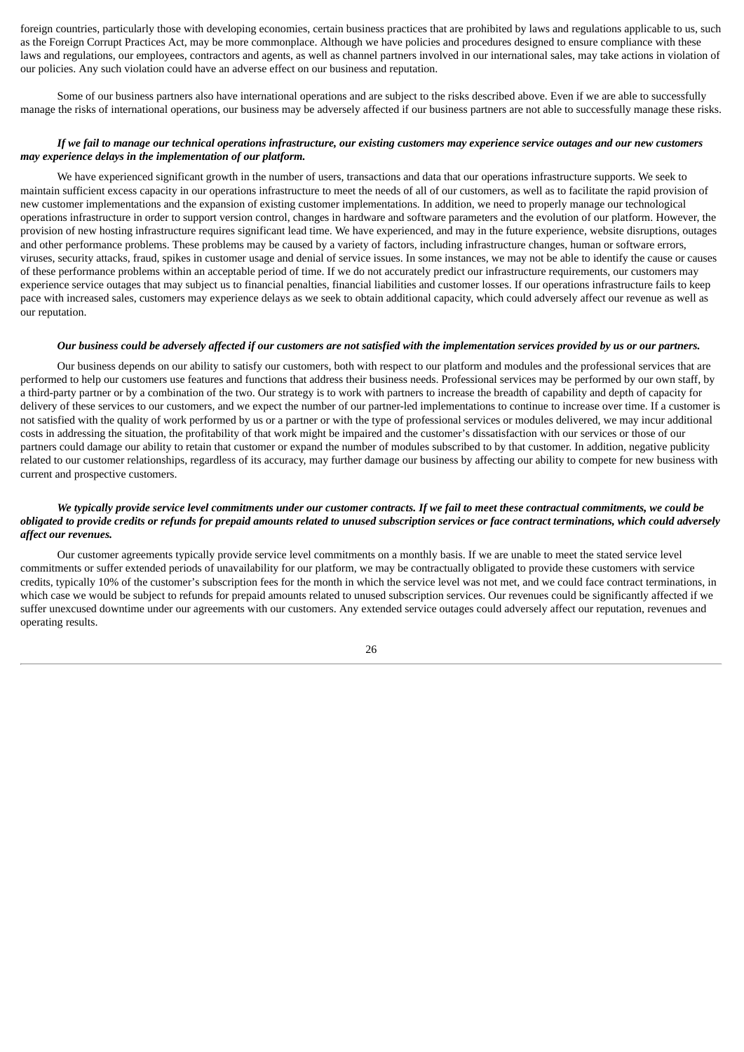foreign countries, particularly those with developing economies, certain business practices that are prohibited by laws and regulations applicable to us, such as the Foreign Corrupt Practices Act, may be more commonplace. Although we have policies and procedures designed to ensure compliance with these laws and regulations, our employees, contractors and agents, as well as channel partners involved in our international sales, may take actions in violation of our policies. Any such violation could have an adverse effect on our business and reputation.

Some of our business partners also have international operations and are subject to the risks described above. Even if we are able to successfully manage the risks of international operations, our business may be adversely affected if our business partners are not able to successfully manage these risks.

## If we fail to manage our technical operations infrastructure, our existing customers may experience service outages and our new customers *may experience delays in the implementation of our platform.*

We have experienced significant growth in the number of users, transactions and data that our operations infrastructure supports. We seek to maintain sufficient excess capacity in our operations infrastructure to meet the needs of all of our customers, as well as to facilitate the rapid provision of new customer implementations and the expansion of existing customer implementations. In addition, we need to properly manage our technological operations infrastructure in order to support version control, changes in hardware and software parameters and the evolution of our platform. However, the provision of new hosting infrastructure requires significant lead time. We have experienced, and may in the future experience, website disruptions, outages and other performance problems. These problems may be caused by a variety of factors, including infrastructure changes, human or software errors, viruses, security attacks, fraud, spikes in customer usage and denial of service issues. In some instances, we may not be able to identify the cause or causes of these performance problems within an acceptable period of time. If we do not accurately predict our infrastructure requirements, our customers may experience service outages that may subject us to financial penalties, financial liabilities and customer losses. If our operations infrastructure fails to keep pace with increased sales, customers may experience delays as we seek to obtain additional capacity, which could adversely affect our revenue as well as our reputation.

#### Our business could be adversely affected if our customers are not satisfied with the implementation services provided by us or our partners.

Our business depends on our ability to satisfy our customers, both with respect to our platform and modules and the professional services that are performed to help our customers use features and functions that address their business needs. Professional services may be performed by our own staff, by a third-party partner or by a combination of the two. Our strategy is to work with partners to increase the breadth of capability and depth of capacity for delivery of these services to our customers, and we expect the number of our partner-led implementations to continue to increase over time. If a customer is not satisfied with the quality of work performed by us or a partner or with the type of professional services or modules delivered, we may incur additional costs in addressing the situation, the profitability of that work might be impaired and the customer's dissatisfaction with our services or those of our partners could damage our ability to retain that customer or expand the number of modules subscribed to by that customer. In addition, negative publicity related to our customer relationships, regardless of its accuracy, may further damage our business by affecting our ability to compete for new business with current and prospective customers.

## We typically provide service level commitments under our customer contracts. If we fail to meet these contractual commitments, we could be obligated to provide credits or refunds for prepaid amounts related to unused subscription services or face contract terminations, which could adversely *affect our revenues.*

Our customer agreements typically provide service level commitments on a monthly basis. If we are unable to meet the stated service level commitments or suffer extended periods of unavailability for our platform, we may be contractually obligated to provide these customers with service credits, typically 10% of the customer's subscription fees for the month in which the service level was not met, and we could face contract terminations, in which case we would be subject to refunds for prepaid amounts related to unused subscription services. Our revenues could be significantly affected if we suffer unexcused downtime under our agreements with our customers. Any extended service outages could adversely affect our reputation, revenues and operating results.

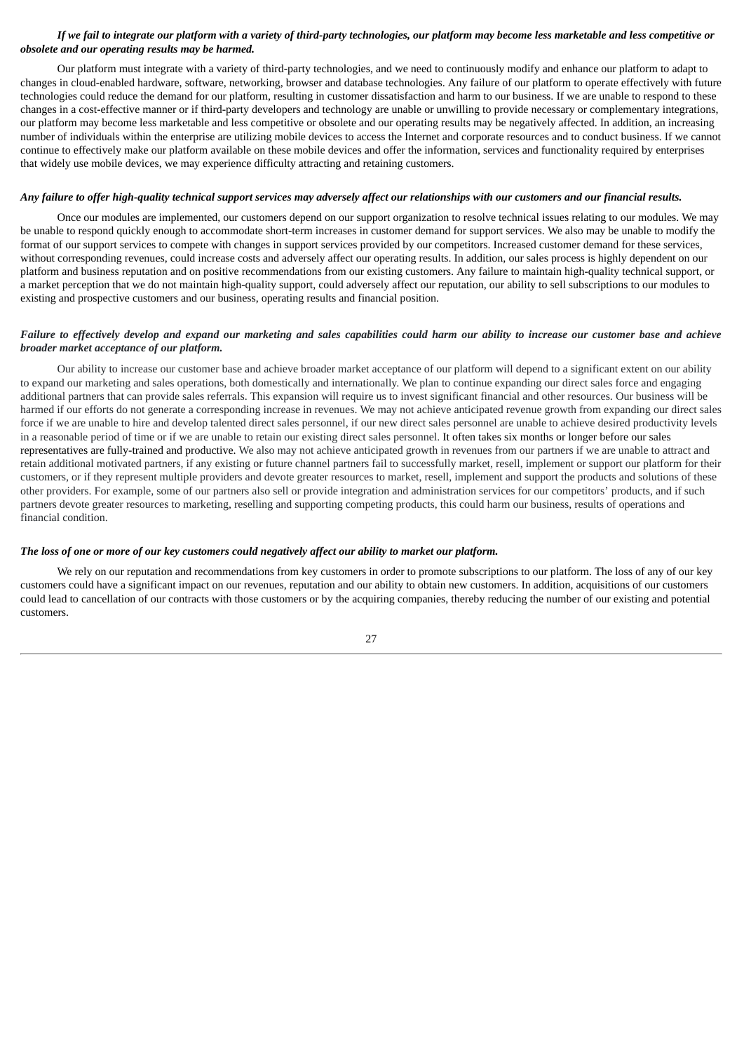## If we fail to integrate our platform with a variety of third-party technologies, our platform may become less marketable and less competitive or *obsolete and our operating results may be harmed.*

Our platform must integrate with a variety of third-party technologies, and we need to continuously modify and enhance our platform to adapt to changes in cloud-enabled hardware, software, networking, browser and database technologies. Any failure of our platform to operate effectively with future technologies could reduce the demand for our platform, resulting in customer dissatisfaction and harm to our business. If we are unable to respond to these changes in a cost-effective manner or if third-party developers and technology are unable or unwilling to provide necessary or complementary integrations, our platform may become less marketable and less competitive or obsolete and our operating results may be negatively affected. In addition, an increasing number of individuals within the enterprise are utilizing mobile devices to access the Internet and corporate resources and to conduct business. If we cannot continue to effectively make our platform available on these mobile devices and offer the information, services and functionality required by enterprises that widely use mobile devices, we may experience difficulty attracting and retaining customers.

#### Any failure to offer high-quality technical support services may adversely affect our relationships with our customers and our financial results.

Once our modules are implemented, our customers depend on our support organization to resolve technical issues relating to our modules. We may be unable to respond quickly enough to accommodate short-term increases in customer demand for support services. We also may be unable to modify the format of our support services to compete with changes in support services provided by our competitors. Increased customer demand for these services, without corresponding revenues, could increase costs and adversely affect our operating results. In addition, our sales process is highly dependent on our platform and business reputation and on positive recommendations from our existing customers. Any failure to maintain high-quality technical support, or a market perception that we do not maintain high-quality support, could adversely affect our reputation, our ability to sell subscriptions to our modules to existing and prospective customers and our business, operating results and financial position.

## Failure to effectively develop and expand our marketing and sales capabilities could harm our ability to increase our customer base and achieve *broader market acceptance of our platform.*

Our ability to increase our customer base and achieve broader market acceptance of our platform will depend to a significant extent on our ability to expand our marketing and sales operations, both domestically and internationally. We plan to continue expanding our direct sales force and engaging additional partners that can provide sales referrals. This expansion will require us to invest significant financial and other resources. Our business will be harmed if our efforts do not generate a corresponding increase in revenues. We may not achieve anticipated revenue growth from expanding our direct sales force if we are unable to hire and develop talented direct sales personnel, if our new direct sales personnel are unable to achieve desired productivity levels in a reasonable period of time or if we are unable to retain our existing direct sales personnel. It often takes six months or longer before our sales representatives are fully-trained and productive. We also may not achieve anticipated growth in revenues from our partners if we are unable to attract and retain additional motivated partners, if any existing or future channel partners fail to successfully market, resell, implement or support our platform for their customers, or if they represent multiple providers and devote greater resources to market, resell, implement and support the products and solutions of these other providers. For example, some of our partners also sell or provide integration and administration services for our competitors' products, and if such partners devote greater resources to marketing, reselling and supporting competing products, this could harm our business, results of operations and financial condition.

#### The loss of one or more of our key customers could negatively affect our ability to market our platform.

We rely on our reputation and recommendations from key customers in order to promote subscriptions to our platform. The loss of any of our key customers could have a significant impact on our revenues, reputation and our ability to obtain new customers. In addition, acquisitions of our customers could lead to cancellation of our contracts with those customers or by the acquiring companies, thereby reducing the number of our existing and potential customers.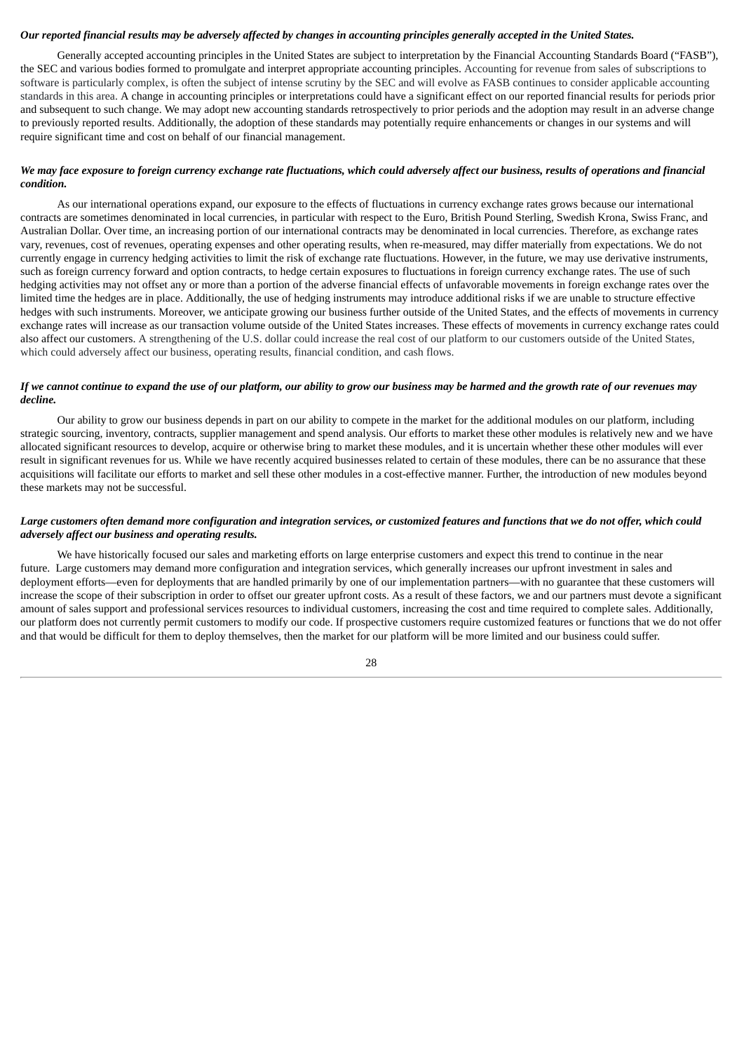## Our reported financial results may be adversely affected by changes in accounting principles generally accepted in the United States.

Generally accepted accounting principles in the United States are subject to interpretation by the Financial Accounting Standards Board ("FASB"), the SEC and various bodies formed to promulgate and interpret appropriate accounting principles. Accounting for revenue from sales of subscriptions to software is particularly complex, is often the subject of intense scrutiny by the SEC and will evolve as FASB continues to consider applicable accounting standards in this area. A change in accounting principles or interpretations could have a significant effect on our reported financial results for periods prior and subsequent to such change. We may adopt new accounting standards retrospectively to prior periods and the adoption may result in an adverse change to previously reported results. Additionally, the adoption of these standards may potentially require enhancements or changes in our systems and will require significant time and cost on behalf of our financial management.

## We may face exposure to foreign currency exchange rate fluctuations, which could adversely affect our business, results of operations and financial *condition.*

As our international operations expand, our exposure to the effects of fluctuations in currency exchange rates grows because our international contracts are sometimes denominated in local currencies, in particular with respect to the Euro, British Pound Sterling, Swedish Krona, Swiss Franc, and Australian Dollar. Over time, an increasing portion of our international contracts may be denominated in local currencies. Therefore, as exchange rates vary, revenues, cost of revenues, operating expenses and other operating results, when re-measured, may differ materially from expectations. We do not currently engage in currency hedging activities to limit the risk of exchange rate fluctuations. However, in the future, we may use derivative instruments, such as foreign currency forward and option contracts, to hedge certain exposures to fluctuations in foreign currency exchange rates. The use of such hedging activities may not offset any or more than a portion of the adverse financial effects of unfavorable movements in foreign exchange rates over the limited time the hedges are in place. Additionally, the use of hedging instruments may introduce additional risks if we are unable to structure effective hedges with such instruments. Moreover, we anticipate growing our business further outside of the United States, and the effects of movements in currency exchange rates will increase as our transaction volume outside of the United States increases. These effects of movements in currency exchange rates could also affect our customers. A strengthening of the U.S. dollar could increase the real cost of our platform to our customers outside of the United States, which could adversely affect our business, operating results, financial condition, and cash flows.

#### If we cannot continue to expand the use of our platform, our ability to grow our business may be harmed and the growth rate of our revenues may *decline.*

Our ability to grow our business depends in part on our ability to compete in the market for the additional modules on our platform, including strategic sourcing, inventory, contracts, supplier management and spend analysis. Our efforts to market these other modules is relatively new and we have allocated significant resources to develop, acquire or otherwise bring to market these modules, and it is uncertain whether these other modules will ever result in significant revenues for us. While we have recently acquired businesses related to certain of these modules, there can be no assurance that these acquisitions will facilitate our efforts to market and sell these other modules in a cost-effective manner. Further, the introduction of new modules beyond these markets may not be successful.

## Large customers often demand more configuration and integration services, or customized features and functions that we do not offer, which could *adversely affect our business and operating results.*

We have historically focused our sales and marketing efforts on large enterprise customers and expect this trend to continue in the near future. Large customers may demand more configuration and integration services, which generally increases our upfront investment in sales and deployment efforts—even for deployments that are handled primarily by one of our implementation partners—with no guarantee that these customers will increase the scope of their subscription in order to offset our greater upfront costs. As a result of these factors, we and our partners must devote a significant amount of sales support and professional services resources to individual customers, increasing the cost and time required to complete sales. Additionally, our platform does not currently permit customers to modify our code. If prospective customers require customized features or functions that we do not offer and that would be difficult for them to deploy themselves, then the market for our platform will be more limited and our business could suffer.

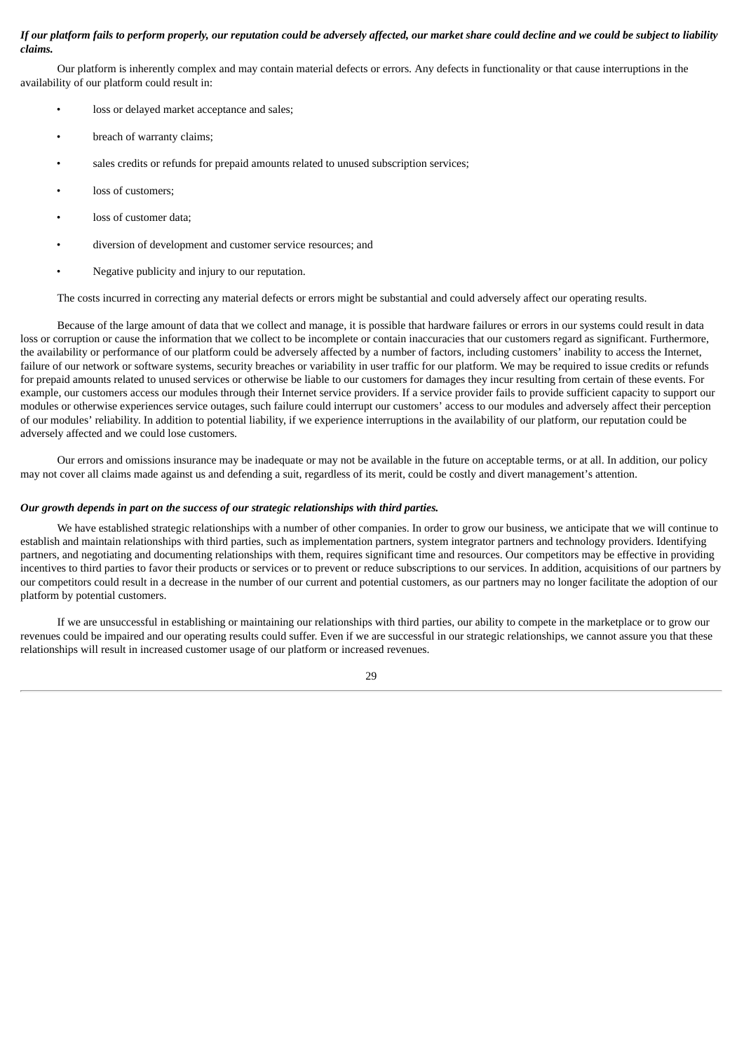## If our platform fails to perform properly, our reputation could be adversely affected, our market share could decline and we could be subject to liability *claims.*

Our platform is inherently complex and may contain material defects or errors. Any defects in functionality or that cause interruptions in the availability of our platform could result in:

- loss or delayed market acceptance and sales;
- breach of warranty claims;
- sales credits or refunds for prepaid amounts related to unused subscription services;
- loss of customers:
- loss of customer data;
- diversion of development and customer service resources; and
- Negative publicity and injury to our reputation.

The costs incurred in correcting any material defects or errors might be substantial and could adversely affect our operating results.

Because of the large amount of data that we collect and manage, it is possible that hardware failures or errors in our systems could result in data loss or corruption or cause the information that we collect to be incomplete or contain inaccuracies that our customers regard as significant. Furthermore, the availability or performance of our platform could be adversely affected by a number of factors, including customers' inability to access the Internet, failure of our network or software systems, security breaches or variability in user traffic for our platform. We may be required to issue credits or refunds for prepaid amounts related to unused services or otherwise be liable to our customers for damages they incur resulting from certain of these events. For example, our customers access our modules through their Internet service providers. If a service provider fails to provide sufficient capacity to support our modules or otherwise experiences service outages, such failure could interrupt our customers' access to our modules and adversely affect their perception of our modules' reliability. In addition to potential liability, if we experience interruptions in the availability of our platform, our reputation could be adversely affected and we could lose customers.

Our errors and omissions insurance may be inadequate or may not be available in the future on acceptable terms, or at all. In addition, our policy may not cover all claims made against us and defending a suit, regardless of its merit, could be costly and divert management's attention.

#### *Our growth depends in part on the success of our strategic relationships with third parties.*

We have established strategic relationships with a number of other companies. In order to grow our business, we anticipate that we will continue to establish and maintain relationships with third parties, such as implementation partners, system integrator partners and technology providers. Identifying partners, and negotiating and documenting relationships with them, requires significant time and resources. Our competitors may be effective in providing incentives to third parties to favor their products or services or to prevent or reduce subscriptions to our services. In addition, acquisitions of our partners by our competitors could result in a decrease in the number of our current and potential customers, as our partners may no longer facilitate the adoption of our platform by potential customers.

If we are unsuccessful in establishing or maintaining our relationships with third parties, our ability to compete in the marketplace or to grow our revenues could be impaired and our operating results could suffer. Even if we are successful in our strategic relationships, we cannot assure you that these relationships will result in increased customer usage of our platform or increased revenues.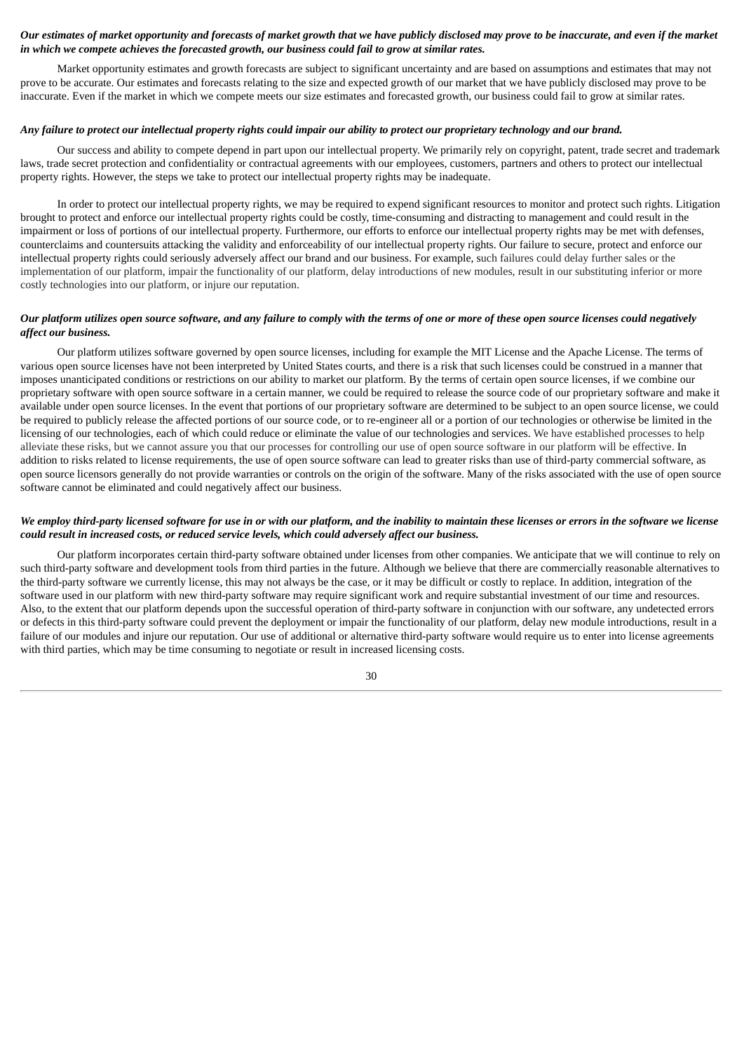## Our estimates of market opportunity and forecasts of market growth that we have publicly disclosed may prove to be inaccurate, and even if the market *in which we compete achieves the forecasted growth, our business could fail to grow at similar rates.*

Market opportunity estimates and growth forecasts are subject to significant uncertainty and are based on assumptions and estimates that may not prove to be accurate. Our estimates and forecasts relating to the size and expected growth of our market that we have publicly disclosed may prove to be inaccurate. Even if the market in which we compete meets our size estimates and forecasted growth, our business could fail to grow at similar rates.

## Any failure to protect our intellectual property rights could impair our ability to protect our proprietary technology and our brand.

Our success and ability to compete depend in part upon our intellectual property. We primarily rely on copyright, patent, trade secret and trademark laws, trade secret protection and confidentiality or contractual agreements with our employees, customers, partners and others to protect our intellectual property rights. However, the steps we take to protect our intellectual property rights may be inadequate.

In order to protect our intellectual property rights, we may be required to expend significant resources to monitor and protect such rights. Litigation brought to protect and enforce our intellectual property rights could be costly, time-consuming and distracting to management and could result in the impairment or loss of portions of our intellectual property. Furthermore, our efforts to enforce our intellectual property rights may be met with defenses, counterclaims and countersuits attacking the validity and enforceability of our intellectual property rights. Our failure to secure, protect and enforce our intellectual property rights could seriously adversely affect our brand and our business. For example, such failures could delay further sales or the implementation of our platform, impair the functionality of our platform, delay introductions of new modules, result in our substituting inferior or more costly technologies into our platform, or injure our reputation.

#### Our platform utilizes open source software, and any failure to comply with the terms of one or more of these open source licenses could negatively *affect our business.*

Our platform utilizes software governed by open source licenses, including for example the MIT License and the Apache License. The terms of various open source licenses have not been interpreted by United States courts, and there is a risk that such licenses could be construed in a manner that imposes unanticipated conditions or restrictions on our ability to market our platform. By the terms of certain open source licenses, if we combine our proprietary software with open source software in a certain manner, we could be required to release the source code of our proprietary software and make it available under open source licenses. In the event that portions of our proprietary software are determined to be subject to an open source license, we could be required to publicly release the affected portions of our source code, or to re-engineer all or a portion of our technologies or otherwise be limited in the licensing of our technologies, each of which could reduce or eliminate the value of our technologies and services. We have established processes to help alleviate these risks, but we cannot assure you that our processes for controlling our use of open source software in our platform will be effective. In addition to risks related to license requirements, the use of open source software can lead to greater risks than use of third-party commercial software, as open source licensors generally do not provide warranties or controls on the origin of the software. Many of the risks associated with the use of open source software cannot be eliminated and could negatively affect our business.

## We employ third-party licensed software for use in or with our platform, and the inability to maintain these licenses or errors in the software we license *could result in increased costs, or reduced service levels, which could adversely affect our business.*

Our platform incorporates certain third-party software obtained under licenses from other companies. We anticipate that we will continue to rely on such third-party software and development tools from third parties in the future. Although we believe that there are commercially reasonable alternatives to the third-party software we currently license, this may not always be the case, or it may be difficult or costly to replace. In addition, integration of the software used in our platform with new third-party software may require significant work and require substantial investment of our time and resources. Also, to the extent that our platform depends upon the successful operation of third-party software in conjunction with our software, any undetected errors or defects in this third-party software could prevent the deployment or impair the functionality of our platform, delay new module introductions, result in a failure of our modules and injure our reputation. Our use of additional or alternative third-party software would require us to enter into license agreements with third parties, which may be time consuming to negotiate or result in increased licensing costs.

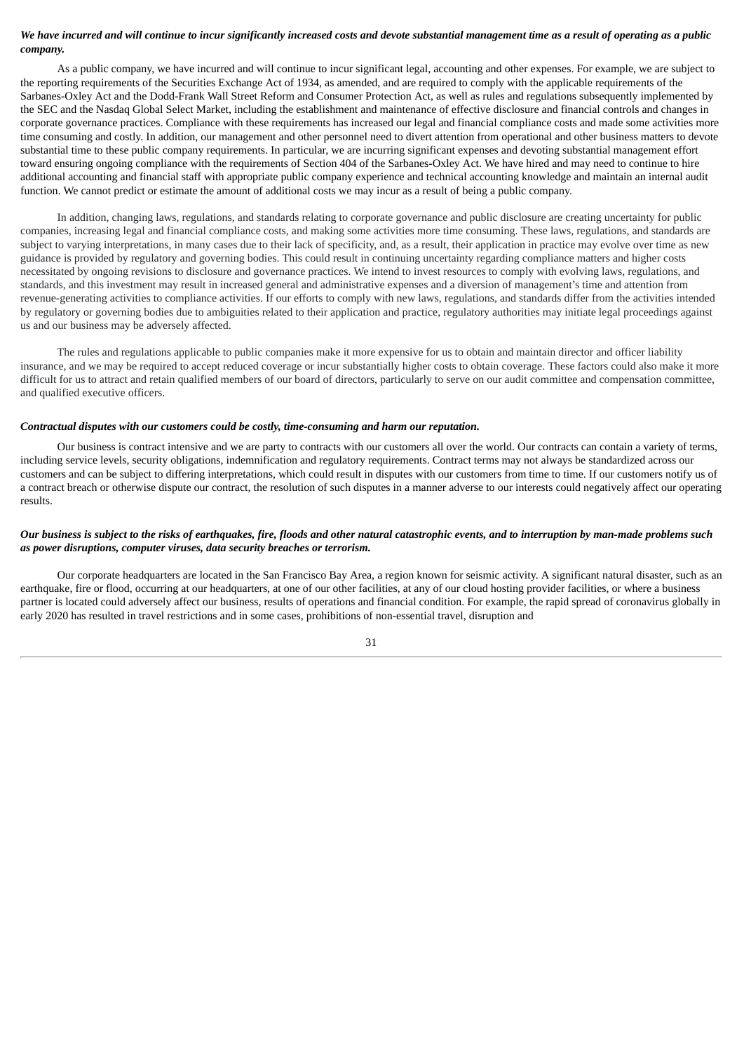## We have incurred and will continue to incur significantly increased costs and devote substantial management time as a result of operating as a public *company.*

As a public company, we have incurred and will continue to incur significant legal, accounting and other expenses. For example, we are subject to the reporting requirements of the Securities Exchange Act of 1934, as amended, and are required to comply with the applicable requirements of the Sarbanes-Oxley Act and the Dodd-Frank Wall Street Reform and Consumer Protection Act, as well as rules and regulations subsequently implemented by the SEC and the Nasdaq Global Select Market, including the establishment and maintenance of effective disclosure and financial controls and changes in corporate governance practices. Compliance with these requirements has increased our legal and financial compliance costs and made some activities more time consuming and costly. In addition, our management and other personnel need to divert attention from operational and other business matters to devote substantial time to these public company requirements. In particular, we are incurring significant expenses and devoting substantial management effort toward ensuring ongoing compliance with the requirements of Section 404 of the Sarbanes-Oxley Act. We have hired and may need to continue to hire additional accounting and financial staff with appropriate public company experience and technical accounting knowledge and maintain an internal audit function. We cannot predict or estimate the amount of additional costs we may incur as a result of being a public company.

In addition, changing laws, regulations, and standards relating to corporate governance and public disclosure are creating uncertainty for public companies, increasing legal and financial compliance costs, and making some activities more time consuming. These laws, regulations, and standards are subject to varying interpretations, in many cases due to their lack of specificity, and, as a result, their application in practice may evolve over time as new guidance is provided by regulatory and governing bodies. This could result in continuing uncertainty regarding compliance matters and higher costs necessitated by ongoing revisions to disclosure and governance practices. We intend to invest resources to comply with evolving laws, regulations, and standards, and this investment may result in increased general and administrative expenses and a diversion of management's time and attention from revenue-generating activities to compliance activities. If our efforts to comply with new laws, regulations, and standards differ from the activities intended by regulatory or governing bodies due to ambiguities related to their application and practice, regulatory authorities may initiate legal proceedings against us and our business may be adversely affected.

The rules and regulations applicable to public companies make it more expensive for us to obtain and maintain director and officer liability insurance, and we may be required to accept reduced coverage or incur substantially higher costs to obtain coverage. These factors could also make it more difficult for us to attract and retain qualified members of our board of directors, particularly to serve on our audit committee and compensation committee, and qualified executive officers.

#### *Contractual disputes with our customers could be costly, time-consuming and harm our reputation.*

Our business is contract intensive and we are party to contracts with our customers all over the world. Our contracts can contain a variety of terms, including service levels, security obligations, indemnification and regulatory requirements. Contract terms may not always be standardized across our customers and can be subject to differing interpretations, which could result in disputes with our customers from time to time. If our customers notify us of a contract breach or otherwise dispute our contract, the resolution of such disputes in a manner adverse to our interests could negatively affect our operating results.

## Our business is subject to the risks of earthquakes, fire, floods and other natural catastrophic events, and to interruption by man-made problems such *as power disruptions, computer viruses, data security breaches or terrorism.*

Our corporate headquarters are located in the San Francisco Bay Area, a region known for seismic activity. A significant natural disaster, such as an earthquake, fire or flood, occurring at our headquarters, at one of our other facilities, at any of our cloud hosting provider facilities, or where a business partner is located could adversely affect our business, results of operations and financial condition. For example, the rapid spread of coronavirus globally in early 2020 has resulted in travel restrictions and in some cases, prohibitions of non-essential travel, disruption and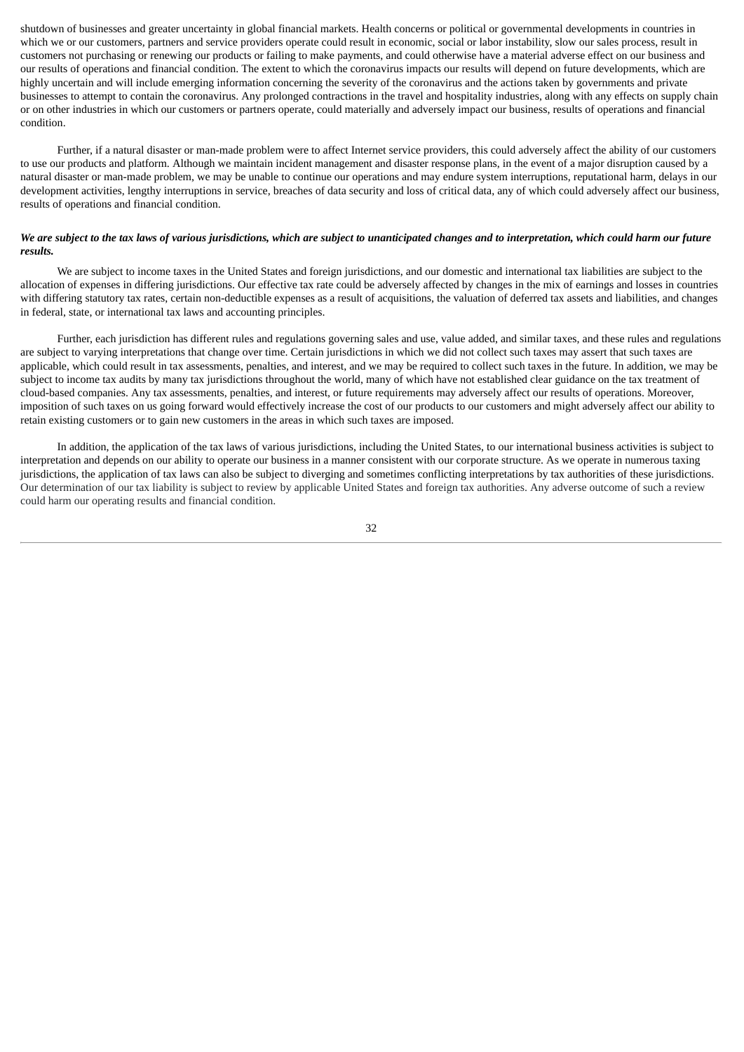shutdown of businesses and greater uncertainty in global financial markets. Health concerns or political or governmental developments in countries in which we or our customers, partners and service providers operate could result in economic, social or labor instability, slow our sales process, result in customers not purchasing or renewing our products or failing to make payments, and could otherwise have a material adverse effect on our business and our results of operations and financial condition. The extent to which the coronavirus impacts our results will depend on future developments, which are highly uncertain and will include emerging information concerning the severity of the coronavirus and the actions taken by governments and private businesses to attempt to contain the coronavirus. Any prolonged contractions in the travel and hospitality industries, along with any effects on supply chain or on other industries in which our customers or partners operate, could materially and adversely impact our business, results of operations and financial condition.

Further, if a natural disaster or man-made problem were to affect Internet service providers, this could adversely affect the ability of our customers to use our products and platform. Although we maintain incident management and disaster response plans, in the event of a major disruption caused by a natural disaster or man-made problem, we may be unable to continue our operations and may endure system interruptions, reputational harm, delays in our development activities, lengthy interruptions in service, breaches of data security and loss of critical data, any of which could adversely affect our business, results of operations and financial condition.

## We are subject to the tax laws of various jurisdictions, which are subject to unanticipated changes and to interpretation, which could harm our future *results.*

We are subject to income taxes in the United States and foreign jurisdictions, and our domestic and international tax liabilities are subject to the allocation of expenses in differing jurisdictions. Our effective tax rate could be adversely affected by changes in the mix of earnings and losses in countries with differing statutory tax rates, certain non-deductible expenses as a result of acquisitions, the valuation of deferred tax assets and liabilities, and changes in federal, state, or international tax laws and accounting principles.

Further, each jurisdiction has different rules and regulations governing sales and use, value added, and similar taxes, and these rules and regulations are subject to varying interpretations that change over time. Certain jurisdictions in which we did not collect such taxes may assert that such taxes are applicable, which could result in tax assessments, penalties, and interest, and we may be required to collect such taxes in the future. In addition, we may be subject to income tax audits by many tax jurisdictions throughout the world, many of which have not established clear guidance on the tax treatment of cloud-based companies. Any tax assessments, penalties, and interest, or future requirements may adversely affect our results of operations. Moreover, imposition of such taxes on us going forward would effectively increase the cost of our products to our customers and might adversely affect our ability to retain existing customers or to gain new customers in the areas in which such taxes are imposed.

In addition, the application of the tax laws of various jurisdictions, including the United States, to our international business activities is subject to interpretation and depends on our ability to operate our business in a manner consistent with our corporate structure. As we operate in numerous taxing jurisdictions, the application of tax laws can also be subject to diverging and sometimes conflicting interpretations by tax authorities of these jurisdictions. Our determination of our tax liability is subject to review by applicable United States and foreign tax authorities. Any adverse outcome of such a review could harm our operating results and financial condition.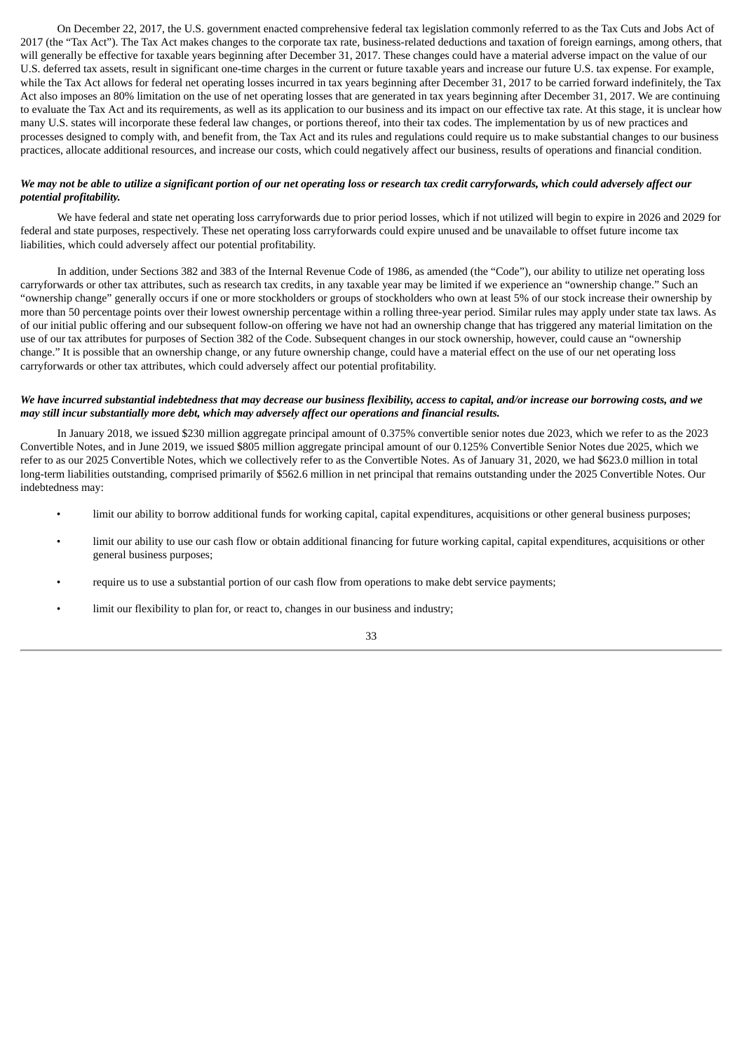On December 22, 2017, the U.S. government enacted comprehensive federal tax legislation commonly referred to as the Tax Cuts and Jobs Act of 2017 (the "Tax Act"). The Tax Act makes changes to the corporate tax rate, business-related deductions and taxation of foreign earnings, among others, that will generally be effective for taxable years beginning after December 31, 2017. These changes could have a material adverse impact on the value of our U.S. deferred tax assets, result in significant one-time charges in the current or future taxable years and increase our future U.S. tax expense. For example, while the Tax Act allows for federal net operating losses incurred in tax years beginning after December 31, 2017 to be carried forward indefinitely, the Tax Act also imposes an 80% limitation on the use of net operating losses that are generated in tax years beginning after December 31, 2017. We are continuing to evaluate the Tax Act and its requirements, as well as its application to our business and its impact on our effective tax rate. At this stage, it is unclear how many U.S. states will incorporate these federal law changes, or portions thereof, into their tax codes. The implementation by us of new practices and processes designed to comply with, and benefit from, the Tax Act and its rules and regulations could require us to make substantial changes to our business practices, allocate additional resources, and increase our costs, which could negatively affect our business, results of operations and financial condition.

## We may not be able to utilize a significant portion of our net operating loss or research tax credit carryforwards, which could adversely affect our *potential profitability.*

We have federal and state net operating loss carryforwards due to prior period losses, which if not utilized will begin to expire in 2026 and 2029 for federal and state purposes, respectively. These net operating loss carryforwards could expire unused and be unavailable to offset future income tax liabilities, which could adversely affect our potential profitability.

In addition, under Sections 382 and 383 of the Internal Revenue Code of 1986, as amended (the "Code"), our ability to utilize net operating loss carryforwards or other tax attributes, such as research tax credits, in any taxable year may be limited if we experience an "ownership change." Such an "ownership change" generally occurs if one or more stockholders or groups of stockholders who own at least 5% of our stock increase their ownership by more than 50 percentage points over their lowest ownership percentage within a rolling three-year period. Similar rules may apply under state tax laws. As of our initial public offering and our subsequent follow-on offering we have not had an ownership change that has triggered any material limitation on the use of our tax attributes for purposes of Section 382 of the Code. Subsequent changes in our stock ownership, however, could cause an "ownership change." It is possible that an ownership change, or any future ownership change, could have a material effect on the use of our net operating loss carryforwards or other tax attributes, which could adversely affect our potential profitability.

## We have incurred substantial indebtedness that may decrease our business flexibility, access to capital, and/or increase our borrowing costs, and we *may still incur substantially more debt, which may adversely affect our operations and financial results.*

In January 2018, we issued \$230 million aggregate principal amount of 0.375% convertible senior notes due 2023, which we refer to as the 2023 Convertible Notes, and in June 2019, we issued \$805 million aggregate principal amount of our 0.125% Convertible Senior Notes due 2025, which we refer to as our 2025 Convertible Notes, which we collectively refer to as the Convertible Notes. As of January 31, 2020, we had \$623.0 million in total long-term liabilities outstanding, comprised primarily of \$562.6 million in net principal that remains outstanding under the 2025 Convertible Notes. Our indebtedness may:

- limit our ability to borrow additional funds for working capital, capital expenditures, acquisitions or other general business purposes;
- limit our ability to use our cash flow or obtain additional financing for future working capital, capital expenditures, acquisitions or other general business purposes;
- require us to use a substantial portion of our cash flow from operations to make debt service payments;
- limit our flexibility to plan for, or react to, changes in our business and industry;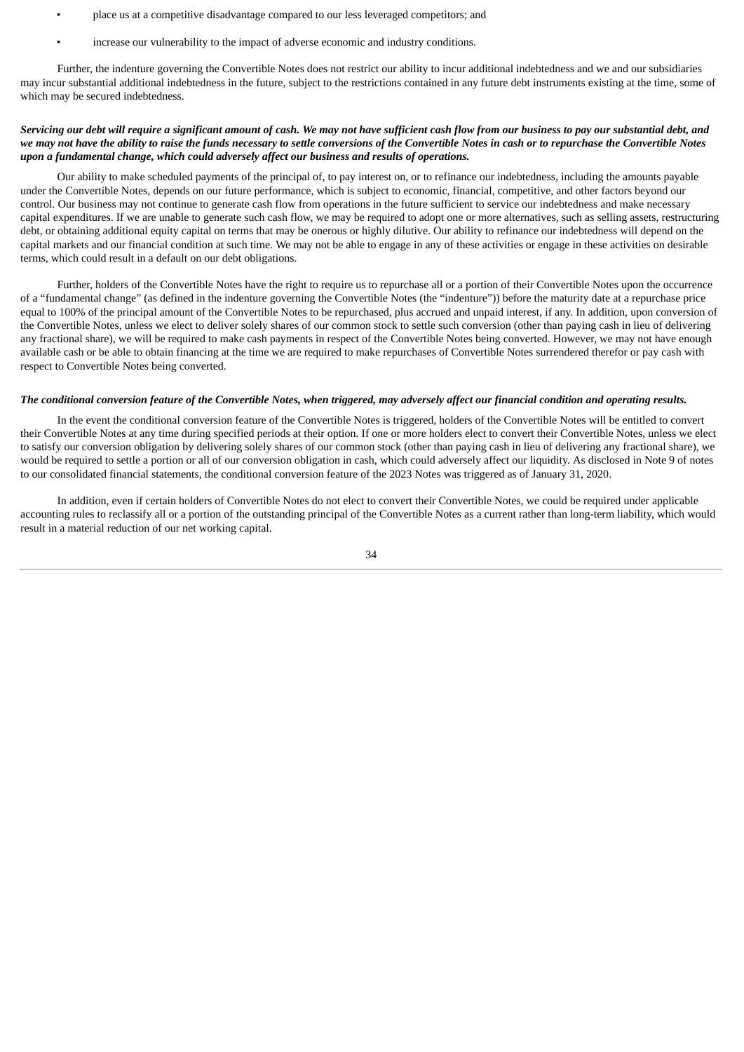- place us at a competitive disadvantage compared to our less leveraged competitors; and
- increase our vulnerability to the impact of adverse economic and industry conditions.

Further, the indenture governing the Convertible Notes does not restrict our ability to incur additional indebtedness and we and our subsidiaries may incur substantial additional indebtedness in the future, subject to the restrictions contained in any future debt instruments existing at the time, some of which may be secured indebtedness.

# Servicing our debt will require a significant amount of cash. We may not have sufficient cash flow from our business to pay our substantial debt, and we may not have the ability to raise the funds necessary to settle conversions of the Convertible Notes in cash or to repurchase the Convertible Notes *upon a fundamental change, which could adversely affect our business and results of operations.*

Our ability to make scheduled payments of the principal of, to pay interest on, or to refinance our indebtedness, including the amounts payable under the Convertible Notes, depends on our future performance, which is subject to economic, financial, competitive, and other factors beyond our control. Our business may not continue to generate cash flow from operations in the future sufficient to service our indebtedness and make necessary capital expenditures. If we are unable to generate such cash flow, we may be required to adopt one or more alternatives, such as selling assets, restructuring debt, or obtaining additional equity capital on terms that may be onerous or highly dilutive. Our ability to refinance our indebtedness will depend on the capital markets and our financial condition at such time. We may not be able to engage in any of these activities or engage in these activities on desirable terms, which could result in a default on our debt obligations.

Further, holders of the Convertible Notes have the right to require us to repurchase all or a portion of their Convertible Notes upon the occurrence of a "fundamental change" (as defined in the indenture governing the Convertible Notes (the "indenture")) before the maturity date at a repurchase price equal to 100% of the principal amount of the Convertible Notes to be repurchased, plus accrued and unpaid interest, if any. In addition, upon conversion of the Convertible Notes, unless we elect to deliver solely shares of our common stock to settle such conversion (other than paying cash in lieu of delivering any fractional share), we will be required to make cash payments in respect of the Convertible Notes being converted. However, we may not have enough available cash or be able to obtain financing at the time we are required to make repurchases of Convertible Notes surrendered therefor or pay cash with respect to Convertible Notes being converted.

# The conditional conversion feature of the Convertible Notes, when triggered, may adversely affect our financial condition and operating results.

In the event the conditional conversion feature of the Convertible Notes is triggered, holders of the Convertible Notes will be entitled to convert their Convertible Notes at any time during specified periods at their option. If one or more holders elect to convert their Convertible Notes, unless we elect to satisfy our conversion obligation by delivering solely shares of our common stock (other than paying cash in lieu of delivering any fractional share), we would be required to settle a portion or all of our conversion obligation in cash, which could adversely affect our liquidity. As disclosed in Note 9 of notes to our consolidated financial statements, the conditional conversion feature of the 2023 Notes was triggered as of January 31, 2020.

In addition, even if certain holders of Convertible Notes do not elect to convert their Convertible Notes, we could be required under applicable accounting rules to reclassify all or a portion of the outstanding principal of the Convertible Notes as a current rather than long-term liability, which would result in a material reduction of our net working capital.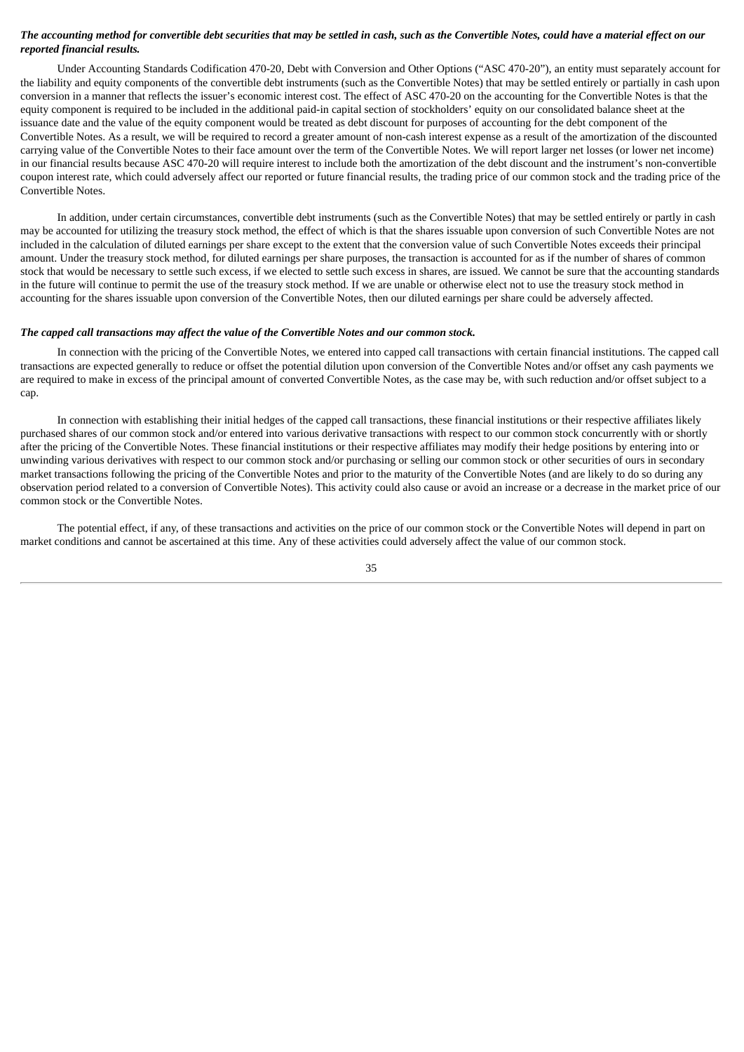# The accounting method for convertible debt securities that may be settled in cash, such as the Convertible Notes, could have a material effect on our *reported financial results.*

Under Accounting Standards Codification 470-20, Debt with Conversion and Other Options ("ASC 470-20"), an entity must separately account for the liability and equity components of the convertible debt instruments (such as the Convertible Notes) that may be settled entirely or partially in cash upon conversion in a manner that reflects the issuer's economic interest cost. The effect of ASC 470-20 on the accounting for the Convertible Notes is that the equity component is required to be included in the additional paid-in capital section of stockholders' equity on our consolidated balance sheet at the issuance date and the value of the equity component would be treated as debt discount for purposes of accounting for the debt component of the Convertible Notes. As a result, we will be required to record a greater amount of non-cash interest expense as a result of the amortization of the discounted carrying value of the Convertible Notes to their face amount over the term of the Convertible Notes. We will report larger net losses (or lower net income) in our financial results because ASC 470-20 will require interest to include both the amortization of the debt discount and the instrument's non-convertible coupon interest rate, which could adversely affect our reported or future financial results, the trading price of our common stock and the trading price of the Convertible Notes.

In addition, under certain circumstances, convertible debt instruments (such as the Convertible Notes) that may be settled entirely or partly in cash may be accounted for utilizing the treasury stock method, the effect of which is that the shares issuable upon conversion of such Convertible Notes are not included in the calculation of diluted earnings per share except to the extent that the conversion value of such Convertible Notes exceeds their principal amount. Under the treasury stock method, for diluted earnings per share purposes, the transaction is accounted for as if the number of shares of common stock that would be necessary to settle such excess, if we elected to settle such excess in shares, are issued. We cannot be sure that the accounting standards in the future will continue to permit the use of the treasury stock method. If we are unable or otherwise elect not to use the treasury stock method in accounting for the shares issuable upon conversion of the Convertible Notes, then our diluted earnings per share could be adversely affected.

#### *The capped call transactions may affect the value of the Convertible Notes and our common stock.*

In connection with the pricing of the Convertible Notes, we entered into capped call transactions with certain financial institutions. The capped call transactions are expected generally to reduce or offset the potential dilution upon conversion of the Convertible Notes and/or offset any cash payments we are required to make in excess of the principal amount of converted Convertible Notes, as the case may be, with such reduction and/or offset subject to a cap.

In connection with establishing their initial hedges of the capped call transactions, these financial institutions or their respective affiliates likely purchased shares of our common stock and/or entered into various derivative transactions with respect to our common stock concurrently with or shortly after the pricing of the Convertible Notes. These financial institutions or their respective affiliates may modify their hedge positions by entering into or unwinding various derivatives with respect to our common stock and/or purchasing or selling our common stock or other securities of ours in secondary market transactions following the pricing of the Convertible Notes and prior to the maturity of the Convertible Notes (and are likely to do so during any observation period related to a conversion of Convertible Notes). This activity could also cause or avoid an increase or a decrease in the market price of our common stock or the Convertible Notes.

The potential effect, if any, of these transactions and activities on the price of our common stock or the Convertible Notes will depend in part on market conditions and cannot be ascertained at this time. Any of these activities could adversely affect the value of our common stock.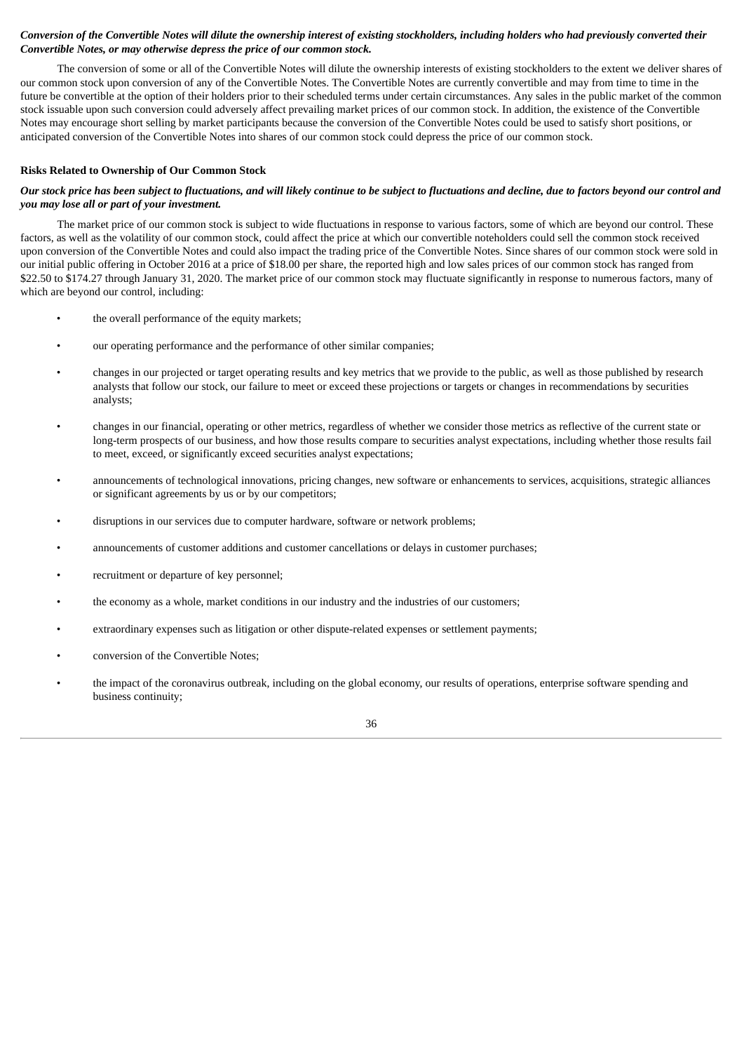# Conversion of the Convertible Notes will dilute the ownership interest of existing stockholders, including holders who had previously converted their *Convertible Notes, or may otherwise depress the price of our common stock.*

The conversion of some or all of the Convertible Notes will dilute the ownership interests of existing stockholders to the extent we deliver shares of our common stock upon conversion of any of the Convertible Notes. The Convertible Notes are currently convertible and may from time to time in the future be convertible at the option of their holders prior to their scheduled terms under certain circumstances. Any sales in the public market of the common stock issuable upon such conversion could adversely affect prevailing market prices of our common stock. In addition, the existence of the Convertible Notes may encourage short selling by market participants because the conversion of the Convertible Notes could be used to satisfy short positions, or anticipated conversion of the Convertible Notes into shares of our common stock could depress the price of our common stock.

# **Risks Related to Ownership of Our Common Stock**

# Our stock price has been subject to fluctuations, and will likely continue to be subject to fluctuations and decline, due to factors beyond our control and *you may lose all or part of your investment.*

The market price of our common stock is subject to wide fluctuations in response to various factors, some of which are beyond our control. These factors, as well as the volatility of our common stock, could affect the price at which our convertible noteholders could sell the common stock received upon conversion of the Convertible Notes and could also impact the trading price of the Convertible Notes. Since shares of our common stock were sold in our initial public offering in October 2016 at a price of \$18.00 per share, the reported high and low sales prices of our common stock has ranged from \$22.50 to \$174.27 through January 31, 2020. The market price of our common stock may fluctuate significantly in response to numerous factors, many of which are beyond our control, including:

- the overall performance of the equity markets;
- our operating performance and the performance of other similar companies;
- changes in our projected or target operating results and key metrics that we provide to the public, as well as those published by research analysts that follow our stock, our failure to meet or exceed these projections or targets or changes in recommendations by securities analysts;
- changes in our financial, operating or other metrics, regardless of whether we consider those metrics as reflective of the current state or long-term prospects of our business, and how those results compare to securities analyst expectations, including whether those results fail to meet, exceed, or significantly exceed securities analyst expectations;
- announcements of technological innovations, pricing changes, new software or enhancements to services, acquisitions, strategic alliances or significant agreements by us or by our competitors;
- disruptions in our services due to computer hardware, software or network problems;
- announcements of customer additions and customer cancellations or delays in customer purchases;
- recruitment or departure of key personnel;
- the economy as a whole, market conditions in our industry and the industries of our customers;
- extraordinary expenses such as litigation or other dispute-related expenses or settlement payments;
- conversion of the Convertible Notes;
- the impact of the coronavirus outbreak, including on the global economy, our results of operations, enterprise software spending and business continuity;

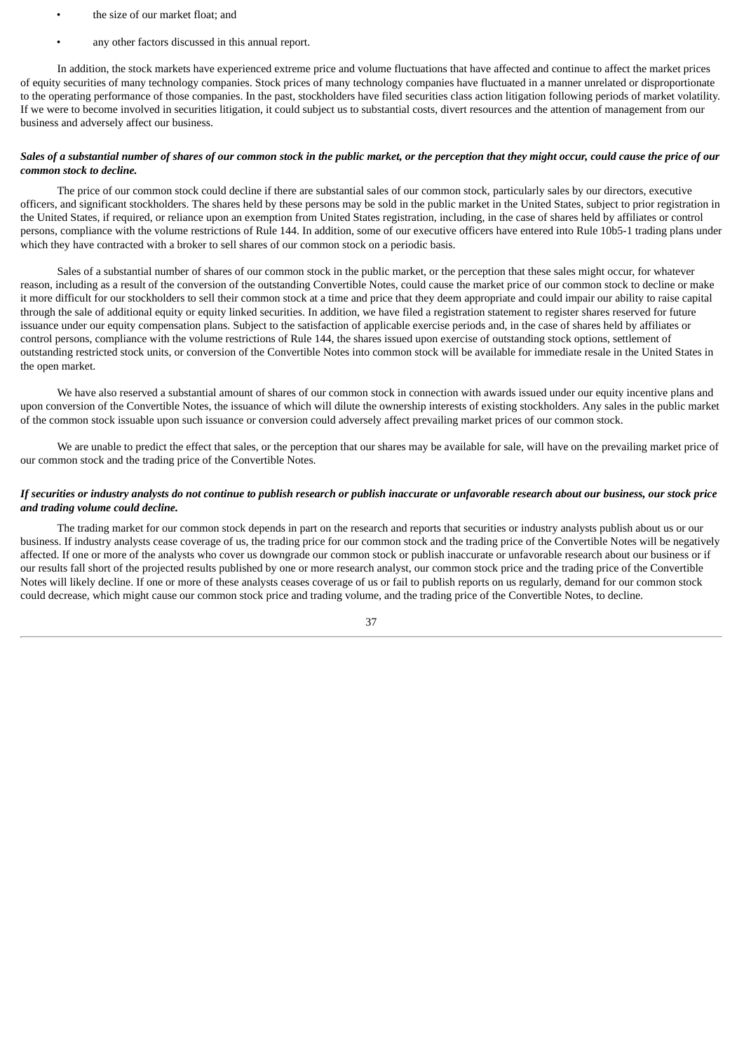- the size of our market float; and
- any other factors discussed in this annual report.

In addition, the stock markets have experienced extreme price and volume fluctuations that have affected and continue to affect the market prices of equity securities of many technology companies. Stock prices of many technology companies have fluctuated in a manner unrelated or disproportionate to the operating performance of those companies. In the past, stockholders have filed securities class action litigation following periods of market volatility. If we were to become involved in securities litigation, it could subject us to substantial costs, divert resources and the attention of management from our business and adversely affect our business.

# Sales of a substantial number of shares of our common stock in the public market, or the perception that they might occur, could cause the price of our *common stock to decline.*

The price of our common stock could decline if there are substantial sales of our common stock, particularly sales by our directors, executive officers, and significant stockholders. The shares held by these persons may be sold in the public market in the United States, subject to prior registration in the United States, if required, or reliance upon an exemption from United States registration, including, in the case of shares held by affiliates or control persons, compliance with the volume restrictions of Rule 144. In addition, some of our executive officers have entered into Rule 10b5-1 trading plans under which they have contracted with a broker to sell shares of our common stock on a periodic basis.

Sales of a substantial number of shares of our common stock in the public market, or the perception that these sales might occur, for whatever reason, including as a result of the conversion of the outstanding Convertible Notes, could cause the market price of our common stock to decline or make it more difficult for our stockholders to sell their common stock at a time and price that they deem appropriate and could impair our ability to raise capital through the sale of additional equity or equity linked securities. In addition, we have filed a registration statement to register shares reserved for future issuance under our equity compensation plans. Subject to the satisfaction of applicable exercise periods and, in the case of shares held by affiliates or control persons, compliance with the volume restrictions of Rule 144, the shares issued upon exercise of outstanding stock options, settlement of outstanding restricted stock units, or conversion of the Convertible Notes into common stock will be available for immediate resale in the United States in the open market.

We have also reserved a substantial amount of shares of our common stock in connection with awards issued under our equity incentive plans and upon conversion of the Convertible Notes, the issuance of which will dilute the ownership interests of existing stockholders. Any sales in the public market of the common stock issuable upon such issuance or conversion could adversely affect prevailing market prices of our common stock.

We are unable to predict the effect that sales, or the perception that our shares may be available for sale, will have on the prevailing market price of our common stock and the trading price of the Convertible Notes.

# If securities or industry analysts do not continue to publish research or publish inaccurate or unfavorable research about our business, our stock price *and trading volume could decline.*

The trading market for our common stock depends in part on the research and reports that securities or industry analysts publish about us or our business. If industry analysts cease coverage of us, the trading price for our common stock and the trading price of the Convertible Notes will be negatively affected. If one or more of the analysts who cover us downgrade our common stock or publish inaccurate or unfavorable research about our business or if our results fall short of the projected results published by one or more research analyst, our common stock price and the trading price of the Convertible Notes will likely decline. If one or more of these analysts ceases coverage of us or fail to publish reports on us regularly, demand for our common stock could decrease, which might cause our common stock price and trading volume, and the trading price of the Convertible Notes, to decline.

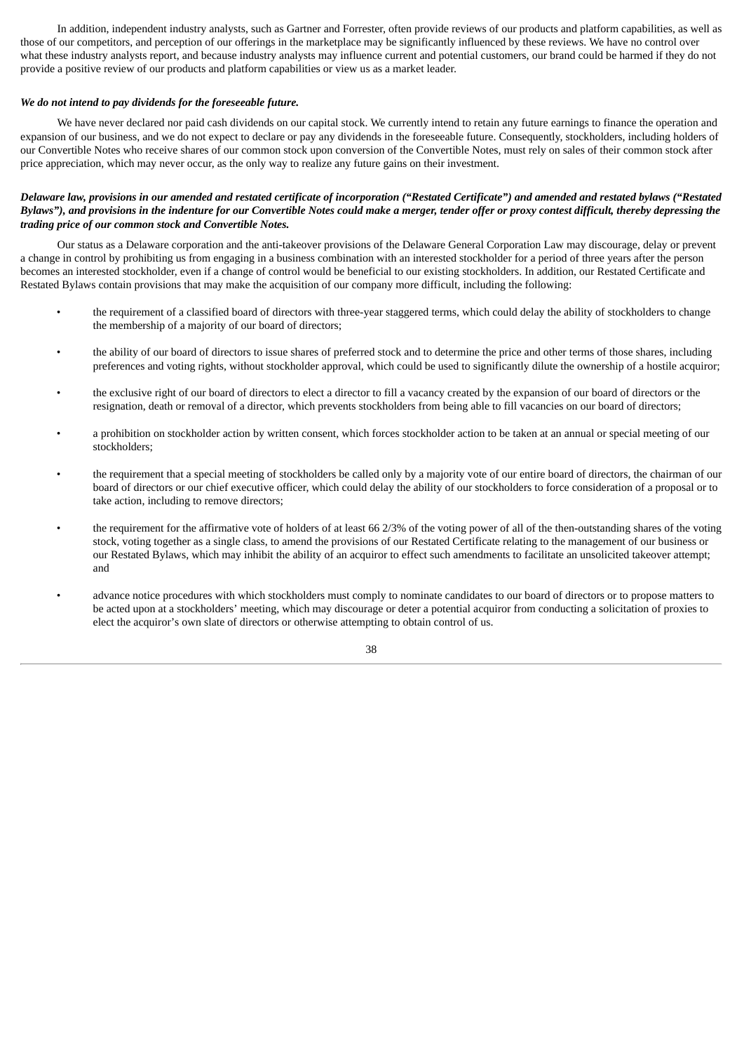In addition, independent industry analysts, such as Gartner and Forrester, often provide reviews of our products and platform capabilities, as well as those of our competitors, and perception of our offerings in the marketplace may be significantly influenced by these reviews. We have no control over what these industry analysts report, and because industry analysts may influence current and potential customers, our brand could be harmed if they do not provide a positive review of our products and platform capabilities or view us as a market leader.

### *We do not intend to pay dividends for the foreseeable future.*

We have never declared nor paid cash dividends on our capital stock. We currently intend to retain any future earnings to finance the operation and expansion of our business, and we do not expect to declare or pay any dividends in the foreseeable future. Consequently, stockholders, including holders of our Convertible Notes who receive shares of our common stock upon conversion of the Convertible Notes, must rely on sales of their common stock after price appreciation, which may never occur, as the only way to realize any future gains on their investment.

# Delaware law, provisions in our amended and restated certificate of incorporation ("Restated Certificate") and amended and restated bylaws ("Restated Bylaws"), and provisions in the indenture for our Convertible Notes could make a merger, tender offer or proxy contest difficult, thereby depressing the *trading price of our common stock and Convertible Notes.*

Our status as a Delaware corporation and the anti-takeover provisions of the Delaware General Corporation Law may discourage, delay or prevent a change in control by prohibiting us from engaging in a business combination with an interested stockholder for a period of three years after the person becomes an interested stockholder, even if a change of control would be beneficial to our existing stockholders. In addition, our Restated Certificate and Restated Bylaws contain provisions that may make the acquisition of our company more difficult, including the following:

- the requirement of a classified board of directors with three-year staggered terms, which could delay the ability of stockholders to change the membership of a majority of our board of directors;
- the ability of our board of directors to issue shares of preferred stock and to determine the price and other terms of those shares, including preferences and voting rights, without stockholder approval, which could be used to significantly dilute the ownership of a hostile acquiror;
- the exclusive right of our board of directors to elect a director to fill a vacancy created by the expansion of our board of directors or the resignation, death or removal of a director, which prevents stockholders from being able to fill vacancies on our board of directors;
- a prohibition on stockholder action by written consent, which forces stockholder action to be taken at an annual or special meeting of our stockholders;
- the requirement that a special meeting of stockholders be called only by a majority vote of our entire board of directors, the chairman of our board of directors or our chief executive officer, which could delay the ability of our stockholders to force consideration of a proposal or to take action, including to remove directors;
- the requirement for the affirmative vote of holders of at least 66 2/3% of the voting power of all of the then-outstanding shares of the voting stock, voting together as a single class, to amend the provisions of our Restated Certificate relating to the management of our business or our Restated Bylaws, which may inhibit the ability of an acquiror to effect such amendments to facilitate an unsolicited takeover attempt; and
- advance notice procedures with which stockholders must comply to nominate candidates to our board of directors or to propose matters to be acted upon at a stockholders' meeting, which may discourage or deter a potential acquiror from conducting a solicitation of proxies to elect the acquiror's own slate of directors or otherwise attempting to obtain control of us.

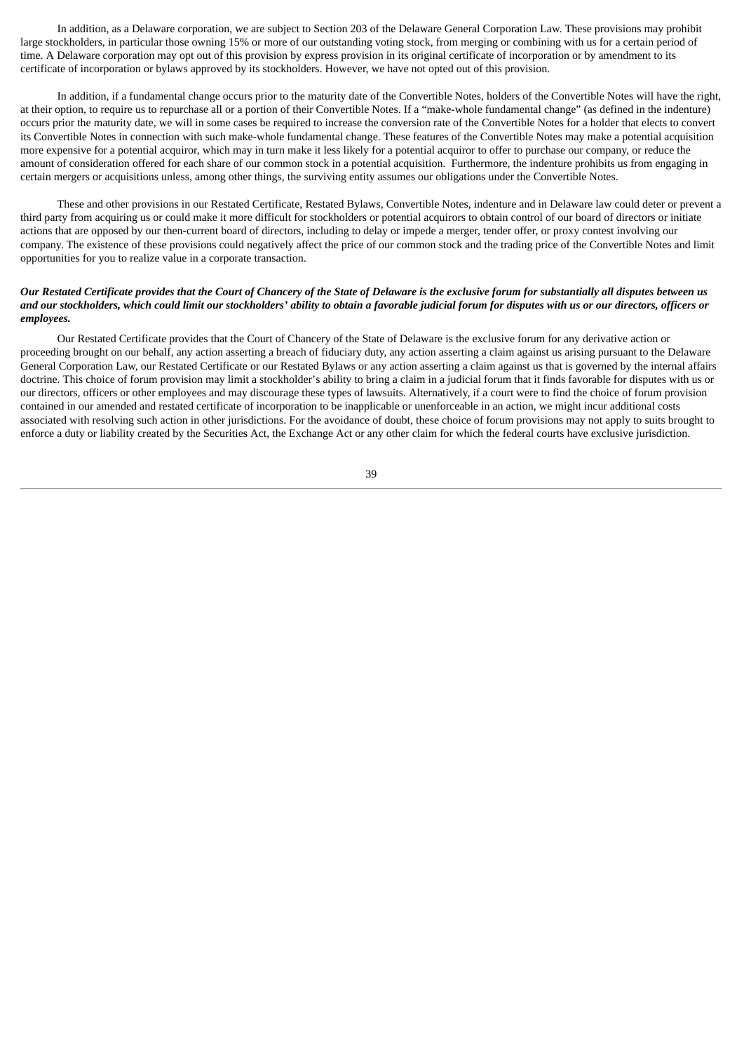In addition, as a Delaware corporation, we are subject to Section 203 of the Delaware General Corporation Law. These provisions may prohibit large stockholders, in particular those owning 15% or more of our outstanding voting stock, from merging or combining with us for a certain period of time. A Delaware corporation may opt out of this provision by express provision in its original certificate of incorporation or by amendment to its certificate of incorporation or bylaws approved by its stockholders. However, we have not opted out of this provision.

In addition, if a fundamental change occurs prior to the maturity date of the Convertible Notes, holders of the Convertible Notes will have the right, at their option, to require us to repurchase all or a portion of their Convertible Notes. If a "make-whole fundamental change" (as defined in the indenture) occurs prior the maturity date, we will in some cases be required to increase the conversion rate of the Convertible Notes for a holder that elects to convert its Convertible Notes in connection with such make-whole fundamental change. These features of the Convertible Notes may make a potential acquisition more expensive for a potential acquiror, which may in turn make it less likely for a potential acquiror to offer to purchase our company, or reduce the amount of consideration offered for each share of our common stock in a potential acquisition. Furthermore, the indenture prohibits us from engaging in certain mergers or acquisitions unless, among other things, the surviving entity assumes our obligations under the Convertible Notes.

These and other provisions in our Restated Certificate, Restated Bylaws, Convertible Notes, indenture and in Delaware law could deter or prevent a third party from acquiring us or could make it more difficult for stockholders or potential acquirors to obtain control of our board of directors or initiate actions that are opposed by our then-current board of directors, including to delay or impede a merger, tender offer, or proxy contest involving our company. The existence of these provisions could negatively affect the price of our common stock and the trading price of the Convertible Notes and limit opportunities for you to realize value in a corporate transaction.

# Our Restated Certificate provides that the Court of Chancery of the State of Delaware is the exclusive forum for substantially all disputes between us and our stockholders, which could limit our stockholders' ability to obtain a favorable judicial forum for disputes with us or our directors, officers or *employees.*

Our Restated Certificate provides that the Court of Chancery of the State of Delaware is the exclusive forum for any derivative action or proceeding brought on our behalf, any action asserting a breach of fiduciary duty, any action asserting a claim against us arising pursuant to the Delaware General Corporation Law, our Restated Certificate or our Restated Bylaws or any action asserting a claim against us that is governed by the internal affairs doctrine. This choice of forum provision may limit a stockholder's ability to bring a claim in a judicial forum that it finds favorable for disputes with us or our directors, officers or other employees and may discourage these types of lawsuits. Alternatively, if a court were to find the choice of forum provision contained in our amended and restated certificate of incorporation to be inapplicable or unenforceable in an action, we might incur additional costs associated with resolving such action in other jurisdictions. For the avoidance of doubt, these choice of forum provisions may not apply to suits brought to enforce a duty or liability created by the Securities Act, the Exchange Act or any other claim for which the federal courts have exclusive jurisdiction.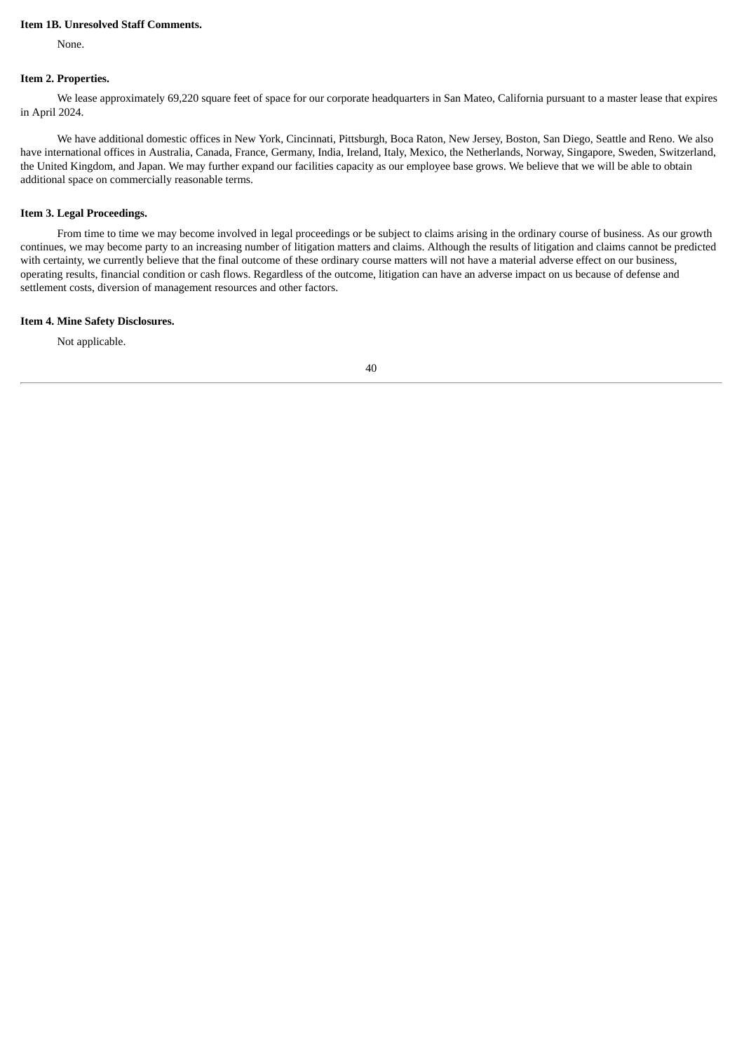# **Item 1B. Unresolved Staff Comments.**

None.

#### **Item 2. Properties.**

We lease approximately 69,220 square feet of space for our corporate headquarters in San Mateo, California pursuant to a master lease that expires in April 2024.

We have additional domestic offices in New York, Cincinnati, Pittsburgh, Boca Raton, New Jersey, Boston, San Diego, Seattle and Reno. We also have international offices in Australia, Canada, France, Germany, India, Ireland, Italy, Mexico, the Netherlands, Norway, Singapore, Sweden, Switzerland, the United Kingdom, and Japan. We may further expand our facilities capacity as our employee base grows. We believe that we will be able to obtain additional space on commercially reasonable terms.

# **Item 3. Legal Proceedings.**

From time to time we may become involved in legal proceedings or be subject to claims arising in the ordinary course of business. As our growth continues, we may become party to an increasing number of litigation matters and claims. Although the results of litigation and claims cannot be predicted with certainty, we currently believe that the final outcome of these ordinary course matters will not have a material adverse effect on our business, operating results, financial condition or cash flows. Regardless of the outcome, litigation can have an adverse impact on us because of defense and settlement costs, diversion of management resources and other factors.

# **Item 4. Mine Safety Disclosures.**

Not applicable.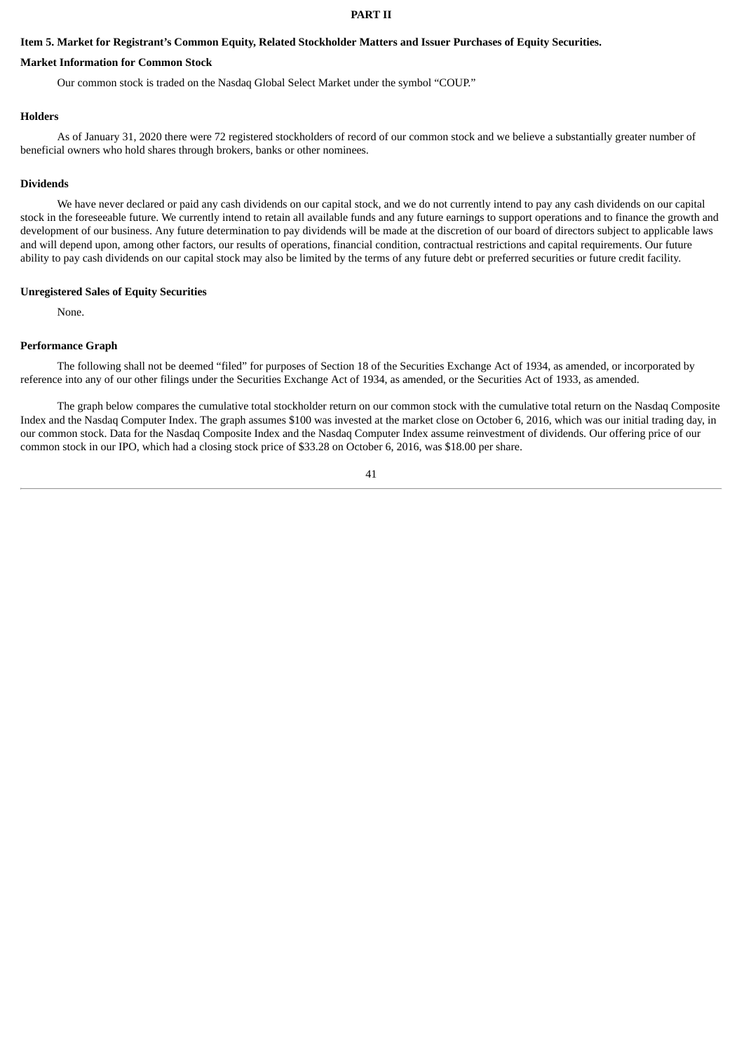### **PART II**

# Item 5. Market for Registrant's Common Equity, Related Stockholder Matters and Issuer Purchases of Equity Securities.

### **Market Information for Common Stock**

Our common stock is traded on the Nasdaq Global Select Market under the symbol "COUP."

### **Holders**

As of January 31, 2020 there were 72 registered stockholders of record of our common stock and we believe a substantially greater number of beneficial owners who hold shares through brokers, banks or other nominees.

## **Dividends**

We have never declared or paid any cash dividends on our capital stock, and we do not currently intend to pay any cash dividends on our capital stock in the foreseeable future. We currently intend to retain all available funds and any future earnings to support operations and to finance the growth and development of our business. Any future determination to pay dividends will be made at the discretion of our board of directors subject to applicable laws and will depend upon, among other factors, our results of operations, financial condition, contractual restrictions and capital requirements. Our future ability to pay cash dividends on our capital stock may also be limited by the terms of any future debt or preferred securities or future credit facility.

#### **Unregistered Sales of Equity Securities**

None.

#### **Performance Graph**

The following shall not be deemed "filed" for purposes of Section 18 of the Securities Exchange Act of 1934, as amended, or incorporated by reference into any of our other filings under the Securities Exchange Act of 1934, as amended, or the Securities Act of 1933, as amended.

The graph below compares the cumulative total stockholder return on our common stock with the cumulative total return on the Nasdaq Composite Index and the Nasdaq Computer Index. The graph assumes \$100 was invested at the market close on October 6, 2016, which was our initial trading day, in our common stock. Data for the Nasdaq Composite Index and the Nasdaq Computer Index assume reinvestment of dividends. Our offering price of our common stock in our IPO, which had a closing stock price of \$33.28 on October 6, 2016, was \$18.00 per share.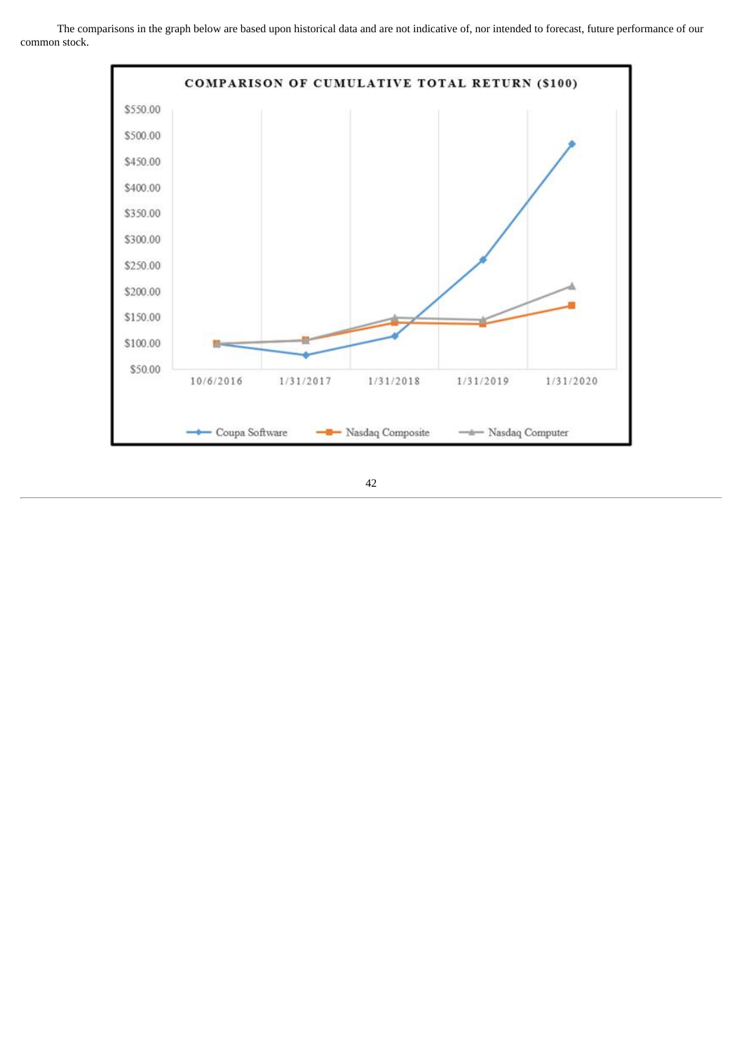The comparisons in the graph below are based upon historical data and are not indicative of, nor intended to forecast, future performance of our common stock.

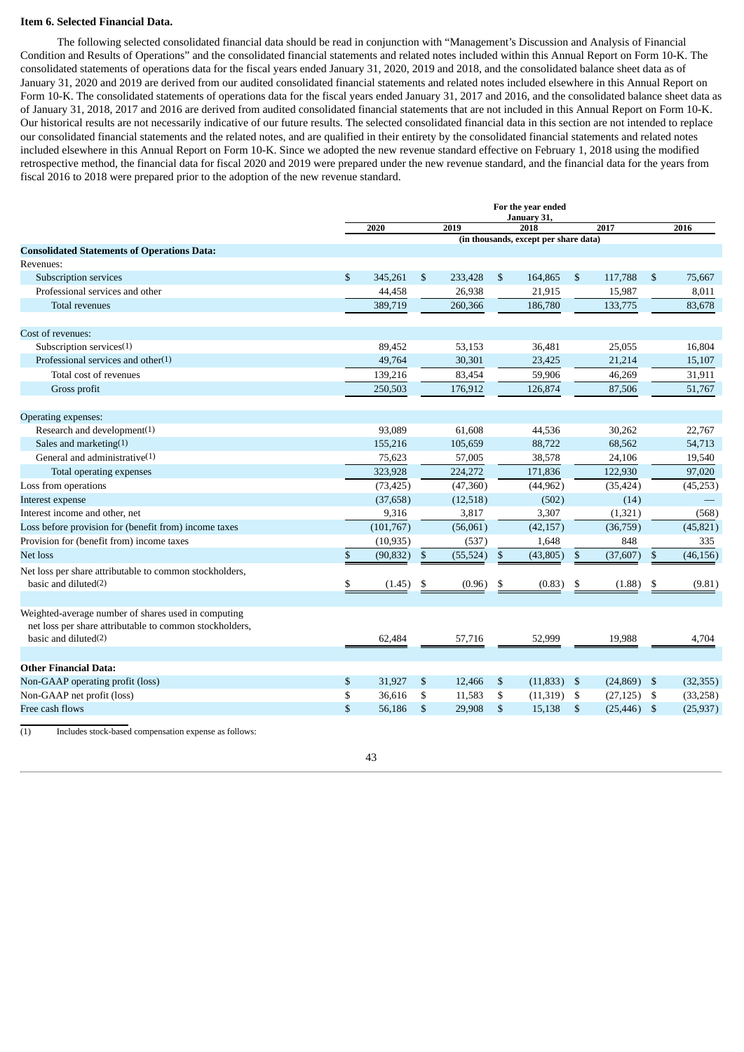### **Item 6. Selected Financial Data.**

The following selected consolidated financial data should be read in conjunction with "Management's Discussion and Analysis of Financial Condition and Results of Operations" and the consolidated financial statements and related notes included within this Annual Report on Form 10-K. The consolidated statements of operations data for the fiscal years ended January 31, 2020, 2019 and 2018, and the consolidated balance sheet data as of January 31, 2020 and 2019 are derived from our audited consolidated financial statements and related notes included elsewhere in this Annual Report on Form 10-K. The consolidated statements of operations data for the fiscal years ended January 31, 2017 and 2016, and the consolidated balance sheet data as of January 31, 2018, 2017 and 2016 are derived from audited consolidated financial statements that are not included in this Annual Report on Form 10-K. Our historical results are not necessarily indicative of our future results. The selected consolidated financial data in this section are not intended to replace our consolidated financial statements and the related notes, and are qualified in their entirety by the consolidated financial statements and related notes included elsewhere in this Annual Report on Form 10-K. Since we adopted the new revenue standard effective on February 1, 2018 using the modified retrospective method, the financial data for fiscal 2020 and 2019 were prepared under the new revenue standard, and the financial data for the years from fiscal 2016 to 2018 were prepared prior to the adoption of the new revenue standard.

|                                                                                    |               | For the year ended<br>January 31, |              |                   |              |                                       |                        |                   |                |                 |
|------------------------------------------------------------------------------------|---------------|-----------------------------------|--------------|-------------------|--------------|---------------------------------------|------------------------|-------------------|----------------|-----------------|
|                                                                                    |               | 2020                              |              | 2019              |              | 2018                                  |                        | 2017              |                | 2016            |
|                                                                                    |               |                                   |              |                   |              | (in thousands, except per share data) |                        |                   |                |                 |
| <b>Consolidated Statements of Operations Data:</b><br>Revenues:                    |               |                                   |              |                   |              |                                       |                        |                   |                |                 |
|                                                                                    |               |                                   |              |                   |              |                                       |                        |                   |                |                 |
| Subscription services<br>Professional services and other                           | \$            | 345,261<br>44,458                 | \$           | 233,428<br>26,938 | \$           | 164,865<br>21,915                     | $\mathfrak{F}$         | 117,788<br>15,987 | \$             | 75,667<br>8,011 |
|                                                                                    |               | 389,719                           |              | 260,366           |              | 186,780                               |                        |                   |                | 83,678          |
| Total revenues                                                                     |               |                                   |              |                   |              |                                       |                        | 133,775           |                |                 |
| Cost of revenues:                                                                  |               |                                   |              |                   |              |                                       |                        |                   |                |                 |
| Subscription services $(1)$                                                        |               | 89,452                            |              | 53,153            |              | 36,481                                |                        | 25,055            |                | 16,804          |
| Professional services and other $(1)$                                              |               | 49,764                            |              | 30,301            |              | 23,425                                |                        | 21,214            |                | 15,107          |
| Total cost of revenues                                                             |               | 139,216                           |              | 83,454            |              | 59,906                                |                        | 46,269            |                | 31,911          |
| Gross profit                                                                       |               | 250,503                           |              | 176,912           |              | 126,874                               |                        | 87,506            |                | 51,767          |
| Operating expenses:                                                                |               |                                   |              |                   |              |                                       |                        |                   |                |                 |
| Research and development(1)                                                        |               | 93,089                            |              | 61,608            |              | 44,536                                |                        | 30,262            |                | 22,767          |
| Sales and marketing $(1)$                                                          |               | 155,216                           |              | 105,659           |              | 88,722                                |                        | 68,562            |                | 54,713          |
| General and administrative $(1)$                                                   |               | 75,623                            |              | 57,005            |              | 38,578                                |                        | 24,106            |                | 19,540          |
| Total operating expenses                                                           |               | 323,928                           |              | 224,272           |              | 171,836                               |                        | 122,930           |                | 97,020          |
| Loss from operations                                                               |               | (73, 425)                         |              | (47,360)          |              | (44, 962)                             |                        | (35, 424)         |                | (45,253)        |
| Interest expense                                                                   |               | (37,658)                          |              | (12,518)          |              | (502)                                 |                        | (14)              |                |                 |
| Interest income and other, net                                                     |               | 9,316                             |              | 3,817             |              | 3,307                                 |                        | (1, 321)          |                | (568)           |
| Loss before provision for (benefit from) income taxes                              |               | (101, 767)                        |              | (56,061)          |              | (42, 157)                             |                        | (36,759)          |                | (45, 821)       |
| Provision for (benefit from) income taxes                                          |               | (10, 935)                         |              | (537)             |              | 1,648                                 |                        | 848               |                | 335             |
| <b>Net loss</b>                                                                    | $\mathbf{\$}$ | (90, 832)                         | $\mathbb{S}$ | (55, 524)         | $\mathbb{S}$ | (43, 805)                             | $\mathbf{\hat{S}}$     | (37, 607)         | $\mathfrak{s}$ | (46, 156)       |
| Net loss per share attributable to common stockholders,                            |               |                                   |              |                   |              |                                       |                        |                   |                |                 |
| basic and diluted(2)                                                               | \$            | (1.45)                            | \$           | (0.96)            | \$           | (0.83)                                | \$                     | (1.88)            | \$             | (9.81)          |
| Weighted-average number of shares used in computing                                |               |                                   |              |                   |              |                                       |                        |                   |                |                 |
| net loss per share attributable to common stockholders,<br>basic and diluted $(2)$ |               | 62,484                            |              | 57,716            |              | 52,999                                |                        | 19,988            |                | 4,704           |
|                                                                                    |               |                                   |              |                   |              |                                       |                        |                   |                |                 |
| <b>Other Financial Data:</b>                                                       |               |                                   |              |                   |              |                                       |                        |                   |                |                 |
| Non-GAAP operating profit (loss)                                                   | \$            | 31,927                            | \$           | 12,466            | \$           | (11, 833)                             | - \$                   | $(24,869)$ \$     |                | (32, 355)       |
| Non-GAAP net profit (loss)                                                         | \$            | 36,616                            | \$           | 11,583            | \$           | (11,319)                              | -\$                    | (27, 125)         | \$             | (33,258)        |
| Free cash flows                                                                    | \$            | 56,186                            | \$           | 29,908            | \$           | 15,138                                | $\mathbf{\mathcal{S}}$ | $(25, 446)$ \$    |                | (25, 937)       |

(1) Includes stock-based compensation expense as follows: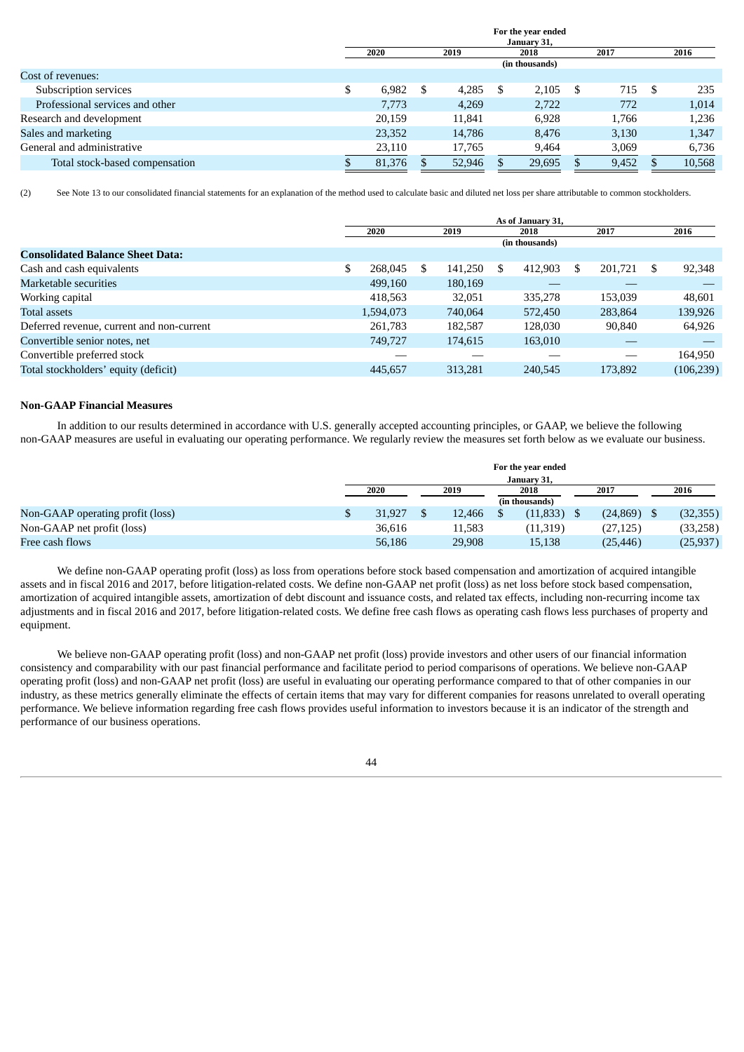|                                 | For the year ended<br>January 31, |    |        |   |                |     |       |  |        |
|---------------------------------|-----------------------------------|----|--------|---|----------------|-----|-------|--|--------|
|                                 | 2020                              |    | 2019   |   | 2018           |     | 2017  |  | 2016   |
|                                 |                                   |    |        |   | (in thousands) |     |       |  |        |
| Cost of revenues:               |                                   |    |        |   |                |     |       |  |        |
| Subscription services           | 6.982                             | \$ | 4,285  | S | 2.105          | - S | 715   |  | 235    |
| Professional services and other | 7,773                             |    | 4,269  |   | 2,722          |     | 772   |  | 1,014  |
| Research and development        | 20,159                            |    | 11.841 |   | 6.928          |     | 1,766 |  | 1,236  |
| Sales and marketing             | 23,352                            |    | 14,786 |   | 8.476          |     | 3,130 |  | 1,347  |
| General and administrative      | 23,110                            |    | 17,765 |   | 9,464          |     | 3,069 |  | 6,736  |
| Total stock-based compensation  | 81,376                            |    | 52,946 |   | 29,695         |     | 9,452 |  | 10,568 |

(2) See Note 13 to our consolidated financial statements for an explanation of the method used to calculate basic and diluted net loss per share attributable to common stockholders.

|                                           | As of January 31, |      |         |      |                |      |         |      |            |
|-------------------------------------------|-------------------|------|---------|------|----------------|------|---------|------|------------|
|                                           | 2020              | 2019 |         | 2018 |                | 2017 |         |      | 2016       |
|                                           |                   |      |         |      | (in thousands) |      |         |      |            |
| <b>Consolidated Balance Sheet Data:</b>   |                   |      |         |      |                |      |         |      |            |
| Cash and cash equivalents                 | 268,045           | \$.  | 141,250 | \$.  | 412.903        | -S   | 201,721 | - \$ | 92,348     |
| Marketable securities                     | 499,160           |      | 180,169 |      |                |      |         |      |            |
| Working capital                           | 418.563           |      | 32,051  |      | 335,278        |      | 153,039 |      | 48,601     |
| <b>Total assets</b>                       | 1,594,073         |      | 740,064 |      | 572,450        |      | 283,864 |      | 139,926    |
| Deferred revenue, current and non-current | 261,783           |      | 182,587 |      | 128,030        |      | 90,840  |      | 64,926     |
| Convertible senior notes, net             | 749,727           |      | 174.615 |      | 163,010        |      |         |      |            |
| Convertible preferred stock               |                   |      |         |      |                |      |         |      | 164,950    |
| Total stockholders' equity (deficit)      | 445.657           |      | 313,281 |      | 240.545        |      | 173.892 |      | (106, 239) |

# **Non‑GAAP Financial Measures**

In addition to our results determined in accordance with U.S. generally accepted accounting principles, or GAAP, we believe the following non‑GAAP measures are useful in evaluating our operating performance. We regularly review the measures set forth below as we evaluate our business.

|                                  |                              |  |        |  | For the year ended |  |           |  |           |
|----------------------------------|------------------------------|--|--------|--|--------------------|--|-----------|--|-----------|
|                                  | January 31,                  |  |        |  |                    |  |           |  |           |
|                                  | 2020<br>2017<br>2019<br>2018 |  |        |  |                    |  | 2016      |  |           |
|                                  |                              |  |        |  | (in thousands)     |  |           |  |           |
| Non-GAAP operating profit (loss) | 31.927                       |  | 12.466 |  | (11, 833)          |  | (24, 869) |  | (32, 355) |
| Non-GAAP net profit (loss)       | 36.616                       |  | 11,583 |  | (11, 319)          |  | (27,125)  |  | (33,258)  |
| Free cash flows                  | 56,186                       |  | 29.908 |  | 15,138             |  | (25, 446) |  | (25,937)  |

We define non-GAAP operating profit (loss) as loss from operations before stock based compensation and amortization of acquired intangible assets and in fiscal 2016 and 2017, before litigation-related costs. We define non-GAAP net profit (loss) as net loss before stock based compensation, amortization of acquired intangible assets, amortization of debt discount and issuance costs, and related tax effects, including non-recurring income tax adjustments and in fiscal 2016 and 2017, before litigation-related costs. We define free cash flows as operating cash flows less purchases of property and equipment.

We believe non-GAAP operating profit (loss) and non-GAAP net profit (loss) provide investors and other users of our financial information consistency and comparability with our past financial performance and facilitate period to period comparisons of operations. We believe non-GAAP operating profit (loss) and non-GAAP net profit (loss) are useful in evaluating our operating performance compared to that of other companies in our industry, as these metrics generally eliminate the effects of certain items that may vary for different companies for reasons unrelated to overall operating performance. We believe information regarding free cash flows provides useful information to investors because it is an indicator of the strength and performance of our business operations.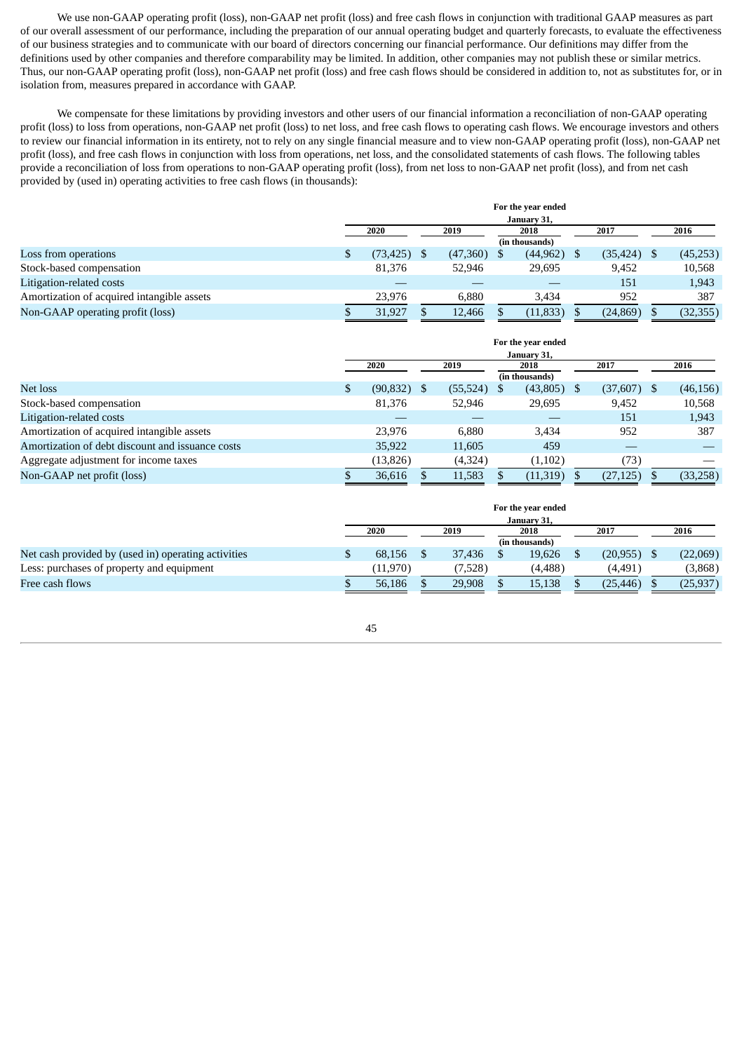We use non-GAAP operating profit (loss), non-GAAP net profit (loss) and free cash flows in conjunction with traditional GAAP measures as part of our overall assessment of our performance, including the preparation of our annual operating budget and quarterly forecasts, to evaluate the effectiveness of our business strategies and to communicate with our board of directors concerning our financial performance. Our definitions may differ from the definitions used by other companies and therefore comparability may be limited. In addition, other companies may not publish these or similar metrics. Thus, our non-GAAP operating profit (loss), non-GAAP net profit (loss) and free cash flows should be considered in addition to, not as substitutes for, or in isolation from, measures prepared in accordance with GAAP.

We compensate for these limitations by providing investors and other users of our financial information a reconciliation of non-GAAP operating profit (loss) to loss from operations, non-GAAP net profit (loss) to net loss, and free cash flows to operating cash flows. We encourage investors and others to review our financial information in its entirety, not to rely on any single financial measure and to view non-GAAP operating profit (loss), non-GAAP net profit (loss), and free cash flows in conjunction with loss from operations, net loss, and the consolidated statements of cash flows. The following tables provide a reconciliation of loss from operations to non-GAAP operating profit (loss), from net loss to non-GAAP net profit (loss), and from net cash provided by (used in) operating activities to free cash flows (in thousands):

|                                            |              |  |          |  | For the year ended |  |                |      |           |
|--------------------------------------------|--------------|--|----------|--|--------------------|--|----------------|------|-----------|
|                                            | January 31,  |  |          |  |                    |  |                |      |           |
|                                            | 2020<br>2019 |  | 2018     |  | 2017               |  |                | 2016 |           |
|                                            |              |  |          |  | (in thousands)     |  |                |      |           |
| Loss from operations                       | (73, 425)    |  | (47,360) |  | (44, 962)          |  | $(35, 424)$ \$ |      | (45,253)  |
| Stock-based compensation                   | 81.376       |  | 52.946   |  | 29,695             |  | 9.452          |      | 10,568    |
| Litigation-related costs                   |              |  |          |  |                    |  | 151            |      | 1,943     |
| Amortization of acquired intangible assets | 23.976       |  | 6.880    |  | 3.434              |  | 952            |      | 387       |
| Non-GAAP operating profit (loss)           | 31.927       |  | 12,466   |  | (11, 833)          |  | (24, 869)      |      | (32, 355) |

|                                                  | For the year ended<br>January 31, |    |           |              |                            |      |               |  |           |
|--------------------------------------------------|-----------------------------------|----|-----------|--------------|----------------------------|------|---------------|--|-----------|
|                                                  | 2020                              |    |           | 2019<br>2018 |                            |      | 2017          |  | 2016      |
| Net loss                                         | \$<br>(90, 832)                   | -S | (55, 524) | <sup>S</sup> | (in thousands)<br>(43,805) | - \$ | $(37,607)$ \$ |  | (46, 156) |
| Stock-based compensation                         | 81,376                            |    | 52,946    |              | 29,695                     |      | 9,452         |  | 10,568    |
| Litigation-related costs                         |                                   |    |           |              |                            |      | 151           |  | 1,943     |
| Amortization of acquired intangible assets       | 23.976                            |    | 6.880     |              | 3.434                      |      | 952           |  | 387       |
| Amortization of debt discount and issuance costs | 35,922                            |    | 11,605    |              | 459                        |      |               |  |           |
| Aggregate adjustment for income taxes            | (13, 826)                         |    | (4,324)   |              | (1, 102)                   |      | (73)          |  |           |
| Non-GAAP net profit (loss)                       | 36,616                            |    | 11,583    |              | (11,319)                   |      | (27, 125)     |  | (33,258)  |

|                                                     |             |          |  |         |  | For the year ended |  |                |  |          |
|-----------------------------------------------------|-------------|----------|--|---------|--|--------------------|--|----------------|--|----------|
|                                                     | January 31, |          |  |         |  |                    |  |                |  |          |
|                                                     |             | 2020     |  | 2019    |  | 2018               |  | 2017           |  | 2016     |
|                                                     |             |          |  |         |  | (in thousands)     |  |                |  |          |
| Net cash provided by (used in) operating activities |             | 68.156   |  | 37,436  |  | 19,626             |  | $(20, 955)$ \$ |  | (22,069) |
| Less: purchases of property and equipment           |             | (11,970) |  | (7,528) |  | (4, 488)           |  | (4,491)        |  | (3,868)  |
| Free cash flows                                     |             | 56.186   |  | 29.908  |  | 15,138             |  | (25, 446)      |  | (25,937) |

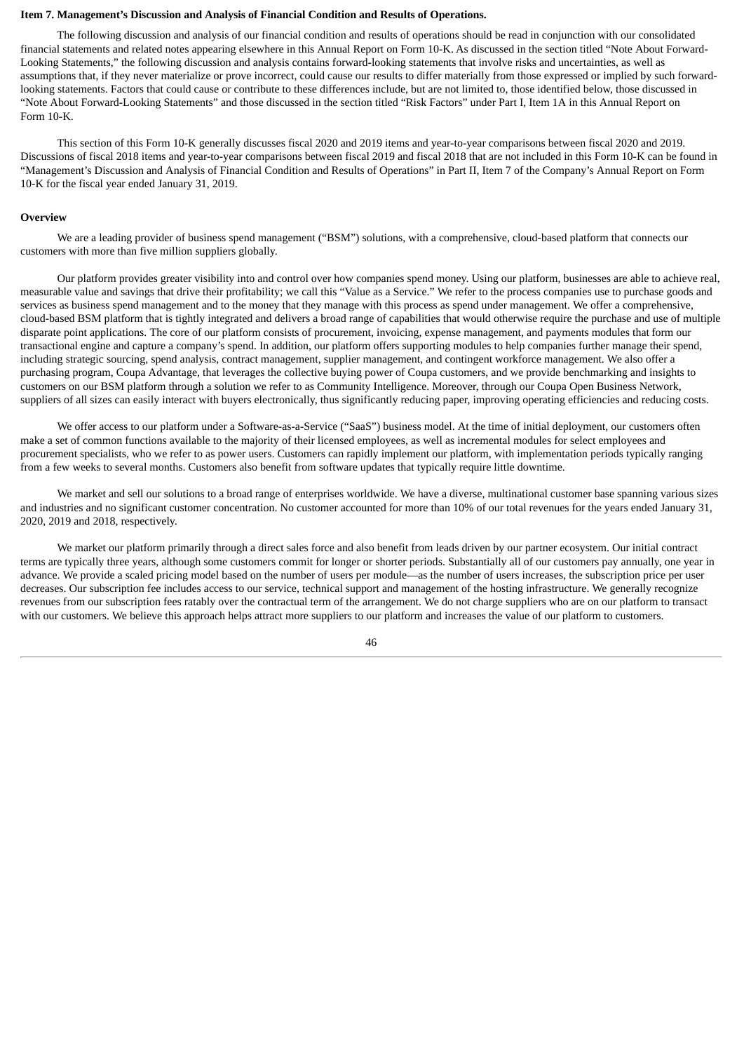#### **Item 7. Management's Discussion and Analysis of Financial Condition and Results of Operations.**

The following discussion and analysis of our financial condition and results of operations should be read in conjunction with our consolidated financial statements and related notes appearing elsewhere in this Annual Report on Form 10-K. As discussed in the section titled "Note About Forward-Looking Statements," the following discussion and analysis contains forward-looking statements that involve risks and uncertainties, as well as assumptions that, if they never materialize or prove incorrect, could cause our results to differ materially from those expressed or implied by such forwardlooking statements. Factors that could cause or contribute to these differences include, but are not limited to, those identified below, those discussed in "Note About Forward-Looking Statements" and those discussed in the section titled "Risk Factors" under Part I, Item 1A in this Annual Report on Form 10-K.

This section of this Form 10-K generally discusses fiscal 2020 and 2019 items and year-to-year comparisons between fiscal 2020 and 2019. Discussions of fiscal 2018 items and year-to-year comparisons between fiscal 2019 and fiscal 2018 that are not included in this Form 10-K can be found in "Management's Discussion and Analysis of Financial Condition and Results of Operations" in Part II, Item 7 of the Company's Annual Report on Form 10-K for the fiscal year ended January 31, 2019.

# **Overview**

We are a leading provider of business spend management ("BSM") solutions, with a comprehensive, cloud-based platform that connects our customers with more than five million suppliers globally.

Our platform provides greater visibility into and control over how companies spend money. Using our platform, businesses are able to achieve real, measurable value and savings that drive their profitability; we call this "Value as a Service." We refer to the process companies use to purchase goods and services as business spend management and to the money that they manage with this process as spend under management. We offer a comprehensive, cloud-based BSM platform that is tightly integrated and delivers a broad range of capabilities that would otherwise require the purchase and use of multiple disparate point applications. The core of our platform consists of procurement, invoicing, expense management, and payments modules that form our transactional engine and capture a company's spend. In addition, our platform offers supporting modules to help companies further manage their spend, including strategic sourcing, spend analysis, contract management, supplier management, and contingent workforce management. We also offer a purchasing program, Coupa Advantage, that leverages the collective buying power of Coupa customers, and we provide benchmarking and insights to customers on our BSM platform through a solution we refer to as Community Intelligence. Moreover, through our Coupa Open Business Network, suppliers of all sizes can easily interact with buyers electronically, thus significantly reducing paper, improving operating efficiencies and reducing costs.

We offer access to our platform under a Software-as-a-Service ("SaaS") business model. At the time of initial deployment, our customers often make a set of common functions available to the majority of their licensed employees, as well as incremental modules for select employees and procurement specialists, who we refer to as power users. Customers can rapidly implement our platform, with implementation periods typically ranging from a few weeks to several months. Customers also benefit from software updates that typically require little downtime.

We market and sell our solutions to a broad range of enterprises worldwide. We have a diverse, multinational customer base spanning various sizes and industries and no significant customer concentration. No customer accounted for more than 10% of our total revenues for the years ended January 31, 2020, 2019 and 2018, respectively.

We market our platform primarily through a direct sales force and also benefit from leads driven by our partner ecosystem. Our initial contract terms are typically three years, although some customers commit for longer or shorter periods. Substantially all of our customers pay annually, one year in advance. We provide a scaled pricing model based on the number of users per module—as the number of users increases, the subscription price per user decreases. Our subscription fee includes access to our service, technical support and management of the hosting infrastructure. We generally recognize revenues from our subscription fees ratably over the contractual term of the arrangement. We do not charge suppliers who are on our platform to transact with our customers. We believe this approach helps attract more suppliers to our platform and increases the value of our platform to customers.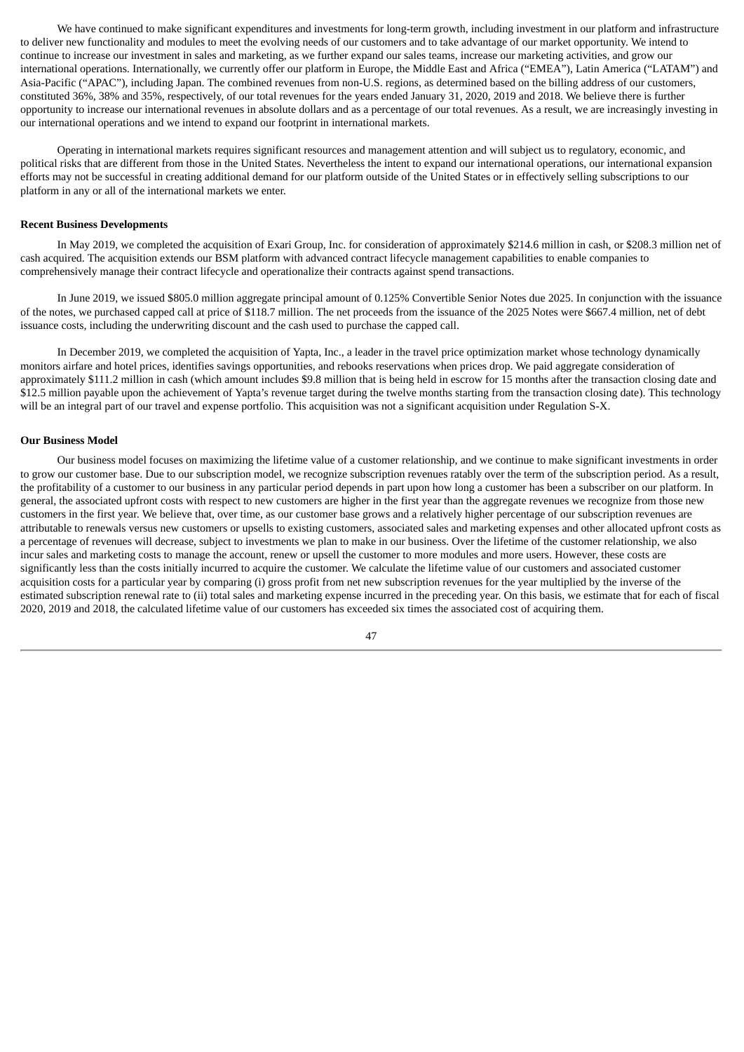We have continued to make significant expenditures and investments for long-term growth, including investment in our platform and infrastructure to deliver new functionality and modules to meet the evolving needs of our customers and to take advantage of our market opportunity. We intend to continue to increase our investment in sales and marketing, as we further expand our sales teams, increase our marketing activities, and grow our international operations. Internationally, we currently offer our platform in Europe, the Middle East and Africa ("EMEA"), Latin America ("LATAM") and Asia-Pacific ("APAC"), including Japan. The combined revenues from non-U.S. regions, as determined based on the billing address of our customers, constituted 36%, 38% and 35%, respectively, of our total revenues for the years ended January 31, 2020, 2019 and 2018. We believe there is further opportunity to increase our international revenues in absolute dollars and as a percentage of our total revenues. As a result, we are increasingly investing in our international operations and we intend to expand our footprint in international markets.

Operating in international markets requires significant resources and management attention and will subject us to regulatory, economic, and political risks that are different from those in the United States. Nevertheless the intent to expand our international operations, our international expansion efforts may not be successful in creating additional demand for our platform outside of the United States or in effectively selling subscriptions to our platform in any or all of the international markets we enter.

## **Recent Business Developments**

In May 2019, we completed the acquisition of Exari Group, Inc. for consideration of approximately \$214.6 million in cash, or \$208.3 million net of cash acquired. The acquisition extends our BSM platform with advanced contract lifecycle management capabilities to enable companies to comprehensively manage their contract lifecycle and operationalize their contracts against spend transactions.

In June 2019, we issued \$805.0 million aggregate principal amount of 0.125% Convertible Senior Notes due 2025. In conjunction with the issuance of the notes, we purchased capped call at price of \$118.7 million. The net proceeds from the issuance of the 2025 Notes were \$667.4 million, net of debt issuance costs, including the underwriting discount and the cash used to purchase the capped call.

In December 2019, we completed the acquisition of Yapta, Inc., a leader in the travel price optimization market whose technology dynamically monitors airfare and hotel prices, identifies savings opportunities, and rebooks reservations when prices drop. We paid aggregate consideration of approximately \$111.2 million in cash (which amount includes \$9.8 million that is being held in escrow for 15 months after the transaction closing date and \$12.5 million payable upon the achievement of Yapta's revenue target during the twelve months starting from the transaction closing date). This technology will be an integral part of our travel and expense portfolio. This acquisition was not a significant acquisition under Regulation S-X.

#### **Our Business Model**

Our business model focuses on maximizing the lifetime value of a customer relationship, and we continue to make significant investments in order to grow our customer base. Due to our subscription model, we recognize subscription revenues ratably over the term of the subscription period. As a result, the profitability of a customer to our business in any particular period depends in part upon how long a customer has been a subscriber on our platform. In general, the associated upfront costs with respect to new customers are higher in the first year than the aggregate revenues we recognize from those new customers in the first year. We believe that, over time, as our customer base grows and a relatively higher percentage of our subscription revenues are attributable to renewals versus new customers or upsells to existing customers, associated sales and marketing expenses and other allocated upfront costs as a percentage of revenues will decrease, subject to investments we plan to make in our business. Over the lifetime of the customer relationship, we also incur sales and marketing costs to manage the account, renew or upsell the customer to more modules and more users. However, these costs are significantly less than the costs initially incurred to acquire the customer. We calculate the lifetime value of our customers and associated customer acquisition costs for a particular year by comparing (i) gross profit from net new subscription revenues for the year multiplied by the inverse of the estimated subscription renewal rate to (ii) total sales and marketing expense incurred in the preceding year. On this basis, we estimate that for each of fiscal 2020, 2019 and 2018, the calculated lifetime value of our customers has exceeded six times the associated cost of acquiring them.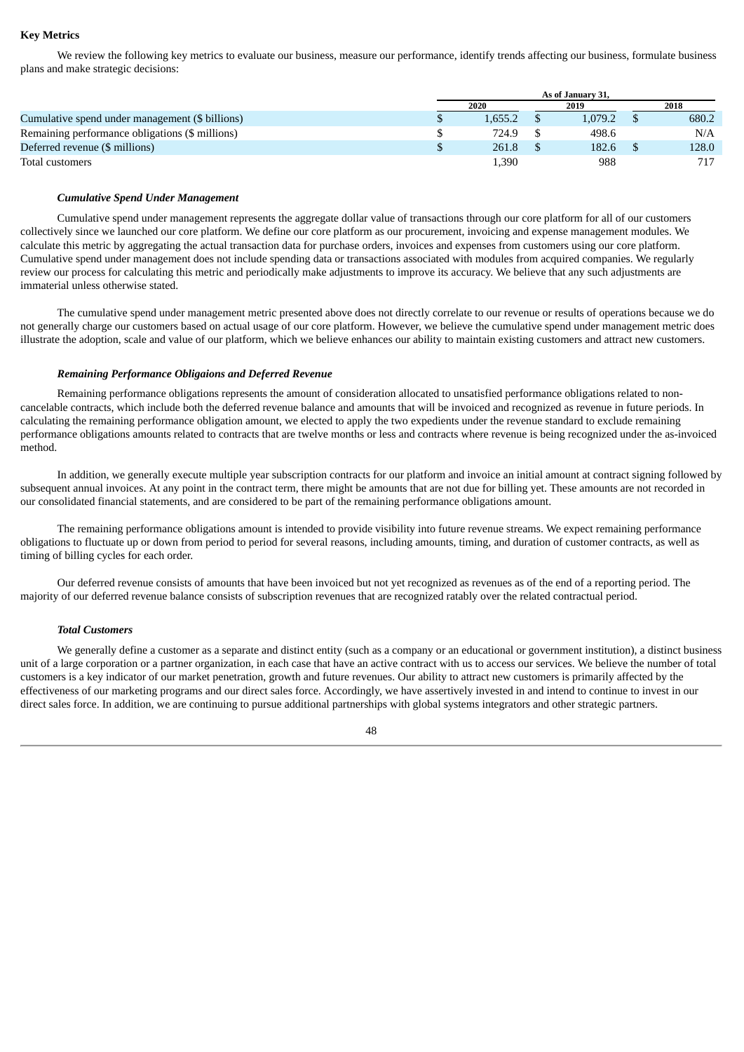# **Key Metrics**

We review the following key metrics to evaluate our business, measure our performance, identify trends affecting our business, formulate business plans and make strategic decisions:

|                                                 | As of January 31. |  |         |  |       |  |  |
|-------------------------------------------------|-------------------|--|---------|--|-------|--|--|
|                                                 | 2020              |  | 2019    |  | 2018  |  |  |
| Cumulative spend under management (\$ billions) | 1.655.2           |  | 1.079.2 |  | 680.2 |  |  |
| Remaining performance obligations (\$ millions) | 724.9             |  | 498.6   |  | N/A   |  |  |
| Deferred revenue (\$ millions)                  | 261.8             |  | 182.6   |  | 128.0 |  |  |
| Total customers                                 | .390              |  | 988     |  | 717   |  |  |

#### *Cumulative Spend Under Management*

Cumulative spend under management represents the aggregate dollar value of transactions through our core platform for all of our customers collectively since we launched our core platform. We define our core platform as our procurement, invoicing and expense management modules. We calculate this metric by aggregating the actual transaction data for purchase orders, invoices and expenses from customers using our core platform. Cumulative spend under management does not include spending data or transactions associated with modules from acquired companies. We regularly review our process for calculating this metric and periodically make adjustments to improve its accuracy. We believe that any such adjustments are immaterial unless otherwise stated.

The cumulative spend under management metric presented above does not directly correlate to our revenue or results of operations because we do not generally charge our customers based on actual usage of our core platform. However, we believe the cumulative spend under management metric does illustrate the adoption, scale and value of our platform, which we believe enhances our ability to maintain existing customers and attract new customers.

## *Remaining Performance Obligaions and Deferred Revenue*

Remaining performance obligations represents the amount of consideration allocated to unsatisfied performance obligations related to noncancelable contracts, which include both the deferred revenue balance and amounts that will be invoiced and recognized as revenue in future periods. In calculating the remaining performance obligation amount, we elected to apply the two expedients under the revenue standard to exclude remaining performance obligations amounts related to contracts that are twelve months or less and contracts where revenue is being recognized under the as-invoiced method.

In addition, we generally execute multiple year subscription contracts for our platform and invoice an initial amount at contract signing followed by subsequent annual invoices. At any point in the contract term, there might be amounts that are not due for billing yet. These amounts are not recorded in our consolidated financial statements, and are considered to be part of the remaining performance obligations amount.

The remaining performance obligations amount is intended to provide visibility into future revenue streams. We expect remaining performance obligations to fluctuate up or down from period to period for several reasons, including amounts, timing, and duration of customer contracts, as well as timing of billing cycles for each order.

Our deferred revenue consists of amounts that have been invoiced but not yet recognized as revenues as of the end of a reporting period. The majority of our deferred revenue balance consists of subscription revenues that are recognized ratably over the related contractual period.

## *Total Customers*

We generally define a customer as a separate and distinct entity (such as a company or an educational or government institution), a distinct business unit of a large corporation or a partner organization, in each case that have an active contract with us to access our services. We believe the number of total customers is a key indicator of our market penetration, growth and future revenues. Our ability to attract new customers is primarily affected by the effectiveness of our marketing programs and our direct sales force. Accordingly, we have assertively invested in and intend to continue to invest in our direct sales force. In addition, we are continuing to pursue additional partnerships with global systems integrators and other strategic partners.

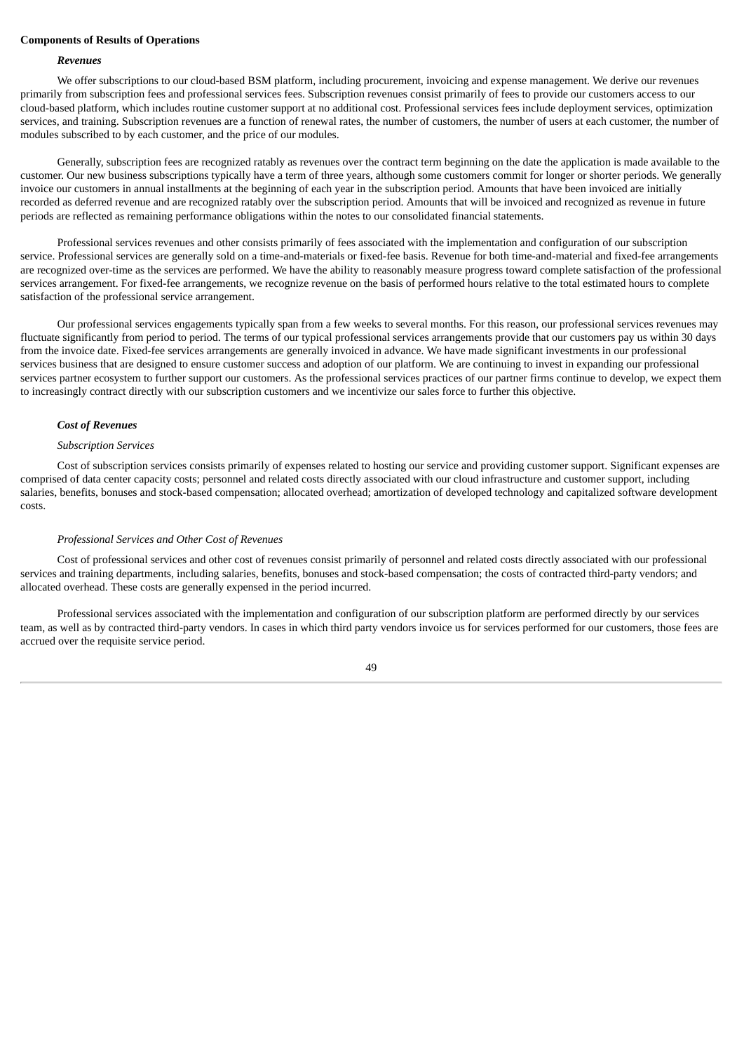#### **Components of Results of Operations**

# *Revenues*

We offer subscriptions to our cloud-based BSM platform, including procurement, invoicing and expense management. We derive our revenues primarily from subscription fees and professional services fees. Subscription revenues consist primarily of fees to provide our customers access to our cloud-based platform, which includes routine customer support at no additional cost. Professional services fees include deployment services, optimization services, and training. Subscription revenues are a function of renewal rates, the number of customers, the number of users at each customer, the number of modules subscribed to by each customer, and the price of our modules.

Generally, subscription fees are recognized ratably as revenues over the contract term beginning on the date the application is made available to the customer. Our new business subscriptions typically have a term of three years, although some customers commit for longer or shorter periods. We generally invoice our customers in annual installments at the beginning of each year in the subscription period. Amounts that have been invoiced are initially recorded as deferred revenue and are recognized ratably over the subscription period. Amounts that will be invoiced and recognized as revenue in future periods are reflected as remaining performance obligations within the notes to our consolidated financial statements.

Professional services revenues and other consists primarily of fees associated with the implementation and configuration of our subscription service. Professional services are generally sold on a time-and-materials or fixed-fee basis. Revenue for both time-and-material and fixed-fee arrangements are recognized over-time as the services are performed. We have the ability to reasonably measure progress toward complete satisfaction of the professional services arrangement. For fixed-fee arrangements, we recognize revenue on the basis of performed hours relative to the total estimated hours to complete satisfaction of the professional service arrangement.

Our professional services engagements typically span from a few weeks to several months. For this reason, our professional services revenues may fluctuate significantly from period to period. The terms of our typical professional services arrangements provide that our customers pay us within 30 days from the invoice date. Fixed-fee services arrangements are generally invoiced in advance. We have made significant investments in our professional services business that are designed to ensure customer success and adoption of our platform. We are continuing to invest in expanding our professional services partner ecosystem to further support our customers. As the professional services practices of our partner firms continue to develop, we expect them to increasingly contract directly with our subscription customers and we incentivize our sales force to further this objective.

#### *Cost of Revenues*

# *Subscription Services*

Cost of subscription services consists primarily of expenses related to hosting our service and providing customer support. Significant expenses are comprised of data center capacity costs; personnel and related costs directly associated with our cloud infrastructure and customer support, including salaries, benefits, bonuses and stock-based compensation; allocated overhead; amortization of developed technology and capitalized software development costs.

# *Professional Services and Other Cost of Revenues*

Cost of professional services and other cost of revenues consist primarily of personnel and related costs directly associated with our professional services and training departments, including salaries, benefits, bonuses and stock-based compensation; the costs of contracted third-party vendors; and allocated overhead. These costs are generally expensed in the period incurred.

Professional services associated with the implementation and configuration of our subscription platform are performed directly by our services team, as well as by contracted third-party vendors. In cases in which third party vendors invoice us for services performed for our customers, those fees are accrued over the requisite service period.

 $\overline{A}Q$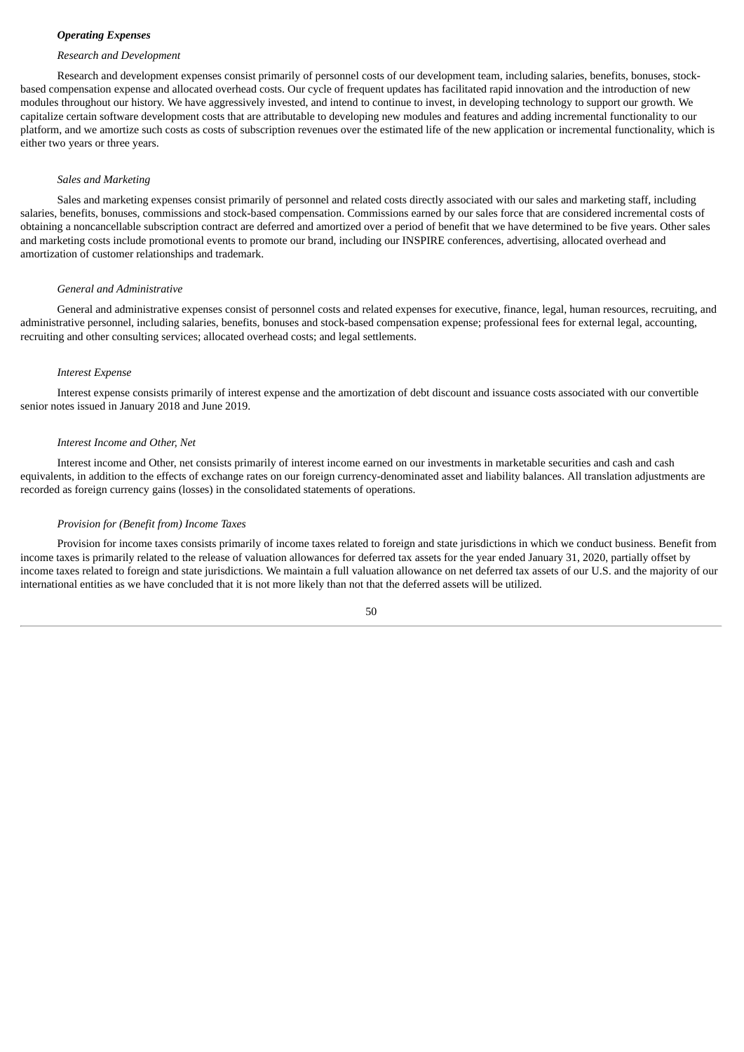# *Operating Expenses*

#### *Research and Development*

Research and development expenses consist primarily of personnel costs of our development team, including salaries, benefits, bonuses, stockbased compensation expense and allocated overhead costs. Our cycle of frequent updates has facilitated rapid innovation and the introduction of new modules throughout our history. We have aggressively invested, and intend to continue to invest, in developing technology to support our growth. We capitalize certain software development costs that are attributable to developing new modules and features and adding incremental functionality to our platform, and we amortize such costs as costs of subscription revenues over the estimated life of the new application or incremental functionality, which is either two years or three years.

#### *Sales and Marketing*

Sales and marketing expenses consist primarily of personnel and related costs directly associated with our sales and marketing staff, including salaries, benefits, bonuses, commissions and stock-based compensation. Commissions earned by our sales force that are considered incremental costs of obtaining a noncancellable subscription contract are deferred and amortized over a period of benefit that we have determined to be five years. Other sales and marketing costs include promotional events to promote our brand, including our INSPIRE conferences, advertising, allocated overhead and amortization of customer relationships and trademark.

#### *General and Administrative*

General and administrative expenses consist of personnel costs and related expenses for executive, finance, legal, human resources, recruiting, and administrative personnel, including salaries, benefits, bonuses and stock-based compensation expense; professional fees for external legal, accounting, recruiting and other consulting services; allocated overhead costs; and legal settlements.

# *Interest Expense*

Interest expense consists primarily of interest expense and the amortization of debt discount and issuance costs associated with our convertible senior notes issued in January 2018 and June 2019.

#### *Interest Income and Other, Net*

Interest income and Other, net consists primarily of interest income earned on our investments in marketable securities and cash and cash equivalents, in addition to the effects of exchange rates on our foreign currency-denominated asset and liability balances. All translation adjustments are recorded as foreign currency gains (losses) in the consolidated statements of operations.

#### *Provision for (Benefit from) Income Taxes*

Provision for income taxes consists primarily of income taxes related to foreign and state jurisdictions in which we conduct business. Benefit from income taxes is primarily related to the release of valuation allowances for deferred tax assets for the year ended January 31, 2020, partially offset by income taxes related to foreign and state jurisdictions. We maintain a full valuation allowance on net deferred tax assets of our U.S. and the majority of our international entities as we have concluded that it is not more likely than not that the deferred assets will be utilized.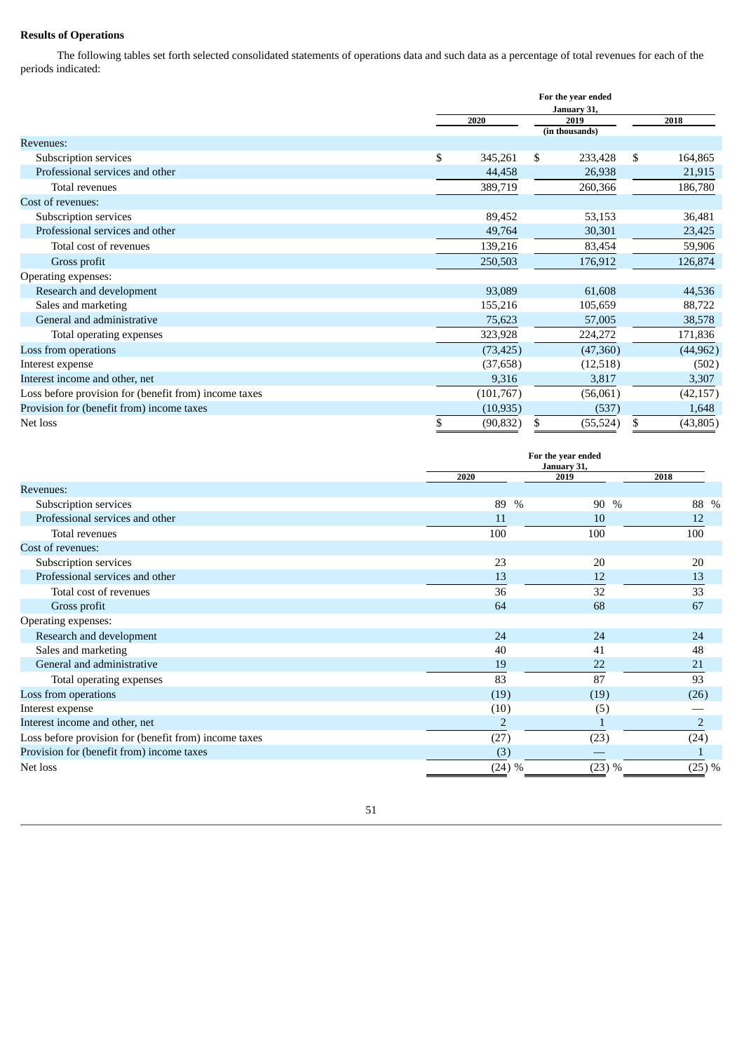# **Results of Operations**

The following tables set forth selected consolidated statements of operations data and such data as a percentage of total revenues for each of the periods indicated:

|                                                       | For the year ended |    |                |    |           |  |  |  |
|-------------------------------------------------------|--------------------|----|----------------|----|-----------|--|--|--|
|                                                       |                    |    | January 31,    |    |           |  |  |  |
|                                                       | 2020               |    | 2019           |    | 2018      |  |  |  |
|                                                       |                    |    | (in thousands) |    |           |  |  |  |
| <b>Revenues:</b>                                      |                    |    |                |    |           |  |  |  |
| Subscription services                                 | \$<br>345,261      | \$ | 233,428        | \$ | 164,865   |  |  |  |
| Professional services and other                       | 44,458             |    | 26,938         |    | 21,915    |  |  |  |
| Total revenues                                        | 389,719            |    | 260,366        |    | 186,780   |  |  |  |
| Cost of revenues:                                     |                    |    |                |    |           |  |  |  |
| Subscription services                                 | 89,452             |    | 53,153         |    | 36,481    |  |  |  |
| Professional services and other                       | 49,764             |    | 30,301         |    | 23,425    |  |  |  |
| Total cost of revenues                                | 139,216            |    | 83,454         |    | 59,906    |  |  |  |
| Gross profit                                          | 250,503            |    | 176,912        |    | 126,874   |  |  |  |
| Operating expenses:                                   |                    |    |                |    |           |  |  |  |
| Research and development                              | 93,089             |    | 61,608         |    | 44,536    |  |  |  |
| Sales and marketing                                   | 155,216            |    | 105,659        |    | 88,722    |  |  |  |
| General and administrative                            | 75,623             |    | 57,005         |    | 38,578    |  |  |  |
| Total operating expenses                              | 323,928            |    | 224,272        |    | 171,836   |  |  |  |
| Loss from operations                                  | (73, 425)          |    | (47,360)       |    | (44, 962) |  |  |  |
| Interest expense                                      | (37, 658)          |    | (12,518)       |    | (502)     |  |  |  |
| Interest income and other, net                        | 9,316              |    | 3,817          |    | 3,307     |  |  |  |
| Loss before provision for (benefit from) income taxes | (101,767)          |    | (56,061)       |    | (42, 157) |  |  |  |
| Provision for (benefit from) income taxes             | (10, 935)          |    | (537)          |    | 1,648     |  |  |  |
| Net loss                                              | \$<br>(90, 832)    | \$ | (55, 524)      | \$ | (43, 805) |  |  |  |

|                                                       |                | For the year ended<br>January 31. |                       |  |  |  |  |
|-------------------------------------------------------|----------------|-----------------------------------|-----------------------|--|--|--|--|
|                                                       | 2020           | 2019                              | 2018                  |  |  |  |  |
| <b>Revenues:</b>                                      |                |                                   |                       |  |  |  |  |
| Subscription services                                 | 89             | $\%$<br>90                        | $\frac{0}{0}$<br>88 % |  |  |  |  |
| Professional services and other                       | 11             | 10                                | 12                    |  |  |  |  |
| Total revenues                                        | 100            | 100                               | 100                   |  |  |  |  |
| Cost of revenues:                                     |                |                                   |                       |  |  |  |  |
| Subscription services                                 | 23             | 20                                | 20                    |  |  |  |  |
| Professional services and other                       | 13             | 12                                | 13                    |  |  |  |  |
| Total cost of revenues                                | 36             | 32                                | 33                    |  |  |  |  |
| Gross profit                                          | 64             | 68                                | 67                    |  |  |  |  |
| Operating expenses:                                   |                |                                   |                       |  |  |  |  |
| Research and development                              | 24             | 24                                | 24                    |  |  |  |  |
| Sales and marketing                                   | 40             | 41                                | 48                    |  |  |  |  |
| General and administrative                            | 19             | 22                                | 21                    |  |  |  |  |
| Total operating expenses                              | 83             | 87                                | 93                    |  |  |  |  |
| Loss from operations                                  | (19)           | (19)                              | (26)                  |  |  |  |  |
| Interest expense                                      | (10)           | (5)                               |                       |  |  |  |  |
| Interest income and other, net                        | $\overline{2}$ |                                   | $\overline{2}$        |  |  |  |  |
| Loss before provision for (benefit from) income taxes | (27)           | (23)                              | (24)                  |  |  |  |  |
| Provision for (benefit from) income taxes             | (3)            |                                   |                       |  |  |  |  |
| Net loss                                              | (24) %         | (23) %                            | (25) %                |  |  |  |  |

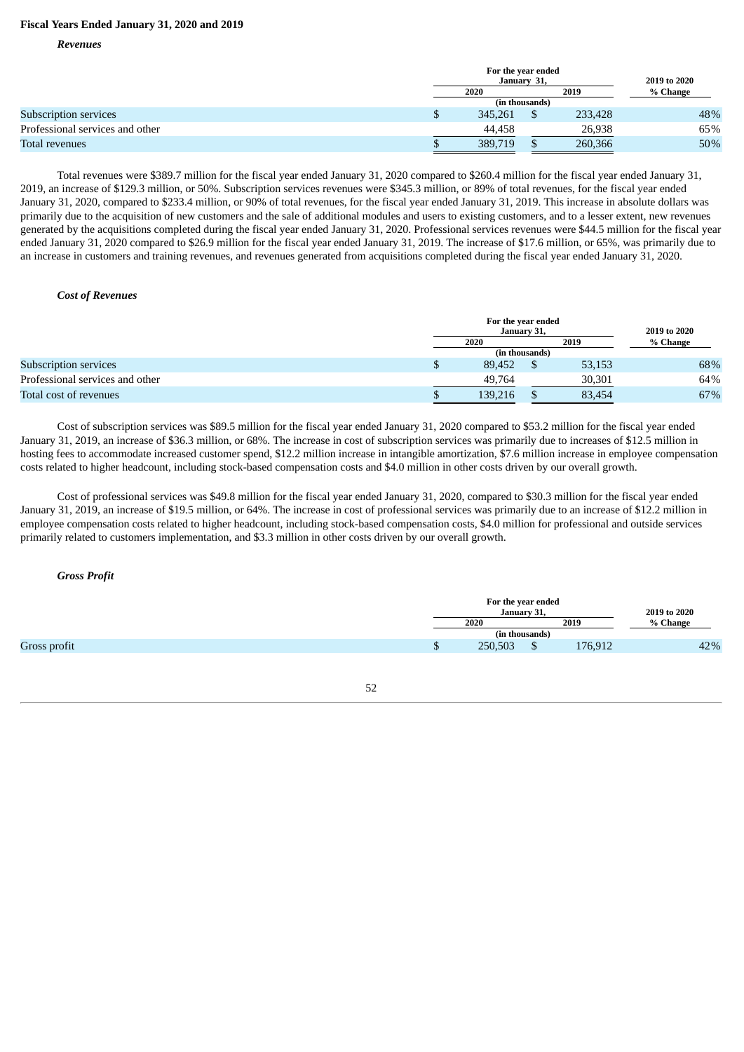# **Fiscal Years Ended January 31, 2020 and 2019**

*Revenues*

|                                 |  | For the year ended |                |         |          |  |  |  |
|---------------------------------|--|--------------------|----------------|---------|----------|--|--|--|
|                                 |  | January 31,        | 2019 to 2020   |         |          |  |  |  |
|                                 |  | 2020               |                | 2019    | % Change |  |  |  |
|                                 |  |                    | (in thousands) |         |          |  |  |  |
| Subscription services           |  | 345.261            |                | 233,428 | 48%      |  |  |  |
| Professional services and other |  | 44.458             |                | 26,938  | 65%      |  |  |  |
| Total revenues                  |  | 389,719            |                | 260,366 | 50%      |  |  |  |

Total revenues were \$389.7 million for the fiscal year ended January 31, 2020 compared to \$260.4 million for the fiscal year ended January 31, 2019, an increase of \$129.3 million, or 50%. Subscription services revenues were \$345.3 million, or 89% of total revenues, for the fiscal year ended January 31, 2020, compared to \$233.4 million, or 90% of total revenues, for the fiscal year ended January 31, 2019. This increase in absolute dollars was primarily due to the acquisition of new customers and the sale of additional modules and users to existing customers, and to a lesser extent, new revenues generated by the acquisitions completed during the fiscal year ended January 31, 2020. Professional services revenues were \$44.5 million for the fiscal year ended January 31, 2020 compared to \$26.9 million for the fiscal year ended January 31, 2019. The increase of \$17.6 million, or 65%, was primarily due to an increase in customers and training revenues, and revenues generated from acquisitions completed during the fiscal year ended January 31, 2020.

## *Cost of Revenues*

|                                 | For the year ended<br>January 31, | 2019 to 2020   |        |          |
|---------------------------------|-----------------------------------|----------------|--------|----------|
|                                 | 2020                              |                | 2019   | % Change |
|                                 |                                   | (in thousands) |        |          |
| Subscription services           | \$<br>89.452                      |                | 53,153 | 68%      |
| Professional services and other | 49.764                            |                | 30.301 | 64%      |
| Total cost of revenues          | 139,216                           |                | 83,454 | 67%      |

Cost of subscription services was \$89.5 million for the fiscal year ended January 31, 2020 compared to \$53.2 million for the fiscal year ended January 31, 2019, an increase of \$36.3 million, or 68%. The increase in cost of subscription services was primarily due to increases of \$12.5 million in hosting fees to accommodate increased customer spend, \$12.2 million increase in intangible amortization, \$7.6 million increase in employee compensation costs related to higher headcount, including stock-based compensation costs and \$4.0 million in other costs driven by our overall growth.

Cost of professional services was \$49.8 million for the fiscal year ended January 31, 2020, compared to \$30.3 million for the fiscal year ended January 31, 2019, an increase of \$19.5 million, or 64%. The increase in cost of professional services was primarily due to an increase of \$12.2 million in employee compensation costs related to higher headcount, including stock-based compensation costs, \$4.0 million for professional and outside services primarily related to customers implementation, and \$3.3 million in other costs driven by our overall growth.

*Gross Profit*

| For the year ended<br>January 31,<br>2019<br>2020 |         |                |  |
|---------------------------------------------------|---------|----------------|--|
|                                                   |         |                |  |
|                                                   |         |                |  |
| 176,912                                           | 250,503 | ۰υ             |  |
|                                                   |         | (in thousands) |  |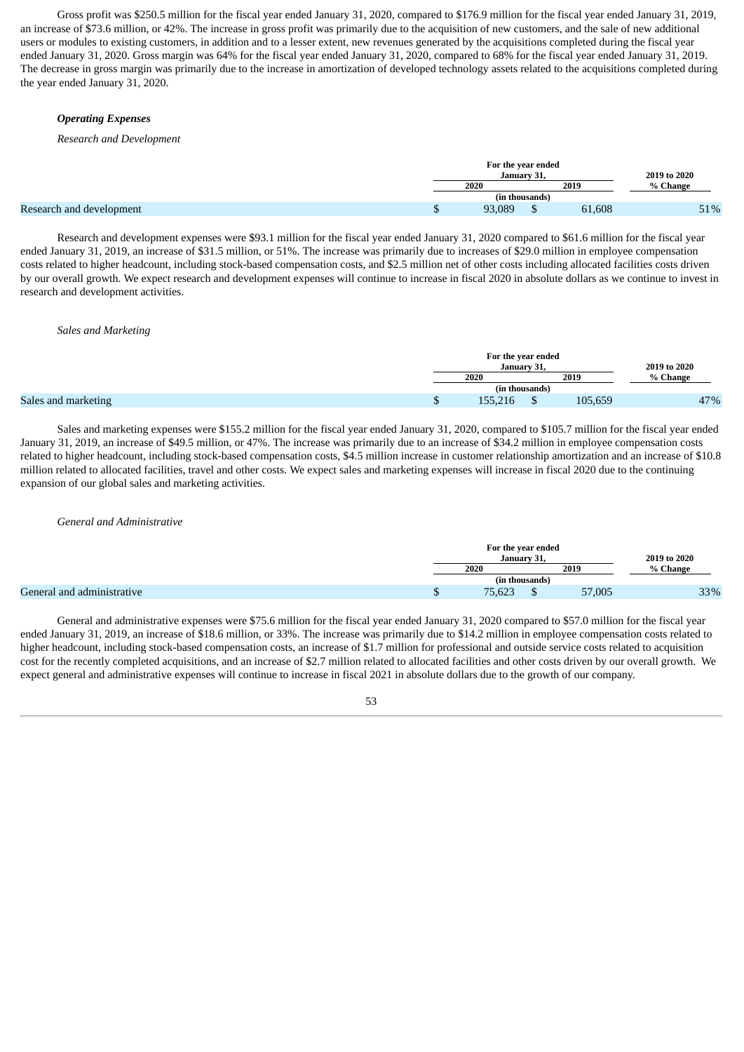Gross profit was \$250.5 million for the fiscal year ended January 31, 2020, compared to \$176.9 million for the fiscal year ended January 31, 2019, an increase of \$73.6 million, or 42%. The increase in gross profit was primarily due to the acquisition of new customers, and the sale of new additional users or modules to existing customers, in addition and to a lesser extent, new revenues generated by the acquisitions completed during the fiscal year ended January 31, 2020. Gross margin was 64% for the fiscal year ended January 31, 2020, compared to 68% for the fiscal year ended January 31, 2019. The decrease in gross margin was primarily due to the increase in amortization of developed technology assets related to the acquisitions completed during the year ended January 31, 2020.

# *Operating Expenses*

#### *Research and Development*

|                          | For the year ended | January 31.    |        | 2019 to 2020 |
|--------------------------|--------------------|----------------|--------|--------------|
|                          | 2020               |                | 2019   | % Change     |
|                          |                    | (in thousands) |        |              |
| Research and development | 93,089             |                | 61,608 | 51%          |

Research and development expenses were \$93.1 million for the fiscal year ended January 31, 2020 compared to \$61.6 million for the fiscal year ended January 31, 2019, an increase of \$31.5 million, or 51%. The increase was primarily due to increases of \$29.0 million in employee compensation costs related to higher headcount, including stock-based compensation costs, and \$2.5 million net of other costs including allocated facilities costs driven by our overall growth. We expect research and development expenses will continue to increase in fiscal 2020 in absolute dollars as we continue to invest in research and development activities.

#### *Sales and Marketing*

|  | For the year ended<br>January 31. | 2019 to 2020 |         |          |
|--|-----------------------------------|--------------|---------|----------|
|  | 2019<br>2020                      |              |         | % Change |
|  | (in thousands)                    |              |         |          |
|  | 155.216                           |              | 105,659 | 47%      |

Sales and marketing expenses were \$155.2 million for the fiscal year ended January 31, 2020, compared to \$105.7 million for the fiscal year ended January 31, 2019, an increase of \$49.5 million, or 47%. The increase was primarily due to an increase of \$34.2 million in employee compensation costs related to higher headcount, including stock-based compensation costs, \$4.5 million increase in customer relationship amortization and an increase of \$10.8 million related to allocated facilities, travel and other costs. We expect sales and marketing expenses will increase in fiscal 2020 due to the continuing expansion of our global sales and marketing activities.

#### *General and Administrative*

|                            | For the year ended<br>January 31, |                |        | 2019 to 2020 |
|----------------------------|-----------------------------------|----------------|--------|--------------|
|                            | 2020                              |                | 2019   | % Change     |
|                            |                                   | (in thousands) |        |              |
| General and administrative | 75,623                            |                | 57,005 | 33%          |

General and administrative expenses were \$75.6 million for the fiscal year ended January 31, 2020 compared to \$57.0 million for the fiscal year ended January 31, 2019, an increase of \$18.6 million, or 33%. The increase was primarily due to \$14.2 million in employee compensation costs related to higher headcount, including stock-based compensation costs, an increase of \$1.7 million for professional and outside service costs related to acquisition cost for the recently completed acquisitions, and an increase of \$2.7 million related to allocated facilities and other costs driven by our overall growth. We expect general and administrative expenses will continue to increase in fiscal 2021 in absolute dollars due to the growth of our company.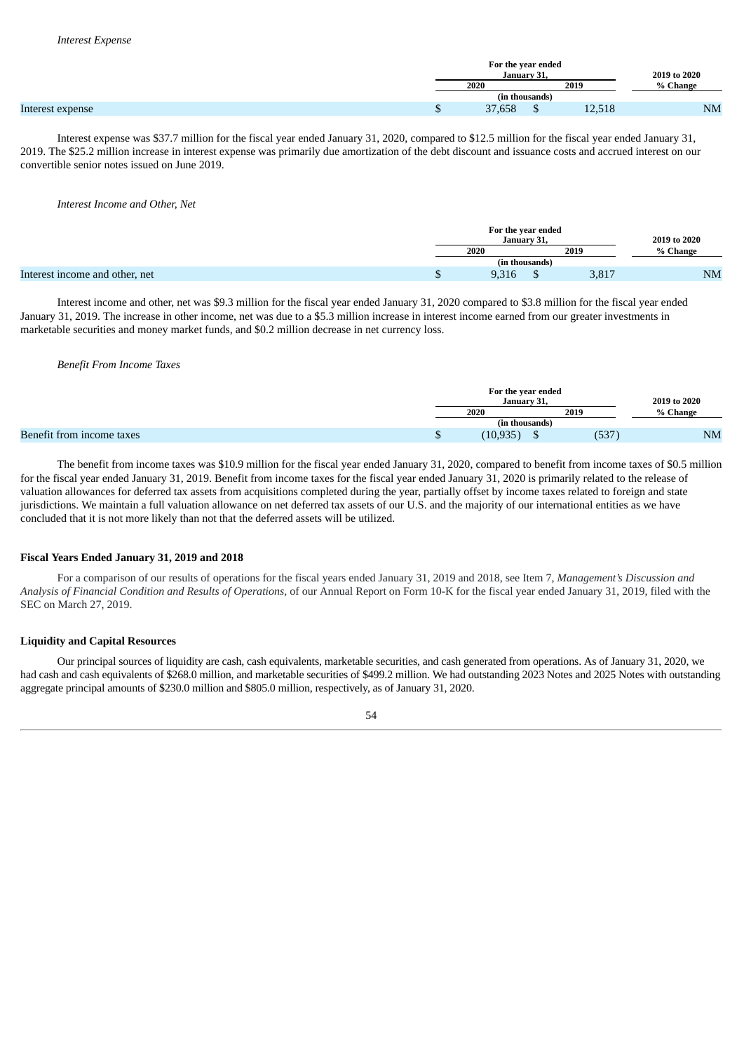|                  | For the year ended | January 31,    |                       | 2019 to 2020 |
|------------------|--------------------|----------------|-----------------------|--------------|
|                  | 2019<br>2020       |                |                       | % Change     |
|                  |                    | (in thousands) |                       |              |
| Interest expense | 37,658             | ш              | $1^{\circ}$<br>12,518 | <b>NM</b>    |

Interest expense was \$37.7 million for the fiscal year ended January 31, 2020, compared to \$12.5 million for the fiscal year ended January 31, 2019. The \$25.2 million increase in interest expense was primarily due amortization of the debt discount and issuance costs and accrued interest on our convertible senior notes issued on June 2019.

#### *Interest Income and Other, Net*

|  | For the year ended | January 31. |       | 2019 to 2020 |
|--|--------------------|-------------|-------|--------------|
|  | 2020<br>2019       |             |       | % Change     |
|  | (in thousands)     |             |       |              |
|  | 9,316              |             | 3,817 | NM           |

Interest income and other, net was \$9.3 million for the fiscal year ended January 31, 2020 compared to \$3.8 million for the fiscal year ended January 31, 2019. The increase in other income, net was due to a \$5.3 million increase in interest income earned from our greater investments in marketable securities and money market funds, and \$0.2 million decrease in net currency loss.

## *Benefit From Income Taxes*

|                           |   | For the year ended<br>January 31. |       | 2019 to 2020 |
|---------------------------|---|-----------------------------------|-------|--------------|
|                           |   | 2020                              | 2019  | % Change     |
|                           |   | (in thousands)                    |       |              |
| Benefit from income taxes | Ψ | (10, 935)                         | (537) | NM           |

The benefit from income taxes was \$10.9 million for the fiscal year ended January 31, 2020, compared to benefit from income taxes of \$0.5 million for the fiscal year ended January 31, 2019. Benefit from income taxes for the fiscal year ended January 31, 2020 is primarily related to the release of valuation allowances for deferred tax assets from acquisitions completed during the year, partially offset by income taxes related to foreign and state jurisdictions. We maintain a full valuation allowance on net deferred tax assets of our U.S. and the majority of our international entities as we have concluded that it is not more likely than not that the deferred assets will be utilized.

### **Fiscal Years Ended January 31, 2019 and 2018**

For a comparison of our results of operations for the fiscal years ended January 31, 2019 and 2018, see Item 7, *Management's Discussion and Analysis of Financial Condition and Results of Operations,* of our Annual Report on Form 10-K for the fiscal year ended January 31, 2019, filed with the SEC on March 27, 2019.

### **Liquidity and Capital Resources**

Our principal sources of liquidity are cash, cash equivalents, marketable securities, and cash generated from operations. As of January 31, 2020, we had cash and cash equivalents of \$268.0 million, and marketable securities of \$499.2 million. We had outstanding 2023 Notes and 2025 Notes with outstanding aggregate principal amounts of \$230.0 million and \$805.0 million, respectively, as of January 31, 2020.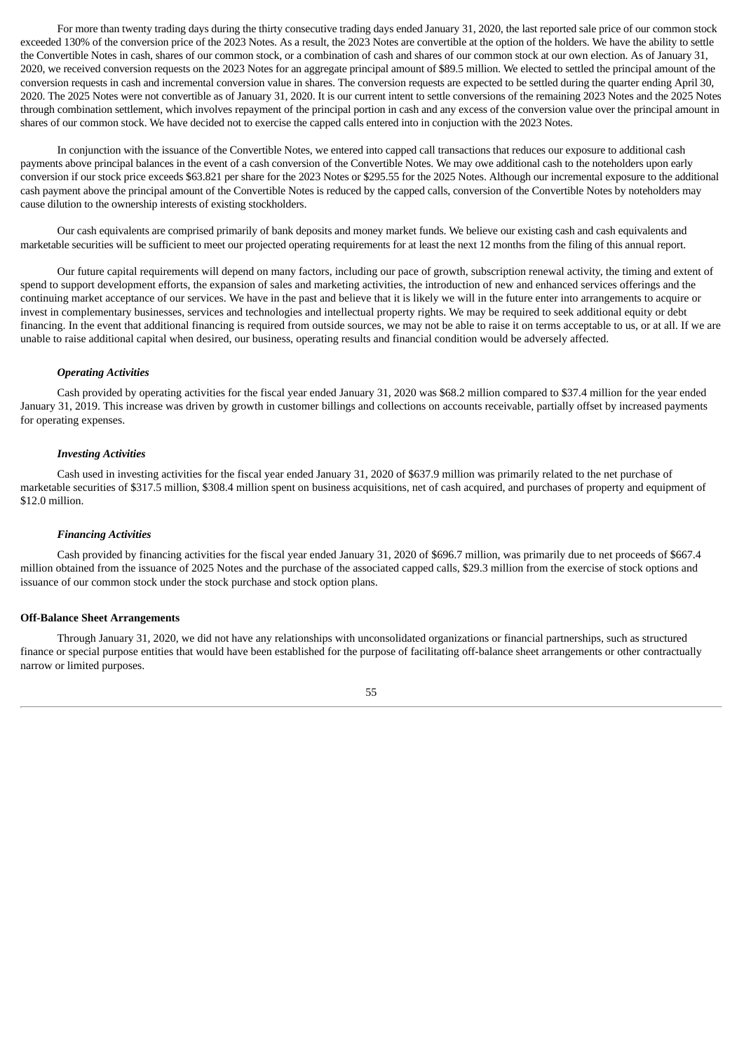For more than twenty trading days during the thirty consecutive trading days ended January 31, 2020, the last reported sale price of our common stock exceeded 130% of the conversion price of the 2023 Notes. As a result, the 2023 Notes are convertible at the option of the holders. We have the ability to settle the Convertible Notes in cash, shares of our common stock, or a combination of cash and shares of our common stock at our own election. As of January 31, 2020, we received conversion requests on the 2023 Notes for an aggregate principal amount of \$89.5 million. We elected to settled the principal amount of the conversion requests in cash and incremental conversion value in shares. The conversion requests are expected to be settled during the quarter ending April 30, 2020. The 2025 Notes were not convertible as of January 31, 2020. It is our current intent to settle conversions of the remaining 2023 Notes and the 2025 Notes through combination settlement, which involves repayment of the principal portion in cash and any excess of the conversion value over the principal amount in shares of our common stock. We have decided not to exercise the capped calls entered into in conjuction with the 2023 Notes.

In conjunction with the issuance of the Convertible Notes, we entered into capped call transactions that reduces our exposure to additional cash payments above principal balances in the event of a cash conversion of the Convertible Notes. We may owe additional cash to the noteholders upon early conversion if our stock price exceeds \$63.821 per share for the 2023 Notes or \$295.55 for the 2025 Notes. Although our incremental exposure to the additional cash payment above the principal amount of the Convertible Notes is reduced by the capped calls, conversion of the Convertible Notes by noteholders may cause dilution to the ownership interests of existing stockholders.

Our cash equivalents are comprised primarily of bank deposits and money market funds. We believe our existing cash and cash equivalents and marketable securities will be sufficient to meet our projected operating requirements for at least the next 12 months from the filing of this annual report.

Our future capital requirements will depend on many factors, including our pace of growth, subscription renewal activity, the timing and extent of spend to support development efforts, the expansion of sales and marketing activities, the introduction of new and enhanced services offerings and the continuing market acceptance of our services. We have in the past and believe that it is likely we will in the future enter into arrangements to acquire or invest in complementary businesses, services and technologies and intellectual property rights. We may be required to seek additional equity or debt financing. In the event that additional financing is required from outside sources, we may not be able to raise it on terms acceptable to us, or at all. If we are unable to raise additional capital when desired, our business, operating results and financial condition would be adversely affected.

## *Operating Activities*

Cash provided by operating activities for the fiscal year ended January 31, 2020 was \$68.2 million compared to \$37.4 million for the year ended January 31, 2019. This increase was driven by growth in customer billings and collections on accounts receivable, partially offset by increased payments for operating expenses.

#### *Investing Activities*

Cash used in investing activities for the fiscal year ended January 31, 2020 of \$637.9 million was primarily related to the net purchase of marketable securities of \$317.5 million, \$308.4 million spent on business acquisitions, net of cash acquired, and purchases of property and equipment of \$12.0 million.

#### *Financing Activities*

Cash provided by financing activities for the fiscal year ended January 31, 2020 of \$696.7 million, was primarily due to net proceeds of \$667.4 million obtained from the issuance of 2025 Notes and the purchase of the associated capped calls, \$29.3 million from the exercise of stock options and issuance of our common stock under the stock purchase and stock option plans.

#### **Off-Balance Sheet Arrangements**

Through January 31, 2020, we did not have any relationships with unconsolidated organizations or financial partnerships, such as structured finance or special purpose entities that would have been established for the purpose of facilitating off-balance sheet arrangements or other contractually narrow or limited purposes.

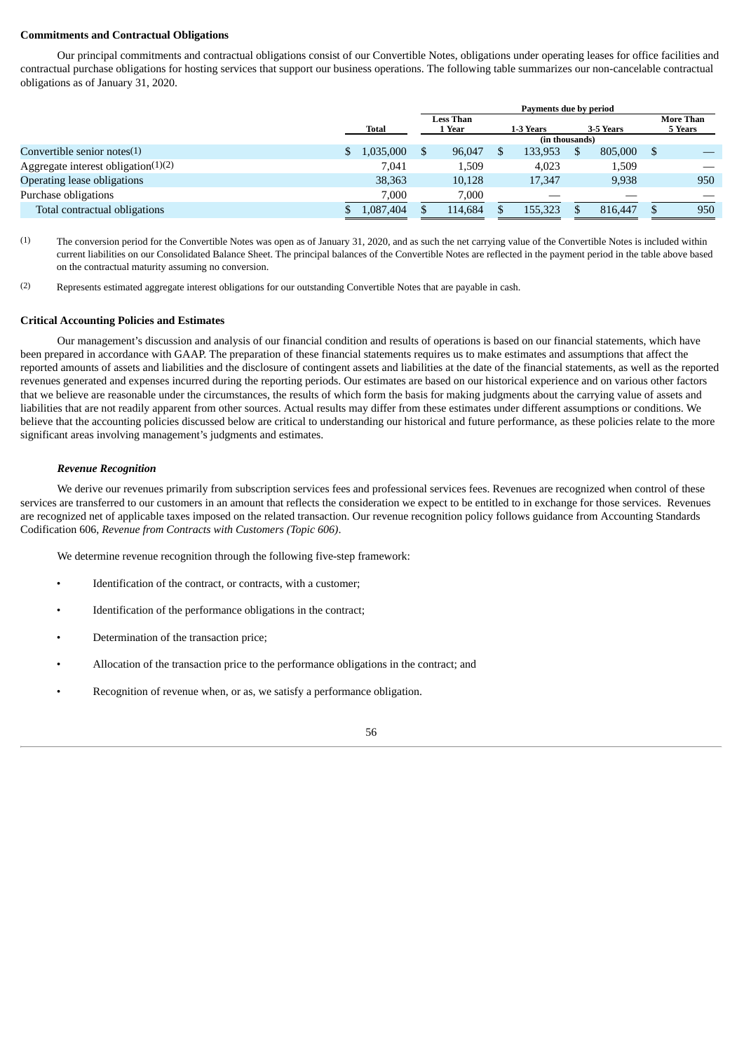# **Commitments and Contractual Obligations**

Our principal commitments and contractual obligations consist of our Convertible Notes, obligations under operating leases for office facilities and contractual purchase obligations for hosting services that support our business operations. The following table summarizes our non-cancelable contractual obligations as of January 31, 2020.

|                                        |           |                     | Payments due by period |  |                        |  |         |  |     |                             |
|----------------------------------------|-----------|---------------------|------------------------|--|------------------------|--|---------|--|-----|-----------------------------|
|                                        | Total     | Less Than<br>l Year |                        |  | 3-5 Years<br>1-3 Years |  |         |  |     | <b>More Than</b><br>5 Years |
|                                        |           |                     | (in thousands)         |  |                        |  |         |  |     |                             |
| Convertible senior notes $(1)$         | 1,035,000 |                     | 96,047                 |  | 133,953                |  | 805,000 |  |     |                             |
| Aggregate interest obligation $(1)(2)$ | 7.041     |                     | 1,509                  |  | 4.023                  |  | 1,509   |  |     |                             |
| Operating lease obligations            | 38,363    |                     | 10,128                 |  | 17,347                 |  | 9.938   |  | 950 |                             |
| Purchase obligations                   | 7.000     |                     | 7.000                  |  | _                      |  |         |  |     |                             |
| Total contractual obligations          | 1,087,404 |                     | 114,684                |  | 155,323                |  | 816,447 |  | 950 |                             |

(1) The conversion period for the Convertible Notes was open as of January 31, 2020, and as such the net carrying value of the Convertible Notes is included within current liabilities on our Consolidated Balance Sheet. The principal balances of the Convertible Notes are reflected in the payment period in the table above based on the contractual maturity assuming no conversion.

(2) Represents estimated aggregate interest obligations for our outstanding Convertible Notes that are payable in cash.

# **Critical Accounting Policies and Estimates**

Our management's discussion and analysis of our financial condition and results of operations is based on our financial statements, which have been prepared in accordance with GAAP. The preparation of these financial statements requires us to make estimates and assumptions that affect the reported amounts of assets and liabilities and the disclosure of contingent assets and liabilities at the date of the financial statements, as well as the reported revenues generated and expenses incurred during the reporting periods. Our estimates are based on our historical experience and on various other factors that we believe are reasonable under the circumstances, the results of which form the basis for making judgments about the carrying value of assets and liabilities that are not readily apparent from other sources. Actual results may differ from these estimates under different assumptions or conditions. We believe that the accounting policies discussed below are critical to understanding our historical and future performance, as these policies relate to the more significant areas involving management's judgments and estimates.

# *Revenue Recognition*

We derive our revenues primarily from subscription services fees and professional services fees. Revenues are recognized when control of these services are transferred to our customers in an amount that reflects the consideration we expect to be entitled to in exchange for those services. Revenues are recognized net of applicable taxes imposed on the related transaction. Our revenue recognition policy follows guidance from Accounting Standards Codification 606, *Revenue from Contracts with Customers (Topic 606)*.

We determine revenue recognition through the following five-step framework:

- Identification of the contract, or contracts, with a customer;
- Identification of the performance obligations in the contract;
- Determination of the transaction price;
- Allocation of the transaction price to the performance obligations in the contract; and
- Recognition of revenue when, or as, we satisfy a performance obligation.

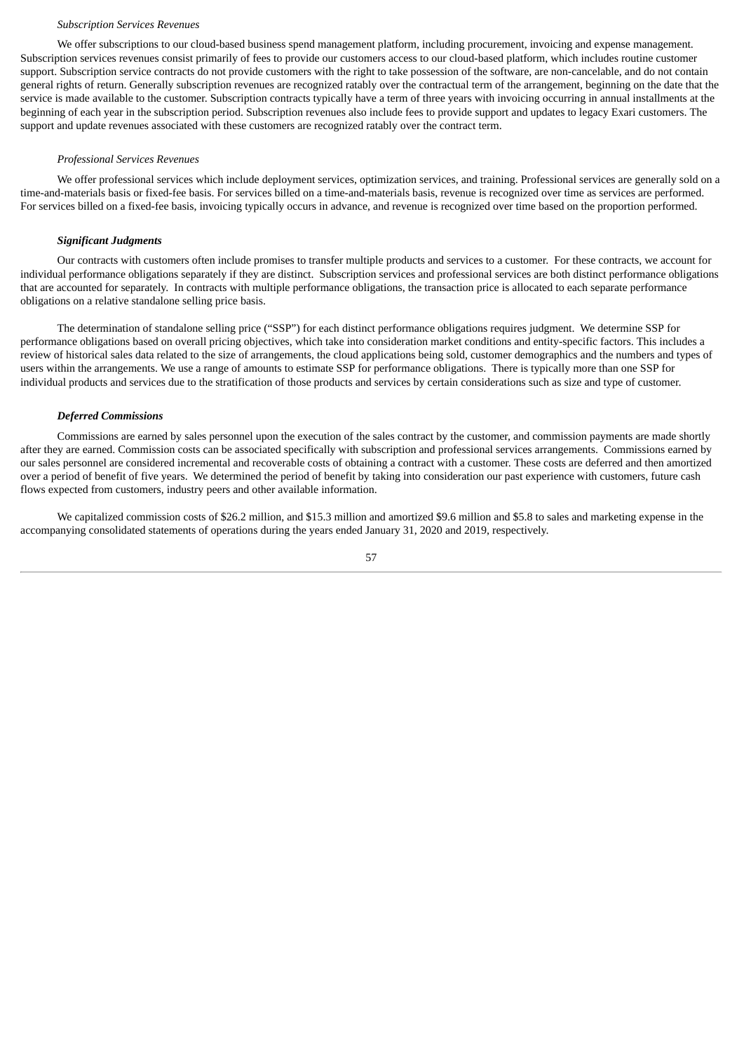#### *Subscription Services Revenues*

We offer subscriptions to our cloud-based business spend management platform, including procurement, invoicing and expense management. Subscription services revenues consist primarily of fees to provide our customers access to our cloud-based platform, which includes routine customer support. Subscription service contracts do not provide customers with the right to take possession of the software, are non-cancelable, and do not contain general rights of return. Generally subscription revenues are recognized ratably over the contractual term of the arrangement, beginning on the date that the service is made available to the customer. Subscription contracts typically have a term of three years with invoicing occurring in annual installments at the beginning of each year in the subscription period. Subscription revenues also include fees to provide support and updates to legacy Exari customers. The support and update revenues associated with these customers are recognized ratably over the contract term.

#### *Professional Services Revenues*

We offer professional services which include deployment services, optimization services, and training. Professional services are generally sold on a time-and-materials basis or fixed-fee basis. For services billed on a time-and-materials basis, revenue is recognized over time as services are performed. For services billed on a fixed-fee basis, invoicing typically occurs in advance, and revenue is recognized over time based on the proportion performed.

#### *Significant Judgments*

Our contracts with customers often include promises to transfer multiple products and services to a customer. For these contracts, we account for individual performance obligations separately if they are distinct. Subscription services and professional services are both distinct performance obligations that are accounted for separately. In contracts with multiple performance obligations, the transaction price is allocated to each separate performance obligations on a relative standalone selling price basis.

The determination of standalone selling price ("SSP") for each distinct performance obligations requires judgment. We determine SSP for performance obligations based on overall pricing objectives, which take into consideration market conditions and entity-specific factors. This includes a review of historical sales data related to the size of arrangements, the cloud applications being sold, customer demographics and the numbers and types of users within the arrangements. We use a range of amounts to estimate SSP for performance obligations. There is typically more than one SSP for individual products and services due to the stratification of those products and services by certain considerations such as size and type of customer.

#### *Deferred Commissions*

Commissions are earned by sales personnel upon the execution of the sales contract by the customer, and commission payments are made shortly after they are earned. Commission costs can be associated specifically with subscription and professional services arrangements. Commissions earned by our sales personnel are considered incremental and recoverable costs of obtaining a contract with a customer. These costs are deferred and then amortized over a period of benefit of five years. We determined the period of benefit by taking into consideration our past experience with customers, future cash flows expected from customers, industry peers and other available information.

We capitalized commission costs of \$26.2 million, and \$15.3 million and amortized \$9.6 million and \$5.8 to sales and marketing expense in the accompanying consolidated statements of operations during the years ended January 31, 2020 and 2019, respectively.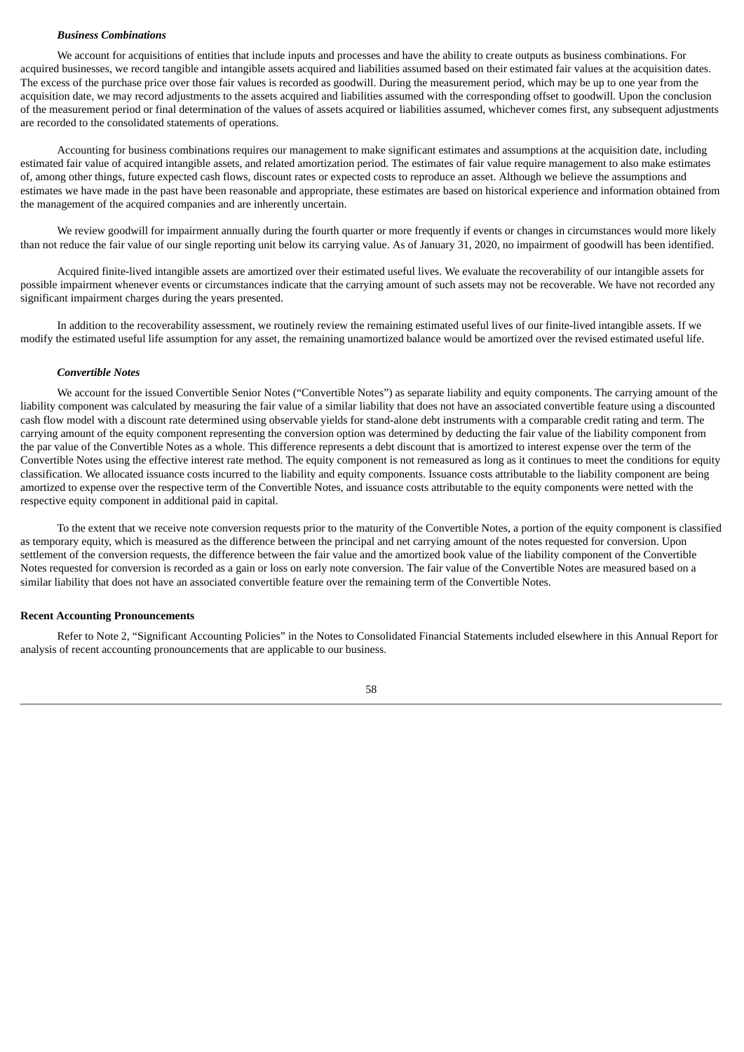### *Business Combinations*

We account for acquisitions of entities that include inputs and processes and have the ability to create outputs as business combinations. For acquired businesses, we record tangible and intangible assets acquired and liabilities assumed based on their estimated fair values at the acquisition dates. The excess of the purchase price over those fair values is recorded as goodwill. During the measurement period, which may be up to one year from the acquisition date, we may record adjustments to the assets acquired and liabilities assumed with the corresponding offset to goodwill. Upon the conclusion of the measurement period or final determination of the values of assets acquired or liabilities assumed, whichever comes first, any subsequent adjustments are recorded to the consolidated statements of operations.

Accounting for business combinations requires our management to make significant estimates and assumptions at the acquisition date, including estimated fair value of acquired intangible assets, and related amortization period. The estimates of fair value require management to also make estimates of, among other things, future expected cash flows, discount rates or expected costs to reproduce an asset. Although we believe the assumptions and estimates we have made in the past have been reasonable and appropriate, these estimates are based on historical experience and information obtained from the management of the acquired companies and are inherently uncertain.

We review goodwill for impairment annually during the fourth quarter or more frequently if events or changes in circumstances would more likely than not reduce the fair value of our single reporting unit below its carrying value. As of January 31, 2020, no impairment of goodwill has been identified.

Acquired finite-lived intangible assets are amortized over their estimated useful lives. We evaluate the recoverability of our intangible assets for possible impairment whenever events or circumstances indicate that the carrying amount of such assets may not be recoverable. We have not recorded any significant impairment charges during the years presented.

In addition to the recoverability assessment, we routinely review the remaining estimated useful lives of our finite-lived intangible assets. If we modify the estimated useful life assumption for any asset, the remaining unamortized balance would be amortized over the revised estimated useful life.

#### *Convertible Notes*

We account for the issued Convertible Senior Notes ("Convertible Notes") as separate liability and equity components. The carrying amount of the liability component was calculated by measuring the fair value of a similar liability that does not have an associated convertible feature using a discounted cash flow model with a discount rate determined using observable yields for stand-alone debt instruments with a comparable credit rating and term. The carrying amount of the equity component representing the conversion option was determined by deducting the fair value of the liability component from the par value of the Convertible Notes as a whole. This difference represents a debt discount that is amortized to interest expense over the term of the Convertible Notes using the effective interest rate method. The equity component is not remeasured as long as it continues to meet the conditions for equity classification. We allocated issuance costs incurred to the liability and equity components. Issuance costs attributable to the liability component are being amortized to expense over the respective term of the Convertible Notes, and issuance costs attributable to the equity components were netted with the respective equity component in additional paid in capital.

To the extent that we receive note conversion requests prior to the maturity of the Convertible Notes, a portion of the equity component is classified as temporary equity, which is measured as the difference between the principal and net carrying amount of the notes requested for conversion. Upon settlement of the conversion requests, the difference between the fair value and the amortized book value of the liability component of the Convertible Notes requested for conversion is recorded as a gain or loss on early note conversion. The fair value of the Convertible Notes are measured based on a similar liability that does not have an associated convertible feature over the remaining term of the Convertible Notes.

#### **Recent Accounting Pronouncements**

Refer to Note 2, "Significant Accounting Policies" in the Notes to Consolidated Financial Statements included elsewhere in this Annual Report for analysis of recent accounting pronouncements that are applicable to our business.

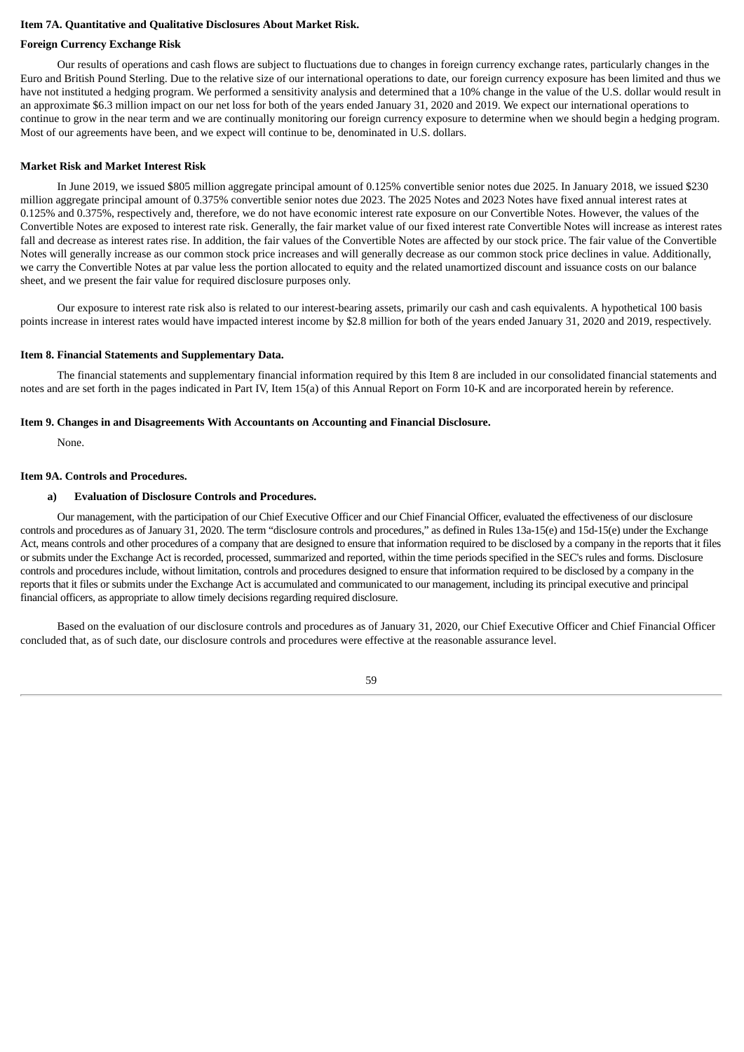# **Item 7A. Quantitative and Qualitative Disclosures About Market Risk.**

#### **Foreign Currency Exchange Risk**

Our results of operations and cash flows are subject to fluctuations due to changes in foreign currency exchange rates, particularly changes in the Euro and British Pound Sterling. Due to the relative size of our international operations to date, our foreign currency exposure has been limited and thus we have not instituted a hedging program. We performed a sensitivity analysis and determined that a 10% change in the value of the U.S. dollar would result in an approximate \$6.3 million impact on our net loss for both of the years ended January 31, 2020 and 2019. We expect our international operations to continue to grow in the near term and we are continually monitoring our foreign currency exposure to determine when we should begin a hedging program. Most of our agreements have been, and we expect will continue to be, denominated in U.S. dollars.

### **Market Risk and Market Interest Risk**

In June 2019, we issued \$805 million aggregate principal amount of 0.125% convertible senior notes due 2025. In January 2018, we issued \$230 million aggregate principal amount of 0.375% convertible senior notes due 2023. The 2025 Notes and 2023 Notes have fixed annual interest rates at 0.125% and 0.375%, respectively and, therefore, we do not have economic interest rate exposure on our Convertible Notes. However, the values of the Convertible Notes are exposed to interest rate risk. Generally, the fair market value of our fixed interest rate Convertible Notes will increase as interest rates fall and decrease as interest rates rise. In addition, the fair values of the Convertible Notes are affected by our stock price. The fair value of the Convertible Notes will generally increase as our common stock price increases and will generally decrease as our common stock price declines in value. Additionally, we carry the Convertible Notes at par value less the portion allocated to equity and the related unamortized discount and issuance costs on our balance sheet, and we present the fair value for required disclosure purposes only.

Our exposure to interest rate risk also is related to our interest-bearing assets, primarily our cash and cash equivalents. A hypothetical 100 basis points increase in interest rates would have impacted interest income by \$2.8 million for both of the years ended January 31, 2020 and 2019, respectively.

## **Item 8. Financial Statements and Supplementary Data.**

The financial statements and supplementary financial information required by this Item 8 are included in our consolidated financial statements and notes and are set forth in the pages indicated in Part IV, Item 15(a) of this Annual Report on Form 10‑K and are incorporated herein by reference.

#### **Item 9. Changes in and Disagreements With Accountants on Accounting and Financial Disclosure.**

None.

# **Item 9A. Controls and Procedures.**

#### **a) Evaluation of Disclosure Controls and Procedures.**

Our management, with the participation of our Chief Executive Officer and our Chief Financial Officer, evaluated the effectiveness of our disclosure controls and procedures as of January 31, 2020. The term "disclosure controls and procedures," as defined in Rules 13a-15(e) and 15d-15(e) under the Exchange Act, means controls and other procedures of a company that are designed to ensure that information required to be disclosed by a company in the reports that it files or submits under the Exchange Act is recorded, processed, summarized and reported, within the time periods specified in the SEC's rules and forms. Disclosure controls and procedures include, without limitation, controls and procedures designed to ensure that information required to be disclosed by a company in the reports that it files or submits under the Exchange Act is accumulated and communicated to our management, including its principal executive and principal financial officers, as appropriate to allow timely decisions regarding required disclosure.

Based on the evaluation of our disclosure controls and procedures as of January 31, 2020, our Chief Executive Officer and Chief Financial Officer concluded that, as of such date, our disclosure controls and procedures were effective at the reasonable assurance level.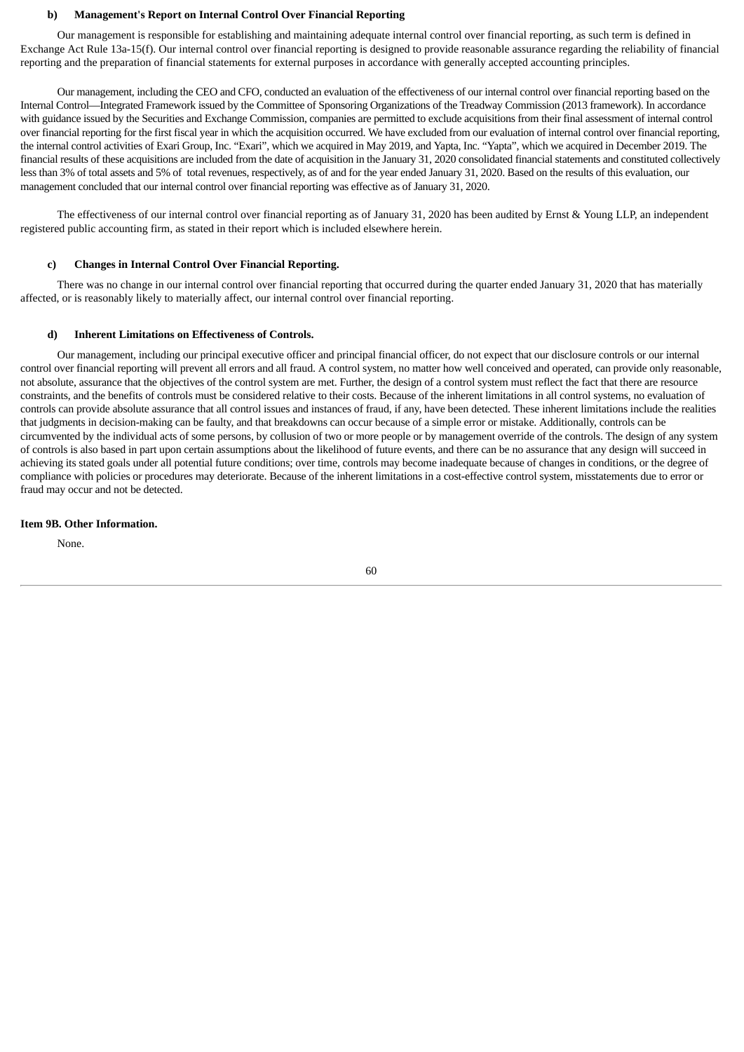## **b) Management's Report on Internal Control Over Financial Reporting**

Our management is responsible for establishing and maintaining adequate internal control over financial reporting, as such term is defined in Exchange Act Rule 13a-15(f). Our internal control over financial reporting is designed to provide reasonable assurance regarding the reliability of financial reporting and the preparation of financial statements for external purposes in accordance with generally accepted accounting principles.

Our management, including the CEO and CFO, conducted an evaluation of the effectiveness of our internal control over financial reporting based on the Internal Control—Integrated Framework issued by the Committee of Sponsoring Organizations of the Treadway Commission (2013 framework). In accordance with guidance issued by the Securities and Exchange Commission, companies are permitted to exclude acquisitions from their final assessment of internal control over financial reporting for the first fiscal year in which the acquisition occurred. We have excluded from our evaluation of internal control over financial reporting, the internal control activities of Exari Group, Inc. "Exari", which we acquired in May 2019, and Yapta, Inc. "Yapta", which we acquired in December 2019. The financial results of these acquisitions are included from the date of acquisition in the January 31, 2020 consolidated financial statements and constituted collectively less than 3% of total assets and 5% of total revenues, respectively, as of and for the year ended January 31, 2020. Based on the results of this evaluation, our management concluded that our internal control over financial reporting was effective as of January 31, 2020.

The effectiveness of our internal control over financial reporting as of January 31, 2020 has been audited by Ernst & Young LLP, an independent registered public accounting firm, as stated in their report which is included elsewhere herein.

# **c) Changes in Internal Control Over Financial Reporting.**

There was no change in our internal control over financial reporting that occurred during the quarter ended January 31, 2020 that has materially affected, or is reasonably likely to materially affect, our internal control over financial reporting.

## **d) Inherent Limitations on Effectiveness of Controls.**

Our management, including our principal executive officer and principal financial officer, do not expect that our disclosure controls or our internal control over financial reporting will prevent all errors and all fraud. A control system, no matter how well conceived and operated, can provide only reasonable, not absolute, assurance that the objectives of the control system are met. Further, the design of a control system must reflect the fact that there are resource constraints, and the benefits of controls must be considered relative to their costs. Because of the inherent limitations in all control systems, no evaluation of controls can provide absolute assurance that all control issues and instances of fraud, if any, have been detected. These inherent limitations include the realities that judgments in decision-making can be faulty, and that breakdowns can occur because of a simple error or mistake. Additionally, controls can be circumvented by the individual acts of some persons, by collusion of two or more people or by management override of the controls. The design of any system of controls is also based in part upon certain assumptions about the likelihood of future events, and there can be no assurance that any design will succeed in achieving its stated goals under all potential future conditions; over time, controls may become inadequate because of changes in conditions, or the degree of compliance with policies or procedures may deteriorate. Because of the inherent limitations in a cost-effective control system, misstatements due to error or fraud may occur and not be detected.

## **Item 9B. Other Information.**

None.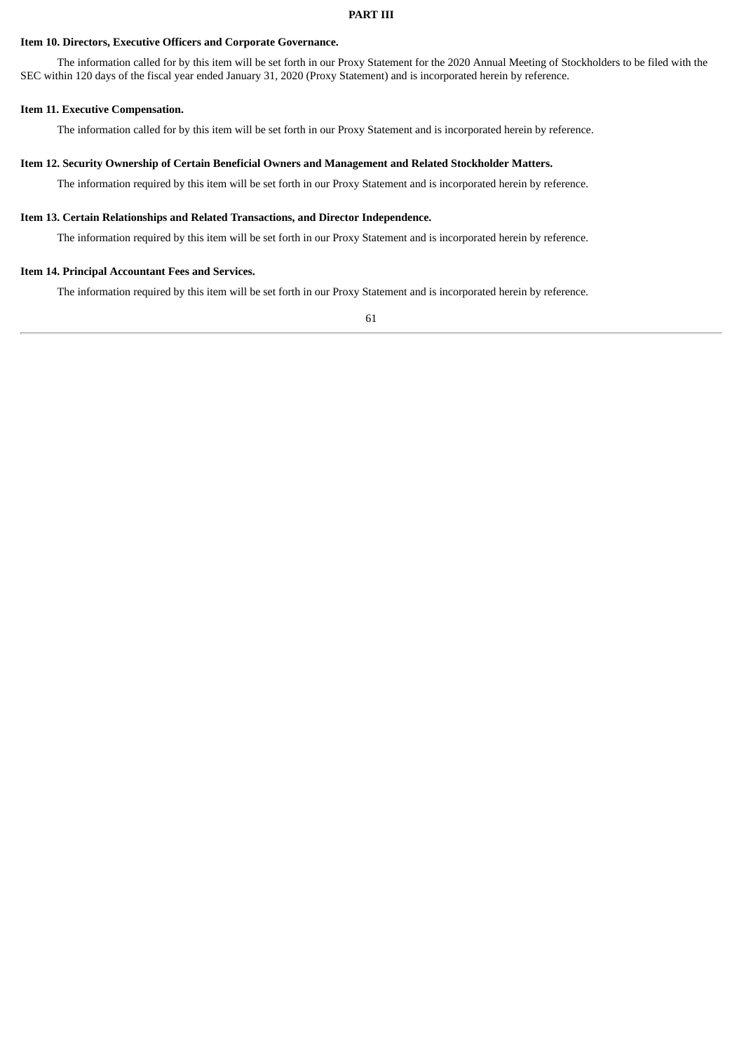# **Item 10. Directors, Executive Officers and Corporate Governance.**

The information called for by this item will be set forth in our Proxy Statement for the 2020 Annual Meeting of Stockholders to be filed with the SEC within 120 days of the fiscal year ended January 31, 2020 (Proxy Statement) and is incorporated herein by reference.

## **Item 11. Executive Compensation.**

The information called for by this item will be set forth in our Proxy Statement and is incorporated herein by reference.

## **Item 12. Security Ownership of Certain Beneficial Owners and Management and Related Stockholder Matters.**

The information required by this item will be set forth in our Proxy Statement and is incorporated herein by reference.

# **Item 13. Certain Relationships and Related Transactions, and Director Independence.**

The information required by this item will be set forth in our Proxy Statement and is incorporated herein by reference.

# **Item 14. Principal Accountant Fees and Services.**

The information required by this item will be set forth in our Proxy Statement and is incorporated herein by reference.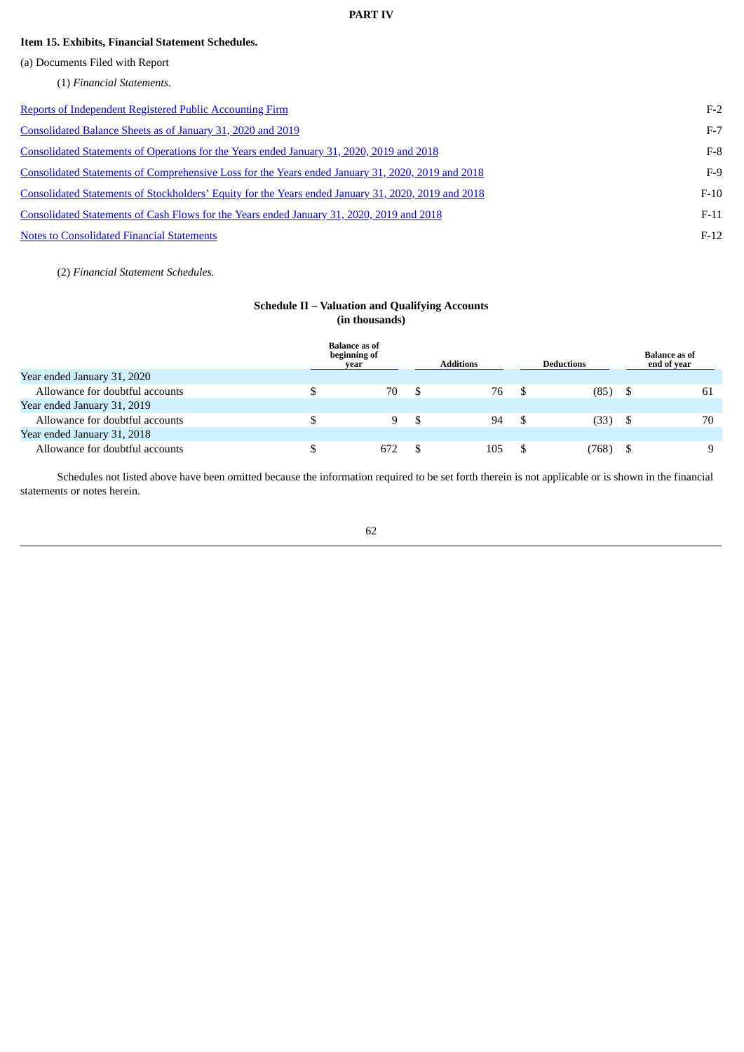# **PART IV**

# **Item 15. Exhibits, Financial Statement Schedules.**

(a) Documents Filed with Report

(1) *Financial Statements.*

| Reports of Independent Registered Public Accounting Firm                                            | $F-2$  |
|-----------------------------------------------------------------------------------------------------|--------|
| Consolidated Balance Sheets as of January 31, 2020 and 2019                                         | $F-7$  |
| Consolidated Statements of Operations for the Years ended January 31, 2020, 2019 and 2018           | $F-8$  |
| Consolidated Statements of Comprehensive Loss for the Years ended January 31, 2020, 2019 and 2018   | $F-9$  |
| Consolidated Statements of Stockholders' Equity for the Years ended January 31, 2020, 2019 and 2018 | $F-10$ |
| Consolidated Statements of Cash Flows for the Years ended January 31, 2020, 2019 and 2018           | $F-11$ |
| <b>Notes to Consolidated Financial Statements</b>                                                   | $F-12$ |

(2) *Financial Statement Schedules.*

# **Schedule II – Valuation and Qualifying Accounts (in thousands)**

|                                 | <b>Balance as of</b><br>beginning of<br>vear | <b>Additions</b> | <b>Deductions</b> | <b>Balance as of</b><br>end of year |
|---------------------------------|----------------------------------------------|------------------|-------------------|-------------------------------------|
| Year ended January 31, 2020     |                                              |                  |                   |                                     |
| Allowance for doubtful accounts | 70                                           | 76               | (85)              | 61                                  |
| Year ended January 31, 2019     |                                              |                  |                   |                                     |
| Allowance for doubtful accounts | 9.                                           | 94               | (33)              | 70                                  |
| Year ended January 31, 2018     |                                              |                  |                   |                                     |
| Allowance for doubtful accounts | 672                                          | 105              | (768)             | 9                                   |

Schedules not listed above have been omitted because the information required to be set forth therein is not applicable or is shown in the financial statements or notes herein.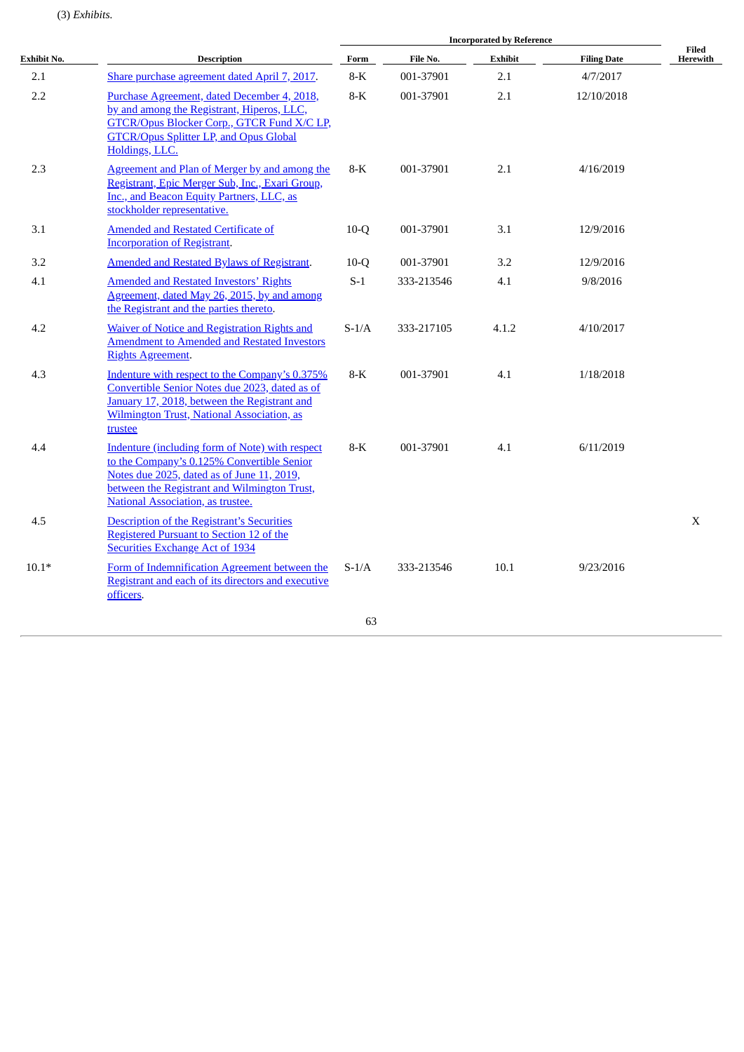# (3) *Exhibits.*

|             | <b>Description</b>                                                                                                                                                                                                               |         | <b>Incorporated by Reference</b> |                |                    |                          |  |  |  |
|-------------|----------------------------------------------------------------------------------------------------------------------------------------------------------------------------------------------------------------------------------|---------|----------------------------------|----------------|--------------------|--------------------------|--|--|--|
| Exhibit No. |                                                                                                                                                                                                                                  | Form    | File No.                         | <b>Exhibit</b> | <b>Filing Date</b> | <b>Filed</b><br>Herewith |  |  |  |
| 2.1         | Share purchase agreement dated April 7, 2017.                                                                                                                                                                                    | $8-K$   | 001-37901                        | 2.1            | 4/7/2017           |                          |  |  |  |
| 2.2         | Purchase Agreement, dated December 4, 2018,<br>by and among the Registrant, Hiperos, LLC,<br>GTCR/Opus Blocker Corp., GTCR Fund X/C LP,<br><b>GTCR/Opus Splitter LP, and Opus Global</b><br>Holdings, LLC.                       | $8-K$   | 001-37901                        | 2.1            | 12/10/2018         |                          |  |  |  |
| 2.3         | Agreement and Plan of Merger by and among the<br>Registrant, Epic Merger Sub, Inc., Exari Group,<br>Inc., and Beacon Equity Partners, LLC, as<br>stockholder representative.                                                     | $8-K$   | 001-37901                        | 2.1            | 4/16/2019          |                          |  |  |  |
| 3.1         | <b>Amended and Restated Certificate of</b><br><b>Incorporation of Registrant.</b>                                                                                                                                                | $10-Q$  | 001-37901                        | 3.1            | 12/9/2016          |                          |  |  |  |
| 3.2         | Amended and Restated Bylaws of Registrant.                                                                                                                                                                                       | $10-Q$  | 001-37901                        | 3.2            | 12/9/2016          |                          |  |  |  |
| 4.1         | <b>Amended and Restated Investors' Rights</b><br>Agreement, dated May 26, 2015, by and among<br>the Registrant and the parties thereto.                                                                                          | $S-1$   | 333-213546                       | 4.1            | 9/8/2016           |                          |  |  |  |
| 4.2         | <b>Waiver of Notice and Registration Rights and</b><br><b>Amendment to Amended and Restated Investors</b><br><b>Rights Agreement.</b>                                                                                            | $S-1/A$ | 333-217105                       | 4.1.2          | 4/10/2017          |                          |  |  |  |
| 4.3         | Indenture with respect to the Company's 0.375%<br>Convertible Senior Notes due 2023, dated as of<br>January 17, 2018, between the Registrant and<br>Wilmington Trust, National Association, as<br>trustee                        | $8-K$   | 001-37901                        | 4.1            | 1/18/2018          |                          |  |  |  |
| 4.4         | Indenture (including form of Note) with respect<br>to the Company's 0.125% Convertible Senior<br>Notes due 2025, dated as of June 11, 2019,<br>between the Registrant and Wilmington Trust,<br>National Association, as trustee. | $8-K$   | 001-37901                        | 4.1            | 6/11/2019          |                          |  |  |  |
| 4.5         | Description of the Registrant's Securities<br>Registered Pursuant to Section 12 of the<br><b>Securities Exchange Act of 1934</b>                                                                                                 |         |                                  |                |                    | $\boldsymbol{X}$         |  |  |  |
| $10.1*$     | Form of Indemnification Agreement between the<br>Registrant and each of its directors and executive<br>officers.                                                                                                                 | $S-1/A$ | 333-213546                       | 10.1           | 9/23/2016          |                          |  |  |  |
|             |                                                                                                                                                                                                                                  | 63      |                                  |                |                    |                          |  |  |  |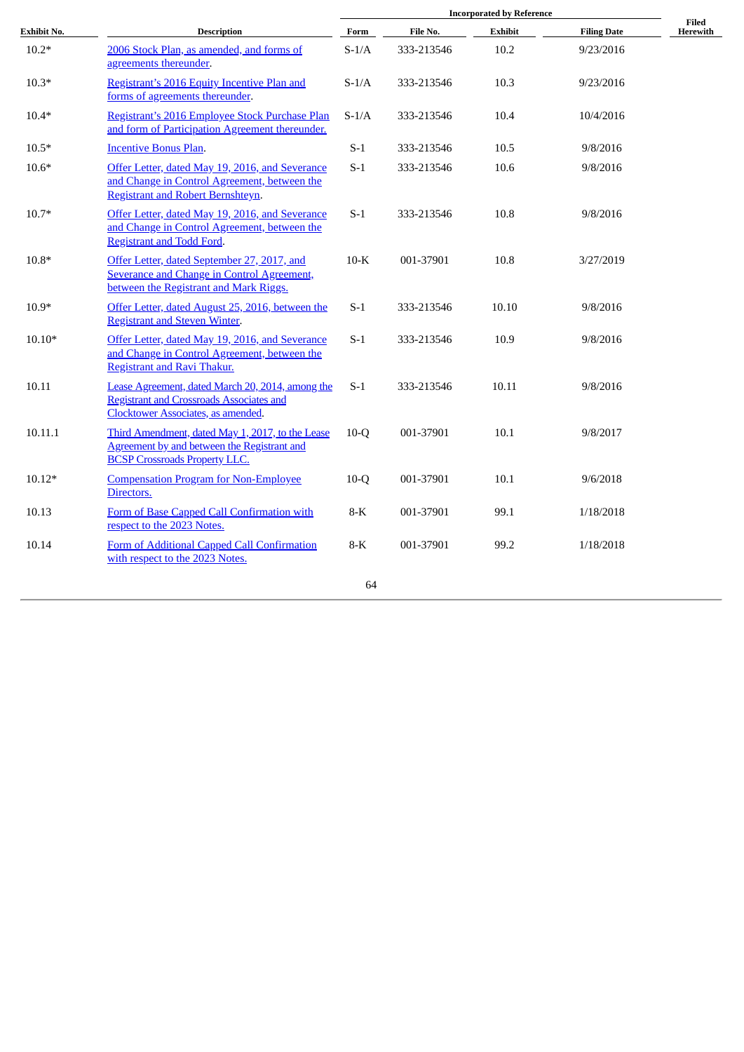| Exhibit No. | <b>Description</b>                                                                                                                               | Form    | File No.   | Exhibit | <b>Filing Date</b> | Filed<br>Herewith |
|-------------|--------------------------------------------------------------------------------------------------------------------------------------------------|---------|------------|---------|--------------------|-------------------|
| $10.2*$     | 2006 Stock Plan, as amended, and forms of<br>agreements thereunder.                                                                              | $S-1/A$ | 333-213546 | 10.2    | 9/23/2016          |                   |
| $10.3*$     | Registrant's 2016 Equity Incentive Plan and<br>forms of agreements thereunder.                                                                   | $S-1/A$ | 333-213546 | 10.3    | 9/23/2016          |                   |
| $10.4*$     | Registrant's 2016 Employee Stock Purchase Plan<br>and form of Participation Agreement thereunder.                                                | $S-1/A$ | 333-213546 | 10.4    | 10/4/2016          |                   |
| $10.5*$     | <b>Incentive Bonus Plan.</b>                                                                                                                     | $S-1$   | 333-213546 | 10.5    | 9/8/2016           |                   |
| $10.6*$     | Offer Letter, dated May 19, 2016, and Severance<br>and Change in Control Agreement, between the<br>Registrant and Robert Bernshteyn.             | $S-1$   | 333-213546 | 10.6    | 9/8/2016           |                   |
| $10.7*$     | Offer Letter, dated May 19, 2016, and Severance<br>and Change in Control Agreement, between the<br><b>Registrant and Todd Ford.</b>              | $S-1$   | 333-213546 | 10.8    | 9/8/2016           |                   |
| $10.8*$     | Offer Letter, dated September 27, 2017, and<br>Severance and Change in Control Agreement,<br>between the Registrant and Mark Riggs.              | $10-K$  | 001-37901  | 10.8    | 3/27/2019          |                   |
| $10.9*$     | Offer Letter, dated August 25, 2016, between the<br><b>Registrant and Steven Winter.</b>                                                         | $S-1$   | 333-213546 | 10.10   | 9/8/2016           |                   |
| $10.10*$    | Offer Letter, dated May 19, 2016, and Severance<br>and Change in Control Agreement, between the<br><b>Registrant and Ravi Thakur.</b>            | $S-1$   | 333-213546 | 10.9    | 9/8/2016           |                   |
| 10.11       | Lease Agreement, dated March 20, 2014, among the<br><b>Registrant and Crossroads Associates and</b><br><b>Clocktower Associates, as amended.</b> | $S-1$   | 333-213546 | 10.11   | 9/8/2016           |                   |
| 10.11.1     | Third Amendment, dated May 1, 2017, to the Lease<br>Agreement by and between the Registrant and<br><b>BCSP Crossroads Property LLC.</b>          | $10-Q$  | 001-37901  | 10.1    | 9/8/2017           |                   |
| $10.12*$    | <b>Compensation Program for Non-Employee</b><br>Directors.                                                                                       | $10-Q$  | 001-37901  | 10.1    | 9/6/2018           |                   |
| 10.13       | Form of Base Capped Call Confirmation with<br>respect to the 2023 Notes.                                                                         | 8-K     | 001-37901  | 99.1    | 1/18/2018          |                   |
| 10.14       | Form of Additional Capped Call Confirmation<br>with respect to the 2023 Notes.                                                                   | 8-K     | 001-37901  | 99.2    | 1/18/2018          |                   |
|             |                                                                                                                                                  | 64      |            |         |                    |                   |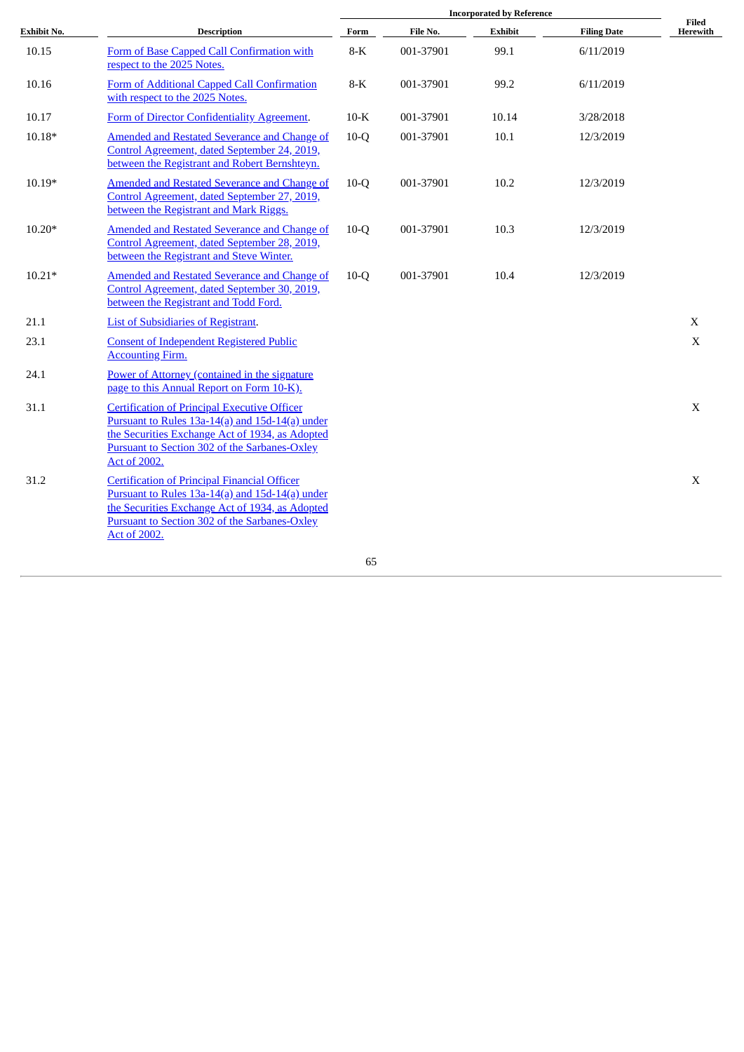|             |                                                                                                                                                                                                                                          | <b>Incorporated by Reference</b> |           |                |                    |                   |
|-------------|------------------------------------------------------------------------------------------------------------------------------------------------------------------------------------------------------------------------------------------|----------------------------------|-----------|----------------|--------------------|-------------------|
| Exhibit No. | <b>Description</b>                                                                                                                                                                                                                       | Form                             | File No.  | <b>Exhibit</b> | <b>Filing Date</b> | Filed<br>Herewith |
| 10.15       | Form of Base Capped Call Confirmation with<br>respect to the 2025 Notes.                                                                                                                                                                 | $8-K$                            | 001-37901 | 99.1           | 6/11/2019          |                   |
| 10.16       | Form of Additional Capped Call Confirmation<br>with respect to the 2025 Notes.                                                                                                                                                           | $8-K$                            | 001-37901 | 99.2           | 6/11/2019          |                   |
| 10.17       | Form of Director Confidentiality Agreement.                                                                                                                                                                                              | $10-K$                           | 001-37901 | 10.14          | 3/28/2018          |                   |
| $10.18*$    | <b>Amended and Restated Severance and Change of</b><br>Control Agreement, dated September 24, 2019,<br>between the Registrant and Robert Bernshteyn.                                                                                     | $10-Q$                           | 001-37901 | 10.1           | 12/3/2019          |                   |
| $10.19*$    | <b>Amended and Restated Severance and Change of</b><br>Control Agreement, dated September 27, 2019,<br>between the Registrant and Mark Riggs.                                                                                            | $10-Q$                           | 001-37901 | 10.2           | 12/3/2019          |                   |
| $10.20*$    | <b>Amended and Restated Severance and Change of</b><br>Control Agreement, dated September 28, 2019,<br>between the Registrant and Steve Winter.                                                                                          | $10-Q$                           | 001-37901 | 10.3           | 12/3/2019          |                   |
| $10.21*$    | <b>Amended and Restated Severance and Change of</b><br>Control Agreement, dated September 30, 2019,<br>between the Registrant and Todd Ford.                                                                                             | $10-Q$                           | 001-37901 | 10.4           | 12/3/2019          |                   |
| 21.1        | <b>List of Subsidiaries of Registrant.</b>                                                                                                                                                                                               |                                  |           |                |                    | $\mathbf X$       |
| 23.1        | <b>Consent of Independent Registered Public</b><br><b>Accounting Firm.</b>                                                                                                                                                               |                                  |           |                |                    | X                 |
| 24.1        | Power of Attorney (contained in the signature<br>page to this Annual Report on Form 10-K).                                                                                                                                               |                                  |           |                |                    |                   |
| 31.1        | <b>Certification of Principal Executive Officer</b><br>Pursuant to Rules 13a-14(a) and 15d-14(a) under<br>the Securities Exchange Act of 1934, as Adopted<br><b>Pursuant to Section 302 of the Sarbanes-Oxley</b><br>Act of 2002.        |                                  |           |                |                    | X                 |
| 31.2        | <b>Certification of Principal Financial Officer</b><br>Pursuant to Rules 13a-14(a) and 15d-14(a) under<br>the Securities Exchange Act of 1934, as Adopted<br><b>Pursuant to Section 302 of the Sarbanes-Oxley</b><br><b>Act of 2002.</b> |                                  |           |                |                    | X                 |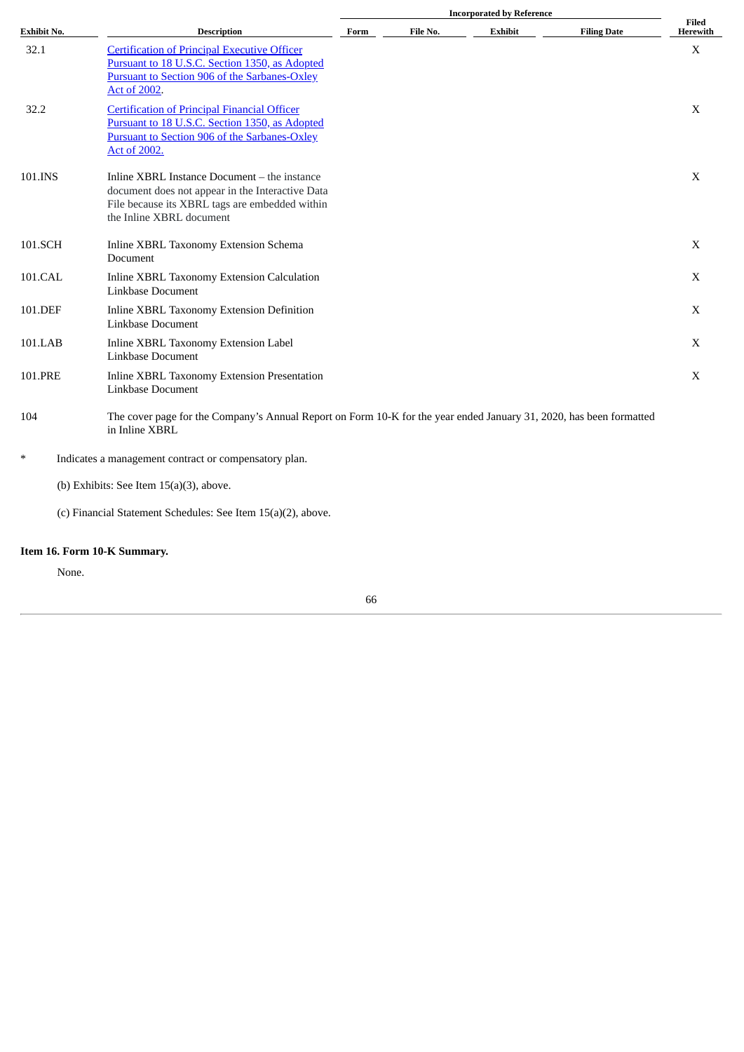|                    | <b>Description</b>                                                                                                                                                                   |      |          |         |                    |                   |
|--------------------|--------------------------------------------------------------------------------------------------------------------------------------------------------------------------------------|------|----------|---------|--------------------|-------------------|
| <b>Exhibit No.</b> |                                                                                                                                                                                      | Form | File No. | Exhibit | <b>Filing Date</b> | Filed<br>Herewith |
| 32.1               | <b>Certification of Principal Executive Officer</b><br>Pursuant to 18 U.S.C. Section 1350, as Adopted<br><b>Pursuant to Section 906 of the Sarbanes-Oxley</b><br><b>Act of 2002.</b> |      |          |         |                    | X                 |
| 32.2               | <b>Certification of Principal Financial Officer</b><br>Pursuant to 18 U.S.C. Section 1350, as Adopted<br><b>Pursuant to Section 906 of the Sarbanes-Oxley</b><br>Act of 2002.        |      |          |         |                    | X                 |
| 101.INS            | Inline XBRL Instance Document – the instance<br>document does not appear in the Interactive Data<br>File because its XBRL tags are embedded within<br>the Inline XBRL document       |      |          |         |                    | X                 |
| 101.SCH            | Inline XBRL Taxonomy Extension Schema<br>Document                                                                                                                                    |      |          |         |                    | X                 |
| 101.CAL            | Inline XBRL Taxonomy Extension Calculation<br>Linkbase Document                                                                                                                      |      |          |         |                    | X                 |
| 101.DEF            | Inline XBRL Taxonomy Extension Definition<br>Linkbase Document                                                                                                                       |      |          |         |                    | X                 |
| 101.LAB            | Inline XBRL Taxonomy Extension Label<br>Linkbase Document                                                                                                                            |      |          |         |                    | X                 |
| 101.PRE            | Inline XBRL Taxonomy Extension Presentation<br>Linkbase Document                                                                                                                     |      |          |         |                    | X                 |
| 104                | The cover page for the Company's Annual Report on Form 10-K for the year ended January 31, 2020, has been formatted<br>in Inline XBRL                                                |      |          |         |                    |                   |
| $\ast$             | Indicates a management contract or compensatory plan.                                                                                                                                |      |          |         |                    |                   |
|                    | (b) Exhibits: See Item $15(a)(3)$ , above.                                                                                                                                           |      |          |         |                    |                   |
|                    | (c) Financial Statement Schedules: See Item 15(a)(2), above.                                                                                                                         |      |          |         |                    |                   |

# **Item 16. Form 10-K Summary.**

None.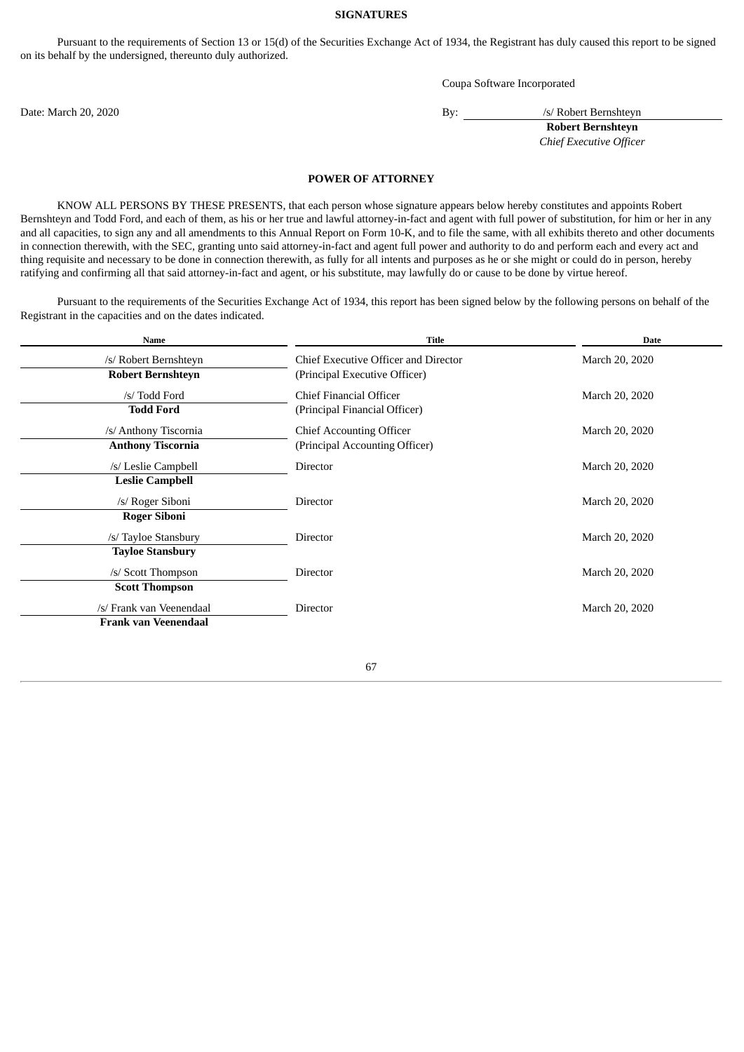## **SIGNATURES**

Pursuant to the requirements of Section 13 or 15(d) of the Securities Exchange Act of 1934, the Registrant has duly caused this report to be signed on its behalf by the undersigned, thereunto duly authorized.

Coupa Software Incorporated

Date: March 20, 2020 By: /s/ Robert Bernshteyn

**Robert Bernshteyn** *Chief Executive Officer*

### **POWER OF ATTORNEY**

<span id="page-69-0"></span>KNOW ALL PERSONS BY THESE PRESENTS, that each person whose signature appears below hereby constitutes and appoints Robert Bernshteyn and Todd Ford, and each of them, as his or her true and lawful attorney-in-fact and agent with full power of substitution, for him or her in any and all capacities, to sign any and all amendments to this Annual Report on Form 10-K, and to file the same, with all exhibits thereto and other documents in connection therewith, with the SEC, granting unto said attorney-in-fact and agent full power and authority to do and perform each and every act and thing requisite and necessary to be done in connection therewith, as fully for all intents and purposes as he or she might or could do in person, hereby ratifying and confirming all that said attorney-in-fact and agent, or his substitute, may lawfully do or cause to be done by virtue hereof.

Pursuant to the requirements of the Securities Exchange Act of 1934, this report has been signed below by the following persons on behalf of the Registrant in the capacities and on the dates indicated.

| Name                                                    | <b>Title</b>                                                          | <b>Date</b>    |
|---------------------------------------------------------|-----------------------------------------------------------------------|----------------|
| /s/ Robert Bernshteyn<br><b>Robert Bernshteyn</b>       | Chief Executive Officer and Director<br>(Principal Executive Officer) | March 20, 2020 |
| /s/ Todd Ford<br><b>Todd Ford</b>                       | Chief Financial Officer<br>(Principal Financial Officer)              | March 20, 2020 |
| /s/ Anthony Tiscornia<br><b>Anthony Tiscornia</b>       | <b>Chief Accounting Officer</b><br>(Principal Accounting Officer)     | March 20, 2020 |
| /s/ Leslie Campbell<br><b>Leslie Campbell</b>           | Director                                                              | March 20, 2020 |
| /s/ Roger Siboni<br><b>Roger Siboni</b>                 | <b>Director</b>                                                       | March 20, 2020 |
| /s/ Tayloe Stansbury<br><b>Tayloe Stansbury</b>         | Director                                                              | March 20, 2020 |
| /s/ Scott Thompson<br><b>Scott Thompson</b>             | <b>Director</b>                                                       | March 20, 2020 |
| /s/ Frank van Veenendaal<br><b>Frank van Veenendaal</b> | Director                                                              | March 20, 2020 |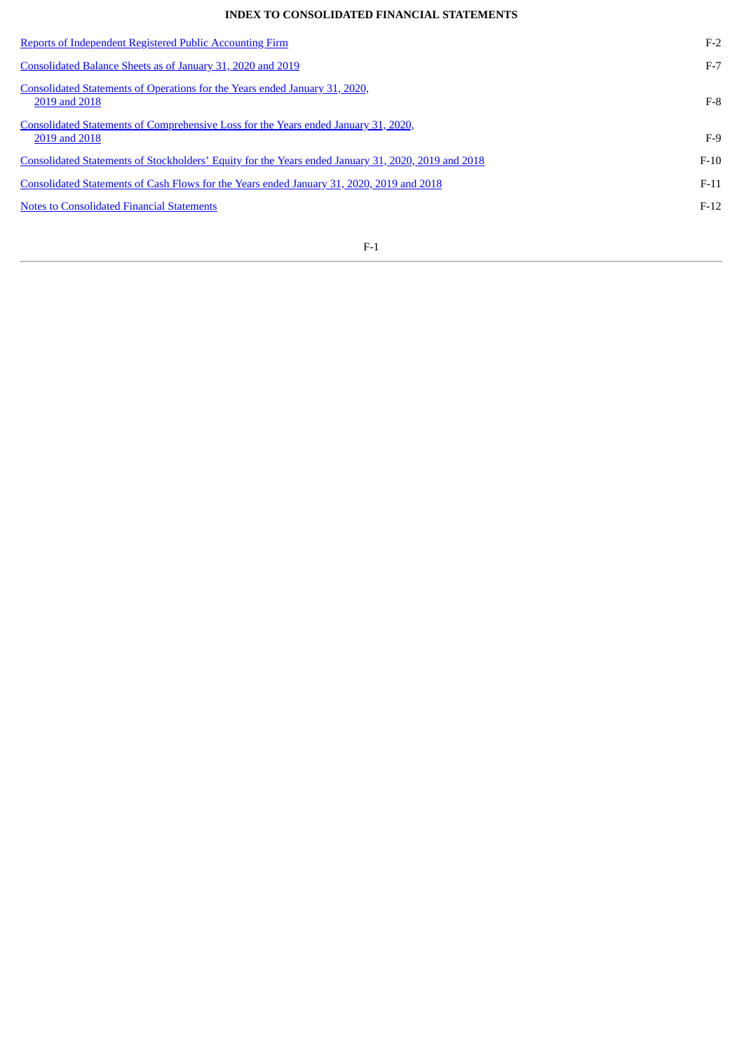# **INDEX TO CONSOLIDATED FINANCIAL STATEMENTS**

| $F-2$  |
|--------|
| $F-7$  |
| $F-8$  |
| $F-9$  |
| $F-10$ |
| $F-11$ |
| $F-12$ |
|        |

F-1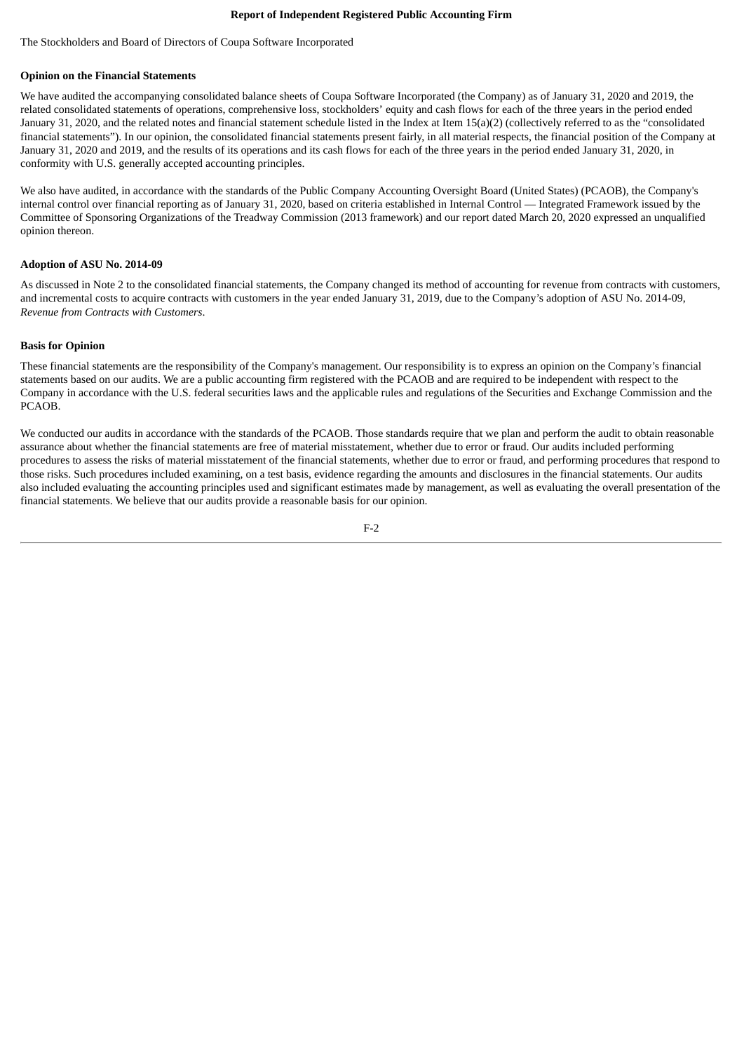## **Report of Independent Registered Public Accounting Firm**

<span id="page-71-0"></span>The Stockholders and Board of Directors of Coupa Software Incorporated

# **Opinion on the Financial Statements**

We have audited the accompanying consolidated balance sheets of Coupa Software Incorporated (the Company) as of January 31, 2020 and 2019, the related consolidated statements of operations, comprehensive loss, stockholders' equity and cash flows for each of the three years in the period ended January 31, 2020, and the related notes and financial statement schedule listed in the Index at Item 15(a)(2) (collectively referred to as the "consolidated financial statements"). In our opinion, the consolidated financial statements present fairly, in all material respects, the financial position of the Company at January 31, 2020 and 2019, and the results of its operations and its cash flows for each of the three years in the period ended January 31, 2020, in conformity with U.S. generally accepted accounting principles.

We also have audited, in accordance with the standards of the Public Company Accounting Oversight Board (United States) (PCAOB), the Company's internal control over financial reporting as of January 31, 2020, based on criteria established in Internal Control — Integrated Framework issued by the Committee of Sponsoring Organizations of the Treadway Commission (2013 framework) and our report dated March 20, 2020 expressed an unqualified opinion thereon.

# **Adoption of ASU No. 2014-09**

As discussed in Note 2 to the consolidated financial statements, the Company changed its method of accounting for revenue from contracts with customers, and incremental costs to acquire contracts with customers in the year ended January 31, 2019, due to the Company's adoption of ASU No. 2014-09, *Revenue from Contracts with Customers*.

# **Basis for Opinion**

These financial statements are the responsibility of the Company's management. Our responsibility is to express an opinion on the Company's financial statements based on our audits. We are a public accounting firm registered with the PCAOB and are required to be independent with respect to the Company in accordance with the U.S. federal securities laws and the applicable rules and regulations of the Securities and Exchange Commission and the PCAOB.

We conducted our audits in accordance with the standards of the PCAOB. Those standards require that we plan and perform the audit to obtain reasonable assurance about whether the financial statements are free of material misstatement, whether due to error or fraud. Our audits included performing procedures to assess the risks of material misstatement of the financial statements, whether due to error or fraud, and performing procedures that respond to those risks. Such procedures included examining, on a test basis, evidence regarding the amounts and disclosures in the financial statements. Our audits also included evaluating the accounting principles used and significant estimates made by management, as well as evaluating the overall presentation of the financial statements. We believe that our audits provide a reasonable basis for our opinion.

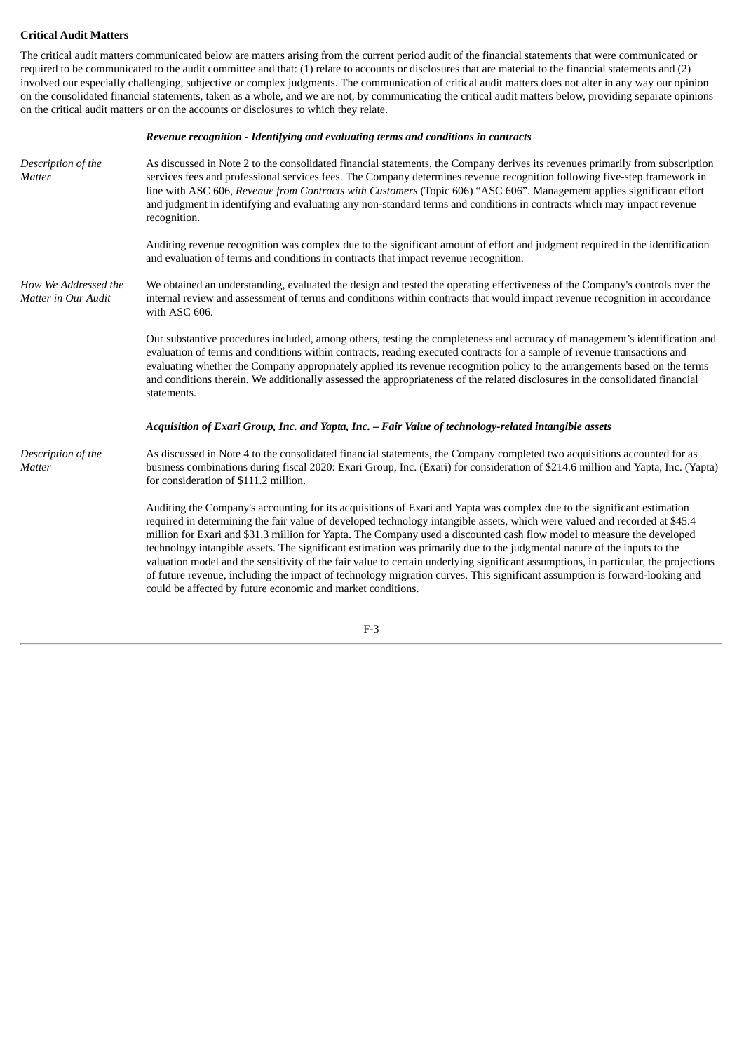# **Critical Audit Matters**

The critical audit matters communicated below are matters arising from the current period audit of the financial statements that were communicated or required to be communicated to the audit committee and that: (1) relate to accounts or disclosures that are material to the financial statements and (2) involved our especially challenging, subjective or complex judgments. The communication of critical audit matters does not alter in any way our opinion on the consolidated financial statements, taken as a whole, and we are not, by communicating the critical audit matters below, providing separate opinions on the critical audit matters or on the accounts or disclosures to which they relate.

#### *Revenue recognition - Identifying and evaluating terms and conditions in contracts*

*Description of the Matter* As discussed in Note 2 to the consolidated financial statements, the Company derives its revenues primarily from subscription services fees and professional services fees. The Company determines revenue recognition following five-step framework in line with ASC 606, *Revenue from Contracts with Customers* (Topic 606) "ASC 606". Management applies significant effort and judgment in identifying and evaluating any non-standard terms and conditions in contracts which may impact revenue recognition. Auditing revenue recognition was complex due to the significant amount of effort and judgment required in the identification and evaluation of terms and conditions in contracts that impact revenue recognition. *How We Addressed the Matter in Our Audit* We obtained an understanding, evaluated the design and tested the operating effectiveness of the Company's controls over the internal review and assessment of terms and conditions within contracts that would impact revenue recognition in accordance with ASC 606. Our substantive procedures included, among others, testing the completeness and accuracy of management's identification and evaluation of terms and conditions within contracts, reading executed contracts for a sample of revenue transactions and evaluating whether the Company appropriately applied its revenue recognition policy to the arrangements based on the terms and conditions therein. We additionally assessed the appropriateness of the related disclosures in the consolidated financial statements. *Acquisition of Exari Group, Inc. and Yapta, Inc. – Fair Value of technology-related intangible assets Description of the Matter* As discussed in Note 4 to the consolidated financial statements, the Company completed two acquisitions accounted for as business combinations during fiscal 2020: Exari Group, Inc. (Exari) for consideration of \$214.6 million and Yapta, Inc. (Yapta) for consideration of \$111.2 million. Auditing the Company's accounting for its acquisitions of Exari and Yapta was complex due to the significant estimation required in determining the fair value of developed technology intangible assets, which were valued and recorded at \$45.4 million for Exari and \$31.3 million for Yapta. The Company used a discounted cash flow model to measure the developed technology intangible assets. The significant estimation was primarily due to the judgmental nature of the inputs to the valuation model and the sensitivity of the fair value to certain underlying significant assumptions, in particular, the projections of future revenue, including the impact of technology migration curves. This significant assumption is forward-looking and could be affected by future economic and market conditions.

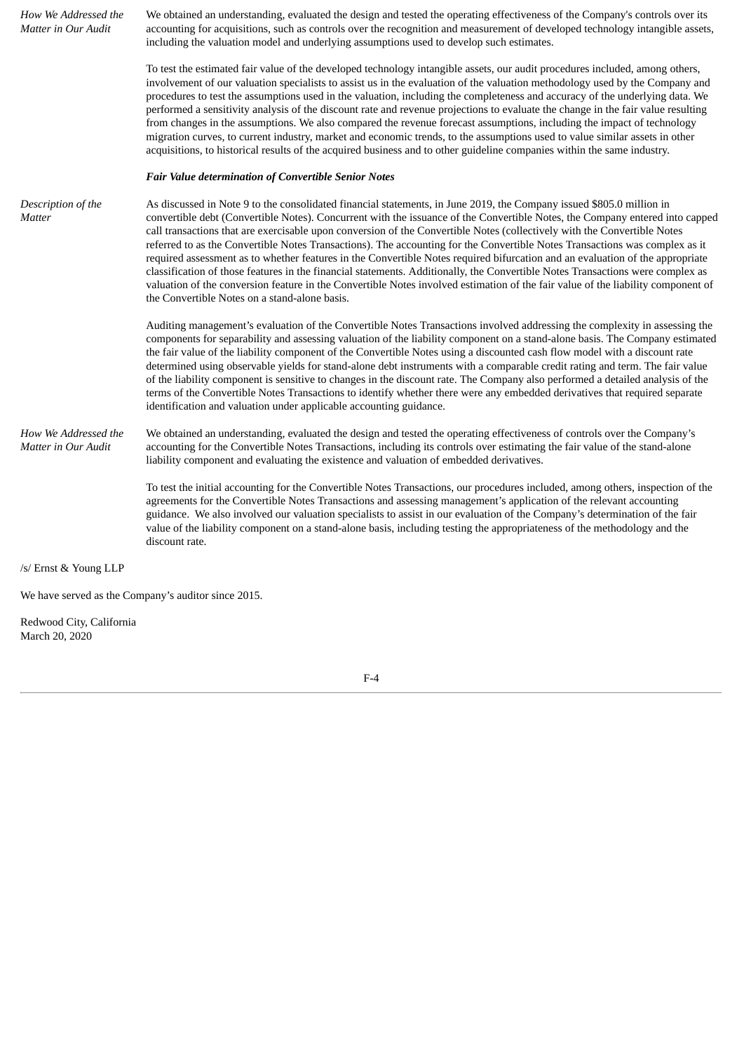| How We Addressed the<br>Matter in Our Audit | We obtained an understanding, evaluated the design and tested the operating effectiveness of the Company's controls over its<br>accounting for acquisitions, such as controls over the recognition and measurement of developed technology intangible assets,<br>including the valuation model and underlying assumptions used to develop such estimates.                                                                                                                                                                                                                                                                                                                                                                                                                                                                                                                                                                                                               |
|---------------------------------------------|-------------------------------------------------------------------------------------------------------------------------------------------------------------------------------------------------------------------------------------------------------------------------------------------------------------------------------------------------------------------------------------------------------------------------------------------------------------------------------------------------------------------------------------------------------------------------------------------------------------------------------------------------------------------------------------------------------------------------------------------------------------------------------------------------------------------------------------------------------------------------------------------------------------------------------------------------------------------------|
|                                             | To test the estimated fair value of the developed technology intangible assets, our audit procedures included, among others,<br>involvement of our valuation specialists to assist us in the evaluation of the valuation methodology used by the Company and<br>procedures to test the assumptions used in the valuation, including the completeness and accuracy of the underlying data. We<br>performed a sensitivity analysis of the discount rate and revenue projections to evaluate the change in the fair value resulting<br>from changes in the assumptions. We also compared the revenue forecast assumptions, including the impact of technology<br>migration curves, to current industry, market and economic trends, to the assumptions used to value similar assets in other<br>acquisitions, to historical results of the acquired business and to other guideline companies within the same industry.                                                    |
|                                             | <b>Fair Value determination of Convertible Senior Notes</b>                                                                                                                                                                                                                                                                                                                                                                                                                                                                                                                                                                                                                                                                                                                                                                                                                                                                                                             |
| Description of the<br>Matter                | As discussed in Note 9 to the consolidated financial statements, in June 2019, the Company issued \$805.0 million in<br>convertible debt (Convertible Notes). Concurrent with the issuance of the Convertible Notes, the Company entered into capped<br>call transactions that are exercisable upon conversion of the Convertible Notes (collectively with the Convertible Notes<br>referred to as the Convertible Notes Transactions). The accounting for the Convertible Notes Transactions was complex as it<br>required assessment as to whether features in the Convertible Notes required bifurcation and an evaluation of the appropriate<br>classification of those features in the financial statements. Additionally, the Convertible Notes Transactions were complex as<br>valuation of the conversion feature in the Convertible Notes involved estimation of the fair value of the liability component of<br>the Convertible Notes on a stand-alone basis. |
|                                             | Auditing management's evaluation of the Convertible Notes Transactions involved addressing the complexity in assessing the<br>components for separability and assessing valuation of the liability component on a stand-alone basis. The Company estimated<br>the fair value of the liability component of the Convertible Notes using a discounted cash flow model with a discount rate<br>determined using observable yields for stand-alone debt instruments with a comparable credit rating and term. The fair value<br>of the liability component is sensitive to changes in the discount rate. The Company also performed a detailed analysis of the<br>terms of the Convertible Notes Transactions to identify whether there were any embedded derivatives that required separate<br>identification and valuation under applicable accounting guidance.                                                                                                          |
| How We Addressed the<br>Matter in Our Audit | We obtained an understanding, evaluated the design and tested the operating effectiveness of controls over the Company's<br>accounting for the Convertible Notes Transactions, including its controls over estimating the fair value of the stand-alone<br>liability component and evaluating the existence and valuation of embedded derivatives.                                                                                                                                                                                                                                                                                                                                                                                                                                                                                                                                                                                                                      |
|                                             | To test the initial accounting for the Convertible Notes Transactions, our procedures included, among others, inspection of the<br>agreements for the Convertible Notes Transactions and assessing management's application of the relevant accounting<br>guidance. We also involved our valuation specialists to assist in our evaluation of the Company's determination of the fair<br>value of the liability component on a stand-alone basis, including testing the appropriateness of the methodology and the<br>discount rate.                                                                                                                                                                                                                                                                                                                                                                                                                                    |
| /s/ Ernst & Young LLP                       |                                                                                                                                                                                                                                                                                                                                                                                                                                                                                                                                                                                                                                                                                                                                                                                                                                                                                                                                                                         |
|                                             | We have served as the Company's auditor since 2015.                                                                                                                                                                                                                                                                                                                                                                                                                                                                                                                                                                                                                                                                                                                                                                                                                                                                                                                     |

Redwood City, California March 20, 2020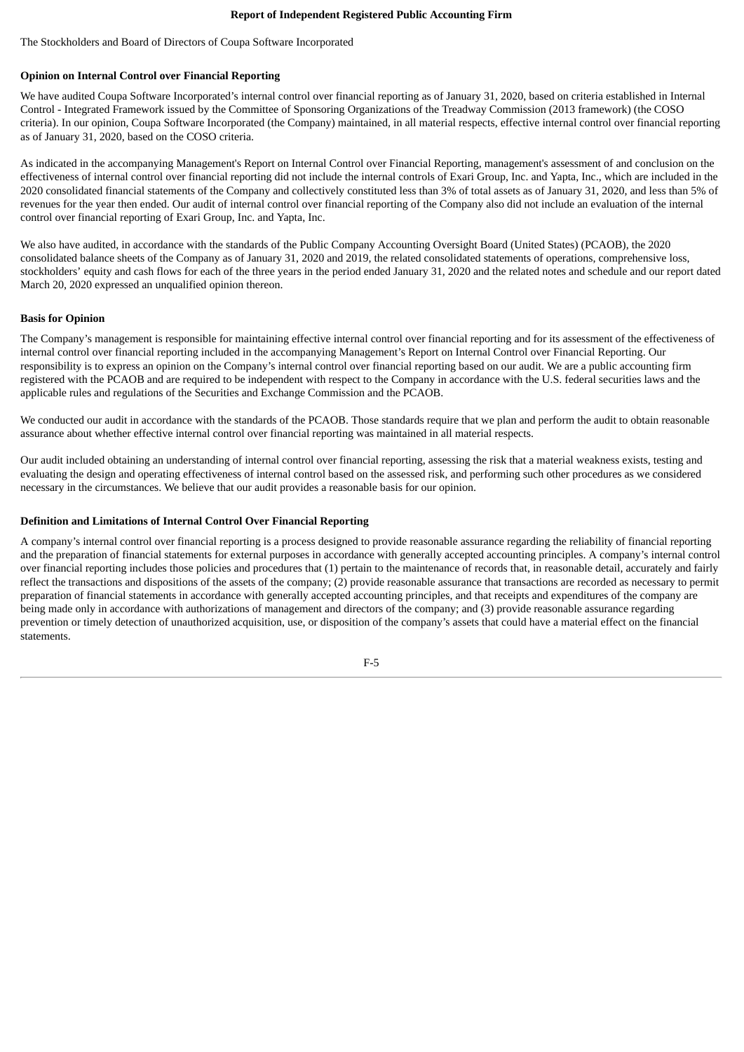#### **Report of Independent Registered Public Accounting Firm**

The Stockholders and Board of Directors of Coupa Software Incorporated

# **Opinion on Internal Control over Financial Reporting**

We have audited Coupa Software Incorporated's internal control over financial reporting as of January 31, 2020, based on criteria established in Internal Control - Integrated Framework issued by the Committee of Sponsoring Organizations of the Treadway Commission (2013 framework) (the COSO criteria). In our opinion, Coupa Software Incorporated (the Company) maintained, in all material respects, effective internal control over financial reporting as of January 31, 2020, based on the COSO criteria.

As indicated in the accompanying Management's Report on Internal Control over Financial Reporting, management's assessment of and conclusion on the effectiveness of internal control over financial reporting did not include the internal controls of Exari Group, Inc. and Yapta, Inc., which are included in the 2020 consolidated financial statements of the Company and collectively constituted less than 3% of total assets as of January 31, 2020, and less than 5% of revenues for the year then ended. Our audit of internal control over financial reporting of the Company also did not include an evaluation of the internal control over financial reporting of Exari Group, Inc. and Yapta, Inc.

We also have audited, in accordance with the standards of the Public Company Accounting Oversight Board (United States) (PCAOB), the 2020 consolidated balance sheets of the Company as of January 31, 2020 and 2019, the related consolidated statements of operations, comprehensive loss, stockholders' equity and cash flows for each of the three years in the period ended January 31, 2020 and the related notes and schedule and our report dated March 20, 2020 expressed an unqualified opinion thereon.

## **Basis for Opinion**

The Company's management is responsible for maintaining effective internal control over financial reporting and for its assessment of the effectiveness of internal control over financial reporting included in the accompanying Management's Report on Internal Control over Financial Reporting. Our responsibility is to express an opinion on the Company's internal control over financial reporting based on our audit. We are a public accounting firm registered with the PCAOB and are required to be independent with respect to the Company in accordance with the U.S. federal securities laws and the applicable rules and regulations of the Securities and Exchange Commission and the PCAOB.

We conducted our audit in accordance with the standards of the PCAOB. Those standards require that we plan and perform the audit to obtain reasonable assurance about whether effective internal control over financial reporting was maintained in all material respects.

Our audit included obtaining an understanding of internal control over financial reporting, assessing the risk that a material weakness exists, testing and evaluating the design and operating effectiveness of internal control based on the assessed risk, and performing such other procedures as we considered necessary in the circumstances. We believe that our audit provides a reasonable basis for our opinion.

## **Definition and Limitations of Internal Control Over Financial Reporting**

A company's internal control over financial reporting is a process designed to provide reasonable assurance regarding the reliability of financial reporting and the preparation of financial statements for external purposes in accordance with generally accepted accounting principles. A company's internal control over financial reporting includes those policies and procedures that (1) pertain to the maintenance of records that, in reasonable detail, accurately and fairly reflect the transactions and dispositions of the assets of the company; (2) provide reasonable assurance that transactions are recorded as necessary to permit preparation of financial statements in accordance with generally accepted accounting principles, and that receipts and expenditures of the company are being made only in accordance with authorizations of management and directors of the company; and (3) provide reasonable assurance regarding prevention or timely detection of unauthorized acquisition, use, or disposition of the company's assets that could have a material effect on the financial statements.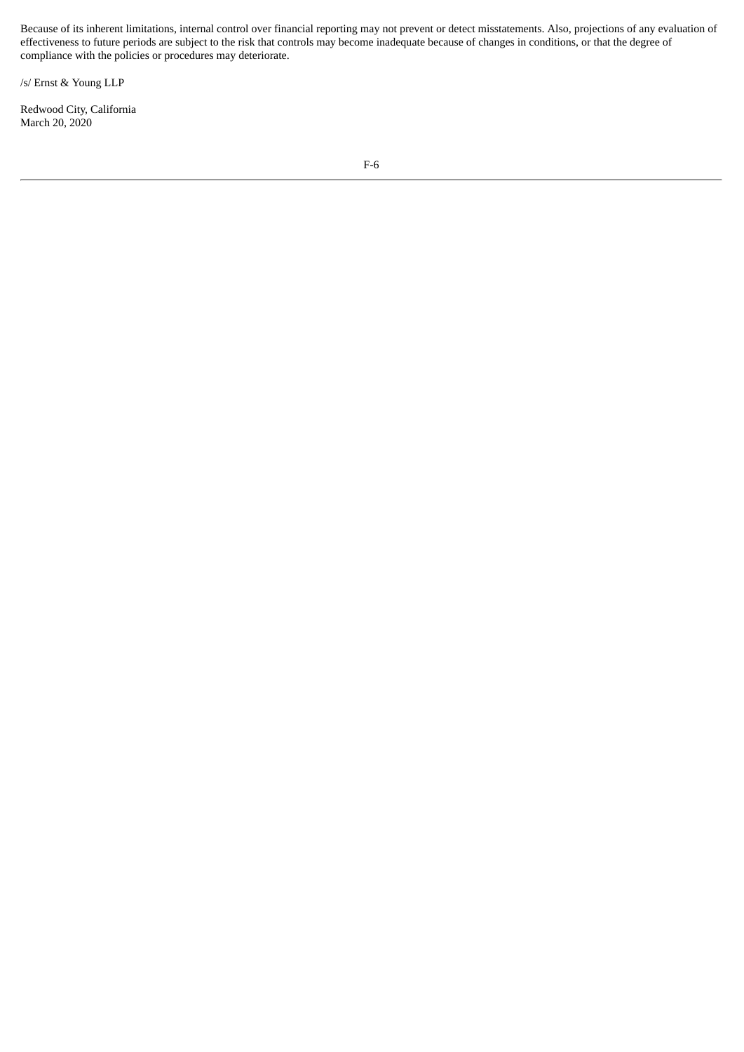Because of its inherent limitations, internal control over financial reporting may not prevent or detect misstatements. Also, projections of any evaluation of effectiveness to future periods are subject to the risk that controls may become inadequate because of changes in conditions, or that the degree of compliance with the policies or procedures may deteriorate.

/s/ Ernst & Young LLP

Redwood City, California March 20, 2020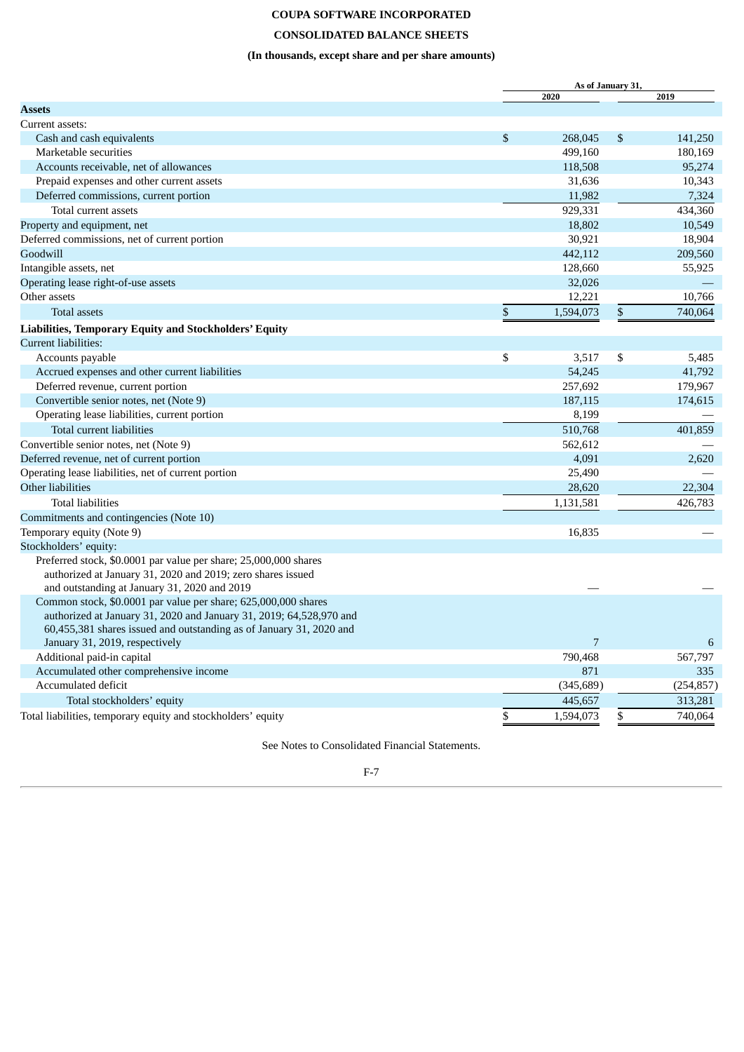# **CONSOLIDATED BALANCE SHEETS**

# **(In thousands, except share and per share amounts)**

|                                                                                                                                       | As of January 31, |    |            |  |  |
|---------------------------------------------------------------------------------------------------------------------------------------|-------------------|----|------------|--|--|
|                                                                                                                                       | 2020              |    | 2019       |  |  |
| <b>Assets</b>                                                                                                                         |                   |    |            |  |  |
| Current assets:                                                                                                                       |                   |    |            |  |  |
| Cash and cash equivalents                                                                                                             | \$<br>268,045     | \$ | 141,250    |  |  |
| Marketable securities                                                                                                                 | 499,160           |    | 180,169    |  |  |
| Accounts receivable, net of allowances                                                                                                | 118,508           |    | 95,274     |  |  |
| Prepaid expenses and other current assets                                                                                             | 31,636            |    | 10,343     |  |  |
| Deferred commissions, current portion                                                                                                 | 11,982            |    | 7,324      |  |  |
| Total current assets                                                                                                                  | 929,331           |    | 434,360    |  |  |
| Property and equipment, net                                                                                                           | 18,802            |    | 10,549     |  |  |
| Deferred commissions, net of current portion                                                                                          | 30,921            |    | 18,904     |  |  |
| Goodwill                                                                                                                              | 442,112           |    | 209,560    |  |  |
| Intangible assets, net                                                                                                                | 128,660           |    | 55,925     |  |  |
| Operating lease right-of-use assets                                                                                                   | 32,026            |    |            |  |  |
| Other assets                                                                                                                          | 12,221            |    | 10,766     |  |  |
| <b>Total assets</b>                                                                                                                   | \$<br>1,594,073   | \$ | 740,064    |  |  |
| Liabilities, Temporary Equity and Stockholders' Equity                                                                                |                   |    |            |  |  |
| Current liabilities:                                                                                                                  |                   |    |            |  |  |
| Accounts payable                                                                                                                      | \$<br>3,517       | \$ | 5,485      |  |  |
| Accrued expenses and other current liabilities                                                                                        | 54,245            |    | 41,792     |  |  |
| Deferred revenue, current portion                                                                                                     | 257,692           |    | 179,967    |  |  |
| Convertible senior notes, net (Note 9)                                                                                                | 187,115           |    | 174,615    |  |  |
| Operating lease liabilities, current portion                                                                                          | 8,199             |    |            |  |  |
| Total current liabilities                                                                                                             | 510,768           |    | 401,859    |  |  |
| Convertible senior notes, net (Note 9)                                                                                                | 562,612           |    |            |  |  |
| Deferred revenue, net of current portion                                                                                              | 4,091             |    | 2,620      |  |  |
| Operating lease liabilities, net of current portion                                                                                   | 25,490            |    |            |  |  |
| Other liabilities                                                                                                                     | 28,620            |    | 22,304     |  |  |
| <b>Total liabilities</b>                                                                                                              | 1,131,581         |    | 426,783    |  |  |
| Commitments and contingencies (Note 10)                                                                                               |                   |    |            |  |  |
| Temporary equity (Note 9)                                                                                                             | 16,835            |    |            |  |  |
| Stockholders' equity:                                                                                                                 |                   |    |            |  |  |
| Preferred stock, \$0.0001 par value per share; 25,000,000 shares                                                                      |                   |    |            |  |  |
| authorized at January 31, 2020 and 2019; zero shares issued<br>and outstanding at January 31, 2020 and 2019                           |                   |    |            |  |  |
| Common stock, \$0.0001 par value per share; 625,000,000 shares<br>authorized at January 31, 2020 and January 31, 2019; 64,528,970 and |                   |    |            |  |  |
| 60,455,381 shares issued and outstanding as of January 31, 2020 and                                                                   |                   |    |            |  |  |
| January 31, 2019, respectively                                                                                                        | 7                 |    | 6          |  |  |
| Additional paid-in capital                                                                                                            | 790,468           |    | 567,797    |  |  |
| Accumulated other comprehensive income                                                                                                | 871               |    | 335        |  |  |
| Accumulated deficit                                                                                                                   | (345, 689)        |    | (254, 857) |  |  |
| Total stockholders' equity                                                                                                            | 445,657           |    | 313,281    |  |  |
| Total liabilities, temporary equity and stockholders' equity                                                                          | \$<br>1,594,073   | \$ | 740,064    |  |  |

See Notes to Consolidated Financial Statements.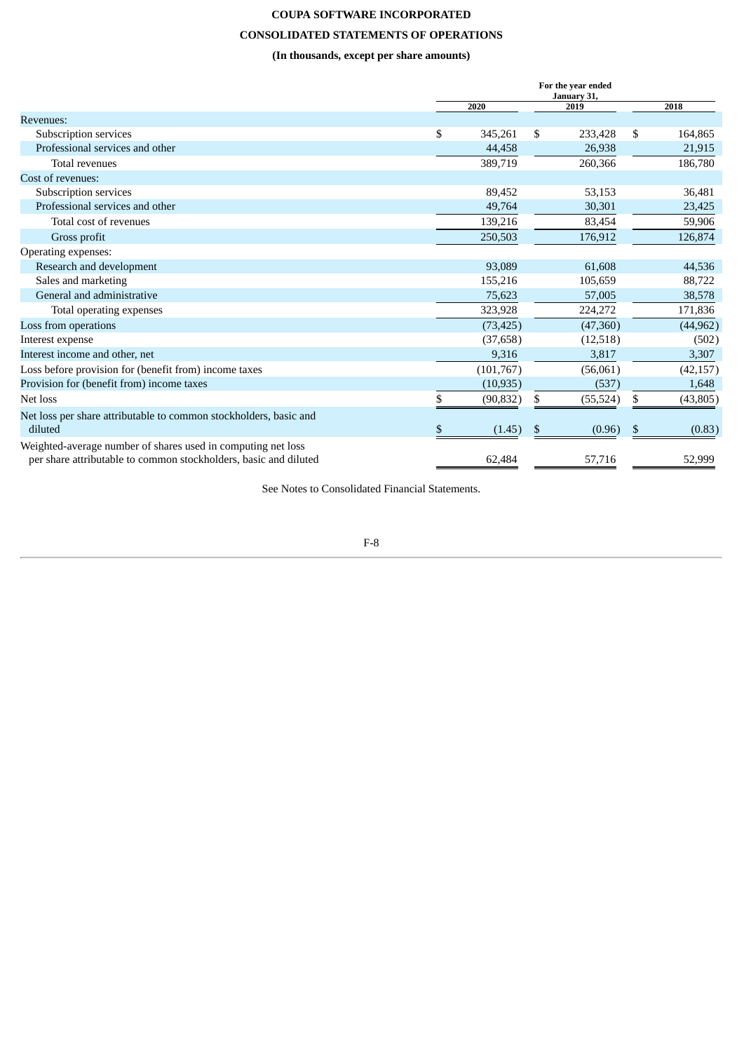# **CONSOLIDATED STATEMENTS OF OPERATIONS**

# **(In thousands, except per share amounts)**

|                                                                   | For the year ended<br>January 31, |    |           |    |           |  |  |
|-------------------------------------------------------------------|-----------------------------------|----|-----------|----|-----------|--|--|
|                                                                   | 2020                              |    | 2019      |    | 2018      |  |  |
| <b>Revenues:</b>                                                  |                                   |    |           |    |           |  |  |
| Subscription services                                             | \$<br>345,261                     | \$ | 233,428   | \$ | 164,865   |  |  |
| Professional services and other                                   | 44,458                            |    | 26,938    |    | 21,915    |  |  |
| Total revenues                                                    | 389,719                           |    | 260,366   |    | 186,780   |  |  |
| Cost of revenues:                                                 |                                   |    |           |    |           |  |  |
| Subscription services                                             | 89,452                            |    | 53,153    |    | 36,481    |  |  |
| Professional services and other                                   | 49,764                            |    | 30,301    |    | 23,425    |  |  |
| Total cost of revenues                                            | 139,216                           |    | 83,454    |    | 59,906    |  |  |
| Gross profit                                                      | 250,503                           |    | 176,912   |    | 126,874   |  |  |
| Operating expenses:                                               |                                   |    |           |    |           |  |  |
| Research and development                                          | 93,089                            |    | 61,608    |    | 44,536    |  |  |
| Sales and marketing                                               | 155,216                           |    | 105,659   |    | 88,722    |  |  |
| General and administrative                                        | 75,623                            |    | 57,005    |    | 38,578    |  |  |
| Total operating expenses                                          | 323,928                           |    | 224,272   |    | 171,836   |  |  |
| Loss from operations                                              | (73, 425)                         |    | (47,360)  |    | (44, 962) |  |  |
| Interest expense                                                  | (37, 658)                         |    | (12,518)  |    | (502)     |  |  |
| Interest income and other, net                                    | 9,316                             |    | 3,817     |    | 3,307     |  |  |
| Loss before provision for (benefit from) income taxes             | (101, 767)                        |    | (56,061)  |    | (42, 157) |  |  |
| Provision for (benefit from) income taxes                         | (10, 935)                         |    | (537)     |    | 1,648     |  |  |
| Net loss                                                          | (90, 832)                         | \$ | (55, 524) | \$ | (43,805)  |  |  |
| Net loss per share attributable to common stockholders, basic and |                                   |    |           |    |           |  |  |
| diluted                                                           | \$<br>(1.45)                      | \$ | (0.96)    | \$ | (0.83)    |  |  |
| Weighted-average number of shares used in computing net loss      |                                   |    |           |    |           |  |  |
| per share attributable to common stockholders, basic and diluted  | 62,484                            |    | 57,716    |    | 52,999    |  |  |

See Notes to Consolidated Financial Statements.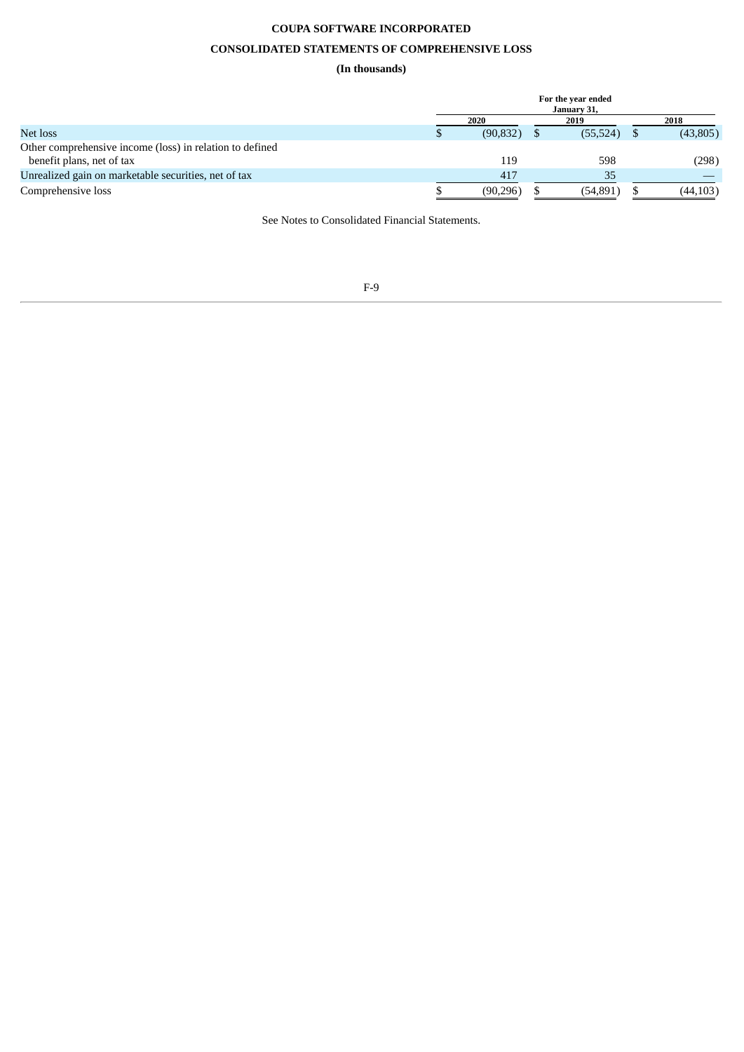# **CONSOLIDATED STATEMENTS OF COMPREHENSIVE LOSS**

# **(In thousands)**

|                                                          | For the year ended<br>January 31. |           |  |           |  |          |  |  |
|----------------------------------------------------------|-----------------------------------|-----------|--|-----------|--|----------|--|--|
|                                                          |                                   | 2020      |  | 2019      |  | 2018     |  |  |
| Net loss                                                 |                                   | (90, 832) |  | (55, 524) |  | (43,805) |  |  |
| Other comprehensive income (loss) in relation to defined |                                   |           |  |           |  |          |  |  |
| benefit plans, net of tax                                |                                   | 119       |  | 598       |  | (298)    |  |  |
| Unrealized gain on marketable securities, net of tax     |                                   | 417       |  | 35        |  |          |  |  |
| Comprehensive loss                                       |                                   | (90, 296) |  | (54, 891) |  | (44,103) |  |  |

See Notes to Consolidated Financial Statements.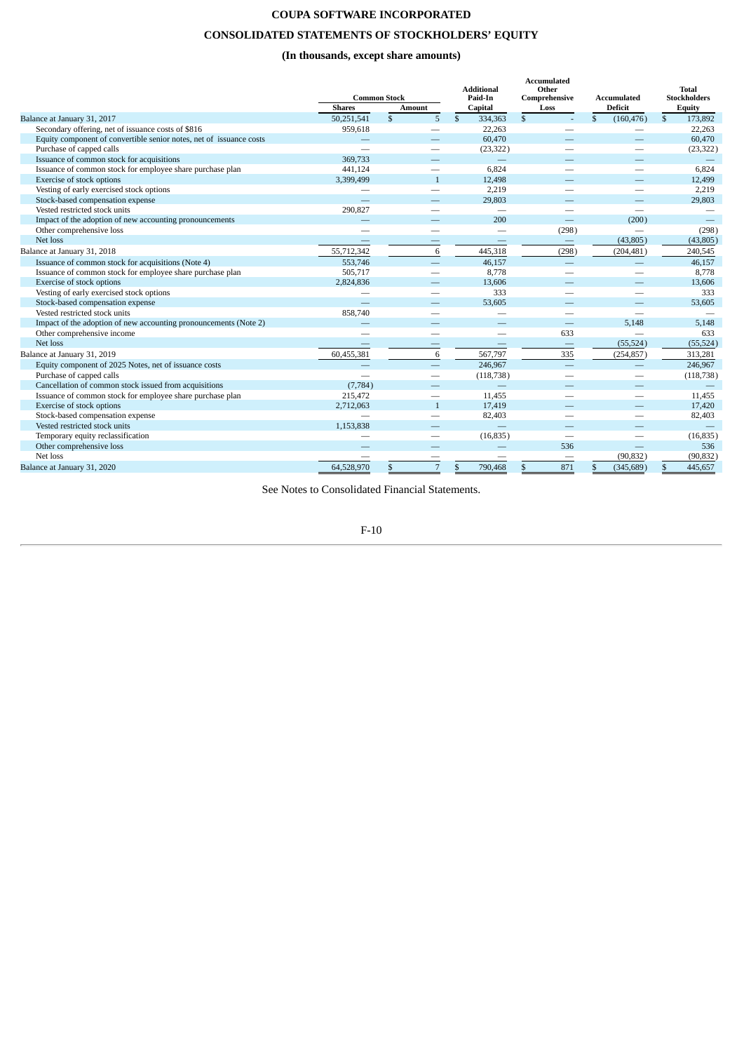# **COUPA SOFTWARE INCORPORATED CONSOLIDATED STATEMENTS OF STOCKHOLDERS' EQUITY**

# **(In thousands, except share amounts)**

|                                                                     | <b>Common Stock</b><br><b>Shares</b> | <b>Amount</b>            | <b>Additional</b><br>Paid-In<br>Capital | Accumulated<br>Other<br>Comprehensive<br>Loss | <b>Accumulated</b><br><b>Deficit</b>                                                                                                                                                                                           | Total<br><b>Stockholders</b><br>Equity |
|---------------------------------------------------------------------|--------------------------------------|--------------------------|-----------------------------------------|-----------------------------------------------|--------------------------------------------------------------------------------------------------------------------------------------------------------------------------------------------------------------------------------|----------------------------------------|
| Balance at January 31, 2017                                         | 50,251,541                           | $\mathcal{S}$<br>5       | $\mathbb{S}$<br>334,363                 | $\mathbf{s}$<br>÷.                            | $\mathbf{s}$<br>(160, 476)                                                                                                                                                                                                     | $\mathbb{S}$<br>173,892                |
| Secondary offering, net of issuance costs of \$816                  | 959,618                              |                          | 22,263                                  |                                               |                                                                                                                                                                                                                                | 22,263                                 |
| Equity component of convertible senior notes, net of issuance costs |                                      |                          | 60,470                                  |                                               |                                                                                                                                                                                                                                | 60,470                                 |
| Purchase of capped calls                                            |                                      |                          | (23, 322)                               |                                               |                                                                                                                                                                                                                                | (23, 322)                              |
| Issuance of common stock for acquisitions                           | 369,733                              |                          |                                         |                                               |                                                                                                                                                                                                                                |                                        |
| Issuance of common stock for employee share purchase plan           | 441,124                              | $\overline{\phantom{a}}$ | 6,824                                   |                                               | $\sim$                                                                                                                                                                                                                         | 6,824                                  |
| Exercise of stock options                                           | 3,399,499                            | $\mathbf{1}$             | 12,498                                  |                                               |                                                                                                                                                                                                                                | 12,499                                 |
| Vesting of early exercised stock options                            | $\overline{\phantom{0}}$             | $\sim$                   | 2,219                                   |                                               | $\overline{\phantom{a}}$                                                                                                                                                                                                       | 2,219                                  |
| Stock-based compensation expense                                    |                                      |                          | 29,803                                  |                                               | -                                                                                                                                                                                                                              | 29,803                                 |
| Vested restricted stock units                                       | 290,827                              |                          |                                         |                                               |                                                                                                                                                                                                                                |                                        |
| Impact of the adoption of new accounting pronouncements             |                                      |                          | 200                                     |                                               | (200)                                                                                                                                                                                                                          |                                        |
| Other comprehensive loss                                            | $\overline{\phantom{a}}$             | $\overline{\phantom{a}}$ | $\overline{\phantom{a}}$                | (298)                                         |                                                                                                                                                                                                                                | (298)                                  |
| Net loss                                                            |                                      |                          |                                         | $\qquad \qquad -$                             | (43,805)                                                                                                                                                                                                                       | (43,805)                               |
| Balance at January 31, 2018                                         | 55,712,342                           | 6                        | 445,318                                 | (298)                                         | (204, 481)                                                                                                                                                                                                                     | 240,545                                |
| Issuance of common stock for acquisitions (Note 4)                  | 553,746                              |                          | 46,157                                  |                                               |                                                                                                                                                                                                                                | 46,157                                 |
| Issuance of common stock for employee share purchase plan           | 505,717                              | $\overline{\phantom{a}}$ | 8,778                                   |                                               | $\sim$                                                                                                                                                                                                                         | 8,778                                  |
| Exercise of stock options                                           | 2,824,836                            |                          | 13,606                                  |                                               |                                                                                                                                                                                                                                | 13,606                                 |
| Vesting of early exercised stock options                            |                                      |                          | 333                                     |                                               | and the contract of the contract of the contract of the contract of the contract of the contract of the contract of the contract of the contract of the contract of the contract of the contract of the contract of the contra | 333                                    |
| Stock-based compensation expense                                    |                                      |                          | 53,605                                  |                                               |                                                                                                                                                                                                                                | 53,605                                 |
| Vested restricted stock units                                       | 858,740                              |                          |                                         |                                               |                                                                                                                                                                                                                                |                                        |
| Impact of the adoption of new accounting pronouncements (Note 2)    |                                      |                          |                                         |                                               | 5.148                                                                                                                                                                                                                          | 5,148                                  |
| Other comprehensive income                                          | $\overline{\phantom{0}}$             | $\overline{\phantom{0}}$ | $\overline{\phantom{0}}$                | 633                                           | $\overline{\phantom{0}}$                                                                                                                                                                                                       | 633                                    |
| Net loss                                                            |                                      | -                        |                                         | $\qquad \qquad -$                             | (55, 524)                                                                                                                                                                                                                      | (55, 524)                              |
| Balance at January 31, 2019                                         | 60,455,381                           | 6                        | 567,797                                 | 335                                           | (254, 857)                                                                                                                                                                                                                     | 313,281                                |
| Equity component of 2025 Notes, net of issuance costs               |                                      |                          | 246,967                                 |                                               |                                                                                                                                                                                                                                | 246,967                                |
| Purchase of capped calls                                            |                                      | $\overline{\phantom{0}}$ | (118, 738)                              |                                               |                                                                                                                                                                                                                                | (118, 738)                             |
| Cancellation of common stock issued from acquisitions               | (7, 784)                             |                          |                                         |                                               |                                                                                                                                                                                                                                |                                        |
| Issuance of common stock for employee share purchase plan           | 215,472                              | $\overline{\phantom{0}}$ | 11.455                                  |                                               | and the contract of the contract of the contract of the contract of the contract of the contract of the contract of the contract of the contract of the contract of the contract of the contract of the contract of the contra | 11,455                                 |
| Exercise of stock options                                           | 2,712,063                            | $\mathbf{1}$             | 17,419                                  |                                               |                                                                                                                                                                                                                                | 17,420                                 |
| Stock-based compensation expense                                    |                                      |                          | 82,403                                  |                                               | $\sim$                                                                                                                                                                                                                         | 82,403                                 |
| Vested restricted stock units                                       | 1,153,838                            |                          |                                         |                                               |                                                                                                                                                                                                                                |                                        |
| Temporary equity reclassification                                   | $\overline{\phantom{a}}$             | $\sim$                   | (16, 835)                               | $\overline{\phantom{m}}$                      | $\overline{\phantom{a}}$                                                                                                                                                                                                       | (16, 835)                              |
| Other comprehensive loss                                            |                                      |                          |                                         | 536                                           |                                                                                                                                                                                                                                | 536                                    |
| Net loss                                                            |                                      |                          |                                         |                                               | (90, 832)                                                                                                                                                                                                                      | (90, 832)                              |
| Balance at January 31, 2020                                         | 64,528,970                           | $\overline{7}$           | 790,468<br>\$                           | 871                                           | (345, 689)<br>\$                                                                                                                                                                                                               | 445,657                                |

See Notes to Consolidated Financial Statements.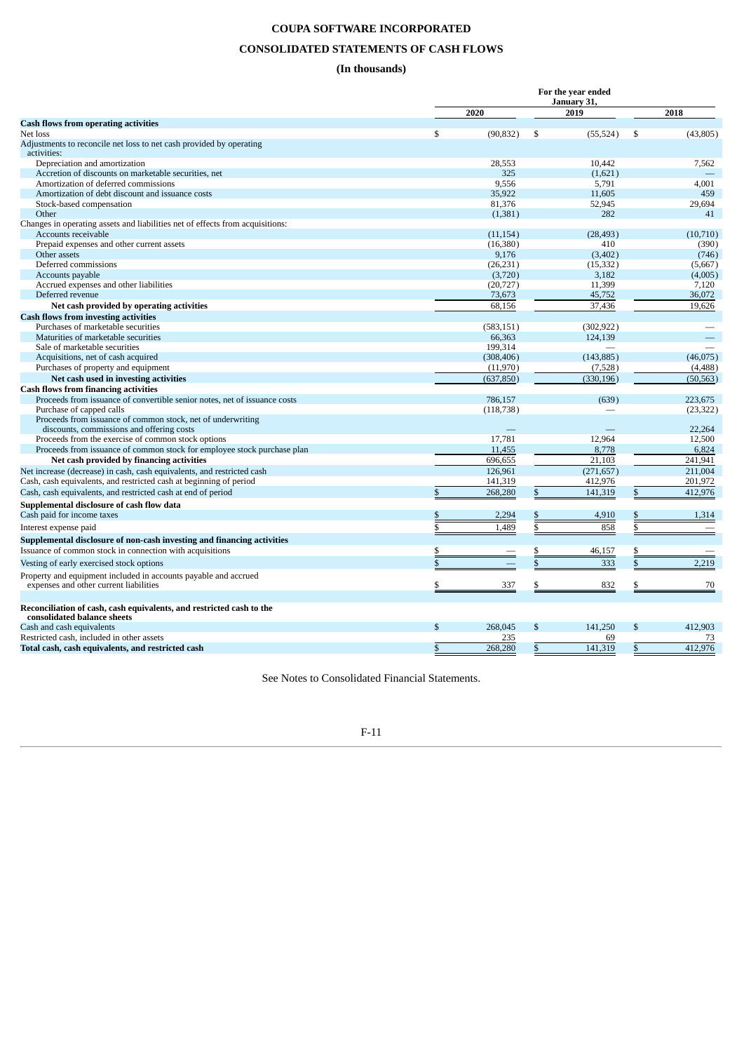# **CONSOLIDATED STATEMENTS OF CASH FLOWS**

# **(In thousands)**

| January 31,<br>2019<br>2018<br>2020<br><b>Cash flows from operating activities</b><br>\$<br>(90, 832)<br>\$<br>(55, 524)<br>\$<br>(43,805)<br>Net loss<br>Adjustments to reconcile net loss to net cash provided by operating<br>activities:<br>Depreciation and amortization<br>28,553<br>10.442<br>7,562<br>Accretion of discounts on marketable securities, net<br>325<br>(1,621)<br>9.556<br>Amortization of deferred commissions<br>5,791<br>4,001<br>35,922<br>459<br>Amortization of debt discount and issuance costs<br>11,605<br>81,376<br>Stock-based compensation<br>52,945<br>29,694<br>Other<br>282<br>41<br>(1, 381)<br>Accounts receivable<br>(11, 154)<br>(28, 493)<br>(10,710)<br>Prepaid expenses and other current assets<br>(16,380)<br>410<br>(390)<br>Other assets<br>9,176<br>(3,402)<br>(746)<br>Deferred commissions<br>(26, 231)<br>(15, 332)<br>(5,667)<br>Accounts payable<br>(3,720)<br>3,182<br>(4,005)<br>Accrued expenses and other liabilities<br>(20, 727)<br>11,399<br>7,120<br>Deferred revenue<br>36,072<br>73,673<br>45,752<br>68,156<br>37,436<br>19,626<br>Net cash provided by operating activities<br><b>Cash flows from investing activities</b><br>Purchases of marketable securities<br>(302, 922)<br>(583, 151)<br>Maturities of marketable securities<br>66,363<br>124,139<br>Sale of marketable securities<br>199,314<br>Acquisitions, net of cash acquired<br>(308, 406)<br>(143, 885)<br>(46, 075)<br>Purchases of property and equipment<br>(11,970)<br>(7,528)<br>(4,488)<br>Net cash used in investing activities<br>(637, 850)<br>(330, 196)<br>(50, 563)<br>Proceeds from issuance of convertible senior notes, net of issuance costs<br>786.157<br>(639)<br>223,675<br>Purchase of capped calls<br>(23, 322)<br>(118, 738)<br>Proceeds from issuance of common stock, net of underwriting<br>discounts, commissions and offering costs<br>22,264<br>17,781<br>Proceeds from the exercise of common stock options<br>12,964<br>12,500<br>Proceeds from issuance of common stock for employee stock purchase plan<br>11,455<br>8,778<br>6,824<br>696,655<br>21,103<br>241,941<br>Net cash provided by financing activities<br>126.961<br>(271.657)<br>211.004<br>Net increase (decrease) in cash, cash equivalents, and restricted cash<br>Cash, cash equivalents, and restricted cash at beginning of period<br>141,319<br>412,976<br>201,972<br>268,280<br>412,976<br>Cash, cash equivalents, and restricted cash at end of period<br>141,319<br>Supplemental disclosure of cash flow data<br>Cash paid for income taxes<br>2,294<br>4,910<br>1,314<br>\$<br>858<br>\$<br>1,489<br>\$<br>\$<br>Interest expense paid<br>Supplemental disclosure of non-cash investing and financing activities<br>Issuance of common stock in connection with acquisitions<br>46,157<br>\$<br>$\mathcal{S}$<br>2.219<br>$\mathcal{S}$<br>333<br>Vesting of early exercised stock options<br>Property and equipment included in accounts payable and accrued<br>832<br>expenses and other current liabilities<br>337<br>\$<br>\$<br>70<br>Reconciliation of cash, cash equivalents, and restricted cash to the<br>consolidated balance sheets<br>Cash and cash equivalents<br>$\mathcal{S}$<br>268,045<br>\$<br>141,250<br>$\mathfrak{s}$<br>412.903<br>Restricted cash, included in other assets<br>235<br>69<br>73 |                                                                               | For the year ended |         |    |         |              |         |  |  |  |
|-------------------------------------------------------------------------------------------------------------------------------------------------------------------------------------------------------------------------------------------------------------------------------------------------------------------------------------------------------------------------------------------------------------------------------------------------------------------------------------------------------------------------------------------------------------------------------------------------------------------------------------------------------------------------------------------------------------------------------------------------------------------------------------------------------------------------------------------------------------------------------------------------------------------------------------------------------------------------------------------------------------------------------------------------------------------------------------------------------------------------------------------------------------------------------------------------------------------------------------------------------------------------------------------------------------------------------------------------------------------------------------------------------------------------------------------------------------------------------------------------------------------------------------------------------------------------------------------------------------------------------------------------------------------------------------------------------------------------------------------------------------------------------------------------------------------------------------------------------------------------------------------------------------------------------------------------------------------------------------------------------------------------------------------------------------------------------------------------------------------------------------------------------------------------------------------------------------------------------------------------------------------------------------------------------------------------------------------------------------------------------------------------------------------------------------------------------------------------------------------------------------------------------------------------------------------------------------------------------------------------------------------------------------------------------------------------------------------------------------------------------------------------------------------------------------------------------------------------------------------------------------------------------------------------------------------------------------------------------------------------------------------------------------------------------------------------------------------------------------------------------------------------------------------------------------------------------------------------------------------------------------------------------------------------------------------------------------------------------------|-------------------------------------------------------------------------------|--------------------|---------|----|---------|--------------|---------|--|--|--|
|                                                                                                                                                                                                                                                                                                                                                                                                                                                                                                                                                                                                                                                                                                                                                                                                                                                                                                                                                                                                                                                                                                                                                                                                                                                                                                                                                                                                                                                                                                                                                                                                                                                                                                                                                                                                                                                                                                                                                                                                                                                                                                                                                                                                                                                                                                                                                                                                                                                                                                                                                                                                                                                                                                                                                                                                                                                                                                                                                                                                                                                                                                                                                                                                                                                                                                                                                             |                                                                               |                    |         |    |         |              |         |  |  |  |
|                                                                                                                                                                                                                                                                                                                                                                                                                                                                                                                                                                                                                                                                                                                                                                                                                                                                                                                                                                                                                                                                                                                                                                                                                                                                                                                                                                                                                                                                                                                                                                                                                                                                                                                                                                                                                                                                                                                                                                                                                                                                                                                                                                                                                                                                                                                                                                                                                                                                                                                                                                                                                                                                                                                                                                                                                                                                                                                                                                                                                                                                                                                                                                                                                                                                                                                                                             |                                                                               |                    |         |    |         |              |         |  |  |  |
|                                                                                                                                                                                                                                                                                                                                                                                                                                                                                                                                                                                                                                                                                                                                                                                                                                                                                                                                                                                                                                                                                                                                                                                                                                                                                                                                                                                                                                                                                                                                                                                                                                                                                                                                                                                                                                                                                                                                                                                                                                                                                                                                                                                                                                                                                                                                                                                                                                                                                                                                                                                                                                                                                                                                                                                                                                                                                                                                                                                                                                                                                                                                                                                                                                                                                                                                                             |                                                                               |                    |         |    |         |              |         |  |  |  |
|                                                                                                                                                                                                                                                                                                                                                                                                                                                                                                                                                                                                                                                                                                                                                                                                                                                                                                                                                                                                                                                                                                                                                                                                                                                                                                                                                                                                                                                                                                                                                                                                                                                                                                                                                                                                                                                                                                                                                                                                                                                                                                                                                                                                                                                                                                                                                                                                                                                                                                                                                                                                                                                                                                                                                                                                                                                                                                                                                                                                                                                                                                                                                                                                                                                                                                                                                             |                                                                               |                    |         |    |         |              |         |  |  |  |
|                                                                                                                                                                                                                                                                                                                                                                                                                                                                                                                                                                                                                                                                                                                                                                                                                                                                                                                                                                                                                                                                                                                                                                                                                                                                                                                                                                                                                                                                                                                                                                                                                                                                                                                                                                                                                                                                                                                                                                                                                                                                                                                                                                                                                                                                                                                                                                                                                                                                                                                                                                                                                                                                                                                                                                                                                                                                                                                                                                                                                                                                                                                                                                                                                                                                                                                                                             |                                                                               |                    |         |    |         |              |         |  |  |  |
|                                                                                                                                                                                                                                                                                                                                                                                                                                                                                                                                                                                                                                                                                                                                                                                                                                                                                                                                                                                                                                                                                                                                                                                                                                                                                                                                                                                                                                                                                                                                                                                                                                                                                                                                                                                                                                                                                                                                                                                                                                                                                                                                                                                                                                                                                                                                                                                                                                                                                                                                                                                                                                                                                                                                                                                                                                                                                                                                                                                                                                                                                                                                                                                                                                                                                                                                                             |                                                                               |                    |         |    |         |              |         |  |  |  |
|                                                                                                                                                                                                                                                                                                                                                                                                                                                                                                                                                                                                                                                                                                                                                                                                                                                                                                                                                                                                                                                                                                                                                                                                                                                                                                                                                                                                                                                                                                                                                                                                                                                                                                                                                                                                                                                                                                                                                                                                                                                                                                                                                                                                                                                                                                                                                                                                                                                                                                                                                                                                                                                                                                                                                                                                                                                                                                                                                                                                                                                                                                                                                                                                                                                                                                                                                             |                                                                               |                    |         |    |         |              |         |  |  |  |
|                                                                                                                                                                                                                                                                                                                                                                                                                                                                                                                                                                                                                                                                                                                                                                                                                                                                                                                                                                                                                                                                                                                                                                                                                                                                                                                                                                                                                                                                                                                                                                                                                                                                                                                                                                                                                                                                                                                                                                                                                                                                                                                                                                                                                                                                                                                                                                                                                                                                                                                                                                                                                                                                                                                                                                                                                                                                                                                                                                                                                                                                                                                                                                                                                                                                                                                                                             |                                                                               |                    |         |    |         |              |         |  |  |  |
|                                                                                                                                                                                                                                                                                                                                                                                                                                                                                                                                                                                                                                                                                                                                                                                                                                                                                                                                                                                                                                                                                                                                                                                                                                                                                                                                                                                                                                                                                                                                                                                                                                                                                                                                                                                                                                                                                                                                                                                                                                                                                                                                                                                                                                                                                                                                                                                                                                                                                                                                                                                                                                                                                                                                                                                                                                                                                                                                                                                                                                                                                                                                                                                                                                                                                                                                                             |                                                                               |                    |         |    |         |              |         |  |  |  |
|                                                                                                                                                                                                                                                                                                                                                                                                                                                                                                                                                                                                                                                                                                                                                                                                                                                                                                                                                                                                                                                                                                                                                                                                                                                                                                                                                                                                                                                                                                                                                                                                                                                                                                                                                                                                                                                                                                                                                                                                                                                                                                                                                                                                                                                                                                                                                                                                                                                                                                                                                                                                                                                                                                                                                                                                                                                                                                                                                                                                                                                                                                                                                                                                                                                                                                                                                             |                                                                               |                    |         |    |         |              |         |  |  |  |
|                                                                                                                                                                                                                                                                                                                                                                                                                                                                                                                                                                                                                                                                                                                                                                                                                                                                                                                                                                                                                                                                                                                                                                                                                                                                                                                                                                                                                                                                                                                                                                                                                                                                                                                                                                                                                                                                                                                                                                                                                                                                                                                                                                                                                                                                                                                                                                                                                                                                                                                                                                                                                                                                                                                                                                                                                                                                                                                                                                                                                                                                                                                                                                                                                                                                                                                                                             |                                                                               |                    |         |    |         |              |         |  |  |  |
|                                                                                                                                                                                                                                                                                                                                                                                                                                                                                                                                                                                                                                                                                                                                                                                                                                                                                                                                                                                                                                                                                                                                                                                                                                                                                                                                                                                                                                                                                                                                                                                                                                                                                                                                                                                                                                                                                                                                                                                                                                                                                                                                                                                                                                                                                                                                                                                                                                                                                                                                                                                                                                                                                                                                                                                                                                                                                                                                                                                                                                                                                                                                                                                                                                                                                                                                                             | Changes in operating assets and liabilities net of effects from acquisitions: |                    |         |    |         |              |         |  |  |  |
|                                                                                                                                                                                                                                                                                                                                                                                                                                                                                                                                                                                                                                                                                                                                                                                                                                                                                                                                                                                                                                                                                                                                                                                                                                                                                                                                                                                                                                                                                                                                                                                                                                                                                                                                                                                                                                                                                                                                                                                                                                                                                                                                                                                                                                                                                                                                                                                                                                                                                                                                                                                                                                                                                                                                                                                                                                                                                                                                                                                                                                                                                                                                                                                                                                                                                                                                                             |                                                                               |                    |         |    |         |              |         |  |  |  |
|                                                                                                                                                                                                                                                                                                                                                                                                                                                                                                                                                                                                                                                                                                                                                                                                                                                                                                                                                                                                                                                                                                                                                                                                                                                                                                                                                                                                                                                                                                                                                                                                                                                                                                                                                                                                                                                                                                                                                                                                                                                                                                                                                                                                                                                                                                                                                                                                                                                                                                                                                                                                                                                                                                                                                                                                                                                                                                                                                                                                                                                                                                                                                                                                                                                                                                                                                             |                                                                               |                    |         |    |         |              |         |  |  |  |
|                                                                                                                                                                                                                                                                                                                                                                                                                                                                                                                                                                                                                                                                                                                                                                                                                                                                                                                                                                                                                                                                                                                                                                                                                                                                                                                                                                                                                                                                                                                                                                                                                                                                                                                                                                                                                                                                                                                                                                                                                                                                                                                                                                                                                                                                                                                                                                                                                                                                                                                                                                                                                                                                                                                                                                                                                                                                                                                                                                                                                                                                                                                                                                                                                                                                                                                                                             |                                                                               |                    |         |    |         |              |         |  |  |  |
|                                                                                                                                                                                                                                                                                                                                                                                                                                                                                                                                                                                                                                                                                                                                                                                                                                                                                                                                                                                                                                                                                                                                                                                                                                                                                                                                                                                                                                                                                                                                                                                                                                                                                                                                                                                                                                                                                                                                                                                                                                                                                                                                                                                                                                                                                                                                                                                                                                                                                                                                                                                                                                                                                                                                                                                                                                                                                                                                                                                                                                                                                                                                                                                                                                                                                                                                                             |                                                                               |                    |         |    |         |              |         |  |  |  |
|                                                                                                                                                                                                                                                                                                                                                                                                                                                                                                                                                                                                                                                                                                                                                                                                                                                                                                                                                                                                                                                                                                                                                                                                                                                                                                                                                                                                                                                                                                                                                                                                                                                                                                                                                                                                                                                                                                                                                                                                                                                                                                                                                                                                                                                                                                                                                                                                                                                                                                                                                                                                                                                                                                                                                                                                                                                                                                                                                                                                                                                                                                                                                                                                                                                                                                                                                             |                                                                               |                    |         |    |         |              |         |  |  |  |
|                                                                                                                                                                                                                                                                                                                                                                                                                                                                                                                                                                                                                                                                                                                                                                                                                                                                                                                                                                                                                                                                                                                                                                                                                                                                                                                                                                                                                                                                                                                                                                                                                                                                                                                                                                                                                                                                                                                                                                                                                                                                                                                                                                                                                                                                                                                                                                                                                                                                                                                                                                                                                                                                                                                                                                                                                                                                                                                                                                                                                                                                                                                                                                                                                                                                                                                                                             |                                                                               |                    |         |    |         |              |         |  |  |  |
|                                                                                                                                                                                                                                                                                                                                                                                                                                                                                                                                                                                                                                                                                                                                                                                                                                                                                                                                                                                                                                                                                                                                                                                                                                                                                                                                                                                                                                                                                                                                                                                                                                                                                                                                                                                                                                                                                                                                                                                                                                                                                                                                                                                                                                                                                                                                                                                                                                                                                                                                                                                                                                                                                                                                                                                                                                                                                                                                                                                                                                                                                                                                                                                                                                                                                                                                                             |                                                                               |                    |         |    |         |              |         |  |  |  |
|                                                                                                                                                                                                                                                                                                                                                                                                                                                                                                                                                                                                                                                                                                                                                                                                                                                                                                                                                                                                                                                                                                                                                                                                                                                                                                                                                                                                                                                                                                                                                                                                                                                                                                                                                                                                                                                                                                                                                                                                                                                                                                                                                                                                                                                                                                                                                                                                                                                                                                                                                                                                                                                                                                                                                                                                                                                                                                                                                                                                                                                                                                                                                                                                                                                                                                                                                             |                                                                               |                    |         |    |         |              |         |  |  |  |
|                                                                                                                                                                                                                                                                                                                                                                                                                                                                                                                                                                                                                                                                                                                                                                                                                                                                                                                                                                                                                                                                                                                                                                                                                                                                                                                                                                                                                                                                                                                                                                                                                                                                                                                                                                                                                                                                                                                                                                                                                                                                                                                                                                                                                                                                                                                                                                                                                                                                                                                                                                                                                                                                                                                                                                                                                                                                                                                                                                                                                                                                                                                                                                                                                                                                                                                                                             |                                                                               |                    |         |    |         |              |         |  |  |  |
|                                                                                                                                                                                                                                                                                                                                                                                                                                                                                                                                                                                                                                                                                                                                                                                                                                                                                                                                                                                                                                                                                                                                                                                                                                                                                                                                                                                                                                                                                                                                                                                                                                                                                                                                                                                                                                                                                                                                                                                                                                                                                                                                                                                                                                                                                                                                                                                                                                                                                                                                                                                                                                                                                                                                                                                                                                                                                                                                                                                                                                                                                                                                                                                                                                                                                                                                                             |                                                                               |                    |         |    |         |              |         |  |  |  |
|                                                                                                                                                                                                                                                                                                                                                                                                                                                                                                                                                                                                                                                                                                                                                                                                                                                                                                                                                                                                                                                                                                                                                                                                                                                                                                                                                                                                                                                                                                                                                                                                                                                                                                                                                                                                                                                                                                                                                                                                                                                                                                                                                                                                                                                                                                                                                                                                                                                                                                                                                                                                                                                                                                                                                                                                                                                                                                                                                                                                                                                                                                                                                                                                                                                                                                                                                             |                                                                               |                    |         |    |         |              |         |  |  |  |
|                                                                                                                                                                                                                                                                                                                                                                                                                                                                                                                                                                                                                                                                                                                                                                                                                                                                                                                                                                                                                                                                                                                                                                                                                                                                                                                                                                                                                                                                                                                                                                                                                                                                                                                                                                                                                                                                                                                                                                                                                                                                                                                                                                                                                                                                                                                                                                                                                                                                                                                                                                                                                                                                                                                                                                                                                                                                                                                                                                                                                                                                                                                                                                                                                                                                                                                                                             |                                                                               |                    |         |    |         |              |         |  |  |  |
|                                                                                                                                                                                                                                                                                                                                                                                                                                                                                                                                                                                                                                                                                                                                                                                                                                                                                                                                                                                                                                                                                                                                                                                                                                                                                                                                                                                                                                                                                                                                                                                                                                                                                                                                                                                                                                                                                                                                                                                                                                                                                                                                                                                                                                                                                                                                                                                                                                                                                                                                                                                                                                                                                                                                                                                                                                                                                                                                                                                                                                                                                                                                                                                                                                                                                                                                                             |                                                                               |                    |         |    |         |              |         |  |  |  |
|                                                                                                                                                                                                                                                                                                                                                                                                                                                                                                                                                                                                                                                                                                                                                                                                                                                                                                                                                                                                                                                                                                                                                                                                                                                                                                                                                                                                                                                                                                                                                                                                                                                                                                                                                                                                                                                                                                                                                                                                                                                                                                                                                                                                                                                                                                                                                                                                                                                                                                                                                                                                                                                                                                                                                                                                                                                                                                                                                                                                                                                                                                                                                                                                                                                                                                                                                             |                                                                               |                    |         |    |         |              |         |  |  |  |
|                                                                                                                                                                                                                                                                                                                                                                                                                                                                                                                                                                                                                                                                                                                                                                                                                                                                                                                                                                                                                                                                                                                                                                                                                                                                                                                                                                                                                                                                                                                                                                                                                                                                                                                                                                                                                                                                                                                                                                                                                                                                                                                                                                                                                                                                                                                                                                                                                                                                                                                                                                                                                                                                                                                                                                                                                                                                                                                                                                                                                                                                                                                                                                                                                                                                                                                                                             |                                                                               |                    |         |    |         |              |         |  |  |  |
|                                                                                                                                                                                                                                                                                                                                                                                                                                                                                                                                                                                                                                                                                                                                                                                                                                                                                                                                                                                                                                                                                                                                                                                                                                                                                                                                                                                                                                                                                                                                                                                                                                                                                                                                                                                                                                                                                                                                                                                                                                                                                                                                                                                                                                                                                                                                                                                                                                                                                                                                                                                                                                                                                                                                                                                                                                                                                                                                                                                                                                                                                                                                                                                                                                                                                                                                                             | <b>Cash flows from financing activities</b>                                   |                    |         |    |         |              |         |  |  |  |
|                                                                                                                                                                                                                                                                                                                                                                                                                                                                                                                                                                                                                                                                                                                                                                                                                                                                                                                                                                                                                                                                                                                                                                                                                                                                                                                                                                                                                                                                                                                                                                                                                                                                                                                                                                                                                                                                                                                                                                                                                                                                                                                                                                                                                                                                                                                                                                                                                                                                                                                                                                                                                                                                                                                                                                                                                                                                                                                                                                                                                                                                                                                                                                                                                                                                                                                                                             |                                                                               |                    |         |    |         |              |         |  |  |  |
|                                                                                                                                                                                                                                                                                                                                                                                                                                                                                                                                                                                                                                                                                                                                                                                                                                                                                                                                                                                                                                                                                                                                                                                                                                                                                                                                                                                                                                                                                                                                                                                                                                                                                                                                                                                                                                                                                                                                                                                                                                                                                                                                                                                                                                                                                                                                                                                                                                                                                                                                                                                                                                                                                                                                                                                                                                                                                                                                                                                                                                                                                                                                                                                                                                                                                                                                                             |                                                                               |                    |         |    |         |              |         |  |  |  |
|                                                                                                                                                                                                                                                                                                                                                                                                                                                                                                                                                                                                                                                                                                                                                                                                                                                                                                                                                                                                                                                                                                                                                                                                                                                                                                                                                                                                                                                                                                                                                                                                                                                                                                                                                                                                                                                                                                                                                                                                                                                                                                                                                                                                                                                                                                                                                                                                                                                                                                                                                                                                                                                                                                                                                                                                                                                                                                                                                                                                                                                                                                                                                                                                                                                                                                                                                             |                                                                               |                    |         |    |         |              |         |  |  |  |
|                                                                                                                                                                                                                                                                                                                                                                                                                                                                                                                                                                                                                                                                                                                                                                                                                                                                                                                                                                                                                                                                                                                                                                                                                                                                                                                                                                                                                                                                                                                                                                                                                                                                                                                                                                                                                                                                                                                                                                                                                                                                                                                                                                                                                                                                                                                                                                                                                                                                                                                                                                                                                                                                                                                                                                                                                                                                                                                                                                                                                                                                                                                                                                                                                                                                                                                                                             |                                                                               |                    |         |    |         |              |         |  |  |  |
|                                                                                                                                                                                                                                                                                                                                                                                                                                                                                                                                                                                                                                                                                                                                                                                                                                                                                                                                                                                                                                                                                                                                                                                                                                                                                                                                                                                                                                                                                                                                                                                                                                                                                                                                                                                                                                                                                                                                                                                                                                                                                                                                                                                                                                                                                                                                                                                                                                                                                                                                                                                                                                                                                                                                                                                                                                                                                                                                                                                                                                                                                                                                                                                                                                                                                                                                                             |                                                                               |                    |         |    |         |              |         |  |  |  |
|                                                                                                                                                                                                                                                                                                                                                                                                                                                                                                                                                                                                                                                                                                                                                                                                                                                                                                                                                                                                                                                                                                                                                                                                                                                                                                                                                                                                                                                                                                                                                                                                                                                                                                                                                                                                                                                                                                                                                                                                                                                                                                                                                                                                                                                                                                                                                                                                                                                                                                                                                                                                                                                                                                                                                                                                                                                                                                                                                                                                                                                                                                                                                                                                                                                                                                                                                             |                                                                               |                    |         |    |         |              |         |  |  |  |
|                                                                                                                                                                                                                                                                                                                                                                                                                                                                                                                                                                                                                                                                                                                                                                                                                                                                                                                                                                                                                                                                                                                                                                                                                                                                                                                                                                                                                                                                                                                                                                                                                                                                                                                                                                                                                                                                                                                                                                                                                                                                                                                                                                                                                                                                                                                                                                                                                                                                                                                                                                                                                                                                                                                                                                                                                                                                                                                                                                                                                                                                                                                                                                                                                                                                                                                                                             |                                                                               |                    |         |    |         |              |         |  |  |  |
|                                                                                                                                                                                                                                                                                                                                                                                                                                                                                                                                                                                                                                                                                                                                                                                                                                                                                                                                                                                                                                                                                                                                                                                                                                                                                                                                                                                                                                                                                                                                                                                                                                                                                                                                                                                                                                                                                                                                                                                                                                                                                                                                                                                                                                                                                                                                                                                                                                                                                                                                                                                                                                                                                                                                                                                                                                                                                                                                                                                                                                                                                                                                                                                                                                                                                                                                                             |                                                                               |                    |         |    |         |              |         |  |  |  |
|                                                                                                                                                                                                                                                                                                                                                                                                                                                                                                                                                                                                                                                                                                                                                                                                                                                                                                                                                                                                                                                                                                                                                                                                                                                                                                                                                                                                                                                                                                                                                                                                                                                                                                                                                                                                                                                                                                                                                                                                                                                                                                                                                                                                                                                                                                                                                                                                                                                                                                                                                                                                                                                                                                                                                                                                                                                                                                                                                                                                                                                                                                                                                                                                                                                                                                                                                             |                                                                               |                    |         |    |         |              |         |  |  |  |
|                                                                                                                                                                                                                                                                                                                                                                                                                                                                                                                                                                                                                                                                                                                                                                                                                                                                                                                                                                                                                                                                                                                                                                                                                                                                                                                                                                                                                                                                                                                                                                                                                                                                                                                                                                                                                                                                                                                                                                                                                                                                                                                                                                                                                                                                                                                                                                                                                                                                                                                                                                                                                                                                                                                                                                                                                                                                                                                                                                                                                                                                                                                                                                                                                                                                                                                                                             |                                                                               |                    |         |    |         |              |         |  |  |  |
|                                                                                                                                                                                                                                                                                                                                                                                                                                                                                                                                                                                                                                                                                                                                                                                                                                                                                                                                                                                                                                                                                                                                                                                                                                                                                                                                                                                                                                                                                                                                                                                                                                                                                                                                                                                                                                                                                                                                                                                                                                                                                                                                                                                                                                                                                                                                                                                                                                                                                                                                                                                                                                                                                                                                                                                                                                                                                                                                                                                                                                                                                                                                                                                                                                                                                                                                                             |                                                                               |                    |         |    |         |              |         |  |  |  |
|                                                                                                                                                                                                                                                                                                                                                                                                                                                                                                                                                                                                                                                                                                                                                                                                                                                                                                                                                                                                                                                                                                                                                                                                                                                                                                                                                                                                                                                                                                                                                                                                                                                                                                                                                                                                                                                                                                                                                                                                                                                                                                                                                                                                                                                                                                                                                                                                                                                                                                                                                                                                                                                                                                                                                                                                                                                                                                                                                                                                                                                                                                                                                                                                                                                                                                                                                             |                                                                               |                    |         |    |         |              |         |  |  |  |
|                                                                                                                                                                                                                                                                                                                                                                                                                                                                                                                                                                                                                                                                                                                                                                                                                                                                                                                                                                                                                                                                                                                                                                                                                                                                                                                                                                                                                                                                                                                                                                                                                                                                                                                                                                                                                                                                                                                                                                                                                                                                                                                                                                                                                                                                                                                                                                                                                                                                                                                                                                                                                                                                                                                                                                                                                                                                                                                                                                                                                                                                                                                                                                                                                                                                                                                                                             |                                                                               |                    |         |    |         |              |         |  |  |  |
|                                                                                                                                                                                                                                                                                                                                                                                                                                                                                                                                                                                                                                                                                                                                                                                                                                                                                                                                                                                                                                                                                                                                                                                                                                                                                                                                                                                                                                                                                                                                                                                                                                                                                                                                                                                                                                                                                                                                                                                                                                                                                                                                                                                                                                                                                                                                                                                                                                                                                                                                                                                                                                                                                                                                                                                                                                                                                                                                                                                                                                                                                                                                                                                                                                                                                                                                                             |                                                                               |                    |         |    |         |              |         |  |  |  |
|                                                                                                                                                                                                                                                                                                                                                                                                                                                                                                                                                                                                                                                                                                                                                                                                                                                                                                                                                                                                                                                                                                                                                                                                                                                                                                                                                                                                                                                                                                                                                                                                                                                                                                                                                                                                                                                                                                                                                                                                                                                                                                                                                                                                                                                                                                                                                                                                                                                                                                                                                                                                                                                                                                                                                                                                                                                                                                                                                                                                                                                                                                                                                                                                                                                                                                                                                             |                                                                               |                    |         |    |         |              |         |  |  |  |
|                                                                                                                                                                                                                                                                                                                                                                                                                                                                                                                                                                                                                                                                                                                                                                                                                                                                                                                                                                                                                                                                                                                                                                                                                                                                                                                                                                                                                                                                                                                                                                                                                                                                                                                                                                                                                                                                                                                                                                                                                                                                                                                                                                                                                                                                                                                                                                                                                                                                                                                                                                                                                                                                                                                                                                                                                                                                                                                                                                                                                                                                                                                                                                                                                                                                                                                                                             |                                                                               |                    |         |    |         |              |         |  |  |  |
|                                                                                                                                                                                                                                                                                                                                                                                                                                                                                                                                                                                                                                                                                                                                                                                                                                                                                                                                                                                                                                                                                                                                                                                                                                                                                                                                                                                                                                                                                                                                                                                                                                                                                                                                                                                                                                                                                                                                                                                                                                                                                                                                                                                                                                                                                                                                                                                                                                                                                                                                                                                                                                                                                                                                                                                                                                                                                                                                                                                                                                                                                                                                                                                                                                                                                                                                                             |                                                                               |                    |         |    |         |              |         |  |  |  |
|                                                                                                                                                                                                                                                                                                                                                                                                                                                                                                                                                                                                                                                                                                                                                                                                                                                                                                                                                                                                                                                                                                                                                                                                                                                                                                                                                                                                                                                                                                                                                                                                                                                                                                                                                                                                                                                                                                                                                                                                                                                                                                                                                                                                                                                                                                                                                                                                                                                                                                                                                                                                                                                                                                                                                                                                                                                                                                                                                                                                                                                                                                                                                                                                                                                                                                                                                             |                                                                               |                    |         |    |         |              |         |  |  |  |
|                                                                                                                                                                                                                                                                                                                                                                                                                                                                                                                                                                                                                                                                                                                                                                                                                                                                                                                                                                                                                                                                                                                                                                                                                                                                                                                                                                                                                                                                                                                                                                                                                                                                                                                                                                                                                                                                                                                                                                                                                                                                                                                                                                                                                                                                                                                                                                                                                                                                                                                                                                                                                                                                                                                                                                                                                                                                                                                                                                                                                                                                                                                                                                                                                                                                                                                                                             |                                                                               |                    |         |    |         |              |         |  |  |  |
|                                                                                                                                                                                                                                                                                                                                                                                                                                                                                                                                                                                                                                                                                                                                                                                                                                                                                                                                                                                                                                                                                                                                                                                                                                                                                                                                                                                                                                                                                                                                                                                                                                                                                                                                                                                                                                                                                                                                                                                                                                                                                                                                                                                                                                                                                                                                                                                                                                                                                                                                                                                                                                                                                                                                                                                                                                                                                                                                                                                                                                                                                                                                                                                                                                                                                                                                                             |                                                                               |                    |         |    |         |              |         |  |  |  |
|                                                                                                                                                                                                                                                                                                                                                                                                                                                                                                                                                                                                                                                                                                                                                                                                                                                                                                                                                                                                                                                                                                                                                                                                                                                                                                                                                                                                                                                                                                                                                                                                                                                                                                                                                                                                                                                                                                                                                                                                                                                                                                                                                                                                                                                                                                                                                                                                                                                                                                                                                                                                                                                                                                                                                                                                                                                                                                                                                                                                                                                                                                                                                                                                                                                                                                                                                             | Total cash, cash equivalents, and restricted cash                             | $\mathbb{S}$       | 268,280 | \$ | 141,319 | $\mathbb{S}$ | 412.976 |  |  |  |

See Notes to Consolidated Financial Statements.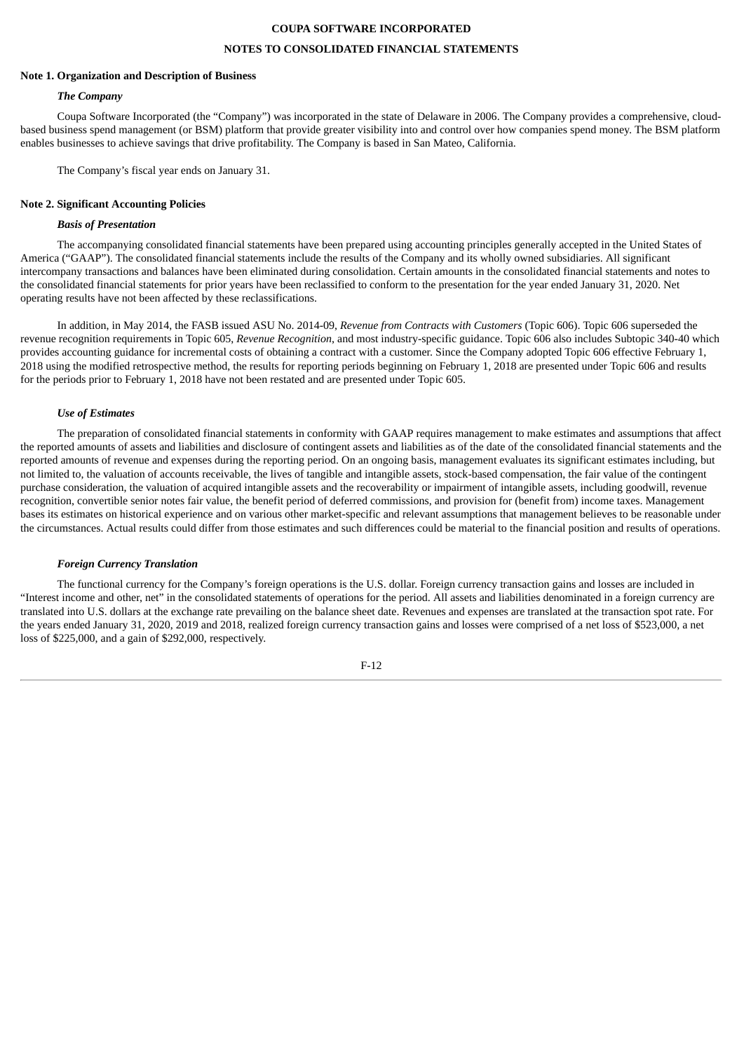# **NOTES TO CONSOLIDATED FINANCIAL STATEMENTS**

#### **Note 1. Organization and Description of Business**

#### *The Company*

Coupa Software Incorporated (the "Company") was incorporated in the state of Delaware in 2006. The Company provides a comprehensive, cloudbased business spend management (or BSM) platform that provide greater visibility into and control over how companies spend money. The BSM platform enables businesses to achieve savings that drive profitability. The Company is based in San Mateo, California.

The Company's fiscal year ends on January 31.

#### **Note 2. Significant Accounting Policies**

#### *Basis of Presentation*

The accompanying consolidated financial statements have been prepared using accounting principles generally accepted in the United States of America ("GAAP"). The consolidated financial statements include the results of the Company and its wholly owned subsidiaries. All significant intercompany transactions and balances have been eliminated during consolidation. Certain amounts in the consolidated financial statements and notes to the consolidated financial statements for prior years have been reclassified to conform to the presentation for the year ended January 31, 2020. Net operating results have not been affected by these reclassifications.

In addition, in May 2014, the FASB issued ASU No. 2014-09, *Revenue from Contracts with Customers* (Topic 606). Topic 606 superseded the revenue recognition requirements in Topic 605, *Revenue Recognition*, and most industry-specific guidance. Topic 606 also includes Subtopic 340-40 which provides accounting guidance for incremental costs of obtaining a contract with a customer. Since the Company adopted Topic 606 effective February 1, 2018 using the modified retrospective method, the results for reporting periods beginning on February 1, 2018 are presented under Topic 606 and results for the periods prior to February 1, 2018 have not been restated and are presented under Topic 605.

#### *Use of Estimates*

The preparation of consolidated financial statements in conformity with GAAP requires management to make estimates and assumptions that affect the reported amounts of assets and liabilities and disclosure of contingent assets and liabilities as of the date of the consolidated financial statements and the reported amounts of revenue and expenses during the reporting period. On an ongoing basis, management evaluates its significant estimates including, but not limited to, the valuation of accounts receivable, the lives of tangible and intangible assets, stock-based compensation, the fair value of the contingent purchase consideration, the valuation of acquired intangible assets and the recoverability or impairment of intangible assets, including goodwill, revenue recognition, convertible senior notes fair value, the benefit period of deferred commissions, and provision for (benefit from) income taxes. Management bases its estimates on historical experience and on various other market-specific and relevant assumptions that management believes to be reasonable under the circumstances. Actual results could differ from those estimates and such differences could be material to the financial position and results of operations.

#### *Foreign Currency Translation*

The functional currency for the Company's foreign operations is the U.S. dollar. Foreign currency transaction gains and losses are included in "Interest income and other, net" in the consolidated statements of operations for the period. All assets and liabilities denominated in a foreign currency are translated into U.S. dollars at the exchange rate prevailing on the balance sheet date. Revenues and expenses are translated at the transaction spot rate. For the years ended January 31, 2020, 2019 and 2018, realized foreign currency transaction gains and losses were comprised of a net loss of \$523,000, a net loss of \$225,000, and a gain of \$292,000, respectively.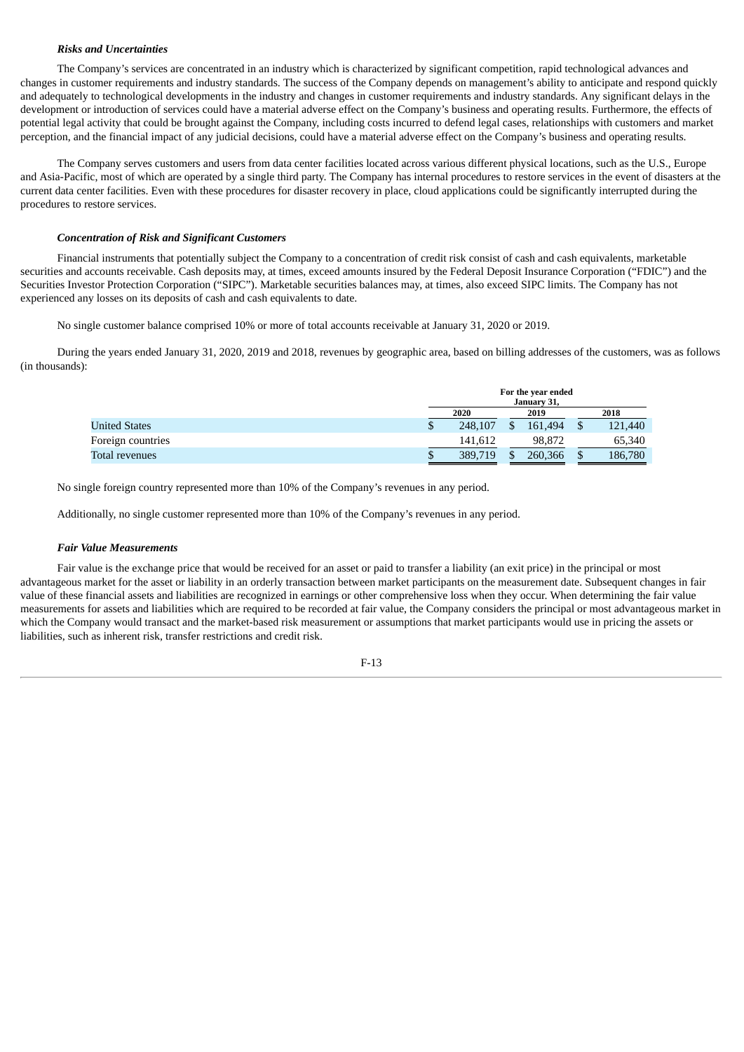# *Risks and Uncertainties*

The Company's services are concentrated in an industry which is characterized by significant competition, rapid technological advances and changes in customer requirements and industry standards. The success of the Company depends on management's ability to anticipate and respond quickly and adequately to technological developments in the industry and changes in customer requirements and industry standards. Any significant delays in the development or introduction of services could have a material adverse effect on the Company's business and operating results. Furthermore, the effects of potential legal activity that could be brought against the Company, including costs incurred to defend legal cases, relationships with customers and market perception, and the financial impact of any judicial decisions, could have a material adverse effect on the Company's business and operating results.

The Company serves customers and users from data center facilities located across various different physical locations, such as the U.S., Europe and Asia-Pacific, most of which are operated by a single third party. The Company has internal procedures to restore services in the event of disasters at the current data center facilities. Even with these procedures for disaster recovery in place, cloud applications could be significantly interrupted during the procedures to restore services.

# *Concentration of Risk and Significant Customers*

Financial instruments that potentially subject the Company to a concentration of credit risk consist of cash and cash equivalents, marketable securities and accounts receivable. Cash deposits may, at times, exceed amounts insured by the Federal Deposit Insurance Corporation ("FDIC") and the Securities Investor Protection Corporation ("SIPC"). Marketable securities balances may, at times, also exceed SIPC limits. The Company has not experienced any losses on its deposits of cash and cash equivalents to date.

No single customer balance comprised 10% or more of total accounts receivable at January 31, 2020 or 2019.

During the years ended January 31, 2020, 2019 and 2018, revenues by geographic area, based on billing addresses of the customers, was as follows (in thousands):

|                      | For the year ended<br>January 31, |      |         |  |         |  |  |
|----------------------|-----------------------------------|------|---------|--|---------|--|--|
|                      | 2020                              | 2019 |         |  | 2018    |  |  |
| <b>United States</b> | 248,107                           |      | 161.494 |  | 121,440 |  |  |
| Foreign countries    | 141.612                           |      | 98.872  |  | 65,340  |  |  |
| Total revenues       | 389,719                           | \$   | 260,366 |  | 186,780 |  |  |

No single foreign country represented more than 10% of the Company's revenues in any period.

Additionally, no single customer represented more than 10% of the Company's revenues in any period.

#### *Fair Value Measurements*

Fair value is the exchange price that would be received for an asset or paid to transfer a liability (an exit price) in the principal or most advantageous market for the asset or liability in an orderly transaction between market participants on the measurement date. Subsequent changes in fair value of these financial assets and liabilities are recognized in earnings or other comprehensive loss when they occur. When determining the fair value measurements for assets and liabilities which are required to be recorded at fair value, the Company considers the principal or most advantageous market in which the Company would transact and the market-based risk measurement or assumptions that market participants would use in pricing the assets or liabilities, such as inherent risk, transfer restrictions and credit risk.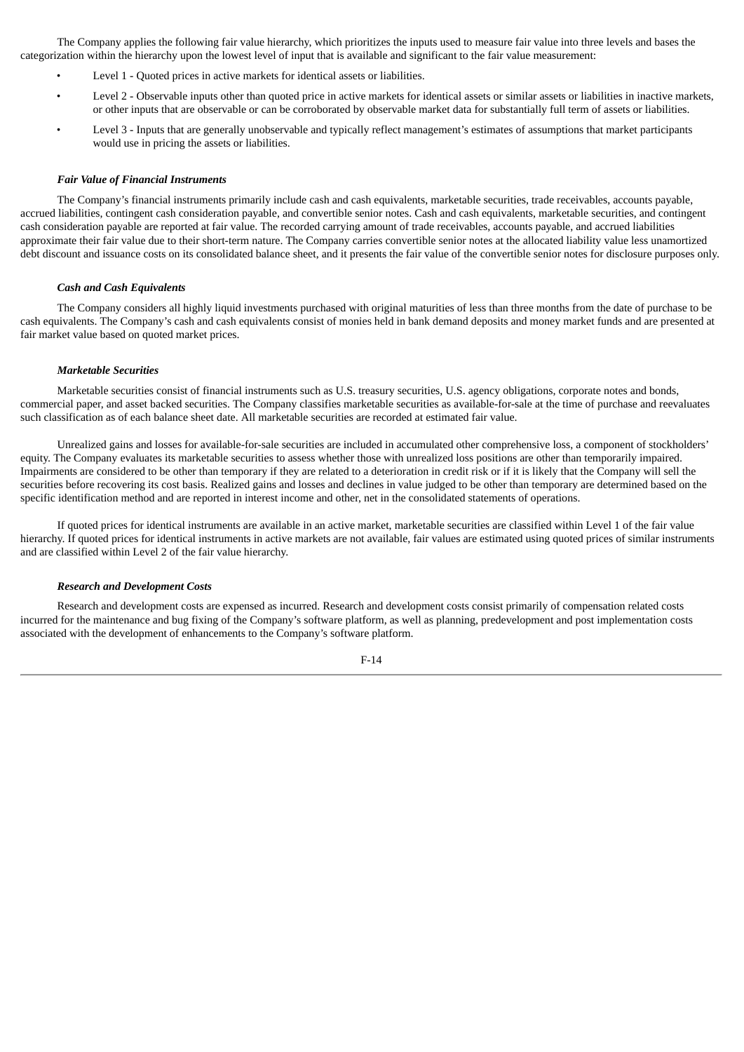The Company applies the following fair value hierarchy, which prioritizes the inputs used to measure fair value into three levels and bases the categorization within the hierarchy upon the lowest level of input that is available and significant to the fair value measurement:

- Level 1 Quoted prices in active markets for identical assets or liabilities.
- Level 2 Observable inputs other than quoted price in active markets for identical assets or similar assets or liabilities in inactive markets, or other inputs that are observable or can be corroborated by observable market data for substantially full term of assets or liabilities.
- Level 3 Inputs that are generally unobservable and typically reflect management's estimates of assumptions that market participants would use in pricing the assets or liabilities.

#### *Fair Value of Financial Instruments*

The Company's financial instruments primarily include cash and cash equivalents, marketable securities, trade receivables, accounts payable, accrued liabilities, contingent cash consideration payable, and convertible senior notes. Cash and cash equivalents, marketable securities, and contingent cash consideration payable are reported at fair value. The recorded carrying amount of trade receivables, accounts payable, and accrued liabilities approximate their fair value due to their short-term nature. The Company carries convertible senior notes at the allocated liability value less unamortized debt discount and issuance costs on its consolidated balance sheet, and it presents the fair value of the convertible senior notes for disclosure purposes only.

#### *Cash and Cash Equivalents*

The Company considers all highly liquid investments purchased with original maturities of less than three months from the date of purchase to be cash equivalents. The Company's cash and cash equivalents consist of monies held in bank demand deposits and money market funds and are presented at fair market value based on quoted market prices.

#### *Marketable Securities*

Marketable securities consist of financial instruments such as U.S. treasury securities, U.S. agency obligations, corporate notes and bonds, commercial paper, and asset backed securities. The Company classifies marketable securities as available-for-sale at the time of purchase and reevaluates such classification as of each balance sheet date. All marketable securities are recorded at estimated fair value.

Unrealized gains and losses for available-for-sale securities are included in accumulated other comprehensive loss, a component of stockholders' equity. The Company evaluates its marketable securities to assess whether those with unrealized loss positions are other than temporarily impaired. Impairments are considered to be other than temporary if they are related to a deterioration in credit risk or if it is likely that the Company will sell the securities before recovering its cost basis. Realized gains and losses and declines in value judged to be other than temporary are determined based on the specific identification method and are reported in interest income and other, net in the consolidated statements of operations.

If quoted prices for identical instruments are available in an active market, marketable securities are classified within Level 1 of the fair value hierarchy. If quoted prices for identical instruments in active markets are not available, fair values are estimated using quoted prices of similar instruments and are classified within Level 2 of the fair value hierarchy.

#### *Research and Development Costs*

Research and development costs are expensed as incurred. Research and development costs consist primarily of compensation related costs incurred for the maintenance and bug fixing of the Company's software platform, as well as planning, predevelopment and post implementation costs associated with the development of enhancements to the Company's software platform.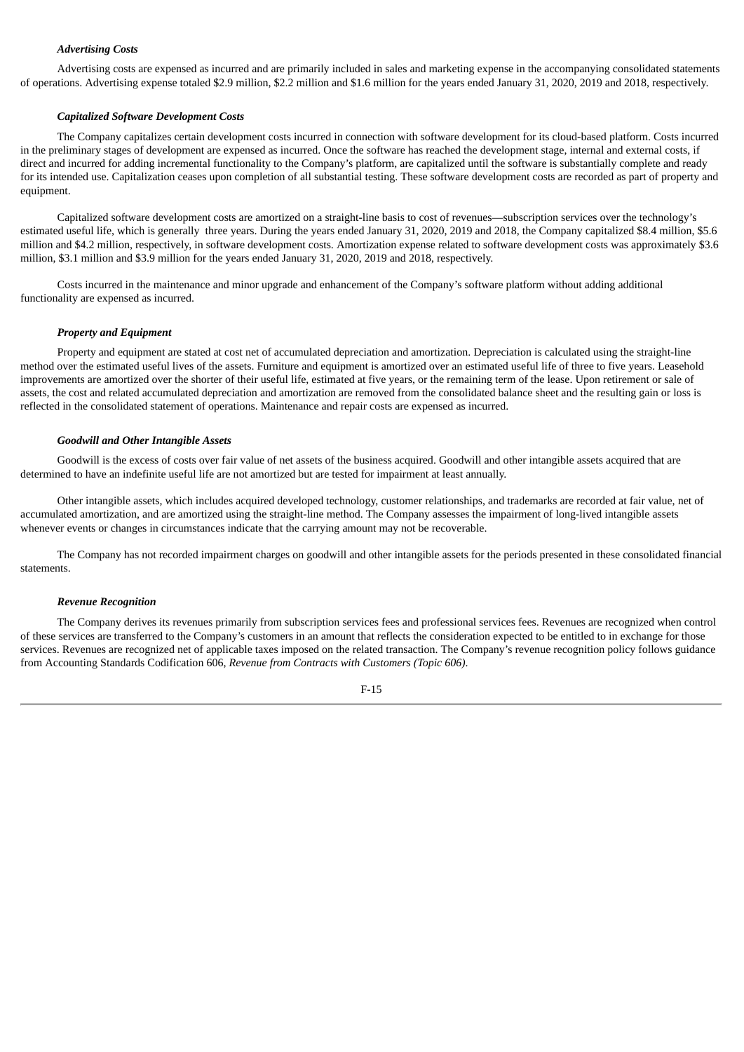# *Advertising Costs*

Advertising costs are expensed as incurred and are primarily included in sales and marketing expense in the accompanying consolidated statements of operations. Advertising expense totaled \$2.9 million, \$2.2 million and \$1.6 million for the years ended January 31, 2020, 2019 and 2018, respectively.

#### *Capitalized Software Development Costs*

The Company capitalizes certain development costs incurred in connection with software development for its cloud-based platform. Costs incurred in the preliminary stages of development are expensed as incurred. Once the software has reached the development stage, internal and external costs, if direct and incurred for adding incremental functionality to the Company's platform, are capitalized until the software is substantially complete and ready for its intended use. Capitalization ceases upon completion of all substantial testing. These software development costs are recorded as part of property and equipment.

Capitalized software development costs are amortized on a straight-line basis to cost of revenues—subscription services over the technology's estimated useful life, which is generally three years. During the years ended January 31, 2020, 2019 and 2018, the Company capitalized \$8.4 million, \$5.6 million and \$4.2 million, respectively, in software development costs. Amortization expense related to software development costs was approximately \$3.6 million, \$3.1 million and \$3.9 million for the years ended January 31, 2020, 2019 and 2018, respectively.

Costs incurred in the maintenance and minor upgrade and enhancement of the Company's software platform without adding additional functionality are expensed as incurred.

#### *Property and Equipment*

Property and equipment are stated at cost net of accumulated depreciation and amortization. Depreciation is calculated using the straight-line method over the estimated useful lives of the assets. Furniture and equipment is amortized over an estimated useful life of three to five years. Leasehold improvements are amortized over the shorter of their useful life, estimated at five years, or the remaining term of the lease. Upon retirement or sale of assets, the cost and related accumulated depreciation and amortization are removed from the consolidated balance sheet and the resulting gain or loss is reflected in the consolidated statement of operations. Maintenance and repair costs are expensed as incurred.

#### *Goodwill and Other Intangible Assets*

Goodwill is the excess of costs over fair value of net assets of the business acquired. Goodwill and other intangible assets acquired that are determined to have an indefinite useful life are not amortized but are tested for impairment at least annually.

Other intangible assets, which includes acquired developed technology, customer relationships, and trademarks are recorded at fair value, net of accumulated amortization, and are amortized using the straight-line method. The Company assesses the impairment of long-lived intangible assets whenever events or changes in circumstances indicate that the carrying amount may not be recoverable.

The Company has not recorded impairment charges on goodwill and other intangible assets for the periods presented in these consolidated financial statements.

#### *Revenue Recognition*

The Company derives its revenues primarily from subscription services fees and professional services fees. Revenues are recognized when control of these services are transferred to the Company's customers in an amount that reflects the consideration expected to be entitled to in exchange for those services. Revenues are recognized net of applicable taxes imposed on the related transaction. The Company's revenue recognition policy follows guidance from Accounting Standards Codification 606, *Revenue from Contracts with Customers (Topic 606)*.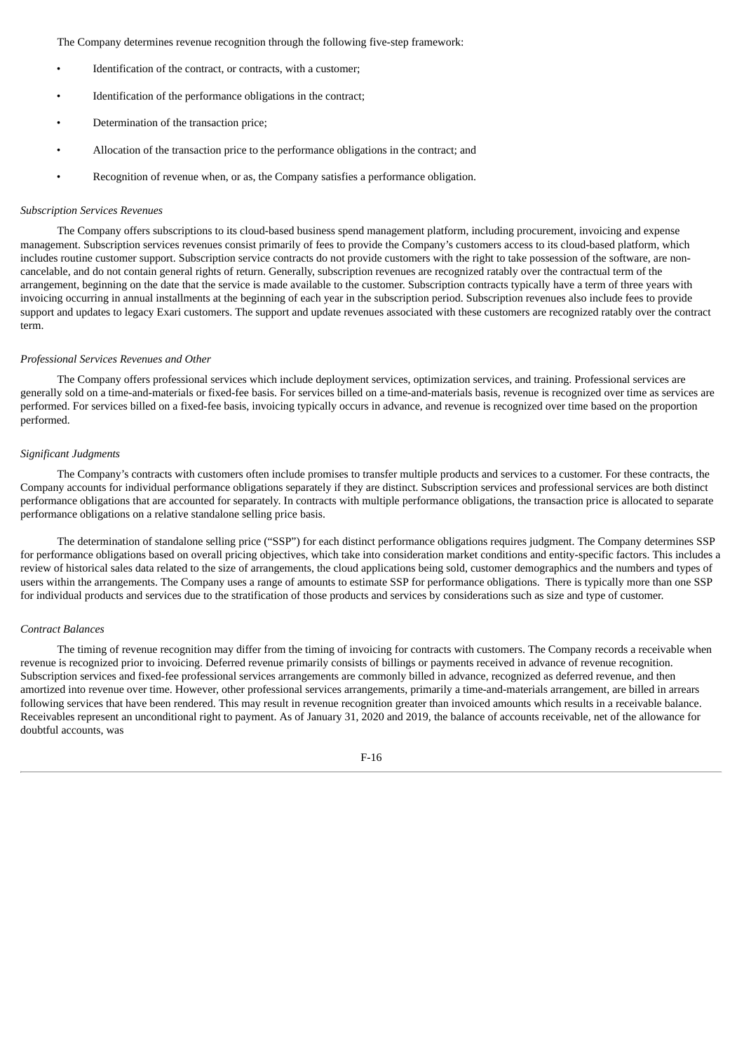The Company determines revenue recognition through the following five-step framework:

- Identification of the contract, or contracts, with a customer;
- Identification of the performance obligations in the contract;
- Determination of the transaction price;
- Allocation of the transaction price to the performance obligations in the contract; and
- Recognition of revenue when, or as, the Company satisfies a performance obligation.

#### *Subscription Services Revenues*

The Company offers subscriptions to its cloud-based business spend management platform, including procurement, invoicing and expense management. Subscription services revenues consist primarily of fees to provide the Company's customers access to its cloud-based platform, which includes routine customer support. Subscription service contracts do not provide customers with the right to take possession of the software, are noncancelable, and do not contain general rights of return. Generally, subscription revenues are recognized ratably over the contractual term of the arrangement, beginning on the date that the service is made available to the customer. Subscription contracts typically have a term of three years with invoicing occurring in annual installments at the beginning of each year in the subscription period. Subscription revenues also include fees to provide support and updates to legacy Exari customers. The support and update revenues associated with these customers are recognized ratably over the contract term.

#### *Professional Services Revenues and Other*

The Company offers professional services which include deployment services, optimization services, and training. Professional services are generally sold on a time-and-materials or fixed-fee basis. For services billed on a time-and-materials basis, revenue is recognized over time as services are performed. For services billed on a fixed-fee basis, invoicing typically occurs in advance, and revenue is recognized over time based on the proportion performed.

### *Significant Judgments*

The Company's contracts with customers often include promises to transfer multiple products and services to a customer. For these contracts, the Company accounts for individual performance obligations separately if they are distinct. Subscription services and professional services are both distinct performance obligations that are accounted for separately. In contracts with multiple performance obligations, the transaction price is allocated to separate performance obligations on a relative standalone selling price basis.

The determination of standalone selling price ("SSP") for each distinct performance obligations requires judgment. The Company determines SSP for performance obligations based on overall pricing objectives, which take into consideration market conditions and entity-specific factors. This includes a review of historical sales data related to the size of arrangements, the cloud applications being sold, customer demographics and the numbers and types of users within the arrangements. The Company uses a range of amounts to estimate SSP for performance obligations. There is typically more than one SSP for individual products and services due to the stratification of those products and services by considerations such as size and type of customer.

#### *Contract Balances*

The timing of revenue recognition may differ from the timing of invoicing for contracts with customers. The Company records a receivable when revenue is recognized prior to invoicing. Deferred revenue primarily consists of billings or payments received in advance of revenue recognition. Subscription services and fixed-fee professional services arrangements are commonly billed in advance, recognized as deferred revenue, and then amortized into revenue over time. However, other professional services arrangements, primarily a time-and-materials arrangement, are billed in arrears following services that have been rendered. This may result in revenue recognition greater than invoiced amounts which results in a receivable balance. Receivables represent an unconditional right to payment. As of January 31, 2020 and 2019, the balance of accounts receivable, net of the allowance for doubtful accounts, was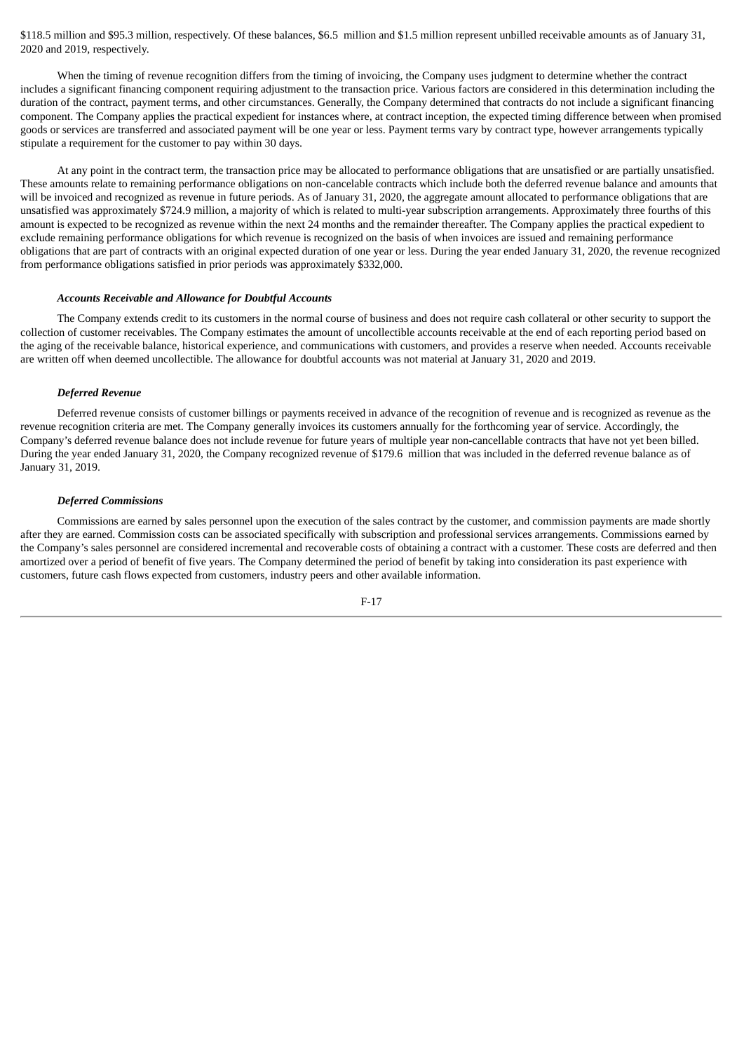\$118.5 million and \$95.3 million, respectively. Of these balances, \$6.5 million and \$1.5 million represent unbilled receivable amounts as of January 31, 2020 and 2019, respectively.

When the timing of revenue recognition differs from the timing of invoicing, the Company uses judgment to determine whether the contract includes a significant financing component requiring adjustment to the transaction price. Various factors are considered in this determination including the duration of the contract, payment terms, and other circumstances. Generally, the Company determined that contracts do not include a significant financing component. The Company applies the practical expedient for instances where, at contract inception, the expected timing difference between when promised goods or services are transferred and associated payment will be one year or less. Payment terms vary by contract type, however arrangements typically stipulate a requirement for the customer to pay within 30 days.

At any point in the contract term, the transaction price may be allocated to performance obligations that are unsatisfied or are partially unsatisfied. These amounts relate to remaining performance obligations on non-cancelable contracts which include both the deferred revenue balance and amounts that will be invoiced and recognized as revenue in future periods. As of January 31, 2020, the aggregate amount allocated to performance obligations that are unsatisfied was approximately \$724.9 million, a majority of which is related to multi-year subscription arrangements. Approximately three fourths of this amount is expected to be recognized as revenue within the next 24 months and the remainder thereafter. The Company applies the practical expedient to exclude remaining performance obligations for which revenue is recognized on the basis of when invoices are issued and remaining performance obligations that are part of contracts with an original expected duration of one year or less. During the year ended January 31, 2020, the revenue recognized from performance obligations satisfied in prior periods was approximately \$332,000.

#### *Accounts Receivable and Allowance for Doubtful Accounts*

The Company extends credit to its customers in the normal course of business and does not require cash collateral or other security to support the collection of customer receivables. The Company estimates the amount of uncollectible accounts receivable at the end of each reporting period based on the aging of the receivable balance, historical experience, and communications with customers, and provides a reserve when needed. Accounts receivable are written off when deemed uncollectible. The allowance for doubtful accounts was not material at January 31, 2020 and 2019.

#### *Deferred Revenue*

Deferred revenue consists of customer billings or payments received in advance of the recognition of revenue and is recognized as revenue as the revenue recognition criteria are met. The Company generally invoices its customers annually for the forthcoming year of service. Accordingly, the Company's deferred revenue balance does not include revenue for future years of multiple year non-cancellable contracts that have not yet been billed. During the year ended January 31, 2020, the Company recognized revenue of \$179.6 million that was included in the deferred revenue balance as of January 31, 2019.

### *Deferred Commissions*

Commissions are earned by sales personnel upon the execution of the sales contract by the customer, and commission payments are made shortly after they are earned. Commission costs can be associated specifically with subscription and professional services arrangements. Commissions earned by the Company's sales personnel are considered incremental and recoverable costs of obtaining a contract with a customer. These costs are deferred and then amortized over a period of benefit of five years. The Company determined the period of benefit by taking into consideration its past experience with customers, future cash flows expected from customers, industry peers and other available information.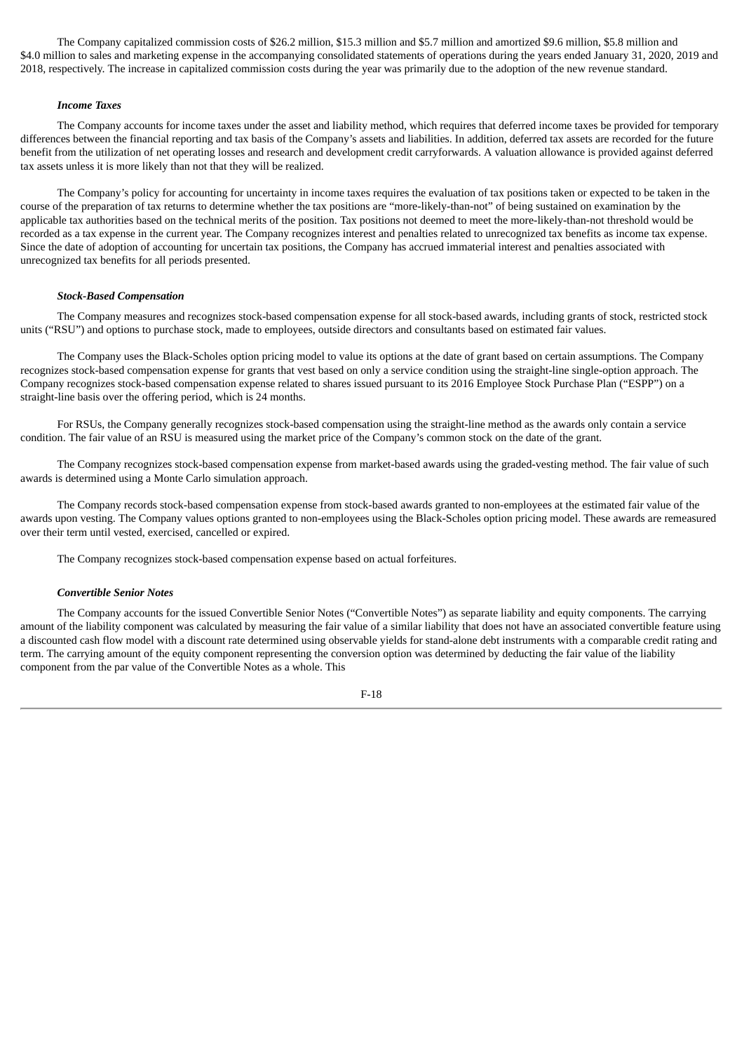The Company capitalized commission costs of \$26.2 million, \$15.3 million and \$5.7 million and amortized \$9.6 million, \$5.8 million and \$4.0 million to sales and marketing expense in the accompanying consolidated statements of operations during the years ended January 31, 2020, 2019 and 2018, respectively. The increase in capitalized commission costs during the year was primarily due to the adoption of the new revenue standard.

#### *Income Taxes*

The Company accounts for income taxes under the asset and liability method, which requires that deferred income taxes be provided for temporary differences between the financial reporting and tax basis of the Company's assets and liabilities. In addition, deferred tax assets are recorded for the future benefit from the utilization of net operating losses and research and development credit carryforwards. A valuation allowance is provided against deferred tax assets unless it is more likely than not that they will be realized.

The Company's policy for accounting for uncertainty in income taxes requires the evaluation of tax positions taken or expected to be taken in the course of the preparation of tax returns to determine whether the tax positions are "more-likely-than-not" of being sustained on examination by the applicable tax authorities based on the technical merits of the position. Tax positions not deemed to meet the more-likely-than-not threshold would be recorded as a tax expense in the current year. The Company recognizes interest and penalties related to unrecognized tax benefits as income tax expense. Since the date of adoption of accounting for uncertain tax positions, the Company has accrued immaterial interest and penalties associated with unrecognized tax benefits for all periods presented.

## *Stock-Based Compensation*

The Company measures and recognizes stock-based compensation expense for all stock-based awards, including grants of stock, restricted stock units ("RSU") and options to purchase stock, made to employees, outside directors and consultants based on estimated fair values.

The Company uses the Black-Scholes option pricing model to value its options at the date of grant based on certain assumptions. The Company recognizes stock-based compensation expense for grants that vest based on only a service condition using the straight-line single-option approach. The Company recognizes stock-based compensation expense related to shares issued pursuant to its 2016 Employee Stock Purchase Plan ("ESPP") on a straight-line basis over the offering period, which is 24 months.

For RSUs, the Company generally recognizes stock-based compensation using the straight-line method as the awards only contain a service condition. The fair value of an RSU is measured using the market price of the Company's common stock on the date of the grant.

The Company recognizes stock-based compensation expense from market-based awards using the graded-vesting method. The fair value of such awards is determined using a Monte Carlo simulation approach.

The Company records stock-based compensation expense from stock-based awards granted to non-employees at the estimated fair value of the awards upon vesting. The Company values options granted to non-employees using the Black-Scholes option pricing model. These awards are remeasured over their term until vested, exercised, cancelled or expired.

The Company recognizes stock-based compensation expense based on actual forfeitures.

#### *Convertible Senior Notes*

The Company accounts for the issued Convertible Senior Notes ("Convertible Notes") as separate liability and equity components. The carrying amount of the liability component was calculated by measuring the fair value of a similar liability that does not have an associated convertible feature using a discounted cash flow model with a discount rate determined using observable yields for stand-alone debt instruments with a comparable credit rating and term. The carrying amount of the equity component representing the conversion option was determined by deducting the fair value of the liability component from the par value of the Convertible Notes as a whole. This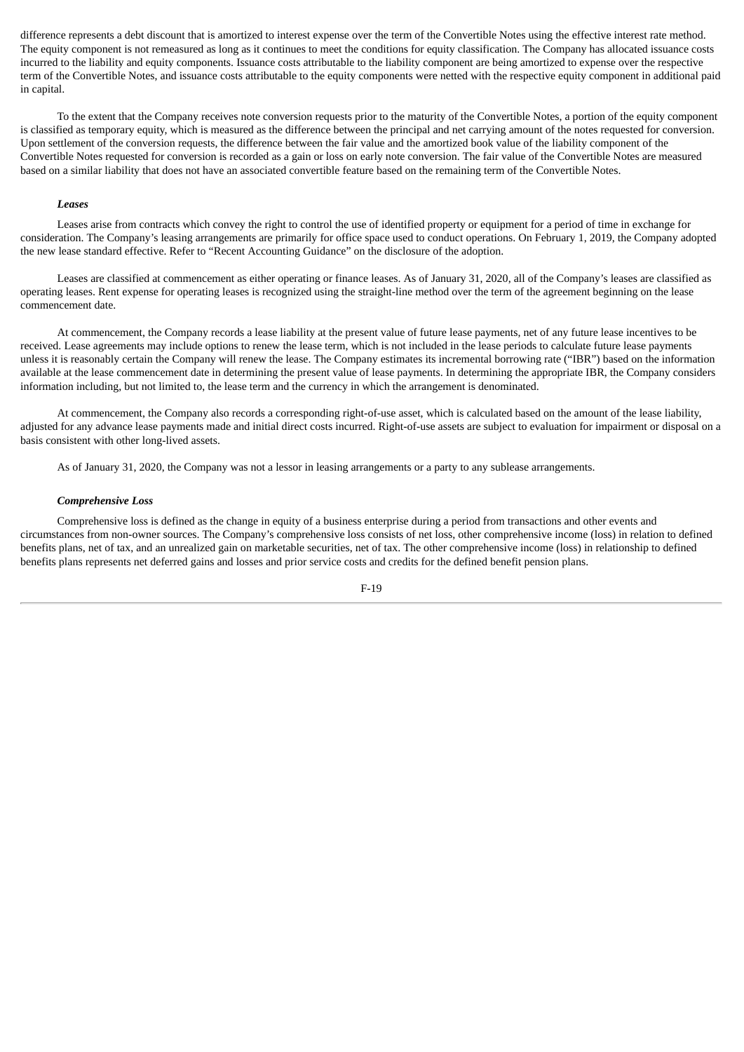difference represents a debt discount that is amortized to interest expense over the term of the Convertible Notes using the effective interest rate method. The equity component is not remeasured as long as it continues to meet the conditions for equity classification. The Company has allocated issuance costs incurred to the liability and equity components. Issuance costs attributable to the liability component are being amortized to expense over the respective term of the Convertible Notes, and issuance costs attributable to the equity components were netted with the respective equity component in additional paid in capital.

To the extent that the Company receives note conversion requests prior to the maturity of the Convertible Notes, a portion of the equity component is classified as temporary equity, which is measured as the difference between the principal and net carrying amount of the notes requested for conversion. Upon settlement of the conversion requests, the difference between the fair value and the amortized book value of the liability component of the Convertible Notes requested for conversion is recorded as a gain or loss on early note conversion. The fair value of the Convertible Notes are measured based on a similar liability that does not have an associated convertible feature based on the remaining term of the Convertible Notes.

#### *Leases*

Leases arise from contracts which convey the right to control the use of identified property or equipment for a period of time in exchange for consideration. The Company's leasing arrangements are primarily for office space used to conduct operations. On February 1, 2019, the Company adopted the new lease standard effective. Refer to "Recent Accounting Guidance" on the disclosure of the adoption.

Leases are classified at commencement as either operating or finance leases. As of January 31, 2020, all of the Company's leases are classified as operating leases. Rent expense for operating leases is recognized using the straight-line method over the term of the agreement beginning on the lease commencement date.

At commencement, the Company records a lease liability at the present value of future lease payments, net of any future lease incentives to be received. Lease agreements may include options to renew the lease term, which is not included in the lease periods to calculate future lease payments unless it is reasonably certain the Company will renew the lease. The Company estimates its incremental borrowing rate ("IBR") based on the information available at the lease commencement date in determining the present value of lease payments. In determining the appropriate IBR, the Company considers information including, but not limited to, the lease term and the currency in which the arrangement is denominated.

At commencement, the Company also records a corresponding right-of-use asset, which is calculated based on the amount of the lease liability, adjusted for any advance lease payments made and initial direct costs incurred. Right-of-use assets are subject to evaluation for impairment or disposal on a basis consistent with other long-lived assets.

As of January 31, 2020, the Company was not a lessor in leasing arrangements or a party to any sublease arrangements.

# *Comprehensive Loss*

Comprehensive loss is defined as the change in equity of a business enterprise during a period from transactions and other events and circumstances from non-owner sources. The Company's comprehensive loss consists of net loss, other comprehensive income (loss) in relation to defined benefits plans, net of tax, and an unrealized gain on marketable securities, net of tax. The other comprehensive income (loss) in relationship to defined benefits plans represents net deferred gains and losses and prior service costs and credits for the defined benefit pension plans.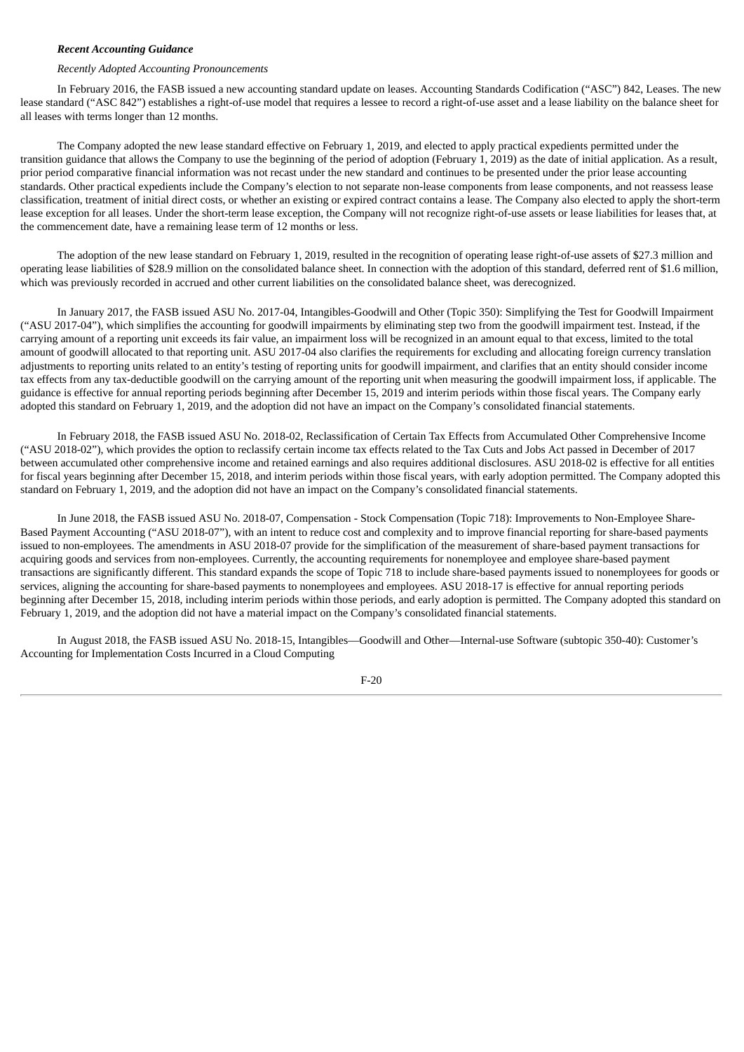#### *Recent Accounting Guidance*

#### *Recently Adopted Accounting Pronouncements*

In February 2016, the FASB issued a new accounting standard update on leases. Accounting Standards Codification ("ASC") 842, Leases. The new lease standard ("ASC 842") establishes a right-of-use model that requires a lessee to record a right-of-use asset and a lease liability on the balance sheet for all leases with terms longer than 12 months.

The Company adopted the new lease standard effective on February 1, 2019, and elected to apply practical expedients permitted under the transition guidance that allows the Company to use the beginning of the period of adoption (February 1, 2019) as the date of initial application. As a result, prior period comparative financial information was not recast under the new standard and continues to be presented under the prior lease accounting standards. Other practical expedients include the Company's election to not separate non-lease components from lease components, and not reassess lease classification, treatment of initial direct costs, or whether an existing or expired contract contains a lease. The Company also elected to apply the short-term lease exception for all leases. Under the short-term lease exception, the Company will not recognize right-of-use assets or lease liabilities for leases that, at the commencement date, have a remaining lease term of 12 months or less.

The adoption of the new lease standard on February 1, 2019, resulted in the recognition of operating lease right-of-use assets of \$27.3 million and operating lease liabilities of \$28.9 million on the consolidated balance sheet. In connection with the adoption of this standard, deferred rent of \$1.6 million, which was previously recorded in accrued and other current liabilities on the consolidated balance sheet, was derecognized.

In January 2017, the FASB issued ASU No. 2017-04, Intangibles-Goodwill and Other (Topic 350): Simplifying the Test for Goodwill Impairment ("ASU 2017-04"), which simplifies the accounting for goodwill impairments by eliminating step two from the goodwill impairment test. Instead, if the carrying amount of a reporting unit exceeds its fair value, an impairment loss will be recognized in an amount equal to that excess, limited to the total amount of goodwill allocated to that reporting unit. ASU 2017-04 also clarifies the requirements for excluding and allocating foreign currency translation adjustments to reporting units related to an entity's testing of reporting units for goodwill impairment, and clarifies that an entity should consider income tax effects from any tax-deductible goodwill on the carrying amount of the reporting unit when measuring the goodwill impairment loss, if applicable. The guidance is effective for annual reporting periods beginning after December 15, 2019 and interim periods within those fiscal years. The Company early adopted this standard on February 1, 2019, and the adoption did not have an impact on the Company's consolidated financial statements.

In February 2018, the FASB issued ASU No. 2018-02, Reclassification of Certain Tax Effects from Accumulated Other Comprehensive Income ("ASU 2018-02"), which provides the option to reclassify certain income tax effects related to the Tax Cuts and Jobs Act passed in December of 2017 between accumulated other comprehensive income and retained earnings and also requires additional disclosures. ASU 2018-02 is effective for all entities for fiscal years beginning after December 15, 2018, and interim periods within those fiscal years, with early adoption permitted. The Company adopted this standard on February 1, 2019, and the adoption did not have an impact on the Company's consolidated financial statements.

In June 2018, the FASB issued ASU No. 2018-07, Compensation - Stock Compensation (Topic 718): Improvements to Non-Employee Share-Based Payment Accounting ("ASU 2018-07"), with an intent to reduce cost and complexity and to improve financial reporting for share-based payments issued to non-employees. The amendments in ASU 2018-07 provide for the simplification of the measurement of share-based payment transactions for acquiring goods and services from non-employees. Currently, the accounting requirements for nonemployee and employee share-based payment transactions are significantly different. This standard expands the scope of Topic 718 to include share-based payments issued to nonemployees for goods or services, aligning the accounting for share-based payments to nonemployees and employees. ASU 2018-17 is effective for annual reporting periods beginning after December 15, 2018, including interim periods within those periods, and early adoption is permitted. The Company adopted this standard on February 1, 2019, and the adoption did not have a material impact on the Company's consolidated financial statements.

In August 2018, the FASB issued ASU No. 2018-15, Intangibles—Goodwill and Other—Internal-use Software (subtopic 350-40): Customer's Accounting for Implementation Costs Incurred in a Cloud Computing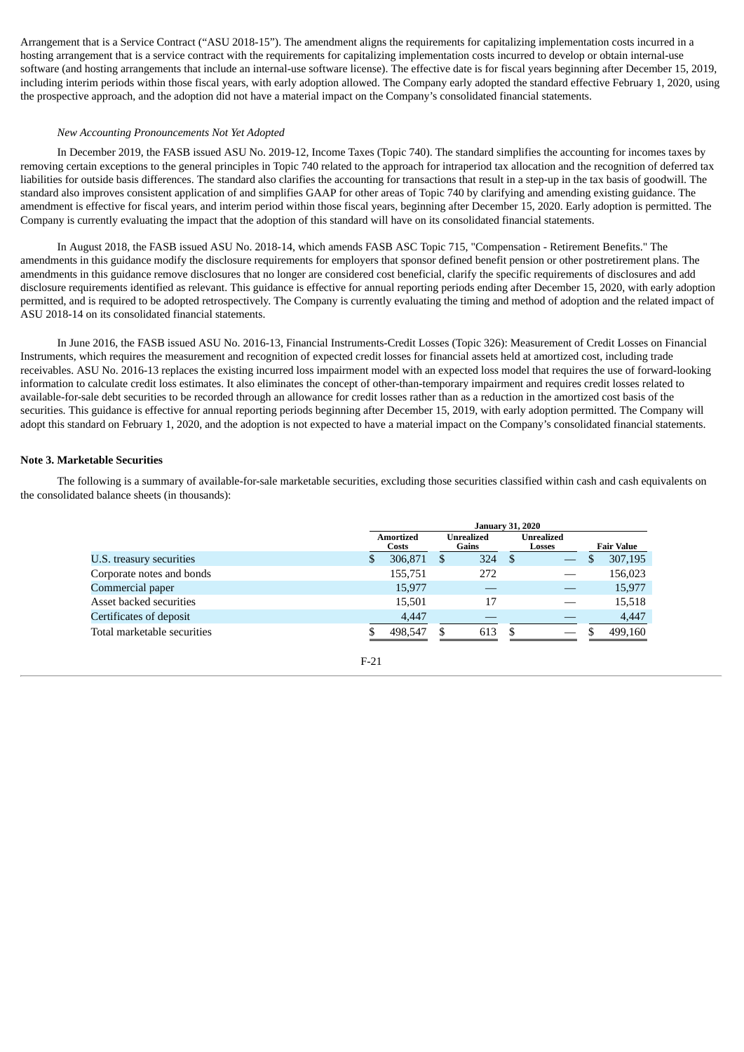Arrangement that is a Service Contract ("ASU 2018-15"). The amendment aligns the requirements for capitalizing implementation costs incurred in a hosting arrangement that is a service contract with the requirements for capitalizing implementation costs incurred to develop or obtain internal-use software (and hosting arrangements that include an internal-use software license). The effective date is for fiscal years beginning after December 15, 2019, including interim periods within those fiscal years, with early adoption allowed. The Company early adopted the standard effective February 1, 2020, using the prospective approach, and the adoption did not have a material impact on the Company's consolidated financial statements.

#### *New Accounting Pronouncements Not Yet Adopted*

In December 2019, the FASB issued ASU No. 2019-12, Income Taxes (Topic 740). The standard simplifies the accounting for incomes taxes by removing certain exceptions to the general principles in Topic 740 related to the approach for intraperiod tax allocation and the recognition of deferred tax liabilities for outside basis differences. The standard also clarifies the accounting for transactions that result in a step-up in the tax basis of goodwill. The standard also improves consistent application of and simplifies GAAP for other areas of Topic 740 by clarifying and amending existing guidance. The amendment is effective for fiscal years, and interim period within those fiscal years, beginning after December 15, 2020. Early adoption is permitted. The Company is currently evaluating the impact that the adoption of this standard will have on its consolidated financial statements.

In August 2018, the FASB issued ASU No. 2018-14, which amends FASB ASC Topic 715, "Compensation - Retirement Benefits." The amendments in this guidance modify the disclosure requirements for employers that sponsor defined benefit pension or other postretirement plans. The amendments in this guidance remove disclosures that no longer are considered cost beneficial, clarify the specific requirements of disclosures and add disclosure requirements identified as relevant. This guidance is effective for annual reporting periods ending after December 15, 2020, with early adoption permitted, and is required to be adopted retrospectively. The Company is currently evaluating the timing and method of adoption and the related impact of ASU 2018-14 on its consolidated financial statements.

In June 2016, the FASB issued ASU No. 2016-13, Financial Instruments-Credit Losses (Topic 326): Measurement of Credit Losses on Financial Instruments, which requires the measurement and recognition of expected credit losses for financial assets held at amortized cost, including trade receivables. ASU No. 2016-13 replaces the existing incurred loss impairment model with an expected loss model that requires the use of forward-looking information to calculate credit loss estimates. It also eliminates the concept of other-than-temporary impairment and requires credit losses related to available-for-sale debt securities to be recorded through an allowance for credit losses rather than as a reduction in the amortized cost basis of the securities. This guidance is effective for annual reporting periods beginning after December 15, 2019, with early adoption permitted. The Company will adopt this standard on February 1, 2020, and the adoption is not expected to have a material impact on the Company's consolidated financial statements.

#### **Note 3. Marketable Securities**

The following is a summary of available-for-sale marketable securities, excluding those securities classified within cash and cash equivalents on the consolidated balance sheets (in thousands):

|                             | <b>January 31, 2020</b> |                           |   |                     |      |  |  |         |  |                      |  |                   |
|-----------------------------|-------------------------|---------------------------|---|---------------------|------|--|--|---------|--|----------------------|--|-------------------|
|                             |                         | <b>Amortized</b><br>Costs |   | Unrealized<br>Gains |      |  |  |         |  | Unrealized<br>Losses |  | <b>Fair Value</b> |
| U.S. treasury securities    | \$.                     | 306,871                   | S | 324                 | - \$ |  |  | 307,195 |  |                      |  |                   |
| Corporate notes and bonds   |                         | 155,751                   |   | 272                 |      |  |  | 156,023 |  |                      |  |                   |
| Commercial paper            |                         | 15,977                    |   |                     |      |  |  | 15,977  |  |                      |  |                   |
| Asset backed securities     |                         | 15.501                    |   | 17                  |      |  |  | 15,518  |  |                      |  |                   |
| Certificates of deposit     |                         | 4,447                     |   |                     |      |  |  | 4,447   |  |                      |  |                   |
| Total marketable securities |                         | 498,547                   |   | 613                 | \$.  |  |  | 499,160 |  |                      |  |                   |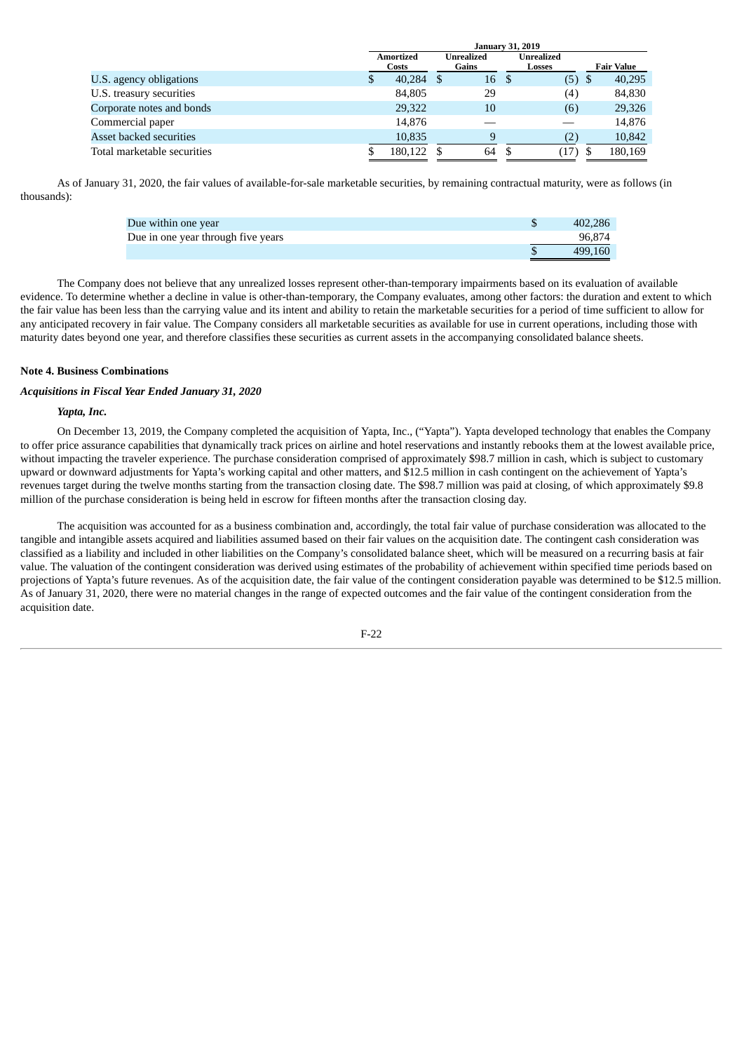|                             | Janual V J1. 2015 |                                                  |      |    |                      |                   |      |         |
|-----------------------------|-------------------|--------------------------------------------------|------|----|----------------------|-------------------|------|---------|
|                             |                   | <b>Amortized</b><br>Unrealized<br>Gains<br>Costs |      |    | Unrealized<br>Losses | <b>Fair Value</b> |      |         |
| U.S. agency obligations     | S                 | 40,284                                           | - \$ | 16 |                      | (5)               | - \$ | 40,295  |
| U.S. treasury securities    |                   | 84,805                                           |      | 29 |                      | (4)               |      | 84,830  |
| Corporate notes and bonds   |                   | 29,322                                           |      | 10 |                      | (6)               |      | 29,326  |
| Commercial paper            |                   | 14,876                                           |      |    |                      |                   |      | 14,876  |
| Asset backed securities     |                   | 10.835                                           |      | 9  |                      | (2)               |      | 10,842  |
| Total marketable securities |                   | 180,122                                          |      | 64 |                      | (17)              | S,   | 180,169 |

**January 31, 2019**

As of January 31, 2020, the fair values of available-for-sale marketable securities, by remaining contractual maturity, were as follows (in thousands):

| Due within one year                | 402.286 |
|------------------------------------|---------|
| Due in one year through five years | 96.874  |
|                                    | 499.160 |

The Company does not believe that any unrealized losses represent other-than-temporary impairments based on its evaluation of available evidence. To determine whether a decline in value is other-than-temporary, the Company evaluates, among other factors: the duration and extent to which the fair value has been less than the carrying value and its intent and ability to retain the marketable securities for a period of time sufficient to allow for any anticipated recovery in fair value. The Company considers all marketable securities as available for use in current operations, including those with maturity dates beyond one year, and therefore classifies these securities as current assets in the accompanying consolidated balance sheets.

## **Note 4. Business Combinations**

# *Acquisitions in Fiscal Year Ended January 31, 2020*

# *Yapta, Inc.*

On December 13, 2019, the Company completed the acquisition of Yapta, Inc., ("Yapta"). Yapta developed technology that enables the Company to offer price assurance capabilities that dynamically track prices on airline and hotel reservations and instantly rebooks them at the lowest available price, without impacting the traveler experience. The purchase consideration comprised of approximately \$98.7 million in cash, which is subject to customary upward or downward adjustments for Yapta's working capital and other matters, and \$12.5 million in cash contingent on the achievement of Yapta's revenues target during the twelve months starting from the transaction closing date. The \$98.7 million was paid at closing, of which approximately \$9.8 million of the purchase consideration is being held in escrow for fifteen months after the transaction closing day.

The acquisition was accounted for as a business combination and, accordingly, the total fair value of purchase consideration was allocated to the tangible and intangible assets acquired and liabilities assumed based on their fair values on the acquisition date. The contingent cash consideration was classified as a liability and included in other liabilities on the Company's consolidated balance sheet, which will be measured on a recurring basis at fair value. The valuation of the contingent consideration was derived using estimates of the probability of achievement within specified time periods based on projections of Yapta's future revenues. As of the acquisition date, the fair value of the contingent consideration payable was determined to be \$12.5 million. As of January 31, 2020, there were no material changes in the range of expected outcomes and the fair value of the contingent consideration from the acquisition date.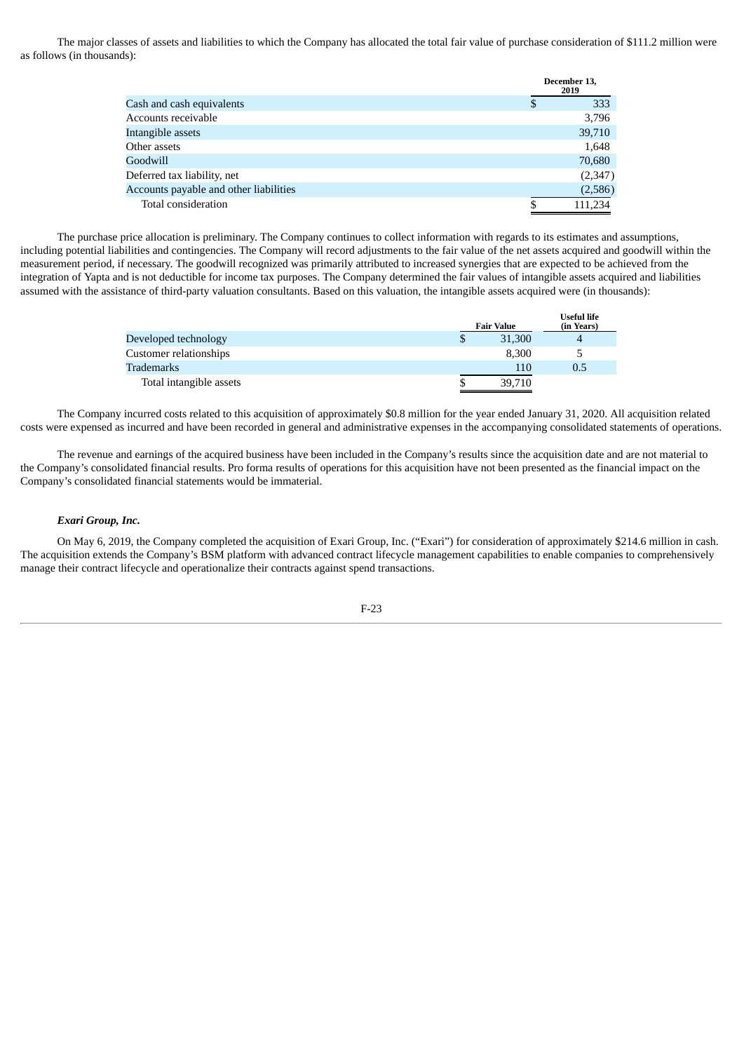The major classes of assets and liabilities to which the Company has allocated the total fair value of purchase consideration of \$111.2 million were as follows (in thousands):

|                                        | December 13,<br>2019 |
|----------------------------------------|----------------------|
| Cash and cash equivalents              | \$<br>333            |
| Accounts receivable                    | 3,796                |
| Intangible assets                      | 39,710               |
| Other assets                           | 1,648                |
| Goodwill                               | 70,680               |
| Deferred tax liability, net            | (2,347)              |
| Accounts payable and other liabilities | (2,586)              |
| Total consideration                    | 111.234              |
|                                        |                      |

The purchase price allocation is preliminary. The Company continues to collect information with regards to its estimates and assumptions, including potential liabilities and contingencies. The Company will record adjustments to the fair value of the net assets acquired and goodwill within the measurement period, if necessary. The goodwill recognized was primarily attributed to increased synergies that are expected to be achieved from the integration of Yapta and is not deductible for income tax purposes. The Company determined the fair values of intangible assets acquired and liabilities assumed with the assistance of third-party valuation consultants. Based on this valuation, the intangible assets acquired were (in thousands):

|                         |   | <b>Fair Value</b> | USEIUI IIIE<br>(in Years) |
|-------------------------|---|-------------------|---------------------------|
| Developed technology    | S | 31,300            |                           |
| Customer relationships  |   | 8.300             |                           |
| Trademarks              |   | 110               | 0.5                       |
| Total intangible assets |   | 39,710            |                           |

**Useful life**

The Company incurred costs related to this acquisition of approximately \$0.8 million for the year ended January 31, 2020. All acquisition related costs were expensed as incurred and have been recorded in general and administrative expenses in the accompanying consolidated statements of operations.

The revenue and earnings of the acquired business have been included in the Company's results since the acquisition date and are not material to the Company's consolidated financial results. Pro forma results of operations for this acquisition have not been presented as the financial impact on the Company's consolidated financial statements would be immaterial.

# *Exari Group, Inc.*

On May 6, 2019, the Company completed the acquisition of Exari Group, Inc. ("Exari") for consideration of approximately \$214.6 million in cash. The acquisition extends the Company's BSM platform with advanced contract lifecycle management capabilities to enable companies to comprehensively manage their contract lifecycle and operationalize their contracts against spend transactions.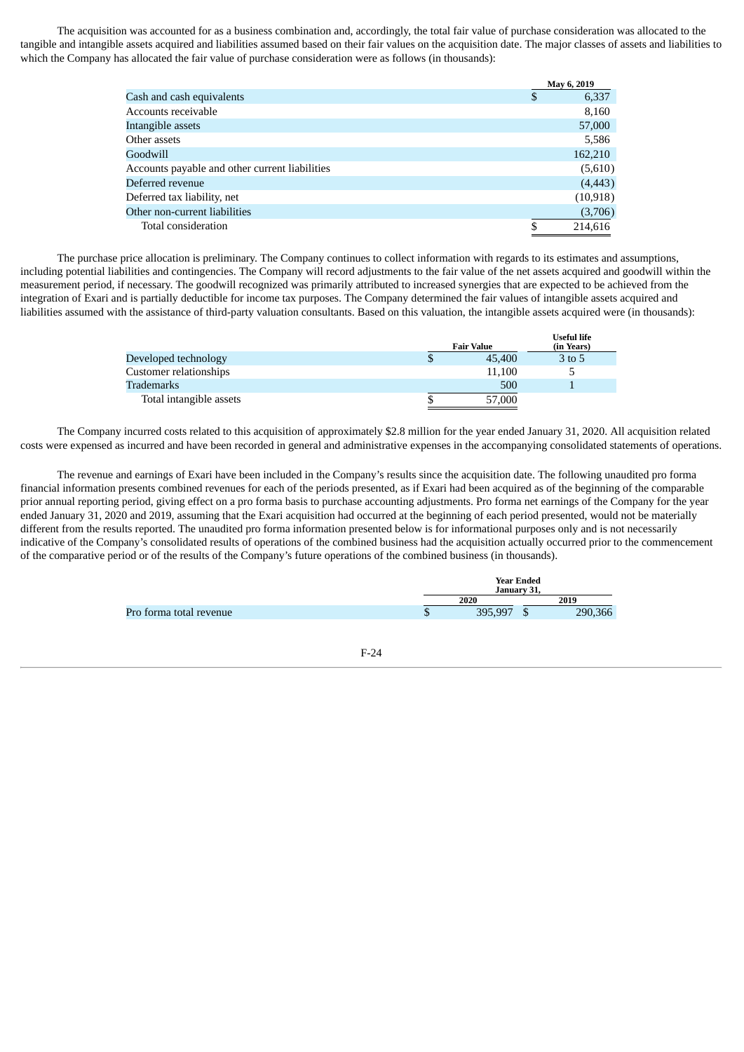The acquisition was accounted for as a business combination and, accordingly, the total fair value of purchase consideration was allocated to the tangible and intangible assets acquired and liabilities assumed based on their fair values on the acquisition date. The major classes of assets and liabilities to which the Company has allocated the fair value of purchase consideration were as follows (in thousands):

|                                                | May 6, 2019 |
|------------------------------------------------|-------------|
| Cash and cash equivalents                      | \$<br>6,337 |
| Accounts receivable                            | 8,160       |
| Intangible assets                              | 57,000      |
| Other assets                                   | 5,586       |
| Goodwill                                       | 162,210     |
| Accounts payable and other current liabilities | (5,610)     |
| Deferred revenue                               | (4, 443)    |
| Deferred tax liability, net                    | (10, 918)   |
| Other non-current liabilities                  | (3,706)     |
| Total consideration                            | 214,616     |
|                                                |             |

The purchase price allocation is preliminary. The Company continues to collect information with regards to its estimates and assumptions, including potential liabilities and contingencies. The Company will record adjustments to the fair value of the net assets acquired and goodwill within the measurement period, if necessary. The goodwill recognized was primarily attributed to increased synergies that are expected to be achieved from the integration of Exari and is partially deductible for income tax purposes. The Company determined the fair values of intangible assets acquired and liabilities assumed with the assistance of third-party valuation consultants. Based on this valuation, the intangible assets acquired were (in thousands):

|                         |   | <b>Fair Value</b> | <b>Useful life</b><br>(in Years) |
|-------------------------|---|-------------------|----------------------------------|
| Developed technology    | Φ | 45,400            | 3 to 5                           |
| Customer relationships  |   | 11.100            | ∽                                |
| Trademarks              |   | 500               |                                  |
| Total intangible assets |   | 57,000            |                                  |

The Company incurred costs related to this acquisition of approximately \$2.8 million for the year ended January 31, 2020. All acquisition related costs were expensed as incurred and have been recorded in general and administrative expenses in the accompanying consolidated statements of operations.

The revenue and earnings of Exari have been included in the Company's results since the acquisition date. The following unaudited pro forma financial information presents combined revenues for each of the periods presented, as if Exari had been acquired as of the beginning of the comparable prior annual reporting period, giving effect on a pro forma basis to purchase accounting adjustments. Pro forma net earnings of the Company for the year ended January 31, 2020 and 2019, assuming that the Exari acquisition had occurred at the beginning of each period presented, would not be materially different from the results reported. The unaudited pro forma information presented below is for informational purposes only and is not necessarily indicative of the Company's consolidated results of operations of the combined business had the acquisition actually occurred prior to the commencement of the comparative period or of the results of the Company's future operations of the combined business (in thousands).

|                                |   | <b>Year Ended</b><br>January 31, |  |         |  |
|--------------------------------|---|----------------------------------|--|---------|--|
|                                |   | 2020                             |  | 2019    |  |
| <b>Pro forma total revenue</b> | Ф | 395,997                          |  | 290,366 |  |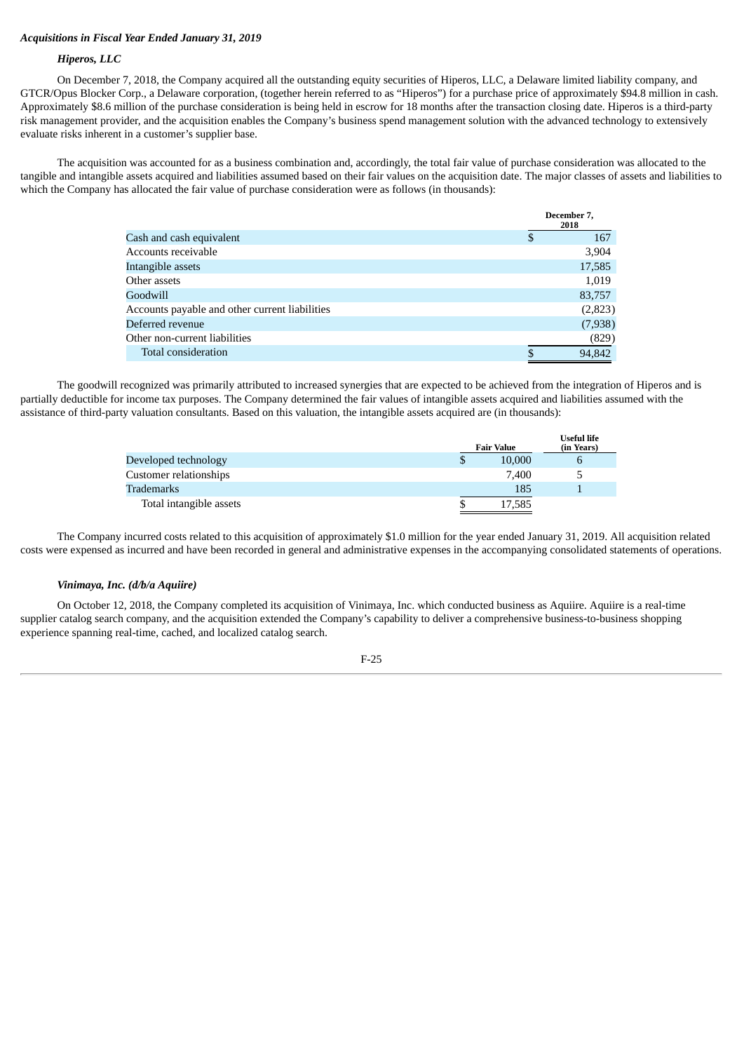# *Acquisitions in Fiscal Year Ended January 31, 2019*

## *Hiperos, LLC*

On December 7, 2018, the Company acquired all the outstanding equity securities of Hiperos, LLC, a Delaware limited liability company, and GTCR/Opus Blocker Corp., a Delaware corporation, (together herein referred to as "Hiperos") for a purchase price of approximately \$94.8 million in cash. Approximately \$8.6 million of the purchase consideration is being held in escrow for 18 months after the transaction closing date. Hiperos is a third-party risk management provider, and the acquisition enables the Company's business spend management solution with the advanced technology to extensively evaluate risks inherent in a customer's supplier base.

The acquisition was accounted for as a business combination and, accordingly, the total fair value of purchase consideration was allocated to the tangible and intangible assets acquired and liabilities assumed based on their fair values on the acquisition date. The major classes of assets and liabilities to which the Company has allocated the fair value of purchase consideration were as follows (in thousands):

|                                                | December 7.<br>2018 |
|------------------------------------------------|---------------------|
| Cash and cash equivalent                       | \$<br>167           |
| Accounts receivable                            | 3,904               |
| Intangible assets                              | 17,585              |
| Other assets                                   | 1,019               |
| Goodwill                                       | 83,757              |
| Accounts payable and other current liabilities | (2,823)             |
| Deferred revenue                               | (7,938)             |
| Other non-current liabilities                  | (829)               |
| Total consideration                            | 94,842              |

The goodwill recognized was primarily attributed to increased synergies that are expected to be achieved from the integration of Hiperos and is partially deductible for income tax purposes. The Company determined the fair values of intangible assets acquired and liabilities assumed with the assistance of third-party valuation consultants. Based on this valuation, the intangible assets acquired are (in thousands):

|                         | <b>Fair Value</b> | <b>Useful life</b><br>(in Years) |
|-------------------------|-------------------|----------------------------------|
| Developed technology    | \$<br>10,000      |                                  |
| Customer relationships  | 7.400             |                                  |
| Trademarks              | 185               |                                  |
| Total intangible assets | 17,585            |                                  |

The Company incurred costs related to this acquisition of approximately \$1.0 million for the year ended January 31, 2019. All acquisition related costs were expensed as incurred and have been recorded in general and administrative expenses in the accompanying consolidated statements of operations.

# *Vinimaya, Inc. (d/b/a Aquiire)*

On October 12, 2018, the Company completed its acquisition of Vinimaya, Inc. which conducted business as Aquiire. Aquiire is a real-time supplier catalog search company, and the acquisition extended the Company's capability to deliver a comprehensive business-to-business shopping experience spanning real-time, cached, and localized catalog search.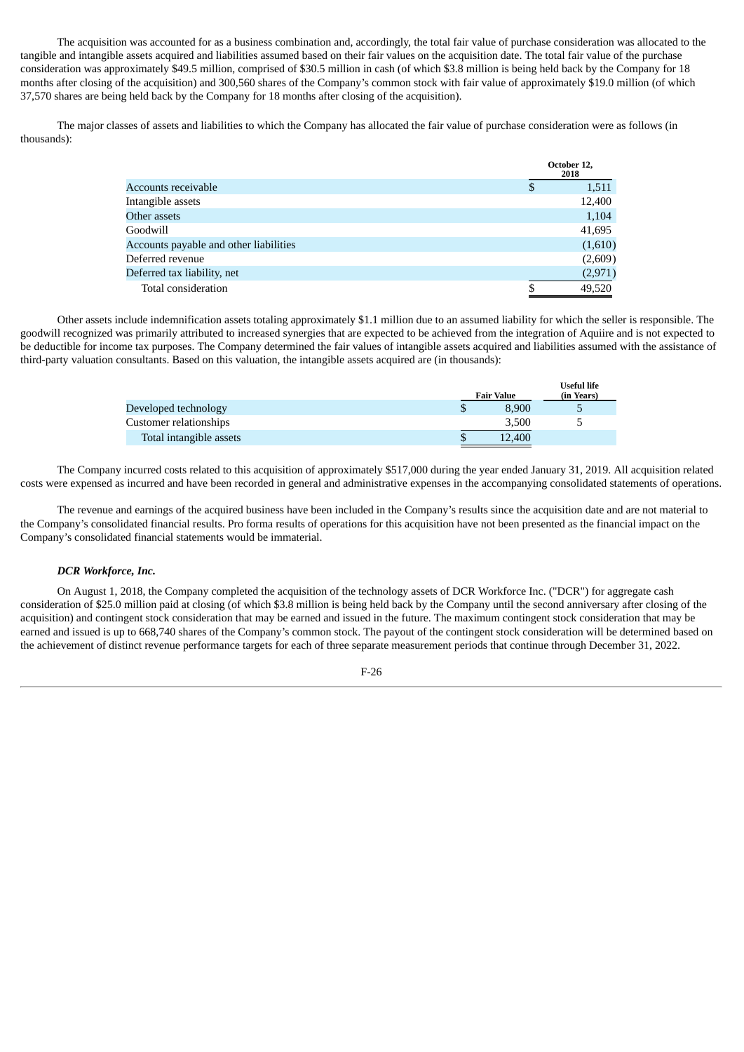The acquisition was accounted for as a business combination and, accordingly, the total fair value of purchase consideration was allocated to the tangible and intangible assets acquired and liabilities assumed based on their fair values on the acquisition date. The total fair value of the purchase consideration was approximately \$49.5 million, comprised of \$30.5 million in cash (of which \$3.8 million is being held back by the Company for 18 months after closing of the acquisition) and 300,560 shares of the Company's common stock with fair value of approximately \$19.0 million (of which 37,570 shares are being held back by the Company for 18 months after closing of the acquisition).

The major classes of assets and liabilities to which the Company has allocated the fair value of purchase consideration were as follows (in thousands):

|                                        | October 12,<br>2018 |
|----------------------------------------|---------------------|
| Accounts receivable                    | \$<br>1,511         |
| Intangible assets                      | 12,400              |
| Other assets                           | 1,104               |
| Goodwill                               | 41,695              |
| Accounts payable and other liabilities | (1,610)             |
| Deferred revenue                       | (2,609)             |
| Deferred tax liability, net            | (2,971)             |
| Total consideration                    | 49,520              |

Other assets include indemnification assets totaling approximately \$1.1 million due to an assumed liability for which the seller is responsible. The goodwill recognized was primarily attributed to increased synergies that are expected to be achieved from the integration of Aquiire and is not expected to be deductible for income tax purposes. The Company determined the fair values of intangible assets acquired and liabilities assumed with the assistance of third-party valuation consultants. Based on this valuation, the intangible assets acquired are (in thousands):

|                         | <b>Fair Value</b> | <b>Useful life</b><br>(in Years) |
|-------------------------|-------------------|----------------------------------|
| Developed technology    | 8.900             |                                  |
| Customer relationships  | 3,500             |                                  |
| Total intangible assets | 12,400            |                                  |

The Company incurred costs related to this acquisition of approximately \$517,000 during the year ended January 31, 2019. All acquisition related costs were expensed as incurred and have been recorded in general and administrative expenses in the accompanying consolidated statements of operations.

The revenue and earnings of the acquired business have been included in the Company's results since the acquisition date and are not material to the Company's consolidated financial results. Pro forma results of operations for this acquisition have not been presented as the financial impact on the Company's consolidated financial statements would be immaterial.

# *DCR Workforce, Inc.*

On August 1, 2018, the Company completed the acquisition of the technology assets of DCR Workforce Inc. ("DCR") for aggregate cash consideration of \$25.0 million paid at closing (of which \$3.8 million is being held back by the Company until the second anniversary after closing of the acquisition) and contingent stock consideration that may be earned and issued in the future. The maximum contingent stock consideration that may be earned and issued is up to 668,740 shares of the Company's common stock. The payout of the contingent stock consideration will be determined based on the achievement of distinct revenue performance targets for each of three separate measurement periods that continue through December 31, 2022.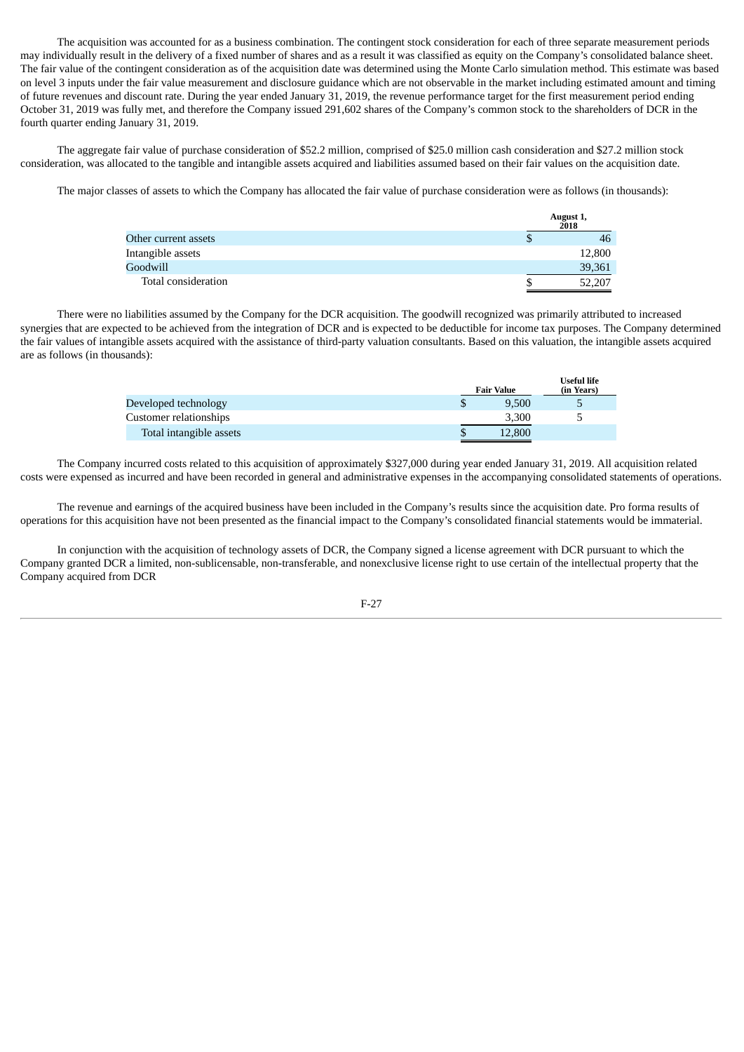The acquisition was accounted for as a business combination. The contingent stock consideration for each of three separate measurement periods may individually result in the delivery of a fixed number of shares and as a result it was classified as equity on the Company's consolidated balance sheet. The fair value of the contingent consideration as of the acquisition date was determined using the Monte Carlo simulation method. This estimate was based on level 3 inputs under the fair value measurement and disclosure guidance which are not observable in the market including estimated amount and timing of future revenues and discount rate. During the year ended January 31, 2019, the revenue performance target for the first measurement period ending October 31, 2019 was fully met, and therefore the Company issued 291,602 shares of the Company's common stock to the shareholders of DCR in the fourth quarter ending January 31, 2019.

The aggregate fair value of purchase consideration of \$52.2 million, comprised of \$25.0 million cash consideration and \$27.2 million stock consideration, was allocated to the tangible and intangible assets acquired and liabilities assumed based on their fair values on the acquisition date.

The major classes of assets to which the Company has allocated the fair value of purchase consideration were as follows (in thousands):

|                      |   | August 1,<br>2018 |
|----------------------|---|-------------------|
| Other current assets | S | 46                |
| Intangible assets    |   | 12,800            |
| Goodwill             |   | 39,361            |
| Total consideration  |   | 52,207            |

There were no liabilities assumed by the Company for the DCR acquisition. The goodwill recognized was primarily attributed to increased synergies that are expected to be achieved from the integration of DCR and is expected to be deductible for income tax purposes. The Company determined the fair values of intangible assets acquired with the assistance of third-party valuation consultants. Based on this valuation, the intangible assets acquired are as follows (in thousands):

|                         | <b>Fair Value</b> | Useful life<br>(in Years) |
|-------------------------|-------------------|---------------------------|
| Developed technology    | 9,500             |                           |
| Customer relationships  | 3,300             |                           |
| Total intangible assets | 12,800            |                           |

The Company incurred costs related to this acquisition of approximately \$327,000 during year ended January 31, 2019. All acquisition related costs were expensed as incurred and have been recorded in general and administrative expenses in the accompanying consolidated statements of operations.

The revenue and earnings of the acquired business have been included in the Company's results since the acquisition date. Pro forma results of operations for this acquisition have not been presented as the financial impact to the Company's consolidated financial statements would be immaterial.

In conjunction with the acquisition of technology assets of DCR, the Company signed a license agreement with DCR pursuant to which the Company granted DCR a limited, non-sublicensable, non-transferable, and nonexclusive license right to use certain of the intellectual property that the Company acquired from DCR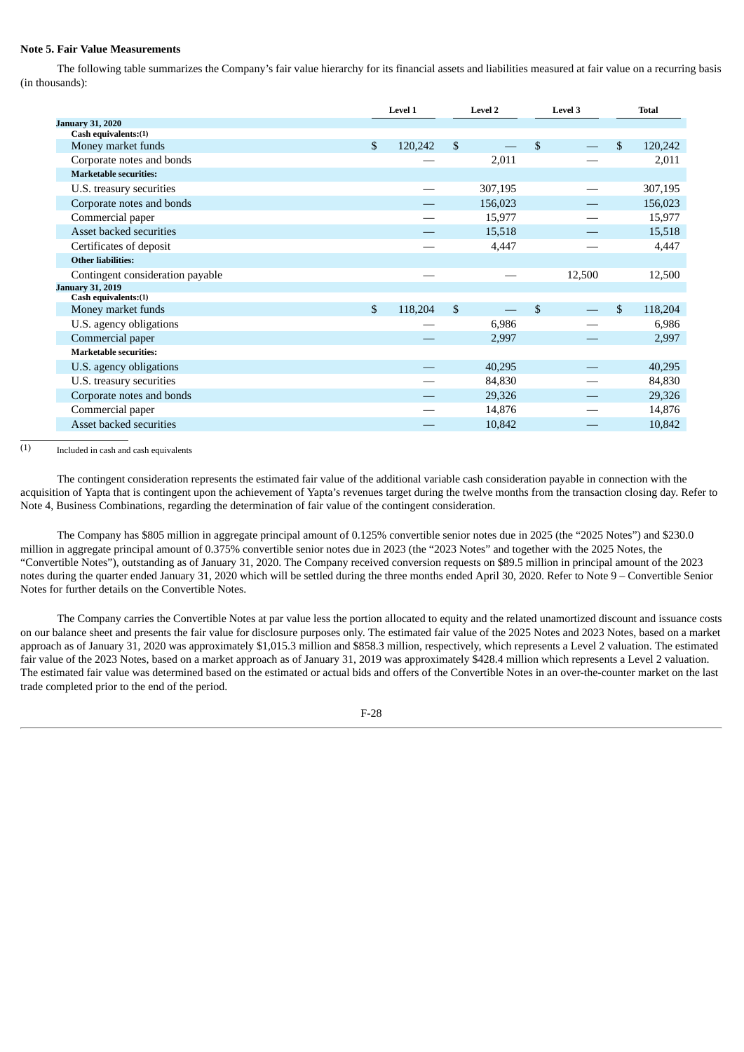# **Note 5. Fair Value Measurements**

The following table summarizes the Company's fair value hierarchy for its financial assets and liabilities measured at fair value on a recurring basis (in thousands):

|                                  | Level 1       |                | Level 2 |              |        |               |  |  |  |  | Level 3 |  |  | <b>Total</b> |
|----------------------------------|---------------|----------------|---------|--------------|--------|---------------|--|--|--|--|---------|--|--|--------------|
| <b>January 31, 2020</b>          |               |                |         |              |        |               |  |  |  |  |         |  |  |              |
| Cash equivalents:(1)             |               |                |         |              |        |               |  |  |  |  |         |  |  |              |
| Money market funds               | \$<br>120,242 | $\mathfrak{L}$ |         | $\mathbb{S}$ |        | \$<br>120,242 |  |  |  |  |         |  |  |              |
| Corporate notes and bonds        |               |                | 2,011   |              |        | 2,011         |  |  |  |  |         |  |  |              |
| <b>Marketable securities:</b>    |               |                |         |              |        |               |  |  |  |  |         |  |  |              |
| U.S. treasury securities         |               |                | 307,195 |              |        | 307,195       |  |  |  |  |         |  |  |              |
| Corporate notes and bonds        |               |                | 156,023 |              |        | 156,023       |  |  |  |  |         |  |  |              |
| Commercial paper                 |               |                | 15,977  |              |        | 15,977        |  |  |  |  |         |  |  |              |
| Asset backed securities          |               |                | 15,518  |              |        | 15,518        |  |  |  |  |         |  |  |              |
| Certificates of deposit          |               |                | 4,447   |              |        | 4,447         |  |  |  |  |         |  |  |              |
| <b>Other liabilities:</b>        |               |                |         |              |        |               |  |  |  |  |         |  |  |              |
| Contingent consideration payable |               |                |         |              | 12,500 | 12,500        |  |  |  |  |         |  |  |              |
| <b>January 31, 2019</b>          |               |                |         |              |        |               |  |  |  |  |         |  |  |              |
| Cash equivalents: (1)            |               |                |         |              |        |               |  |  |  |  |         |  |  |              |
| Money market funds               | \$<br>118,204 | \$             |         | \$           |        | \$<br>118,204 |  |  |  |  |         |  |  |              |
| U.S. agency obligations          |               |                | 6,986   |              |        | 6,986         |  |  |  |  |         |  |  |              |
| Commercial paper                 |               |                | 2,997   |              |        | 2,997         |  |  |  |  |         |  |  |              |
| <b>Marketable securities:</b>    |               |                |         |              |        |               |  |  |  |  |         |  |  |              |
| U.S. agency obligations          |               |                | 40,295  |              |        | 40,295        |  |  |  |  |         |  |  |              |
| U.S. treasury securities         |               |                | 84,830  |              |        | 84,830        |  |  |  |  |         |  |  |              |
| Corporate notes and bonds        |               |                | 29,326  |              |        | 29,326        |  |  |  |  |         |  |  |              |
| Commercial paper                 |               |                | 14,876  |              |        | 14,876        |  |  |  |  |         |  |  |              |
| Asset backed securities          |               |                | 10,842  |              |        | 10,842        |  |  |  |  |         |  |  |              |

 $(1)$ Included in cash and cash equivalents

The contingent consideration represents the estimated fair value of the additional variable cash consideration payable in connection with the acquisition of Yapta that is contingent upon the achievement of Yapta's revenues target during the twelve months from the transaction closing day. Refer to Note 4, Business Combinations, regarding the determination of fair value of the contingent consideration.

The Company has \$805 million in aggregate principal amount of 0.125% convertible senior notes due in 2025 (the "2025 Notes") and \$230.0 million in aggregate principal amount of 0.375% convertible senior notes due in 2023 (the "2023 Notes" and together with the 2025 Notes, the "Convertible Notes"), outstanding as of January 31, 2020. The Company received conversion requests on \$89.5 million in principal amount of the 2023 notes during the quarter ended January 31, 2020 which will be settled during the three months ended April 30, 2020. Refer to Note 9 – Convertible Senior Notes for further details on the Convertible Notes.

The Company carries the Convertible Notes at par value less the portion allocated to equity and the related unamortized discount and issuance costs on our balance sheet and presents the fair value for disclosure purposes only. The estimated fair value of the 2025 Notes and 2023 Notes, based on a market approach as of January 31, 2020 was approximately \$1,015.3 million and \$858.3 million, respectively, which represents a Level 2 valuation. The estimated fair value of the 2023 Notes, based on a market approach as of January 31, 2019 was approximately \$428.4 million which represents a Level 2 valuation. The estimated fair value was determined based on the estimated or actual bids and offers of the Convertible Notes in an over-the-counter market on the last trade completed prior to the end of the period.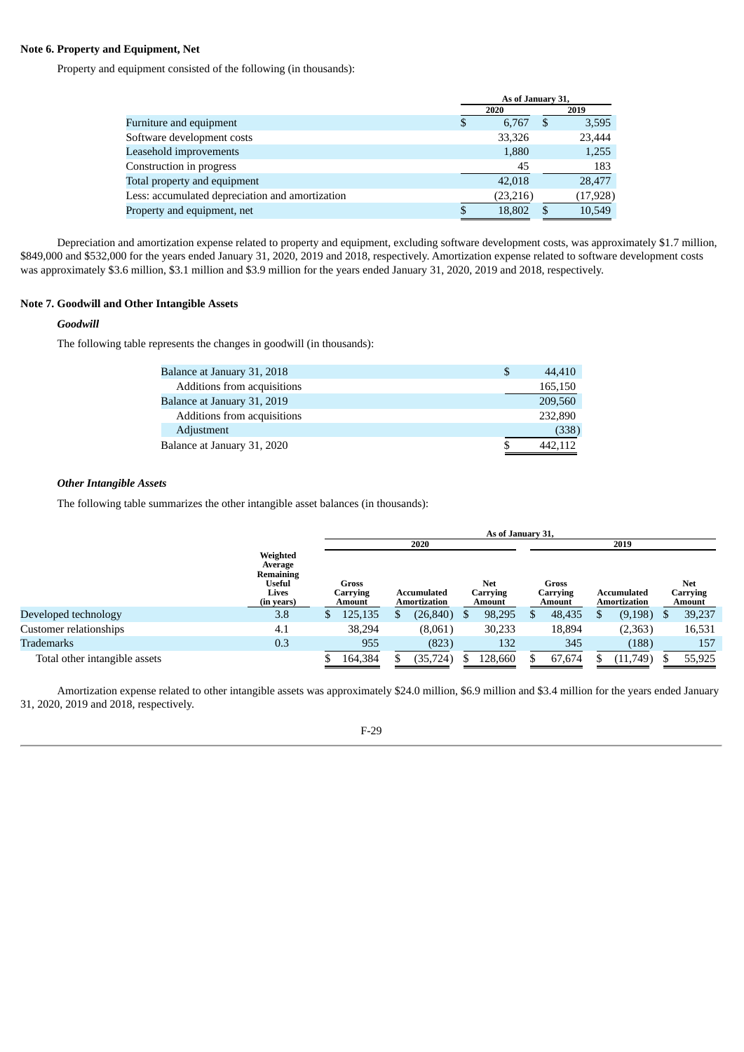# **Note 6. Property and Equipment, Net**

Property and equipment consisted of the following (in thousands):

| As of January 31, |          |               |           |
|-------------------|----------|---------------|-----------|
|                   | 2020     |               | 2019      |
| S                 | 6.767    | -S            | 3,595     |
|                   | 33,326   |               | 23,444    |
|                   | 1,880    |               | 1,255     |
|                   | 45       |               | 183       |
|                   | 42,018   |               | 28,477    |
|                   | (23,216) |               | (17, 928) |
|                   | 18,802   | <sup>\$</sup> | 10,549    |
|                   |          |               |           |

Depreciation and amortization expense related to property and equipment, excluding software development costs, was approximately \$1.7 million, \$849,000 and \$532,000 for the years ended January 31, 2020, 2019 and 2018, respectively. Amortization expense related to software development costs was approximately \$3.6 million, \$3.1 million and \$3.9 million for the years ended January 31, 2020, 2019 and 2018, respectively.

# **Note 7. Goodwill and Other Intangible Assets**

# *Goodwill*

The following table represents the changes in goodwill (in thousands):

| Balance at January 31, 2018 | S | 44,410  |
|-----------------------------|---|---------|
| Additions from acquisitions |   | 165,150 |
| Balance at January 31, 2019 |   | 209,560 |
| Additions from acquisitions |   | 232,890 |
| Adjustment                  |   | (338)   |
| Balance at January 31, 2020 |   | 442.112 |

# *Other Intangible Assets*

The following table summarizes the other intangible asset balances (in thousands):

|                               |                                                                          | As of January 31,           |                             |                                  |                             |                             |                           |  |  |  |  |  |
|-------------------------------|--------------------------------------------------------------------------|-----------------------------|-----------------------------|----------------------------------|-----------------------------|-----------------------------|---------------------------|--|--|--|--|--|
|                               |                                                                          |                             | 2020                        |                                  |                             | 2019                        | Net<br>Carrying<br>Amount |  |  |  |  |  |
|                               | Weighted<br>Average<br>Remaining<br><b>Useful</b><br>Lives<br>(in years) | Gross<br>Carrying<br>Amount | Accumulated<br>Amortization | <b>Net</b><br>Carrying<br>Amount | Gross<br>Carrying<br>Amount | Accumulated<br>Amortization |                           |  |  |  |  |  |
| Developed technology          | 3.8                                                                      | 125,135<br>S.               | (26, 840)<br>Ж              | 98,295                           | 48,435                      | (9,198)                     | 39,237<br>\$.             |  |  |  |  |  |
| Customer relationships        | 4.1                                                                      | 38,294                      | (8,061)                     | 30,233                           | 18,894                      | (2,363)                     | 16,531                    |  |  |  |  |  |
| Trademarks                    | 0.3                                                                      | 955                         | (823)                       | 132                              | 345                         | (188)                       | 157                       |  |  |  |  |  |
| Total other intangible assets |                                                                          | 164,384                     | (35, 724)                   | 128,660                          | 67,674                      | (11,749)                    | 55,925                    |  |  |  |  |  |

Amortization expense related to other intangible assets was approximately \$24.0 million, \$6.9 million and \$3.4 million for the years ended January 31, 2020, 2019 and 2018, respectively.

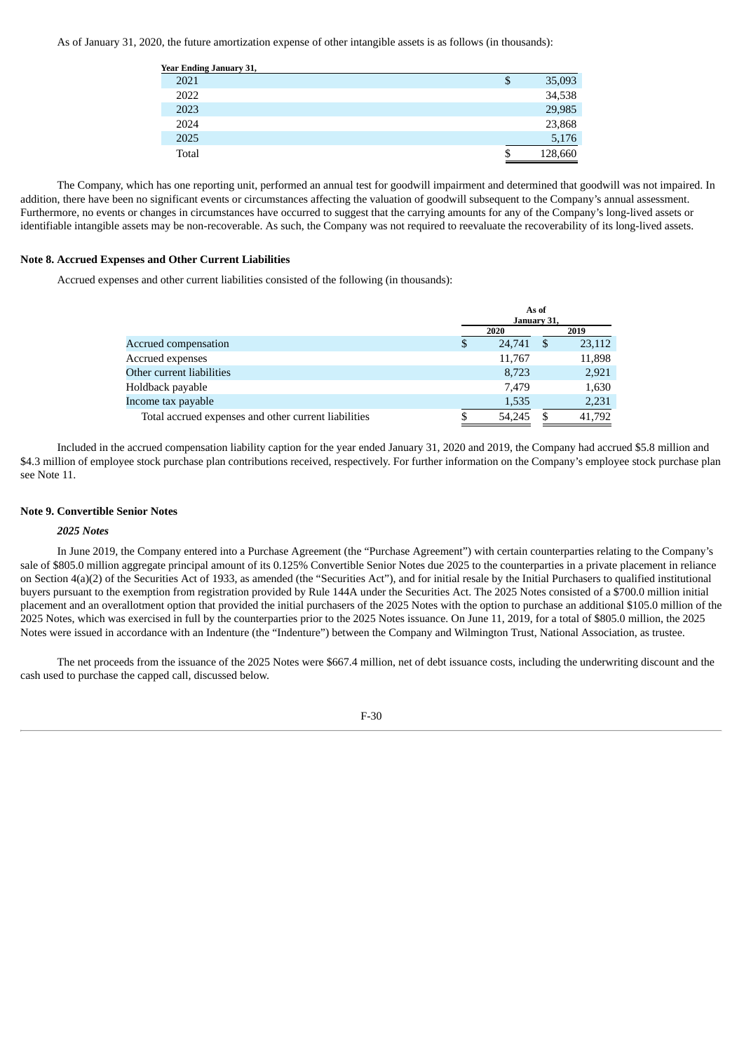As of January 31, 2020, the future amortization expense of other intangible assets is as follows (in thousands):

| Year Ending January 31, |             |
|-------------------------|-------------|
| 2021                    | 35,093<br>Φ |
| 2022                    | 34,538      |
| 2023                    | 29,985      |
| 2024                    | 23,868      |
| 2025                    | 5,176       |
| Total                   | 128,660     |

The Company, which has one reporting unit, performed an annual test for goodwill impairment and determined that goodwill was not impaired. In addition, there have been no significant events or circumstances affecting the valuation of goodwill subsequent to the Company's annual assessment. Furthermore, no events or changes in circumstances have occurred to suggest that the carrying amounts for any of the Company's long-lived assets or identifiable intangible assets may be non-recoverable. As such, the Company was not required to reevaluate the recoverability of its long-lived assets.

#### **Note 8. Accrued Expenses and Other Current Liabilities**

Accrued expenses and other current liabilities consisted of the following (in thousands):

|                                                      | January 31,  | As of |        |
|------------------------------------------------------|--------------|-------|--------|
|                                                      | 2020         |       | 2019   |
| Accrued compensation                                 | \$<br>24,741 | -\$   | 23,112 |
| Accrued expenses                                     | 11,767       |       | 11,898 |
| Other current liabilities                            | 8,723        |       | 2,921  |
| Holdback payable                                     | 7.479        |       | 1,630  |
| Income tax payable                                   | 1,535        |       | 2,231  |
| Total accrued expenses and other current liabilities | \$<br>54.245 | S     | 41,792 |

Included in the accrued compensation liability caption for the year ended January 31, 2020 and 2019, the Company had accrued \$5.8 million and \$4.3 million of employee stock purchase plan contributions received, respectively. For further information on the Company's employee stock purchase plan see Note 11.

#### **Note 9. Convertible Senior Notes**

#### *2025 Notes*

In June 2019, the Company entered into a Purchase Agreement (the "Purchase Agreement") with certain counterparties relating to the Company's sale of \$805.0 million aggregate principal amount of its 0.125% Convertible Senior Notes due 2025 to the counterparties in a private placement in reliance on Section 4(a)(2) of the Securities Act of 1933, as amended (the "Securities Act"), and for initial resale by the Initial Purchasers to qualified institutional buyers pursuant to the exemption from registration provided by Rule 144A under the Securities Act. The 2025 Notes consisted of a \$700.0 million initial placement and an overallotment option that provided the initial purchasers of the 2025 Notes with the option to purchase an additional \$105.0 million of the 2025 Notes, which was exercised in full by the counterparties prior to the 2025 Notes issuance. On June 11, 2019, for a total of \$805.0 million, the 2025 Notes were issued in accordance with an Indenture (the "Indenture") between the Company and Wilmington Trust, National Association, as trustee.

The net proceeds from the issuance of the 2025 Notes were \$667.4 million, net of debt issuance costs, including the underwriting discount and the cash used to purchase the capped call, discussed below.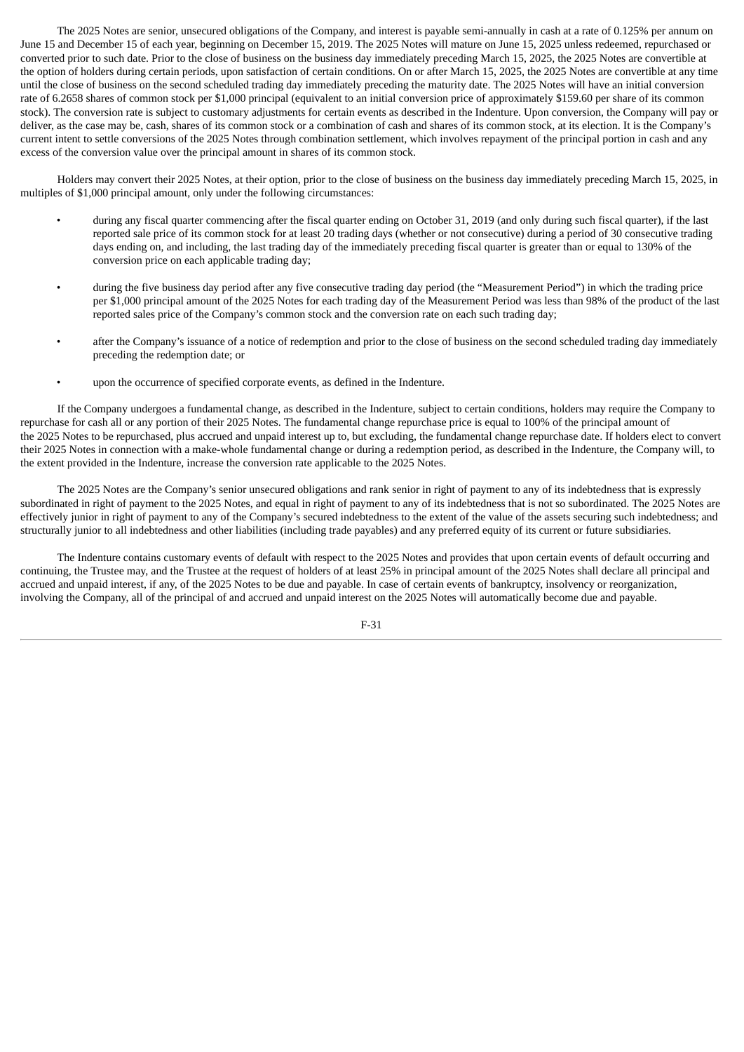The 2025 Notes are senior, unsecured obligations of the Company, and interest is payable semi-annually in cash at a rate of 0.125% per annum on June 15 and December 15 of each year, beginning on December 15, 2019. The 2025 Notes will mature on June 15, 2025 unless redeemed, repurchased or converted prior to such date. Prior to the close of business on the business day immediately preceding March 15, 2025, the 2025 Notes are convertible at the option of holders during certain periods, upon satisfaction of certain conditions. On or after March 15, 2025, the 2025 Notes are convertible at any time until the close of business on the second scheduled trading day immediately preceding the maturity date. The 2025 Notes will have an initial conversion rate of 6.2658 shares of common stock per \$1,000 principal (equivalent to an initial conversion price of approximately \$159.60 per share of its common stock). The conversion rate is subject to customary adjustments for certain events as described in the Indenture. Upon conversion, the Company will pay or deliver, as the case may be, cash, shares of its common stock or a combination of cash and shares of its common stock, at its election. It is the Company's current intent to settle conversions of the 2025 Notes through combination settlement, which involves repayment of the principal portion in cash and any excess of the conversion value over the principal amount in shares of its common stock.

Holders may convert their 2025 Notes, at their option, prior to the close of business on the business day immediately preceding March 15, 2025, in multiples of \$1,000 principal amount, only under the following circumstances:

- during any fiscal quarter commencing after the fiscal quarter ending on October 31, 2019 (and only during such fiscal quarter), if the last reported sale price of its common stock for at least 20 trading days (whether or not consecutive) during a period of 30 consecutive trading days ending on, and including, the last trading day of the immediately preceding fiscal quarter is greater than or equal to 130% of the conversion price on each applicable trading day;
- during the five business day period after any five consecutive trading day period (the "Measurement Period") in which the trading price per \$1,000 principal amount of the 2025 Notes for each trading day of the Measurement Period was less than 98% of the product of the last reported sales price of the Company's common stock and the conversion rate on each such trading day;
- after the Company's issuance of a notice of redemption and prior to the close of business on the second scheduled trading day immediately preceding the redemption date; or
- upon the occurrence of specified corporate events, as defined in the Indenture.

If the Company undergoes a fundamental change, as described in the Indenture, subject to certain conditions, holders may require the Company to repurchase for cash all or any portion of their 2025 Notes. The fundamental change repurchase price is equal to 100% of the principal amount of the 2025 Notes to be repurchased, plus accrued and unpaid interest up to, but excluding, the fundamental change repurchase date. If holders elect to convert their 2025 Notes in connection with a make-whole fundamental change or during a redemption period, as described in the Indenture, the Company will, to the extent provided in the Indenture, increase the conversion rate applicable to the 2025 Notes.

The 2025 Notes are the Company's senior unsecured obligations and rank senior in right of payment to any of its indebtedness that is expressly subordinated in right of payment to the 2025 Notes, and equal in right of payment to any of its indebtedness that is not so subordinated. The 2025 Notes are effectively junior in right of payment to any of the Company's secured indebtedness to the extent of the value of the assets securing such indebtedness; and structurally junior to all indebtedness and other liabilities (including trade payables) and any preferred equity of its current or future subsidiaries.

The Indenture contains customary events of default with respect to the 2025 Notes and provides that upon certain events of default occurring and continuing, the Trustee may, and the Trustee at the request of holders of at least 25% in principal amount of the 2025 Notes shall declare all principal and accrued and unpaid interest, if any, of the 2025 Notes to be due and payable. In case of certain events of bankruptcy, insolvency or reorganization, involving the Company, all of the principal of and accrued and unpaid interest on the 2025 Notes will automatically become due and payable.

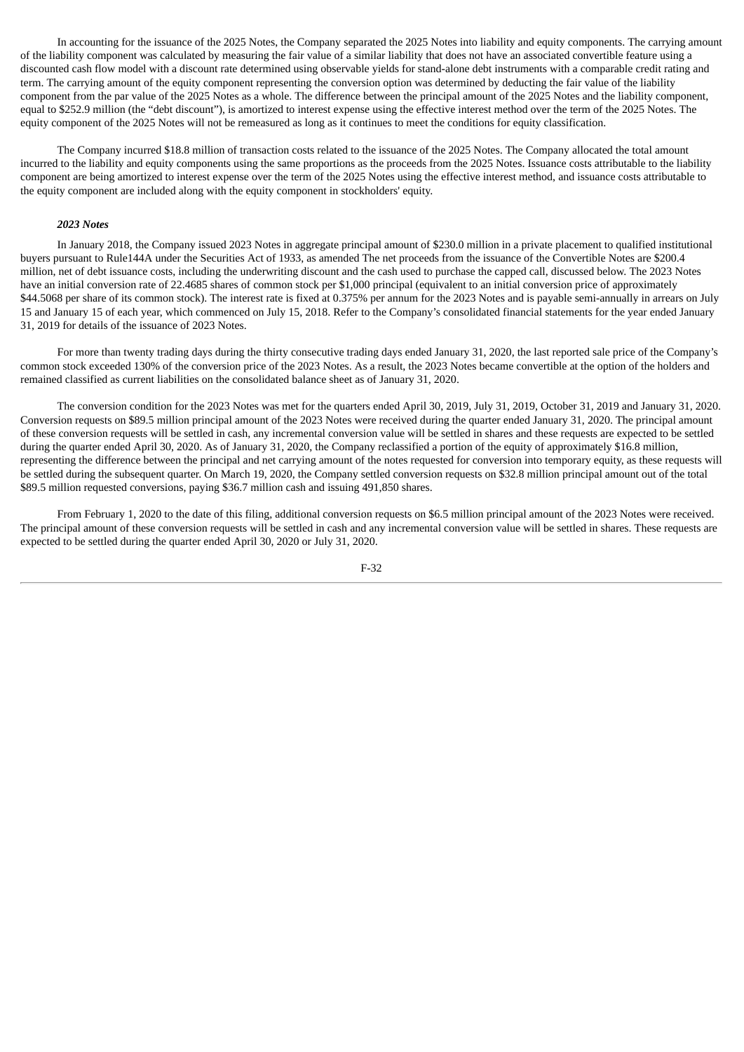In accounting for the issuance of the 2025 Notes, the Company separated the 2025 Notes into liability and equity components. The carrying amount of the liability component was calculated by measuring the fair value of a similar liability that does not have an associated convertible feature using a discounted cash flow model with a discount rate determined using observable yields for stand-alone debt instruments with a comparable credit rating and term. The carrying amount of the equity component representing the conversion option was determined by deducting the fair value of the liability component from the par value of the 2025 Notes as a whole. The difference between the principal amount of the 2025 Notes and the liability component, equal to \$252.9 million (the "debt discount"), is amortized to interest expense using the effective interest method over the term of the 2025 Notes. The equity component of the 2025 Notes will not be remeasured as long as it continues to meet the conditions for equity classification.

The Company incurred \$18.8 million of transaction costs related to the issuance of the 2025 Notes. The Company allocated the total amount incurred to the liability and equity components using the same proportions as the proceeds from the 2025 Notes. Issuance costs attributable to the liability component are being amortized to interest expense over the term of the 2025 Notes using the effective interest method, and issuance costs attributable to the equity component are included along with the equity component in stockholders' equity.

## *2023 Notes*

In January 2018, the Company issued 2023 Notes in aggregate principal amount of \$230.0 million in a private placement to qualified institutional buyers pursuant to Rule144A under the Securities Act of 1933, as amended The net proceeds from the issuance of the Convertible Notes are \$200.4 million, net of debt issuance costs, including the underwriting discount and the cash used to purchase the capped call, discussed below. The 2023 Notes have an initial conversion rate of 22.4685 shares of common stock per \$1,000 principal (equivalent to an initial conversion price of approximately \$44.5068 per share of its common stock). The interest rate is fixed at 0.375% per annum for the 2023 Notes and is payable semi-annually in arrears on July 15 and January 15 of each year, which commenced on July 15, 2018. Refer to the Company's consolidated financial statements for the year ended January 31, 2019 for details of the issuance of 2023 Notes.

For more than twenty trading days during the thirty consecutive trading days ended January 31, 2020, the last reported sale price of the Company's common stock exceeded 130% of the conversion price of the 2023 Notes. As a result, the 2023 Notes became convertible at the option of the holders and remained classified as current liabilities on the consolidated balance sheet as of January 31, 2020.

The conversion condition for the 2023 Notes was met for the quarters ended April 30, 2019, July 31, 2019, October 31, 2019 and January 31, 2020. Conversion requests on \$89.5 million principal amount of the 2023 Notes were received during the quarter ended January 31, 2020. The principal amount of these conversion requests will be settled in cash, any incremental conversion value will be settled in shares and these requests are expected to be settled during the quarter ended April 30, 2020. As of January 31, 2020, the Company reclassified a portion of the equity of approximately \$16.8 million, representing the difference between the principal and net carrying amount of the notes requested for conversion into temporary equity, as these requests will be settled during the subsequent quarter. On March 19, 2020, the Company settled conversion requests on \$32.8 million principal amount out of the total \$89.5 million requested conversions, paying \$36.7 million cash and issuing 491,850 shares.

From February 1, 2020 to the date of this filing, additional conversion requests on \$6.5 million principal amount of the 2023 Notes were received. The principal amount of these conversion requests will be settled in cash and any incremental conversion value will be settled in shares. These requests are expected to be settled during the quarter ended April 30, 2020 or July 31, 2020.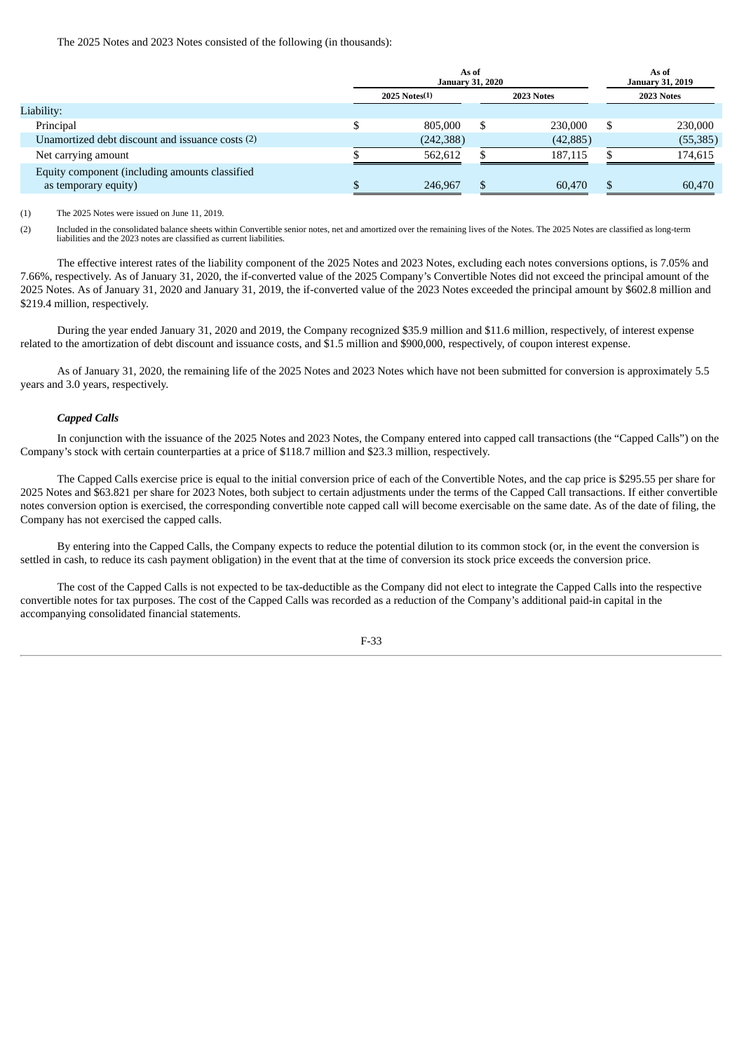The 2025 Notes and 2023 Notes consisted of the following (in thousands):

|                                                  | As of<br><b>January 31, 2020</b> | As of<br><b>January 31, 2019</b> |           |  |            |
|--------------------------------------------------|----------------------------------|----------------------------------|-----------|--|------------|
|                                                  | 2025 Notes(1)                    | 2023 Notes                       |           |  | 2023 Notes |
| Liability:                                       |                                  |                                  |           |  |            |
| Principal                                        | 805,000                          | S                                | 230,000   |  | 230,000    |
| Unamortized debt discount and issuance costs (2) | (242, 388)                       |                                  | (42, 885) |  | (55, 385)  |
| Net carrying amount                              | 562.612                          |                                  | 187.115   |  | 174,615    |
| Equity component (including amounts classified   |                                  |                                  |           |  |            |
| as temporary equity)                             | 246,967                          | S.                               | 60,470    |  | 60,470     |

(1) The 2025 Notes were issued on June 11, 2019.

(2) Included in the consolidated balance sheets within Convertible senior notes, net and amortized over the remaining lives of the Notes. The 2025 Notes are classified as long-term liabilities and the 2023 notes are classified as current liabilities.

The effective interest rates of the liability component of the 2025 Notes and 2023 Notes, excluding each notes conversions options, is 7.05% and 7.66%, respectively. As of January 31, 2020, the if-converted value of the 2025 Company's Convertible Notes did not exceed the principal amount of the 2025 Notes. As of January 31, 2020 and January 31, 2019, the if-converted value of the 2023 Notes exceeded the principal amount by \$602.8 million and \$219.4 million, respectively.

During the year ended January 31, 2020 and 2019, the Company recognized \$35.9 million and \$11.6 million, respectively, of interest expense related to the amortization of debt discount and issuance costs, and \$1.5 million and \$900,000, respectively, of coupon interest expense.

As of January 31, 2020, the remaining life of the 2025 Notes and 2023 Notes which have not been submitted for conversion is approximately 5.5 years and 3.0 years, respectively.

## *Capped Calls*

In conjunction with the issuance of the 2025 Notes and 2023 Notes, the Company entered into capped call transactions (the "Capped Calls") on the Company's stock with certain counterparties at a price of \$118.7 million and \$23.3 million, respectively.

The Capped Calls exercise price is equal to the initial conversion price of each of the Convertible Notes, and the cap price is \$295.55 per share for 2025 Notes and \$63.821 per share for 2023 Notes, both subject to certain adjustments under the terms of the Capped Call transactions. If either convertible notes conversion option is exercised, the corresponding convertible note capped call will become exercisable on the same date. As of the date of filing, the Company has not exercised the capped calls.

By entering into the Capped Calls, the Company expects to reduce the potential dilution to its common stock (or, in the event the conversion is settled in cash, to reduce its cash payment obligation) in the event that at the time of conversion its stock price exceeds the conversion price.

The cost of the Capped Calls is not expected to be tax-deductible as the Company did not elect to integrate the Capped Calls into the respective convertible notes for tax purposes. The cost of the Capped Calls was recorded as a reduction of the Company's additional paid-in capital in the accompanying consolidated financial statements.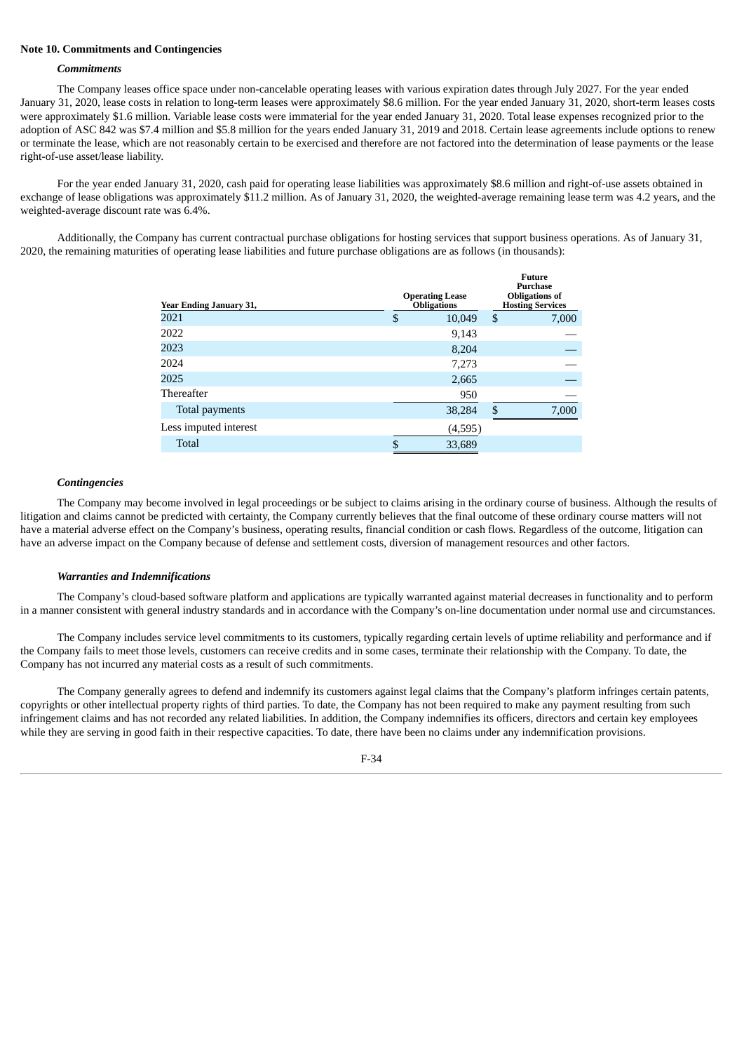### **Note 10. Commitments and Contingencies**

#### *Commitments*

The Company leases office space under non-cancelable operating leases with various expiration dates through July 2027. For the year ended January 31, 2020, lease costs in relation to long-term leases were approximately \$8.6 million. For the year ended January 31, 2020, short-term leases costs were approximately \$1.6 million. Variable lease costs were immaterial for the year ended January 31, 2020. Total lease expenses recognized prior to the adoption of ASC 842 was \$7.4 million and \$5.8 million for the years ended January 31, 2019 and 2018. Certain lease agreements include options to renew or terminate the lease, which are not reasonably certain to be exercised and therefore are not factored into the determination of lease payments or the lease right-of-use asset/lease liability.

For the year ended January 31, 2020, cash paid for operating lease liabilities was approximately \$8.6 million and right-of-use assets obtained in exchange of lease obligations was approximately \$11.2 million. As of January 31, 2020, the weighted-average remaining lease term was 4.2 years, and the weighted-average discount rate was 6.4%.

Additionally, the Company has current contractual purchase obligations for hosting services that support business operations. As of January 31, 2020, the remaining maturities of operating lease liabilities and future purchase obligations are as follows (in thousands):

| <b>Year Ending January 31,</b> | <b>Operating Lease</b><br><b>Obligations</b> |     | <b>Future</b><br><b>Purchase</b><br><b>Obligations of</b><br><b>Hosting Services</b> |
|--------------------------------|----------------------------------------------|-----|--------------------------------------------------------------------------------------|
| 2021                           | \$<br>10,049                                 | \$  | 7,000                                                                                |
| 2022                           | 9,143                                        |     |                                                                                      |
| 2023                           | 8,204                                        |     |                                                                                      |
| 2024                           | 7,273                                        |     |                                                                                      |
| 2025                           | 2,665                                        |     |                                                                                      |
| Thereafter                     | 950                                          |     |                                                                                      |
| Total payments                 | 38,284                                       | \$. | 7,000                                                                                |
| Less imputed interest          | (4,595)                                      |     |                                                                                      |
| <b>Total</b>                   | \$<br>33,689                                 |     |                                                                                      |

#### *Contingencies*

The Company may become involved in legal proceedings or be subject to claims arising in the ordinary course of business. Although the results of litigation and claims cannot be predicted with certainty, the Company currently believes that the final outcome of these ordinary course matters will not have a material adverse effect on the Company's business, operating results, financial condition or cash flows. Regardless of the outcome, litigation can have an adverse impact on the Company because of defense and settlement costs, diversion of management resources and other factors.

#### *Warranties and Indemnifications*

The Company's cloud-based software platform and applications are typically warranted against material decreases in functionality and to perform in a manner consistent with general industry standards and in accordance with the Company's on-line documentation under normal use and circumstances.

The Company includes service level commitments to its customers, typically regarding certain levels of uptime reliability and performance and if the Company fails to meet those levels, customers can receive credits and in some cases, terminate their relationship with the Company. To date, the Company has not incurred any material costs as a result of such commitments.

The Company generally agrees to defend and indemnify its customers against legal claims that the Company's platform infringes certain patents, copyrights or other intellectual property rights of third parties. To date, the Company has not been required to make any payment resulting from such infringement claims and has not recorded any related liabilities. In addition, the Company indemnifies its officers, directors and certain key employees while they are serving in good faith in their respective capacities. To date, there have been no claims under any indemnification provisions.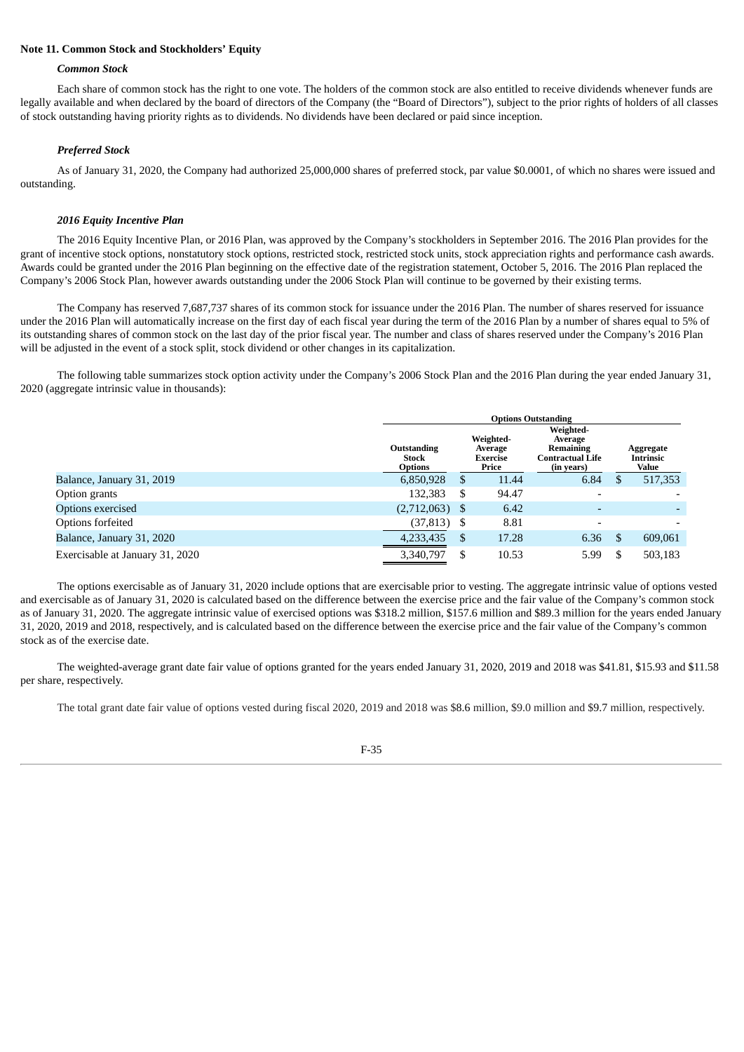## **Note 11. Common Stock and Stockholders' Equity**

#### *Common Stock*

Each share of common stock has the right to one vote. The holders of the common stock are also entitled to receive dividends whenever funds are legally available and when declared by the board of directors of the Company (the "Board of Directors"), subject to the prior rights of holders of all classes of stock outstanding having priority rights as to dividends. No dividends have been declared or paid since inception.

#### *Preferred Stock*

As of January 31, 2020, the Company had authorized 25,000,000 shares of preferred stock, par value \$0.0001, of which no shares were issued and outstanding.

#### *2016 Equity Incentive Plan*

The 2016 Equity Incentive Plan, or 2016 Plan, was approved by the Company's stockholders in September 2016. The 2016 Plan provides for the grant of incentive stock options, nonstatutory stock options, restricted stock, restricted stock units, stock appreciation rights and performance cash awards. Awards could be granted under the 2016 Plan beginning on the effective date of the registration statement, October 5, 2016. The 2016 Plan replaced the Company's 2006 Stock Plan, however awards outstanding under the 2006 Stock Plan will continue to be governed by their existing terms.

The Company has reserved 7,687,737 shares of its common stock for issuance under the 2016 Plan. The number of shares reserved for issuance under the 2016 Plan will automatically increase on the first day of each fiscal year during the term of the 2016 Plan by a number of shares equal to 5% of its outstanding shares of common stock on the last day of the prior fiscal year. The number and class of shares reserved under the Company's 2016 Plan will be adjusted in the event of a stock split, stock dividend or other changes in its capitalization.

The following table summarizes stock option activity under the Company's 2006 Stock Plan and the 2016 Plan during the year ended January 31, 2020 (aggregate intrinsic value in thousands):

|                                 | <b>Options Outstanding</b>                    |                                                  |       |                                                                            |                                        |         |  |  |
|---------------------------------|-----------------------------------------------|--------------------------------------------------|-------|----------------------------------------------------------------------------|----------------------------------------|---------|--|--|
|                                 | Outstanding<br><b>Stock</b><br><b>Options</b> | Weighted-<br>Average<br><b>Exercise</b><br>Price |       | Weighted-<br>Average<br>Remaining<br><b>Contractual Life</b><br>(in years) | Aggregate<br><b>Intrinsic</b><br>Value |         |  |  |
| Balance, January 31, 2019       | 6,850,928                                     | \$                                               | 11.44 | 6.84                                                                       | S                                      | 517,353 |  |  |
| Option grants                   | 132,383                                       | \$                                               | 94.47 | $\overline{\phantom{a}}$                                                   |                                        |         |  |  |
| Options exercised               | (2,712,063)                                   | -S                                               | 6.42  | $\overline{a}$                                                             |                                        |         |  |  |
| Options forfeited               | (37, 813)                                     | \$                                               | 8.81  | $\overline{\phantom{a}}$                                                   |                                        |         |  |  |
| Balance, January 31, 2020       | 4,233,435                                     | \$                                               | 17.28 | 6.36                                                                       | S                                      | 609,061 |  |  |
| Exercisable at January 31, 2020 | 3,340,797                                     | \$                                               | 10.53 | 5.99                                                                       | S                                      | 503,183 |  |  |

The options exercisable as of January 31, 2020 include options that are exercisable prior to vesting. The aggregate intrinsic value of options vested and exercisable as of January 31, 2020 is calculated based on the difference between the exercise price and the fair value of the Company's common stock as of January 31, 2020. The aggregate intrinsic value of exercised options was \$318.2 million, \$157.6 million and \$89.3 million for the years ended January 31, 2020, 2019 and 2018, respectively, and is calculated based on the difference between the exercise price and the fair value of the Company's common stock as of the exercise date.

The weighted-average grant date fair value of options granted for the years ended January 31, 2020, 2019 and 2018 was \$41.81, \$15.93 and \$11.58 per share, respectively.

The total grant date fair value of options vested during fiscal 2020, 2019 and 2018 was \$8.6 million, \$9.0 million and \$9.7 million, respectively.

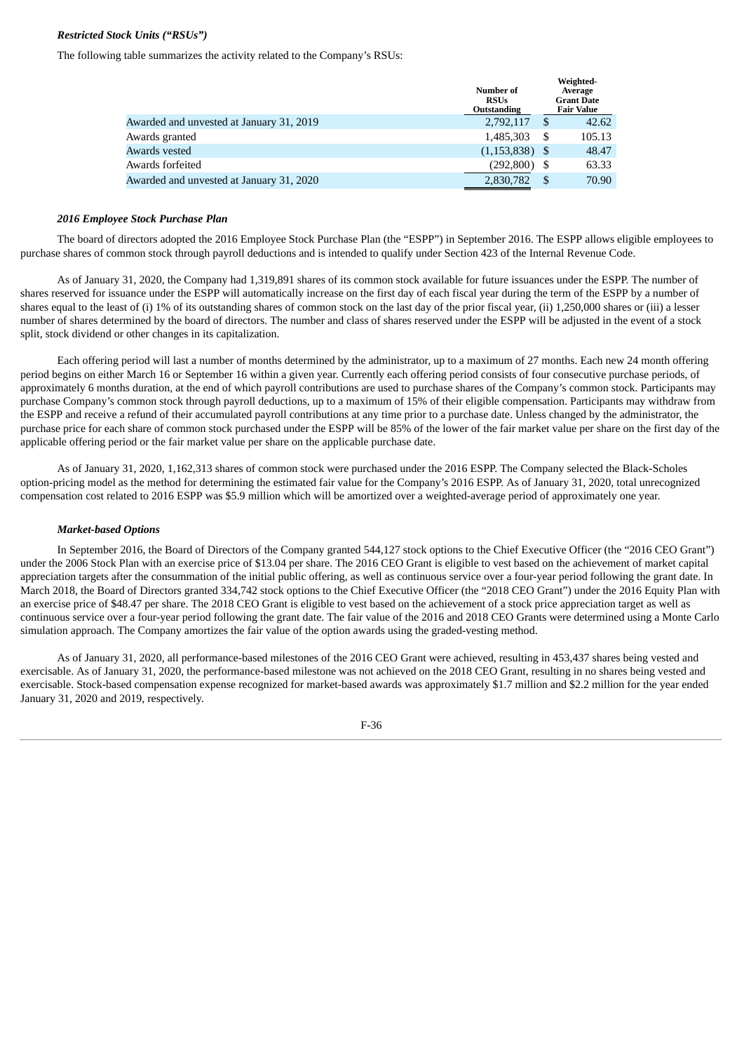# *Restricted Stock Units ("RSUs")*

The following table summarizes the activity related to the Company's RSUs:

|                                          | <b>Number of</b><br><b>RSUs</b><br>Outstanding |      | Weighted-<br>Average<br><b>Grant Date</b><br><b>Fair Value</b> |
|------------------------------------------|------------------------------------------------|------|----------------------------------------------------------------|
| Awarded and unvested at January 31, 2019 | 2,792,117                                      | \$   | 42.62                                                          |
| Awards granted                           | 1,485,303                                      | S    | 105.13                                                         |
| Awards vested                            | $(1,153,838)$ \$                               |      | 48.47                                                          |
| Awards forfeited                         | (292, 800)                                     |      | 63.33                                                          |
| Awarded and unvested at January 31, 2020 | 2,830,782                                      | - \$ | 70.90                                                          |

#### *2016 Employee Stock Purchase Plan*

The board of directors adopted the 2016 Employee Stock Purchase Plan (the "ESPP") in September 2016. The ESPP allows eligible employees to purchase shares of common stock through payroll deductions and is intended to qualify under Section 423 of the Internal Revenue Code.

As of January 31, 2020, the Company had 1,319,891 shares of its common stock available for future issuances under the ESPP. The number of shares reserved for issuance under the ESPP will automatically increase on the first day of each fiscal year during the term of the ESPP by a number of shares equal to the least of (i) 1% of its outstanding shares of common stock on the last day of the prior fiscal year, (ii) 1,250,000 shares or (iii) a lesser number of shares determined by the board of directors. The number and class of shares reserved under the ESPP will be adjusted in the event of a stock split, stock dividend or other changes in its capitalization.

Each offering period will last a number of months determined by the administrator, up to a maximum of 27 months. Each new 24 month offering period begins on either March 16 or September 16 within a given year. Currently each offering period consists of four consecutive purchase periods, of approximately 6 months duration, at the end of which payroll contributions are used to purchase shares of the Company's common stock. Participants may purchase Company's common stock through payroll deductions, up to a maximum of 15% of their eligible compensation. Participants may withdraw from the ESPP and receive a refund of their accumulated payroll contributions at any time prior to a purchase date. Unless changed by the administrator, the purchase price for each share of common stock purchased under the ESPP will be 85% of the lower of the fair market value per share on the first day of the applicable offering period or the fair market value per share on the applicable purchase date.

As of January 31, 2020, 1,162,313 shares of common stock were purchased under the 2016 ESPP. The Company selected the Black-Scholes option-pricing model as the method for determining the estimated fair value for the Company's 2016 ESPP. As of January 31, 2020, total unrecognized compensation cost related to 2016 ESPP was \$5.9 million which will be amortized over a weighted-average period of approximately one year.

#### *Market-based Options*

In September 2016, the Board of Directors of the Company granted 544,127 stock options to the Chief Executive Officer (the "2016 CEO Grant") under the 2006 Stock Plan with an exercise price of \$13.04 per share. The 2016 CEO Grant is eligible to vest based on the achievement of market capital appreciation targets after the consummation of the initial public offering, as well as continuous service over a four-year period following the grant date. In March 2018, the Board of Directors granted 334,742 stock options to the Chief Executive Officer (the "2018 CEO Grant") under the 2016 Equity Plan with an exercise price of \$48.47 per share. The 2018 CEO Grant is eligible to vest based on the achievement of a stock price appreciation target as well as continuous service over a four-year period following the grant date. The fair value of the 2016 and 2018 CEO Grants were determined using a Monte Carlo simulation approach. The Company amortizes the fair value of the option awards using the graded-vesting method.

As of January 31, 2020, all performance-based milestones of the 2016 CEO Grant were achieved, resulting in 453,437 shares being vested and exercisable. As of January 31, 2020, the performance-based milestone was not achieved on the 2018 CEO Grant, resulting in no shares being vested and exercisable. Stock-based compensation expense recognized for market-based awards was approximately \$1.7 million and \$2.2 million for the year ended January 31, 2020 and 2019, respectively.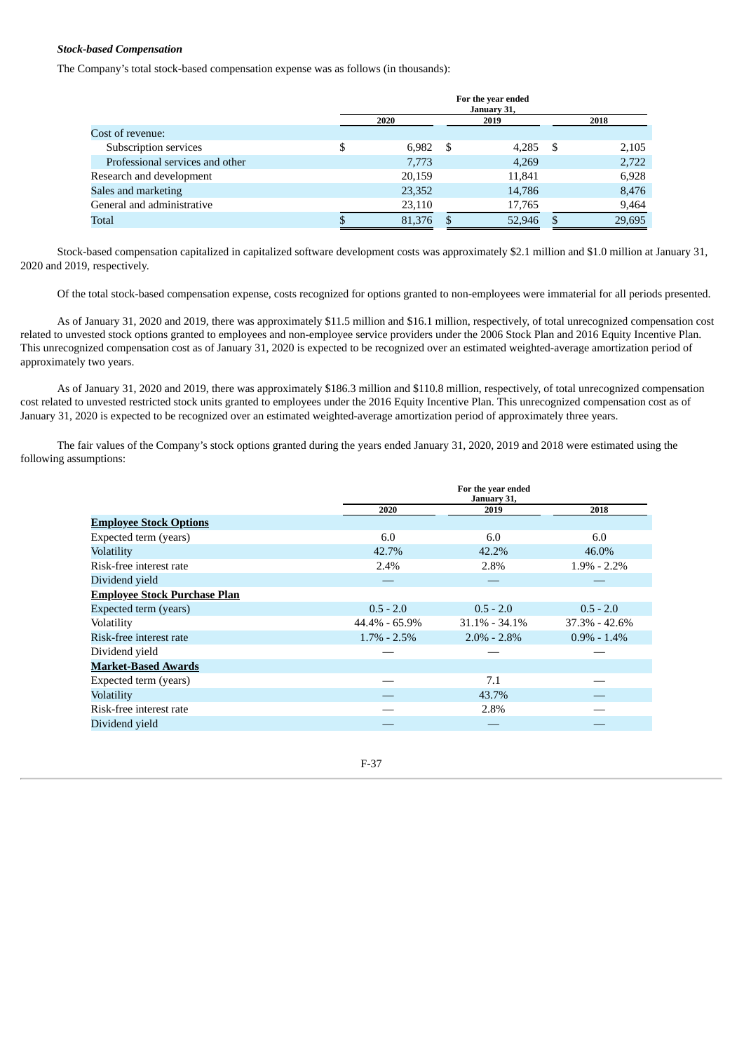# *Stock-based Compensation*

The Company's total stock-based compensation expense was as follows (in thousands):

|                                 | For the year ended<br>January 31, |        |      |        |     |        |  |
|---------------------------------|-----------------------------------|--------|------|--------|-----|--------|--|
|                                 |                                   | 2020   |      | 2019   |     | 2018   |  |
| Cost of revenue:                |                                   |        |      |        |     |        |  |
| Subscription services           | S                                 | 6,982  | - \$ | 4,285  | - S | 2,105  |  |
| Professional services and other |                                   | 7,773  |      | 4,269  |     | 2,722  |  |
| Research and development        |                                   | 20,159 |      | 11,841 |     | 6,928  |  |
| Sales and marketing             |                                   | 23,352 |      | 14,786 |     | 8,476  |  |
| General and administrative      |                                   | 23,110 |      | 17,765 |     | 9,464  |  |
| Total                           |                                   | 81,376 |      | 52,946 |     | 29,695 |  |

Stock-based compensation capitalized in capitalized software development costs was approximately \$2.1 million and \$1.0 million at January 31, 2020 and 2019, respectively.

Of the total stock-based compensation expense, costs recognized for options granted to non-employees were immaterial for all periods presented.

As of January 31, 2020 and 2019, there was approximately \$11.5 million and \$16.1 million, respectively, of total unrecognized compensation cost related to unvested stock options granted to employees and non-employee service providers under the 2006 Stock Plan and 2016 Equity Incentive Plan. This unrecognized compensation cost as of January 31, 2020 is expected to be recognized over an estimated weighted-average amortization period of approximately two years.

As of January 31, 2020 and 2019, there was approximately \$186.3 million and \$110.8 million, respectively, of total unrecognized compensation cost related to unvested restricted stock units granted to employees under the 2016 Equity Incentive Plan. This unrecognized compensation cost as of January 31, 2020 is expected to be recognized over an estimated weighted-average amortization period of approximately three years.

The fair values of the Company's stock options granted during the years ended January 31, 2020, 2019 and 2018 were estimated using the following assumptions:

|                                     | For the year ended<br>January 31, |                   |                   |  |  |  |
|-------------------------------------|-----------------------------------|-------------------|-------------------|--|--|--|
|                                     | 2020                              | 2019              | 2018              |  |  |  |
| <b>Employee Stock Options</b>       |                                   |                   |                   |  |  |  |
| Expected term (years)               | 6.0                               | 6.0               | 6.0               |  |  |  |
| Volatility                          | 42.7%                             | 42.2%             | 46.0%             |  |  |  |
| Risk-free interest rate             | 2.4%                              | 2.8%              | $1.9\% - 2.2\%$   |  |  |  |
| Dividend yield                      |                                   |                   |                   |  |  |  |
| <b>Employee Stock Purchase Plan</b> |                                   |                   |                   |  |  |  |
| Expected term (years)               | $0.5 - 2.0$                       | $0.5 - 2.0$       | $0.5 - 2.0$       |  |  |  |
| Volatility                          | 44.4% - 65.9%                     | $31.1\% - 34.1\%$ | $37.3\% - 42.6\%$ |  |  |  |
| Risk-free interest rate             | $1.7\% - 2.5\%$                   | $2.0\% - 2.8\%$   | $0.9\% - 1.4\%$   |  |  |  |
| Dividend yield                      |                                   |                   |                   |  |  |  |
| <b>Market-Based Awards</b>          |                                   |                   |                   |  |  |  |
| Expected term (years)               |                                   | 7.1               |                   |  |  |  |
| Volatility                          |                                   | 43.7%             |                   |  |  |  |
| Risk-free interest rate             |                                   | 2.8%              |                   |  |  |  |
| Dividend vield                      |                                   |                   |                   |  |  |  |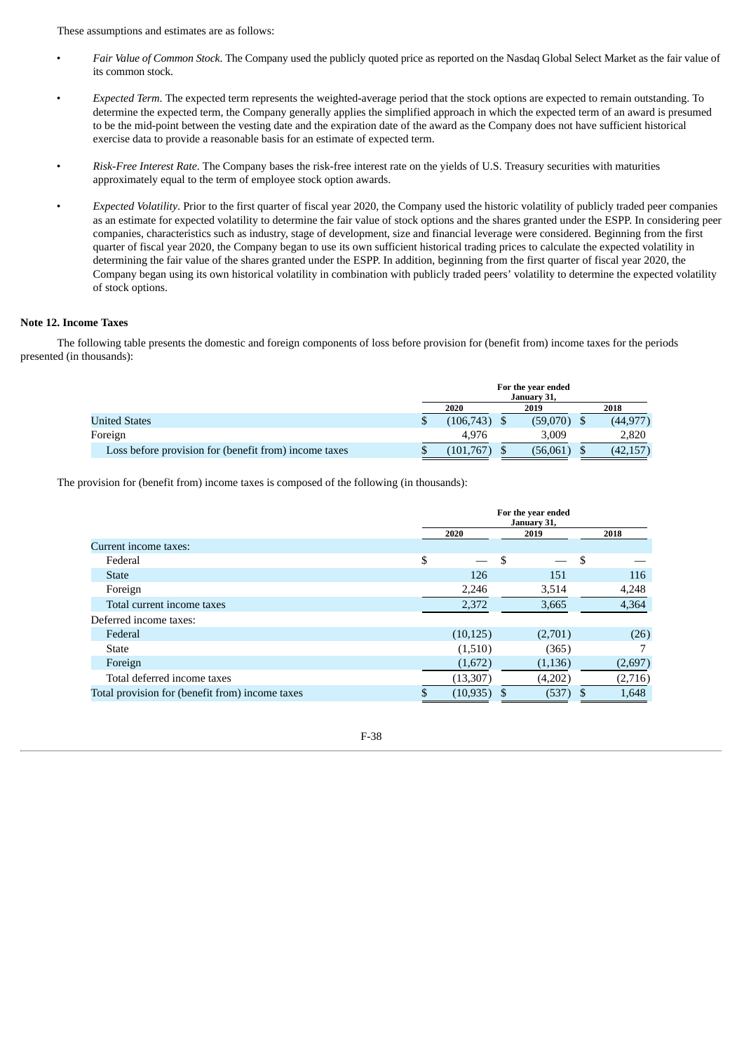These assumptions and estimates are as follows:

- *Fair Value of Common Stock*. The Company used the publicly quoted price as reported on the Nasdaq Global Select Market as the fair value of its common stock.
- *Expected Term*. The expected term represents the weighted-average period that the stock options are expected to remain outstanding. To determine the expected term, the Company generally applies the simplified approach in which the expected term of an award is presumed to be the mid-point between the vesting date and the expiration date of the award as the Company does not have sufficient historical exercise data to provide a reasonable basis for an estimate of expected term.
- *Risk-Free Interest Rate*. The Company bases the risk-free interest rate on the yields of U.S. Treasury securities with maturities approximately equal to the term of employee stock option awards.
- *Expected Volatility*. Prior to the first quarter of fiscal year 2020, the Company used the historic volatility of publicly traded peer companies as an estimate for expected volatility to determine the fair value of stock options and the shares granted under the ESPP. In considering peer companies, characteristics such as industry, stage of development, size and financial leverage were considered. Beginning from the first quarter of fiscal year 2020, the Company began to use its own sufficient historical trading prices to calculate the expected volatility in determining the fair value of the shares granted under the ESPP. In addition, beginning from the first quarter of fiscal year 2020, the Company began using its own historical volatility in combination with publicly traded peers' volatility to determine the expected volatility of stock options.

# **Note 12. Income Taxes**

The following table presents the domestic and foreign components of loss before provision for (benefit from) income taxes for the periods presented (in thousands):

|                                                       | For the year ended<br>January 31, |                |  |          |  |           |
|-------------------------------------------------------|-----------------------------------|----------------|--|----------|--|-----------|
|                                                       |                                   | 2020           |  | 2019     |  | 2018      |
| <b>United States</b>                                  | S                                 | $(106,743)$ \$ |  | (59,070) |  | (44, 977) |
| Foreign                                               |                                   | 4.976          |  | 3.009    |  | 2.820     |
| Loss before provision for (benefit from) income taxes |                                   | (101, 767)     |  | (56,061) |  | (42,157`  |

The provision for (benefit from) income taxes is composed of the following (in thousands):

|                                                 | For the year ended<br>January 31, |    |          |      |         |
|-------------------------------------------------|-----------------------------------|----|----------|------|---------|
|                                                 | 2020<br>2019                      |    |          | 2018 |         |
| Current income taxes:                           |                                   |    |          |      |         |
| Federal                                         | \$                                | \$ |          | \$   |         |
| <b>State</b>                                    | 126                               |    | 151      |      | 116     |
| Foreign                                         | 2,246                             |    | 3,514    |      | 4,248   |
| Total current income taxes                      | 2,372                             |    | 3,665    |      | 4,364   |
| Deferred income taxes:                          |                                   |    |          |      |         |
| Federal                                         | (10, 125)                         |    | (2,701)  |      | (26)    |
| <b>State</b>                                    | (1,510)                           |    | (365)    |      |         |
| Foreign                                         | (1,672)                           |    | (1, 136) |      | (2,697) |
| Total deferred income taxes                     | (13, 307)                         |    | (4,202)  |      | (2,716) |
| Total provision for (benefit from) income taxes | \$<br>(10, 935)                   | S  | (537)    | \$   | 1,648   |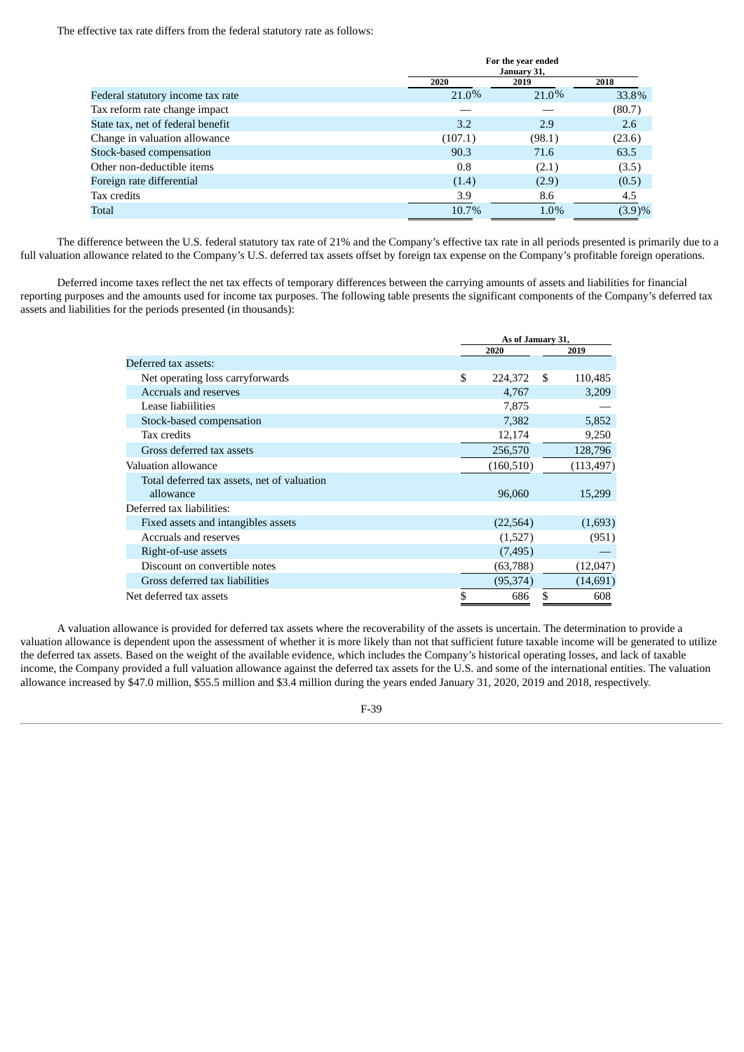The effective tax rate differs from the federal statutory rate as follows:

|                                   | For the year ended<br>January 31, |        |        |  |  |
|-----------------------------------|-----------------------------------|--------|--------|--|--|
|                                   | 2020                              | 2019   | 2018   |  |  |
| Federal statutory income tax rate | 21.0%                             | 21.0%  | 33.8%  |  |  |
| Tax reform rate change impact     |                                   |        | (80.7) |  |  |
| State tax, net of federal benefit | 3.2                               | 2.9    | 2.6    |  |  |
| Change in valuation allowance     | (107.1)                           | (98.1) | (23.6) |  |  |
| Stock-based compensation          | 90.3                              | 71.6   | 63.5   |  |  |
| Other non-deductible items        | 0.8                               | (2.1)  | (3.5)  |  |  |
| Foreign rate differential         | (1.4)                             | (2.9)  | (0.5)  |  |  |
| Tax credits                       | 3.9                               | 8.6    | 4.5    |  |  |
| Total                             | 10.7%                             | 1.0%   | (3.9)% |  |  |

The difference between the U.S. federal statutory tax rate of 21% and the Company's effective tax rate in all periods presented is primarily due to a full valuation allowance related to the Company's U.S. deferred tax assets offset by foreign tax expense on the Company's profitable foreign operations.

Deferred income taxes reflect the net tax effects of temporary differences between the carrying amounts of assets and liabilities for financial reporting purposes and the amounts used for income tax purposes. The following table presents the significant components of the Company's deferred tax assets and liabilities for the periods presented (in thousands):

|                                             |     | As of January 31, |    |            |  |
|---------------------------------------------|-----|-------------------|----|------------|--|
|                                             |     | 2020              |    | 2019       |  |
| Deferred tax assets:                        |     |                   |    |            |  |
| Net operating loss carryforwards            | \$. | 224,372           | -S | 110,485    |  |
| Accruals and reserves                       |     | 4,767             |    | 3,209      |  |
| Lease liabiilities                          |     | 7,875             |    |            |  |
| Stock-based compensation                    |     | 7,382             |    | 5,852      |  |
| Tax credits                                 |     | 12,174            |    | 9,250      |  |
| Gross deferred tax assets                   |     | 256,570           |    | 128,796    |  |
| Valuation allowance                         |     | (160, 510)        |    | (113, 497) |  |
| Total deferred tax assets, net of valuation |     |                   |    |            |  |
| allowance                                   |     | 96,060            |    | 15,299     |  |
| Deferred tax liabilities:                   |     |                   |    |            |  |
| Fixed assets and intangibles assets         |     | (22, 564)         |    | (1,693)    |  |
| Accruals and reserves                       |     | (1,527)           |    | (951)      |  |
| Right-of-use assets                         |     | (7, 495)          |    |            |  |
| Discount on convertible notes               |     | (63,788)          |    | (12,047)   |  |
| Gross deferred tax liabilities              |     | (95,374)          |    | (14, 691)  |  |
| Net deferred tax assets                     | \$  | 686               | \$ | 608        |  |

A valuation allowance is provided for deferred tax assets where the recoverability of the assets is uncertain. The determination to provide a valuation allowance is dependent upon the assessment of whether it is more likely than not that sufficient future taxable income will be generated to utilize the deferred tax assets. Based on the weight of the available evidence, which includes the Company's historical operating losses, and lack of taxable income, the Company provided a full valuation allowance against the deferred tax assets for the U.S. and some of the international entities. The valuation allowance increased by \$47.0 million, \$55.5 million and \$3.4 million during the years ended January 31, 2020, 2019 and 2018, respectively.

F-39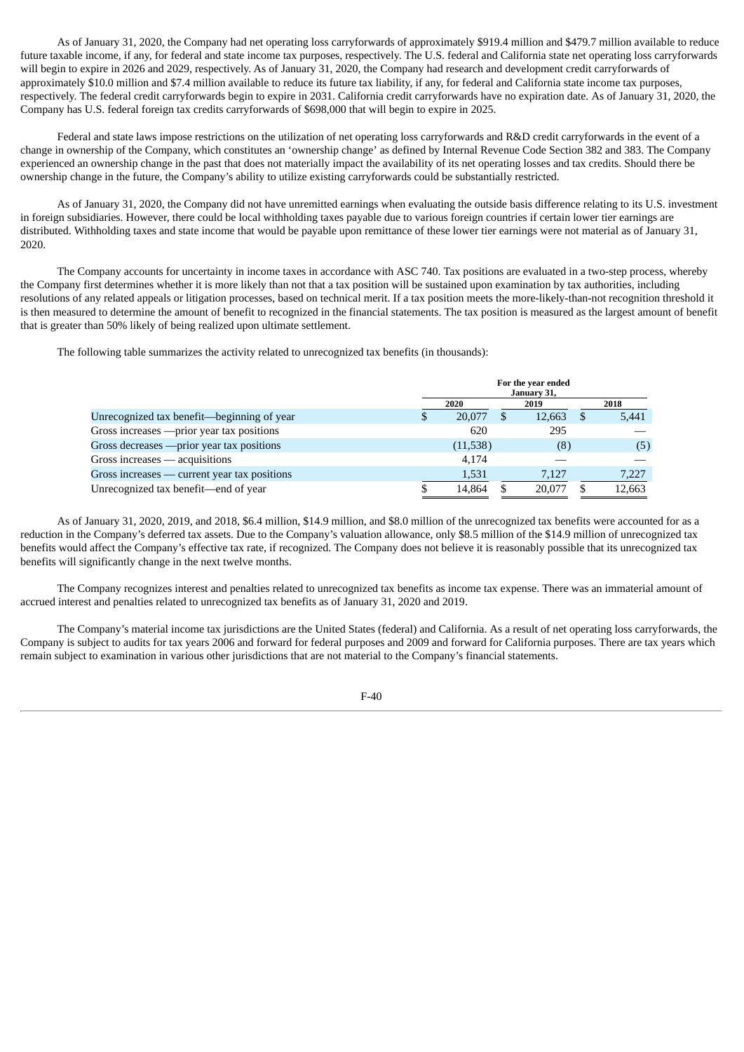As of January 31, 2020, the Company had net operating loss carryforwards of approximately \$919.4 million and \$479.7 million available to reduce future taxable income, if any, for federal and state income tax purposes, respectively. The U.S. federal and California state net operating loss carryforwards will begin to expire in 2026 and 2029, respectively. As of January 31, 2020, the Company had research and development credit carryforwards of approximately \$10.0 million and \$7.4 million available to reduce its future tax liability, if any, for federal and California state income tax purposes, respectively. The federal credit carryforwards begin to expire in 2031. California credit carryforwards have no expiration date. As of January 31, 2020, the Company has U.S. federal foreign tax credits carryforwards of \$698,000 that will begin to expire in 2025.

Federal and state laws impose restrictions on the utilization of net operating loss carryforwards and R&D credit carryforwards in the event of a change in ownership of the Company, which constitutes an 'ownership change' as defined by Internal Revenue Code Section 382 and 383. The Company experienced an ownership change in the past that does not materially impact the availability of its net operating losses and tax credits. Should there be ownership change in the future, the Company's ability to utilize existing carryforwards could be substantially restricted.

As of January 31, 2020, the Company did not have unremitted earnings when evaluating the outside basis difference relating to its U.S. investment in foreign subsidiaries. However, there could be local withholding taxes payable due to various foreign countries if certain lower tier earnings are distributed. Withholding taxes and state income that would be payable upon remittance of these lower tier earnings were not material as of January 31, 2020.

The Company accounts for uncertainty in income taxes in accordance with ASC 740. Tax positions are evaluated in a two-step process, whereby the Company first determines whether it is more likely than not that a tax position will be sustained upon examination by tax authorities, including resolutions of any related appeals or litigation processes, based on technical merit. If a tax position meets the more-likely-than-not recognition threshold it is then measured to determine the amount of benefit to recognized in the financial statements. The tax position is measured as the largest amount of benefit that is greater than 50% likely of being realized upon ultimate settlement.

The following table summarizes the activity related to unrecognized tax benefits (in thousands):

|                                              | For the year ended<br>January 31, |          |  |        |  |        |  |
|----------------------------------------------|-----------------------------------|----------|--|--------|--|--------|--|
|                                              |                                   | 2020     |  | 2019   |  | 2018   |  |
| Unrecognized tax benefit—beginning of year   | \$                                | 20,077   |  | 12,663 |  | 5,441  |  |
| Gross increases — prior year tax positions   |                                   | 620      |  | 295    |  |        |  |
| Gross decreases - prior year tax positions   |                                   | (11,538) |  | (8)    |  | (5)    |  |
| Gross increases — acquisitions               |                                   | 4.174    |  |        |  |        |  |
| Gross increases — current year tax positions |                                   | 1,531    |  | 7,127  |  | 7,227  |  |
| Unrecognized tax benefit—end of year         |                                   | 14,864   |  | 20.077 |  | 12,663 |  |

As of January 31, 2020, 2019, and 2018, \$6.4 million, \$14.9 million, and \$8.0 million of the unrecognized tax benefits were accounted for as a reduction in the Company's deferred tax assets. Due to the Company's valuation allowance, only \$8.5 million of the \$14.9 million of unrecognized tax benefits would affect the Company's effective tax rate, if recognized. The Company does not believe it is reasonably possible that its unrecognized tax benefits will significantly change in the next twelve months.

The Company recognizes interest and penalties related to unrecognized tax benefits as income tax expense. There was an immaterial amount of accrued interest and penalties related to unrecognized tax benefits as of January 31, 2020 and 2019.

The Company's material income tax jurisdictions are the United States (federal) and California. As a result of net operating loss carryforwards, the Company is subject to audits for tax years 2006 and forward for federal purposes and 2009 and forward for California purposes. There are tax years which remain subject to examination in various other jurisdictions that are not material to the Company's financial statements.

F-40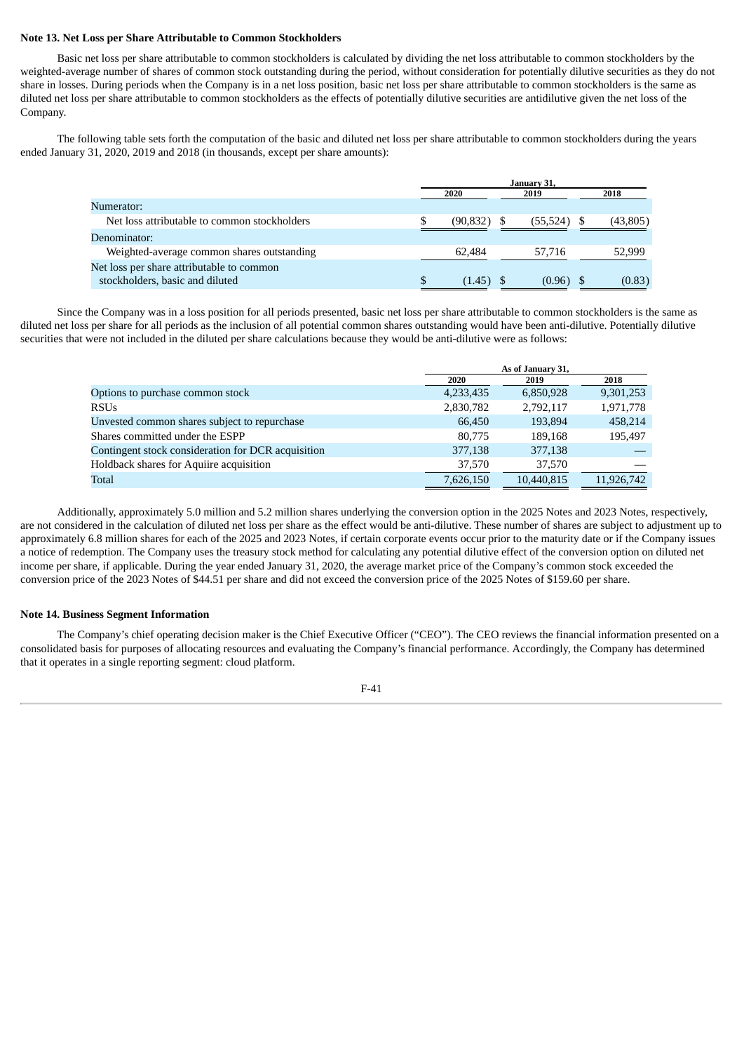#### **Note 13. Net Loss per Share Attributable to Common Stockholders**

Basic net loss per share attributable to common stockholders is calculated by dividing the net loss attributable to common stockholders by the weighted-average number of shares of common stock outstanding during the period, without consideration for potentially dilutive securities as they do not share in losses. During periods when the Company is in a net loss position, basic net loss per share attributable to common stockholders is the same as diluted net loss per share attributable to common stockholders as the effects of potentially dilutive securities are antidilutive given the net loss of the Company.

The following table sets forth the computation of the basic and diluted net loss per share attributable to common stockholders during the years ended January 31, 2020, 2019 and 2018 (in thousands, except per share amounts):

|                                              | January 31, |              |  |           |  |          |  |  |
|----------------------------------------------|-------------|--------------|--|-----------|--|----------|--|--|
|                                              |             | 2020<br>2019 |  |           |  | 2018     |  |  |
| Numerator:                                   |             |              |  |           |  |          |  |  |
| Net loss attributable to common stockholders |             | (90,832)     |  | (55, 524) |  | (43,805) |  |  |
| Denominator:                                 |             |              |  |           |  |          |  |  |
| Weighted-average common shares outstanding   |             | 62.484       |  | 57.716    |  | 52,999   |  |  |
| Net loss per share attributable to common    |             |              |  |           |  |          |  |  |
| stockholders, basic and diluted              | S           | (1.45)       |  | (0.96)    |  | (0.83)   |  |  |

Since the Company was in a loss position for all periods presented, basic net loss per share attributable to common stockholders is the same as diluted net loss per share for all periods as the inclusion of all potential common shares outstanding would have been anti-dilutive. Potentially dilutive securities that were not included in the diluted per share calculations because they would be anti-dilutive were as follows:

|                                                    |           | As of January 31, |            |  |  |  |  |
|----------------------------------------------------|-----------|-------------------|------------|--|--|--|--|
|                                                    | 2020      | 2019              | 2018       |  |  |  |  |
| Options to purchase common stock                   | 4,233,435 | 6,850,928         | 9,301,253  |  |  |  |  |
| <b>RSUs</b>                                        | 2,830,782 | 2,792,117         | 1,971,778  |  |  |  |  |
| Unvested common shares subject to repurchase       | 66.450    | 193.894           | 458,214    |  |  |  |  |
| Shares committed under the ESPP                    | 80,775    | 189.168           | 195.497    |  |  |  |  |
| Contingent stock consideration for DCR acquisition | 377,138   | 377,138           |            |  |  |  |  |
| Holdback shares for Aquiire acquisition            | 37,570    | 37,570            |            |  |  |  |  |
| Total                                              | 7,626,150 | 10,440,815        | 11,926,742 |  |  |  |  |

Additionally, approximately 5.0 million and 5.2 million shares underlying the conversion option in the 2025 Notes and 2023 Notes, respectively, are not considered in the calculation of diluted net loss per share as the effect would be anti-dilutive. These number of shares are subject to adjustment up to approximately 6.8 million shares for each of the 2025 and 2023 Notes, if certain corporate events occur prior to the maturity date or if the Company issues a notice of redemption. The Company uses the treasury stock method for calculating any potential dilutive effect of the conversion option on diluted net income per share, if applicable. During the year ended January 31, 2020, the average market price of the Company's common stock exceeded the conversion price of the 2023 Notes of \$44.51 per share and did not exceed the conversion price of the 2025 Notes of \$159.60 per share.

#### **Note 14. Business Segment Information**

The Company's chief operating decision maker is the Chief Executive Officer ("CEO"). The CEO reviews the financial information presented on a consolidated basis for purposes of allocating resources and evaluating the Company's financial performance. Accordingly, the Company has determined that it operates in a single reporting segment: cloud platform.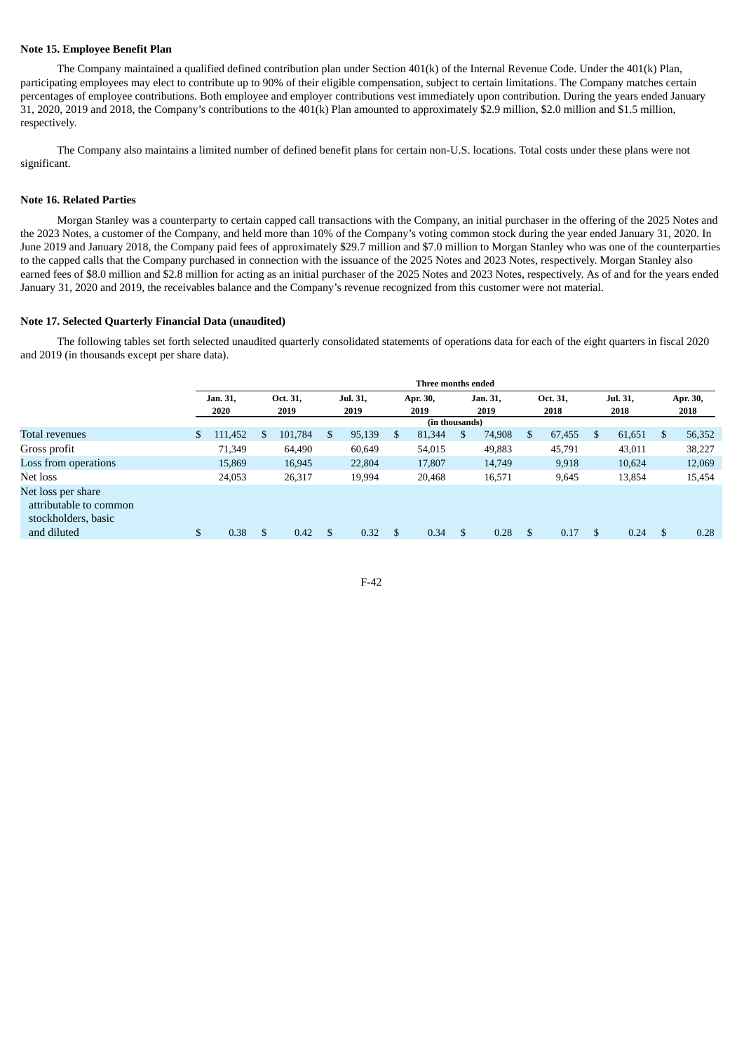#### **Note 15. Employee Benefit Plan**

The Company maintained a qualified defined contribution plan under Section 401(k) of the Internal Revenue Code. Under the 401(k) Plan, participating employees may elect to contribute up to 90% of their eligible compensation, subject to certain limitations. The Company matches certain percentages of employee contributions. Both employee and employer contributions vest immediately upon contribution. During the years ended January 31, 2020, 2019 and 2018, the Company's contributions to the 401(k) Plan amounted to approximately \$2.9 million, \$2.0 million and \$1.5 million, respectively.

The Company also maintains a limited number of defined benefit plans for certain non-U.S. locations. Total costs under these plans were not significant.

#### **Note 16. Related Parties**

Morgan Stanley was a counterparty to certain capped call transactions with the Company, an initial purchaser in the offering of the 2025 Notes and the 2023 Notes, a customer of the Company, and held more than 10% of the Company's voting common stock during the year ended January 31, 2020. In June 2019 and January 2018, the Company paid fees of approximately \$29.7 million and \$7.0 million to Morgan Stanley who was one of the counterparties to the capped calls that the Company purchased in connection with the issuance of the 2025 Notes and 2023 Notes, respectively. Morgan Stanley also earned fees of \$8.0 million and \$2.8 million for acting as an initial purchaser of the 2025 Notes and 2023 Notes, respectively. As of and for the years ended January 31, 2020 and 2019, the receivables balance and the Company's revenue recognized from this customer were not material.

#### **Note 17. Selected Quarterly Financial Data (unaudited)**

The following tables set forth selected unaudited quarterly consolidated statements of operations data for each of the eight quarters in fiscal 2020 and 2019 (in thousands except per share data).

|                                                                     |     |                  |                  |                  |    | Three months ended |                  |    |                  |    |                  |    |                  |
|---------------------------------------------------------------------|-----|------------------|------------------|------------------|----|--------------------|------------------|----|------------------|----|------------------|----|------------------|
|                                                                     |     | Jan. 31,<br>2020 | Oct. 31.<br>2019 | Jul. 31,<br>2019 |    | Apr. 30,<br>2019   | Jan. 31,<br>2019 |    | Oct. 31,<br>2018 |    | Jul. 31,<br>2018 |    | Apr. 30,<br>2018 |
|                                                                     |     |                  |                  |                  |    | (in thousands)     |                  |    |                  |    |                  |    |                  |
| Total revenues                                                      | \$. | 111,452          | \$<br>101,784    | \$<br>95,139     | S. | 81,344             | \$<br>74,908     | S. | 67,455           | S  | 61,651           | S. | 56,352           |
| Gross profit                                                        |     | 71,349           | 64,490           | 60,649           |    | 54,015             | 49,883           |    | 45,791           |    | 43,011           |    | 38,227           |
| Loss from operations                                                |     | 15.869           | 16,945           | 22,804           |    | 17,807             | 14,749           |    | 9,918            |    | 10,624           |    | 12,069           |
| Net loss                                                            |     | 24,053           | 26,317           | 19,994           |    | 20,468             | 16,571           |    | 9,645            |    | 13,854           |    | 15,454           |
| Net loss per share<br>attributable to common<br>stockholders, basic |     |                  |                  |                  |    |                    |                  |    |                  |    |                  |    |                  |
| and diluted                                                         |     | 0.38             | \$<br>0.42       | \$<br>0.32       | \$ | 0.34               | \$<br>0.28       | S  | 0.17             | \$ | 0.24             | \$ | 0.28             |
|                                                                     |     |                  |                  |                  |    |                    |                  |    |                  |    |                  |    |                  |

F-42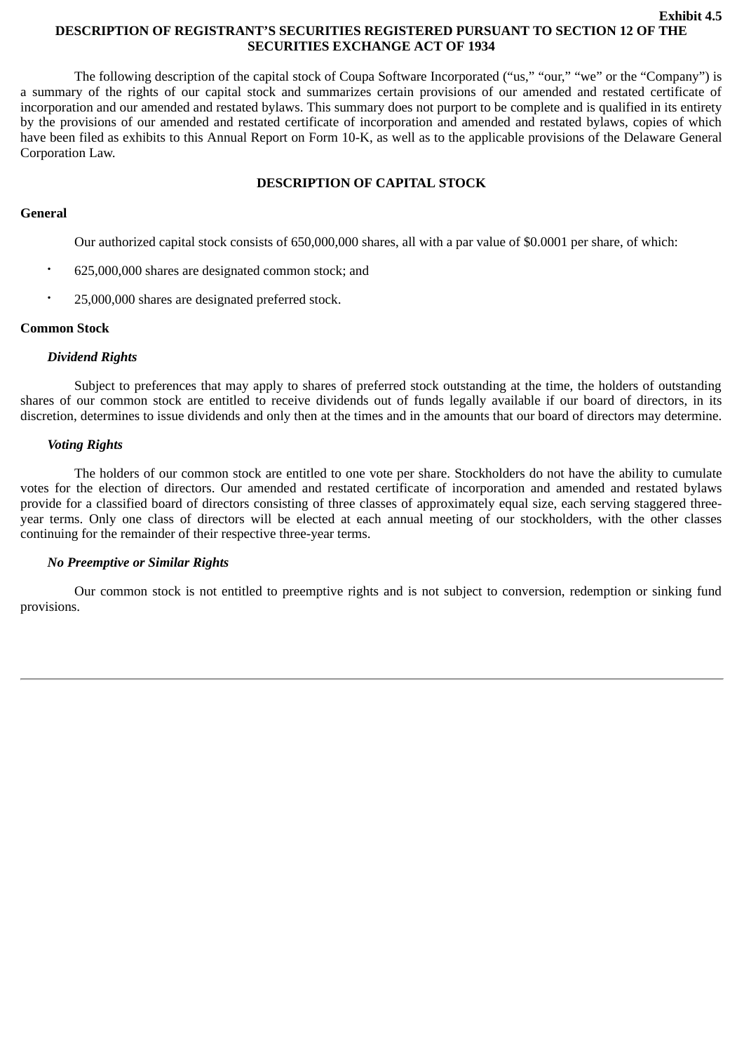#### **Exhibit 4.5 DESCRIPTION OF REGISTRANT'S SECURITIES REGISTERED PURSUANT TO SECTION 12 OF THE SECURITIES EXCHANGE ACT OF 1934**

The following description of the capital stock of Coupa Software Incorporated ("us," "our," "we" or the "Company") is a summary of the rights of our capital stock and summarizes certain provisions of our amended and restated certificate of incorporation and our amended and restated bylaws. This summary does not purport to be complete and is qualified in its entirety by the provisions of our amended and restated certificate of incorporation and amended and restated bylaws, copies of which have been filed as exhibits to this Annual Report on Form 10-K, as well as to the applicable provisions of the Delaware General Corporation Law.

# **DESCRIPTION OF CAPITAL STOCK**

## **General**

Our authorized capital stock consists of 650,000,000 shares, all with a par value of \$0.0001 per share, of which:

- 625,000,000 shares are designated common stock; and
- 25,000,000 shares are designated preferred stock.

## **Common Stock**

## *Dividend Rights*

Subject to preferences that may apply to shares of preferred stock outstanding at the time, the holders of outstanding shares of our common stock are entitled to receive dividends out of funds legally available if our board of directors, in its discretion, determines to issue dividends and only then at the times and in the amounts that our board of directors may determine.

## *Voting Rights*

The holders of our common stock are entitled to one vote per share. Stockholders do not have the ability to cumulate votes for the election of directors. Our amended and restated certificate of incorporation and amended and restated bylaws provide for a classified board of directors consisting of three classes of approximately equal size, each serving staggered threeyear terms. Only one class of directors will be elected at each annual meeting of our stockholders, with the other classes continuing for the remainder of their respective three-year terms.

### *No Preemptive or Similar Rights*

Our common stock is not entitled to preemptive rights and is not subject to conversion, redemption or sinking fund provisions.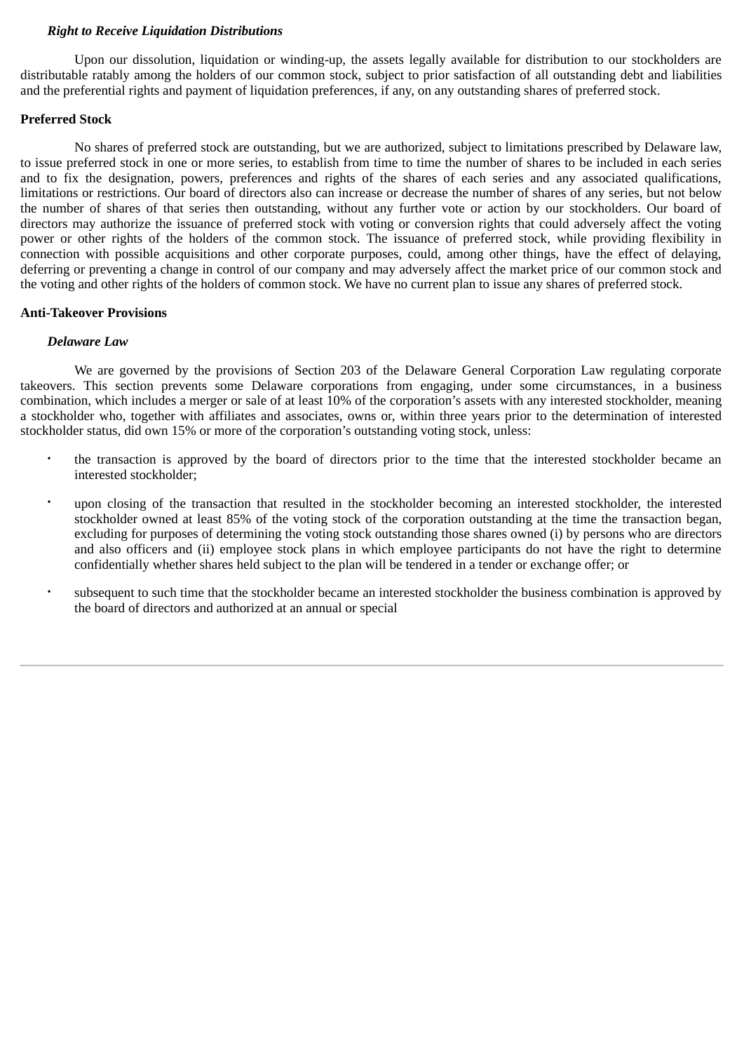### *Right to Receive Liquidation Distributions*

Upon our dissolution, liquidation or winding-up, the assets legally available for distribution to our stockholders are distributable ratably among the holders of our common stock, subject to prior satisfaction of all outstanding debt and liabilities and the preferential rights and payment of liquidation preferences, if any, on any outstanding shares of preferred stock.

### **Preferred Stock**

No shares of preferred stock are outstanding, but we are authorized, subject to limitations prescribed by Delaware law, to issue preferred stock in one or more series, to establish from time to time the number of shares to be included in each series and to fix the designation, powers, preferences and rights of the shares of each series and any associated qualifications, limitations or restrictions. Our board of directors also can increase or decrease the number of shares of any series, but not below the number of shares of that series then outstanding, without any further vote or action by our stockholders. Our board of directors may authorize the issuance of preferred stock with voting or conversion rights that could adversely affect the voting power or other rights of the holders of the common stock. The issuance of preferred stock, while providing flexibility in connection with possible acquisitions and other corporate purposes, could, among other things, have the effect of delaying, deferring or preventing a change in control of our company and may adversely affect the market price of our common stock and the voting and other rights of the holders of common stock. We have no current plan to issue any shares of preferred stock.

## **Anti-Takeover Provisions**

## *Delaware Law*

We are governed by the provisions of Section 203 of the Delaware General Corporation Law regulating corporate takeovers. This section prevents some Delaware corporations from engaging, under some circumstances, in a business combination, which includes a merger or sale of at least 10% of the corporation's assets with any interested stockholder, meaning a stockholder who, together with affiliates and associates, owns or, within three years prior to the determination of interested stockholder status, did own 15% or more of the corporation's outstanding voting stock, unless:

- the transaction is approved by the board of directors prior to the time that the interested stockholder became an interested stockholder;
- upon closing of the transaction that resulted in the stockholder becoming an interested stockholder, the interested stockholder owned at least 85% of the voting stock of the corporation outstanding at the time the transaction began, excluding for purposes of determining the voting stock outstanding those shares owned (i) by persons who are directors and also officers and (ii) employee stock plans in which employee participants do not have the right to determine confidentially whether shares held subject to the plan will be tendered in a tender or exchange offer; or
- subsequent to such time that the stockholder became an interested stockholder the business combination is approved by the board of directors and authorized at an annual or special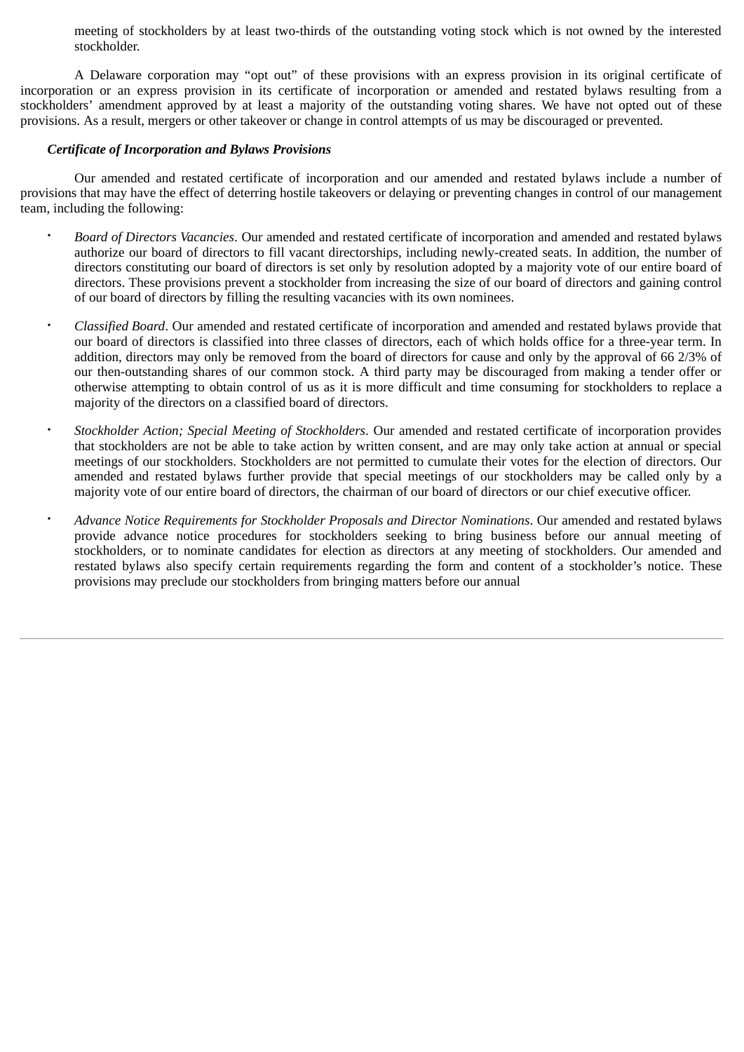meeting of stockholders by at least two-thirds of the outstanding voting stock which is not owned by the interested stockholder.

A Delaware corporation may "opt out" of these provisions with an express provision in its original certificate of incorporation or an express provision in its certificate of incorporation or amended and restated bylaws resulting from a stockholders' amendment approved by at least a majority of the outstanding voting shares. We have not opted out of these provisions. As a result, mergers or other takeover or change in control attempts of us may be discouraged or prevented.

# *Certificate of Incorporation and Bylaws Provisions*

Our amended and restated certificate of incorporation and our amended and restated bylaws include a number of provisions that may have the effect of deterring hostile takeovers or delaying or preventing changes in control of our management team, including the following:

- *Board of Directors Vacancies*. Our amended and restated certificate of incorporation and amended and restated bylaws authorize our board of directors to fill vacant directorships, including newly-created seats. In addition, the number of directors constituting our board of directors is set only by resolution adopted by a majority vote of our entire board of directors. These provisions prevent a stockholder from increasing the size of our board of directors and gaining control of our board of directors by filling the resulting vacancies with its own nominees.
- *Classified Board*. Our amended and restated certificate of incorporation and amended and restated bylaws provide that our board of directors is classified into three classes of directors, each of which holds office for a three-year term. In addition, directors may only be removed from the board of directors for cause and only by the approval of 66 2/3% of our then-outstanding shares of our common stock. A third party may be discouraged from making a tender offer or otherwise attempting to obtain control of us as it is more difficult and time consuming for stockholders to replace a majority of the directors on a classified board of directors.
- *Stockholder Action; Special Meeting of Stockholders*. Our amended and restated certificate of incorporation provides that stockholders are not be able to take action by written consent, and are may only take action at annual or special meetings of our stockholders. Stockholders are not permitted to cumulate their votes for the election of directors. Our amended and restated bylaws further provide that special meetings of our stockholders may be called only by a majority vote of our entire board of directors, the chairman of our board of directors or our chief executive officer.
- *Advance Notice Requirements for Stockholder Proposals and Director Nominations*. Our amended and restated bylaws provide advance notice procedures for stockholders seeking to bring business before our annual meeting of stockholders, or to nominate candidates for election as directors at any meeting of stockholders. Our amended and restated bylaws also specify certain requirements regarding the form and content of a stockholder's notice. These provisions may preclude our stockholders from bringing matters before our annual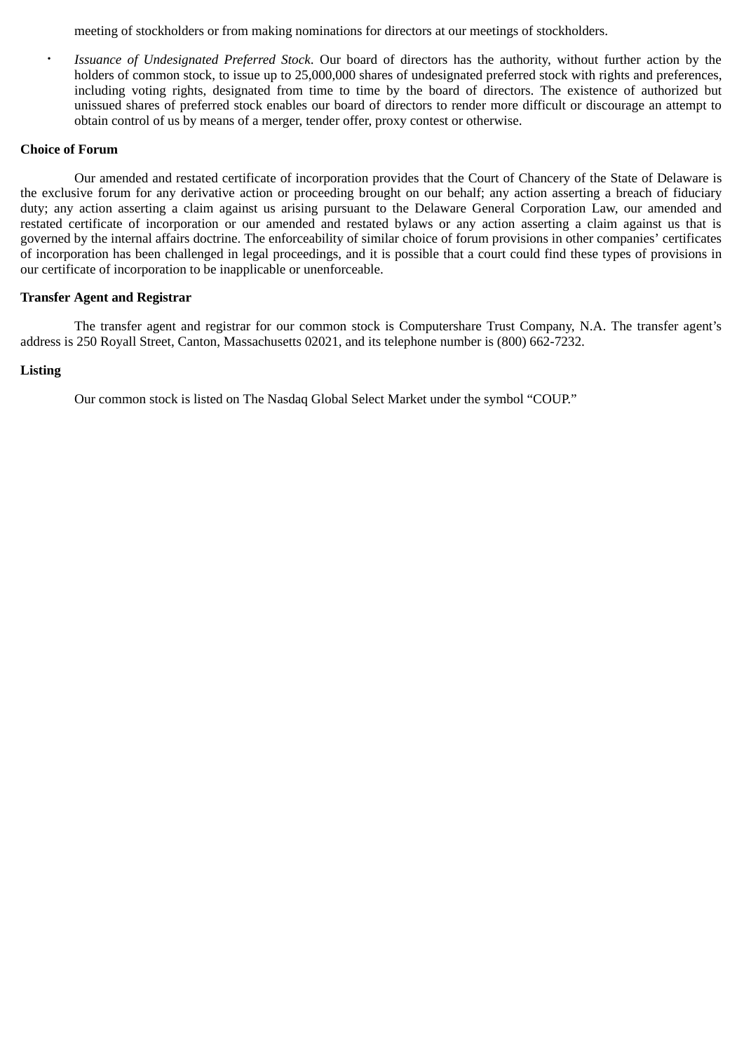meeting of stockholders or from making nominations for directors at our meetings of stockholders.

• *Issuance of Undesignated Preferred Stock*. Our board of directors has the authority, without further action by the holders of common stock, to issue up to 25,000,000 shares of undesignated preferred stock with rights and preferences, including voting rights, designated from time to time by the board of directors. The existence of authorized but unissued shares of preferred stock enables our board of directors to render more difficult or discourage an attempt to obtain control of us by means of a merger, tender offer, proxy contest or otherwise.

## **Choice of Forum**

Our amended and restated certificate of incorporation provides that the Court of Chancery of the State of Delaware is the exclusive forum for any derivative action or proceeding brought on our behalf; any action asserting a breach of fiduciary duty; any action asserting a claim against us arising pursuant to the Delaware General Corporation Law, our amended and restated certificate of incorporation or our amended and restated bylaws or any action asserting a claim against us that is governed by the internal affairs doctrine. The enforceability of similar choice of forum provisions in other companies' certificates of incorporation has been challenged in legal proceedings, and it is possible that a court could find these types of provisions in our certificate of incorporation to be inapplicable or unenforceable.

## **Transfer Agent and Registrar**

The transfer agent and registrar for our common stock is Computershare Trust Company, N.A. The transfer agent's address is 250 Royall Street, Canton, Massachusetts 02021, and its telephone number is (800) 662-7232.

## **Listing**

Our common stock is listed on The Nasdaq Global Select Market under the symbol "COUP."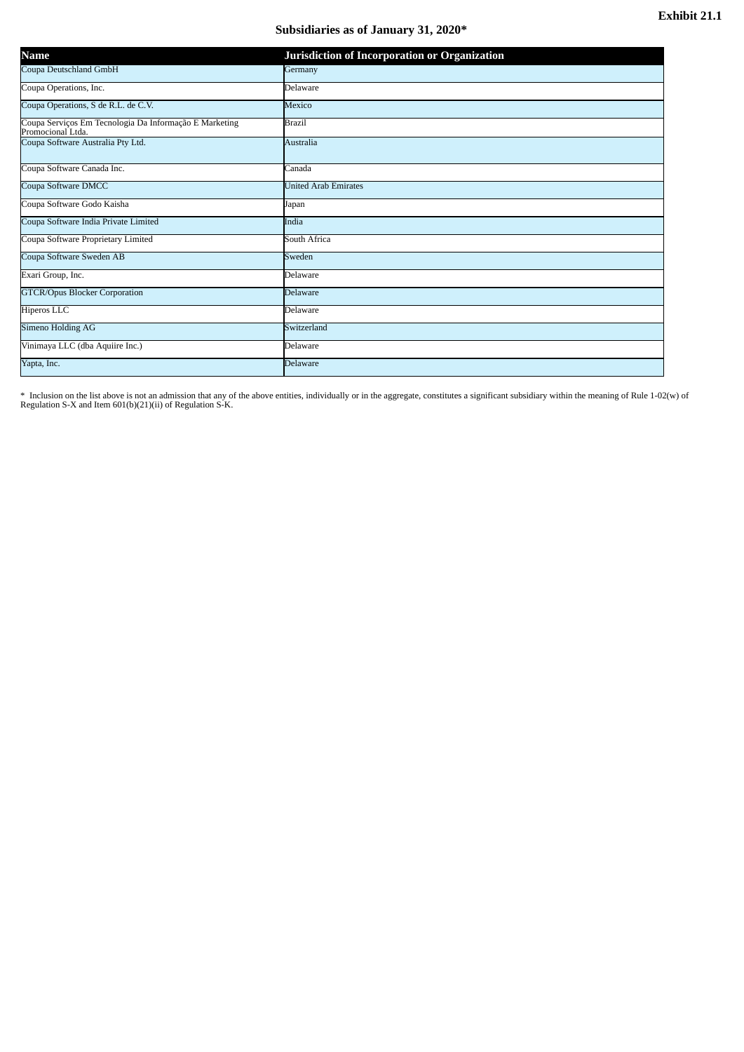# **Subsidiaries as of January 31, 2020\***

| Name                                                                        | Jurisdiction of Incorporation or Organization |
|-----------------------------------------------------------------------------|-----------------------------------------------|
| Coupa Deutschland GmbH                                                      | Germany                                       |
| Coupa Operations, Inc.                                                      | Delaware                                      |
| Coupa Operations, S de R.L. de C.V.                                         | Mexico                                        |
| Coupa Serviços Em Tecnologia Da Informação E Marketing<br>Promocional Ltda. | <b>Brazil</b>                                 |
| Coupa Software Australia Pty Ltd.                                           | <b>Australia</b>                              |
| Coupa Software Canada Inc.                                                  | Canada                                        |
| Coupa Software DMCC                                                         | <b>United Arab Emirates</b>                   |
| Coupa Software Godo Kaisha                                                  | Japan                                         |
| Coupa Software India Private Limited                                        | India                                         |
| Coupa Software Proprietary Limited                                          | South Africa                                  |
| Coupa Software Sweden AB                                                    | Sweden                                        |
| Exari Group, Inc.                                                           | Delaware                                      |
| <b>GTCR/Opus Blocker Corporation</b>                                        | <b>Delaware</b>                               |
| Hiperos LLC                                                                 | Delaware                                      |
| Simeno Holding AG                                                           | Switzerland                                   |
| Vinimaya LLC (dba Aquiire Inc.)                                             | Delaware                                      |
| Yapta, Inc.                                                                 | <b>Delaware</b>                               |

\* Inclusion on the list above is not an admission that any of the above entities, individually or in the aggregate, constitutes a significant subsidiary within the meaning of Rule 1-02(w) of<br>Regulation S-X and Item 601(b)(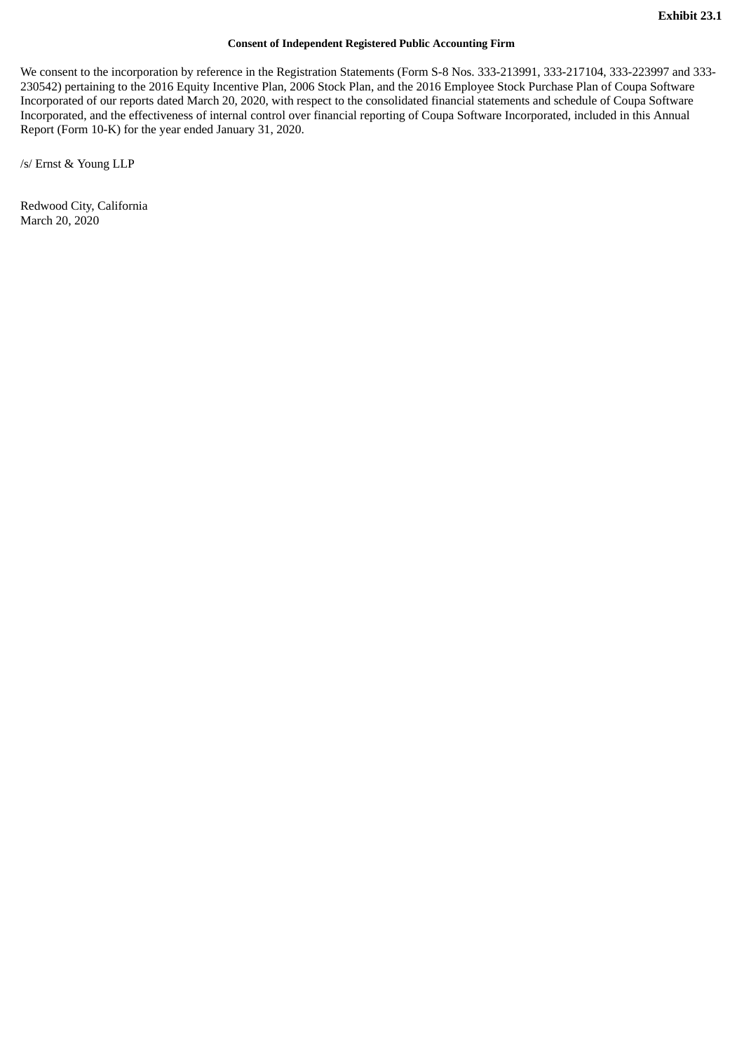#### **Consent of Independent Registered Public Accounting Firm**

We consent to the incorporation by reference in the Registration Statements (Form S-8 Nos. 333-213991, 333-217104, 333-223997 and 333- 230542) pertaining to the 2016 Equity Incentive Plan, 2006 Stock Plan, and the 2016 Employee Stock Purchase Plan of Coupa Software Incorporated of our reports dated March 20, 2020, with respect to the consolidated financial statements and schedule of Coupa Software Incorporated, and the effectiveness of internal control over financial reporting of Coupa Software Incorporated, included in this Annual Report (Form 10-K) for the year ended January 31, 2020.

/s/ Ernst & Young LLP

Redwood City, California March 20, 2020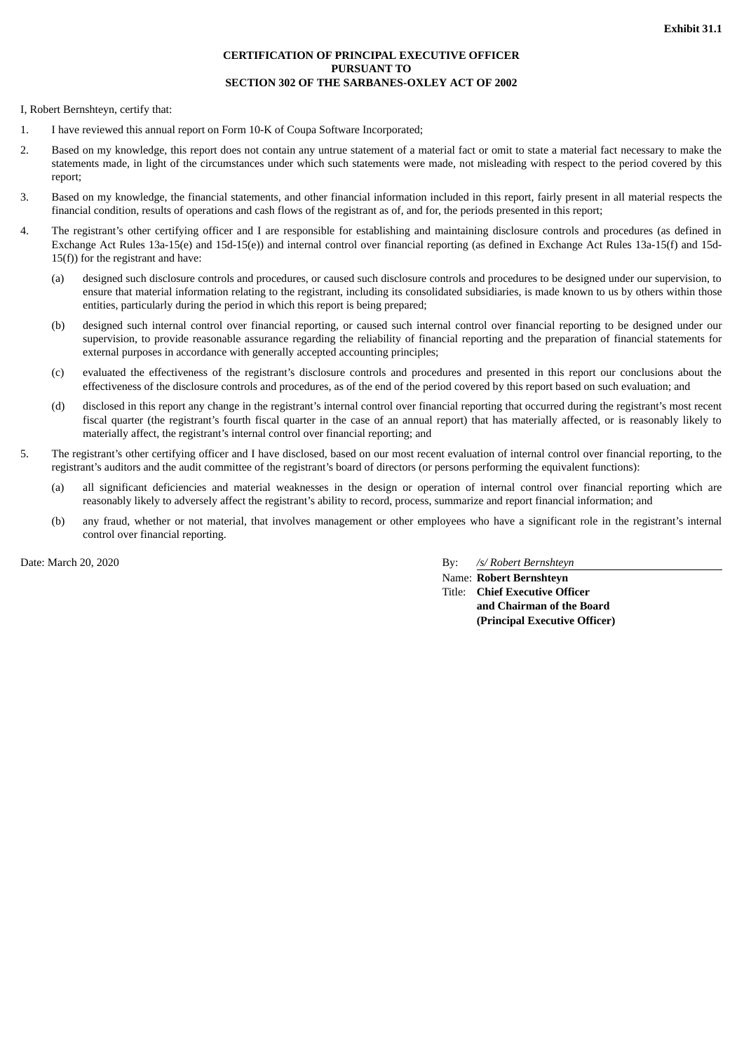#### **CERTIFICATION OF PRINCIPAL EXECUTIVE OFFICER PURSUANT TO SECTION 302 OF THE SARBANES-OXLEY ACT OF 2002**

I, Robert Bernshteyn, certify that:

- 1. I have reviewed this annual report on Form 10-K of Coupa Software Incorporated;
- 2. Based on my knowledge, this report does not contain any untrue statement of a material fact or omit to state a material fact necessary to make the statements made, in light of the circumstances under which such statements were made, not misleading with respect to the period covered by this report;
- 3. Based on my knowledge, the financial statements, and other financial information included in this report, fairly present in all material respects the financial condition, results of operations and cash flows of the registrant as of, and for, the periods presented in this report;
- 4. The registrant's other certifying officer and I are responsible for establishing and maintaining disclosure controls and procedures (as defined in Exchange Act Rules 13a-15(e) and 15d-15(e)) and internal control over financial reporting (as defined in Exchange Act Rules 13a-15(f) and 15d-15(f)) for the registrant and have:
	- (a) designed such disclosure controls and procedures, or caused such disclosure controls and procedures to be designed under our supervision, to ensure that material information relating to the registrant, including its consolidated subsidiaries, is made known to us by others within those entities, particularly during the period in which this report is being prepared;
	- (b) designed such internal control over financial reporting, or caused such internal control over financial reporting to be designed under our supervision, to provide reasonable assurance regarding the reliability of financial reporting and the preparation of financial statements for external purposes in accordance with generally accepted accounting principles;
	- (c) evaluated the effectiveness of the registrant's disclosure controls and procedures and presented in this report our conclusions about the effectiveness of the disclosure controls and procedures, as of the end of the period covered by this report based on such evaluation; and
	- (d) disclosed in this report any change in the registrant's internal control over financial reporting that occurred during the registrant's most recent fiscal quarter (the registrant's fourth fiscal quarter in the case of an annual report) that has materially affected, or is reasonably likely to materially affect, the registrant's internal control over financial reporting; and
- 5. The registrant's other certifying officer and I have disclosed, based on our most recent evaluation of internal control over financial reporting, to the registrant's auditors and the audit committee of the registrant's board of directors (or persons performing the equivalent functions):
	- (a) all significant deficiencies and material weaknesses in the design or operation of internal control over financial reporting which are reasonably likely to adversely affect the registrant's ability to record, process, summarize and report financial information; and
	- (b) any fraud, whether or not material, that involves management or other employees who have a significant role in the registrant's internal control over financial reporting.

Date: March 20, 2020 By: */s/ Robert Bernshteyn*

Name: **Robert Bernshteyn** Title: **Chief Executive Officer and Chairman of the Board (Principal Executive Officer)**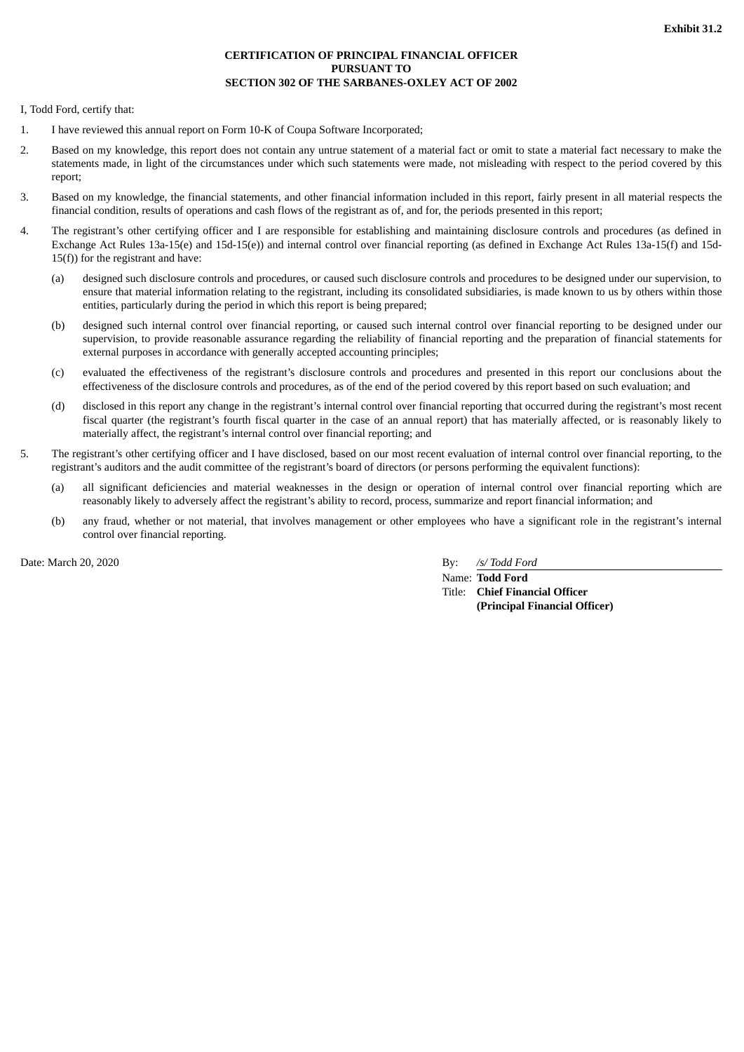#### **CERTIFICATION OF PRINCIPAL FINANCIAL OFFICER PURSUANT TO SECTION 302 OF THE SARBANES-OXLEY ACT OF 2002**

I, Todd Ford, certify that:

- 1. I have reviewed this annual report on Form 10-K of Coupa Software Incorporated;
- 2. Based on my knowledge, this report does not contain any untrue statement of a material fact or omit to state a material fact necessary to make the statements made, in light of the circumstances under which such statements were made, not misleading with respect to the period covered by this report;
- 3. Based on my knowledge, the financial statements, and other financial information included in this report, fairly present in all material respects the financial condition, results of operations and cash flows of the registrant as of, and for, the periods presented in this report;
- 4. The registrant's other certifying officer and I are responsible for establishing and maintaining disclosure controls and procedures (as defined in Exchange Act Rules 13a-15(e) and 15d-15(e)) and internal control over financial reporting (as defined in Exchange Act Rules 13a-15(f) and 15d-15(f)) for the registrant and have:
	- (a) designed such disclosure controls and procedures, or caused such disclosure controls and procedures to be designed under our supervision, to ensure that material information relating to the registrant, including its consolidated subsidiaries, is made known to us by others within those entities, particularly during the period in which this report is being prepared;
	- (b) designed such internal control over financial reporting, or caused such internal control over financial reporting to be designed under our supervision, to provide reasonable assurance regarding the reliability of financial reporting and the preparation of financial statements for external purposes in accordance with generally accepted accounting principles;
	- (c) evaluated the effectiveness of the registrant's disclosure controls and procedures and presented in this report our conclusions about the effectiveness of the disclosure controls and procedures, as of the end of the period covered by this report based on such evaluation; and
	- (d) disclosed in this report any change in the registrant's internal control over financial reporting that occurred during the registrant's most recent fiscal quarter (the registrant's fourth fiscal quarter in the case of an annual report) that has materially affected, or is reasonably likely to materially affect, the registrant's internal control over financial reporting; and
- 5. The registrant's other certifying officer and I have disclosed, based on our most recent evaluation of internal control over financial reporting, to the registrant's auditors and the audit committee of the registrant's board of directors (or persons performing the equivalent functions):
	- (a) all significant deficiencies and material weaknesses in the design or operation of internal control over financial reporting which are reasonably likely to adversely affect the registrant's ability to record, process, summarize and report financial information; and
	- (b) any fraud, whether or not material, that involves management or other employees who have a significant role in the registrant's internal control over financial reporting.

Date: March 20, 2020 By: */s/ Todd Ford*

Name: **Todd Ford** Title: **Chief Financial Officer (Principal Financial Officer)**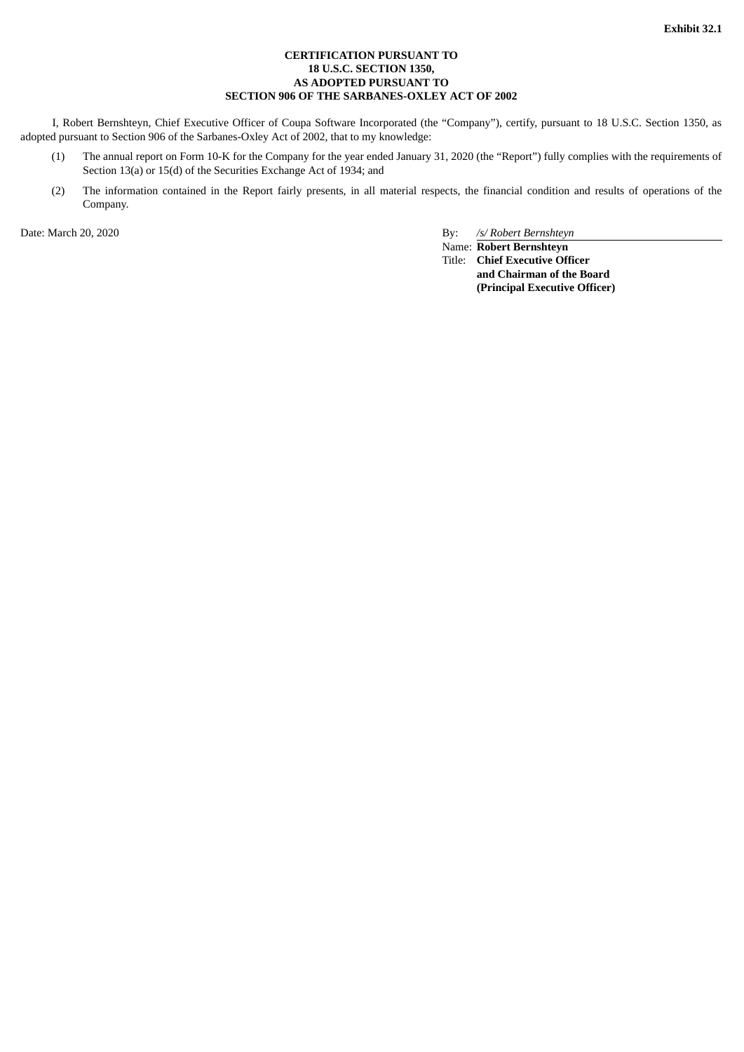#### **CERTIFICATION PURSUANT TO 18 U.S.C. SECTION 1350, AS ADOPTED PURSUANT TO SECTION 906 OF THE SARBANES-OXLEY ACT OF 2002**

I, Robert Bernshteyn, Chief Executive Officer of Coupa Software Incorporated (the "Company"), certify, pursuant to 18 U.S.C. Section 1350, as adopted pursuant to Section 906 of the Sarbanes-Oxley Act of 2002, that to my knowledge:

- (1) The annual report on Form 10-K for the Company for the year ended January 31, 2020 (the "Report") fully complies with the requirements of Section 13(a) or 15(d) of the Securities Exchange Act of 1934; and
- (2) The information contained in the Report fairly presents, in all material respects, the financial condition and results of operations of the Company.

Date: March 20, 2020 By: */s/ Robert Bernshteyn*

Name: **Robert Bernshteyn** Title: **Chief Executive Officer and Chairman of the Board (Principal Executive Officer)**